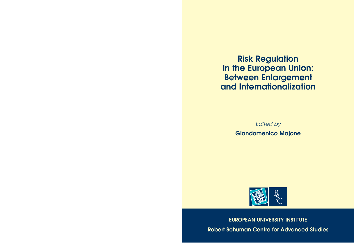# Risk Regulation in the European Union: Between Enlargement and Internationalization

Edited by

Giandomenico Majone



EUROPEAN UNIVERSITY INSTITUTE

Robert Schuman Centre for Advanced Studies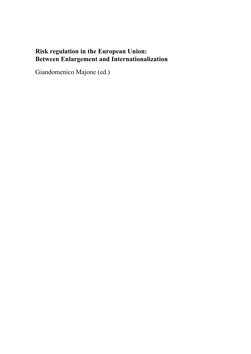### **Risk regulation in the European Union: Between Enlargement and Internationalization**

Giandomenico Majone (ed.)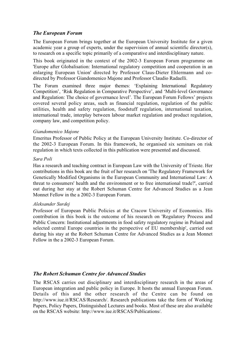### *The European Forum*

The European Forum brings together at the European University Institute for a given academic year a group of experts, under the supervision of annual scientific director(s), to research on a specific topic primarily of a comparative and interdisciplinary nature.

This book originated in the context of the 2002-3 European Forum programme on 'Europe after Globalisation: International regulatory competition and cooperation in an enlarging European Union' directed by Professor Claus-Dieter Ehlermann and codirected by Professor Giandomenico Majone and Professor Claudio Radaelli.

The Forum examined three major themes: 'Explaining International Regulatory Competition', 'Risk Regulation in Comparative Perspective', and 'Multi-level Governance and Regulation: The choice of governance level'. The European Forum Fellows' projects covered several policy areas, such as financial regulation, regulation of the public utilities, health and safety regulation, foodstuff regulation, international taxation, international trade, interplay between labour market regulation and product regulation, company law, and competition policy.

### *Giandomenico Majone*

Emeritus Professor of Public Policy at the European University Institute. Co-director of the 2002-3 European Forum. In this framework, he organised six seminars on risk regulation in which texts collected in this publication were presented and discussed.

#### *Sara Poli*

Has a research and teaching contract in European Law with the University of Trieste. Her contributions in this book are the fruit of her research on 'The Regulatory Framework for Genetically Modified Organisms in the European Community and International Law: A threat to consumers' health and the environment or to free international trade?', carried out during her stay at the Robert Schuman Centre for Advanced Studies as a Jean Monnet Fellow in the a 2002-3 European Forum.

### *Aleksander Surdej*

Professor of European Public Policies at the Cracow University of Economics. His contribution in this book is the outcome of his research on 'Regulatory Process and Public Concern: Institutional adjustments in food safety regulatory regime in Poland and selected central Europe countries in the perspective of EU membership', carried out during his stay at the Robert Schuman Centre for Advanced Studies as a Jean Monnet Fellow in the a 2002-3 European Forum.

### *The Robert Schuman Centre for Advanced Studies*

The RSCAS carries out disciplinary and interdisciplinary research in the areas of European integration and public policy in Europe. It hosts the annual European Forum. Details of this and the other research of the Centre can be found on [http://www.iue.it/RSCAS/Research/.](http://www.iue.it/RSCAS/Research/) Research publications take the form of Working Papers, Policy Papers, Distinguished Lectures and books. Most of these are also available on the RSCAS website: <http://www.iue.it/RSCAS/Publications/.>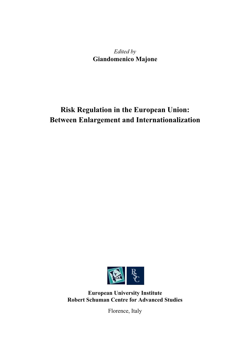*Edited by* **Giandomenico Majone**

## **Risk Regulation in the European Union: Between Enlargement and Internationalization**



**European University Institute Robert Schuman Centre for Advanced Studies**

Florence, Italy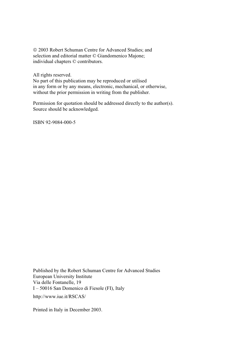2003 Robert Schuman Centre for Advanced Studies; and selection and editorial matter © Giandomenico Majone; individual chapters © contributors.

All rights reserved.

No part of this publication may be reproduced or utilised in any form or by any means, electronic, mechanical, or otherwise, without the prior permission in writing from the publisher.

Permission for quotation should be addressed directly to the author(s). Source should be acknowledged.

ISBN 92-9084-000-5

Published by the Robert Schuman Centre for Advanced Studies European University Institute Via delle Fontanelle, 19 I – 50016 San Domenico di Fiesole (FI), Italy <http://www.iue.it/RSCAS/>

Printed in Italy in December 2003.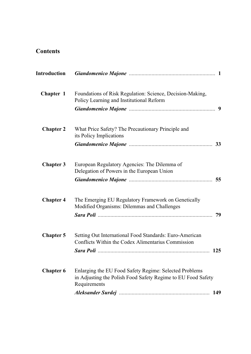### **Contents**

| Introduction     |                                                                                                                                        |  |
|------------------|----------------------------------------------------------------------------------------------------------------------------------------|--|
| Chapter 1        | Foundations of Risk Regulation: Science, Decision-Making,<br>Policy Learning and Institutional Reform                                  |  |
|                  |                                                                                                                                        |  |
| <b>Chapter 2</b> | What Price Safety? The Precautionary Principle and<br>its Policy Implications                                                          |  |
|                  |                                                                                                                                        |  |
| <b>Chapter 3</b> | European Regulatory Agencies: The Dilemma of<br>Delegation of Powers in the European Union                                             |  |
|                  |                                                                                                                                        |  |
| <b>Chapter 4</b> | The Emerging EU Regulatory Framework on Genetically<br>Modified Organisms: Dilemmas and Challenges                                     |  |
|                  |                                                                                                                                        |  |
| <b>Chapter 5</b> | Setting Out International Food Standards: Euro-American<br>Conflicts Within the Codex Alimentarius Commission                          |  |
| <b>Chapter 6</b> | Enlarging the EU Food Safety Regime: Selected Problems<br>in Adjusting the Polish Food Safety Regime to EU Food Safety<br>Requirements |  |
|                  |                                                                                                                                        |  |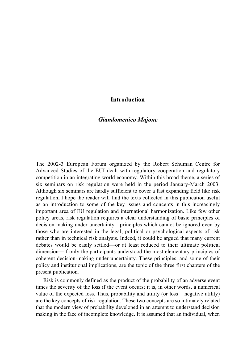### **Introduction**

### *Giandomenico Majone*

The 2002-3 European Forum organized by the Robert Schuman Centre for Advanced Studies of the EUI dealt with regulatory cooperation and regulatory competition in an integrating world economy. Within this broad theme, a series of six seminars on risk regulation were held in the period January-March 2003. Although six seminars are hardly sufficient to cover a fast expanding field like risk regulation, I hope the reader will find the texts collected in this publication useful as an introduction to some of the key issues and concepts in this increasingly important area of EU regulation and international harmonization. Like few other policy areas, risk regulation requires a clear understanding of basic principles of decision-making under uncertainty—principles which cannot be ignored even by those who are interested in the legal, political or psychological aspects of risk rather than in technical risk analysis. Indeed, it could be argued that many current debates would be easily settled—or at least reduced to their ultimate political dimension—if only the participants understood the most elementary principles of coherent decision-making under uncertainty. These principles, and some of their policy and institutional implications, are the topic of the three first chapters of the present publication.

Risk is commonly defined as the product of the probability of an adverse event times the severity of the loss if the event occurs; it is, in other words, a numerical value of the expected loss. Thus, probability and utility (or loss  $=$  negative utility) are the key concepts of risk regulation. These two concepts are so intimately related that the modern view of probability developed in an attempt to understand decision making in the face of incomplete knowledge. It is assumed that an individual, when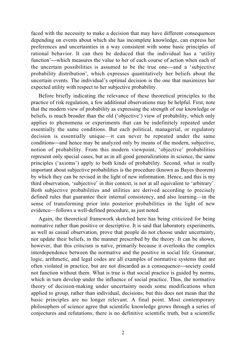faced with the necessity to make a decision that may have different consequences depending on events about which she has incomplete knowledge, can express her preferences and uncertainties in a way consistent with some basic principles of rational behavior. It can then be deduced that the individual has a 'utility function'—which measures the value to her of each course of action when each of the uncertain possibilities is assumed to be the true one—and a 'subjective probability distribution', which expresses quantitatively her beliefs about the uncertain events. The individual's optimal decision is the one that maximizes her expected utility with respect to her subjective probability.

Before briefly indicating the relevance of these theoretical principles to the practice of risk regulation, a few additional observations may be helpful. First, note that the modern view of probability as expressing the strength of our knowledge or beliefs, is much broader than the old ('objective') view of probability, which only applies to phenomena or experiments that can be indefinitely repeated under essentially the same conditions. But each political, managerial, or regulatory decision is essentially unique—it can never be repeated under the same conditions—and hence may be analyzed only by means of the modern, subjective, notion of probability. From this modern viewpoint, 'objective' probabilities represent only special cases, but as in all good generalizations in science, the same principles ('axioms') apply to both kinds of probability. Second, what is really important about subjective probabilities is the procedure (known as Bayes theorem) by which they can be revised in the light of new information. Hence, and this is my third observation, 'subjective' in this context, is not at all equivalent to 'arbitrary'. Both subjective probabilities and utilities are derived according to precisely defined rules that guarantee their internal consistency, and also learning—in the sense of transforming prior into posterior probabilities in the light of new evidence—follows a well-defined procedure, as just noted.

Again, the theoretical framework sketched here has being criticized for being normative rather than positive or descriptive. It is said that laboratory experiments, as well as casual observation, prove that people do not choose under uncertainty, nor update their beliefs, in the manner prescribed by the theory. It can be shown, however, that this criticism is naïve, primarily because it overlooks the complex interdependence between the normative and the positive in social life. Grammar, logic, arithmetic, and legal codes are all examples of normative systems that are often violated in practice, but are not discarded as a consequence—society could not function without them. What is true is that social practice is guided by norms, which in turn develop under the influence of social practice. Thus, the normative theory of decision-making under uncertainty needs some modifications when applied to group, rather than individual, decisions; but this does not mean that the basic principles are no longer relevant. A final point. Most contemporary philosophers of science agree that scientific knowledge grows through a series of conjectures and refutations; there is no definitive scientific truth, but a scientific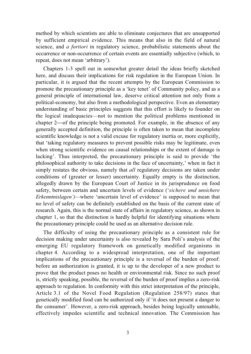method by which scientists are able to eliminate conjectures that are unsupported by sufficient empirical evidence. This means that also in the field of natural science, and *a fortiori* in regulatory science, probabilistic statements about the occurrence or non-occurrence of certain events are essentially subjective (which, to repeat, does not mean 'arbitrary').

Chapters 1-3 spell out in somewhat greater detail the ideas briefly sketched here, and discuss their implications for risk regulation in the European Union. In particular, it is argued that the recent attempts by the European Commission to promote the precautionary principle as a 'key tenet' of Community policy, and as a general principle of international law, deserve critical attention not only from a political-economy, but also from a methodological perspective. Even an elementary understanding of basic principles suggests that this effort is likely to founder on the logical inadequacies—not to mention the political problems mentioned in chapter 2—of the principle being promoted. For example, in the absence of any generally accepted definition, the principle is often taken to mean that incomplete scientific knowledge is not a valid excuse for regulatory inertia or, more explicitly, that 'taking regulatory measures to prevent possible risks may be legitimate, even when strong scientific evidence on causal relationships or the extent of damage is lacking'. Thus interpreted, the precautionary principle is said to provide 'the philosophical authority to take decisions in the face of uncertainty,' when in fact it simply restates the obvious, namely that *all* regulatory decisions are taken under conditions of (greater or lesser) uncertainty. Equally empty is the distinction, allegedly drawn by the European Court of Justice in its jurisprudence on food safety, between certain and uncertain levels of evidence ('*sichere und unsichere Erkenntnislagen')—*where 'uncertain level of evidence' is supposed to mean that no level of safety can be definitely established on the basis of the current state of research. Again, this is the normal state of affairs in regulatory science, as shown in chapter 1, so that the distinction is hardly helpful for identifying situations where the precautionary principle could be used as an alternative decision rule.

The difficulty of using the precautionary principle as a consistent rule for decision making under uncertainty is also revealed by Sara Poli's analysis of the emerging EU regulatory framework on genetically modified organisms in chapter 4. According to a widespread interpretation, one of the important implications of the precautionary principle is a reversal of the burden of proof: before an authorization is granted, it is up to the developer of a new product to prove that the product poses no health or environmental risk. Since no such proof is, strictly speaking, possible, the reversal of the burden of proof implies a zero-risk approach to regulation. In conformity with this strict interpretation of the principle, Article 3.1 of the Novel Food Regulation (Regulation 258/97) states that genetically modified food can be authorized only if 'it does not present a danger to the consumer'. However, a zero-risk approach, besides being logically untenable, effectively impedes scientific and technical innovation. The Commission has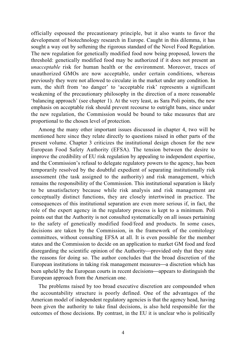officially espoused the precautionary principle, but it also wants to favor the development of biotechnology research in Europe. Caught in this dilemma, it has sought a way out by softening the rigorous standard of the Novel Food Regulation. The new regulation for genetically modified food now being proposed, lowers the threshold: genetically modified food may be authorized if it does not present an *unacceptable* risk for human health or the environment. Moreover, traces of unauthorized GMOs are now acceptable, under certain conditions, whereas previously they were not allowed to circulate in the market under any condition. In sum, the shift from 'no danger' to 'acceptable risk' represents a significant weakening of the precautionary philosophy in the direction of a more reasonable 'balancing approach' (see chapter 1). At the very least, as Sara Poli points, the new emphasis on acceptable risk should prevent recourse to outright bans, since under the new regulation, the Commission would be bound to take measures that are proportional to the chosen level of protection.

Among the many other important issues discussed in chapter 4, two will be mentioned here since they relate directly to questions raised in other parts of the present volume. Chapter 3 criticizes the institutional design chosen for the new European Food Safety Authority (EFSA). The tension between the desire to improve the credibility of EU risk regulation by appealing to independent expertise, and the Commission's refusal to delegate regulatory powers to the agency, has been temporarily resolved by the doubtful expedient of separating institutionally risk assessment (the task assigned to the authority) and risk management, which remains the responsibility of the Commission. This institutional separation is likely to be unsatisfactory because while risk analysis and risk management are conceptually distinct functions, they are closely intertwined in practice. The consequences of this institutional separation are even more serious if, in fact, the role of the expert agency in the regulatory process is kept to a minimum. Poli points out that the Authority is not consulted systematically on all issues pertaining to the safety of genetically modified food/feed and products. In some cases, decisions are taken by the Commission, in the framework of the comitology committees, without consulting EFSA at all. It is even possible for the member states and the Commission to decide on an application to market GM food and feed disregarding the scientific opinion of the Authority—provided only that they state the reasons for doing so. The author concludes that the broad discretion of the European institutions in taking risk management measures—a discretion which has been upheld by the European courts in recent decisions—appears to distinguish the European approach from the American one.

The problems raised by too broad executive discretion are compounded when the accountability structure is poorly defined. One of the advantages of the American model of independent regulatory agencies is that the agency head, having been given the authority to take final decisions, is also held responsible for the outcomes of those decisions. By contrast, in the EU it is unclear who is politically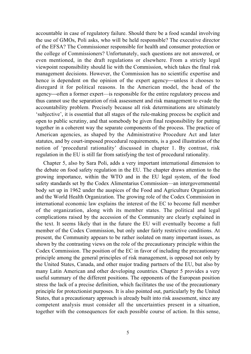accountable in case of regulatory failure. Should there be a food scandal involving the use of GMOs, Poli asks, who will be held responsible? The executive director of the EFSA? The Commissioner responsible for health and consumer protection or the college of Commissioners? Unfortunately, such questions are not answered, or even mentioned, in the draft regulations or elsewhere. From a strictly legal viewpoint responsibility should lie with the Commission, which takes the final risk management decisions. However, the Commission has no scientific expertise and hence is dependent on the opinion of the expert agency—unless it chooses to disregard it for political reasons. In the American model, the head of the agency—often a former expert—is responsible for the entire regulatory process and thus cannot use the separation of risk assessment and risk management to evade the accountability problem. Precisely because all risk determinations are ultimately 'subjective', it is essential that all stages of the rule-making process be explicit and open to public scrutiny, and that somebody be given final responsibility for putting together in a coherent way the separate components of the process. The practice of American agencies, as shaped by the Administrative Procedure Act and later statutes, and by court-imposed procedural requirements, is a good illustration of the notion of 'procedural rationality' discussed in chapter 1. By contrast, risk regulation in the EU is still far from satisfying the test of procedural rationality.

Chapter 5, also by Sara Poli, adds a very important international dimension to the debate on food safety regulation in the EU. The chapter draws attention to the growing importance, within the WTO and in the EU legal system, of the food safety standards set by the Codex Alimentarius Commission—an intergovernmental body set up in 1962 under the auspices of the Food and Agriculture Organization and the World Health Organization. The growing role of the Codex Commission in international economic law explains the interest of the EC to become full member of the organization, along with its member states. The political and legal complications raised by the accession of the Community are clearly explained in the text. It seems likely that in the future the EU will eventually become a full member of the Codex Commission, but only under fairly restrictive conditions. At present, the Community appears to be rather isolated on many important issues, as shown by the contrasting views on the role of the precautionary principle within the Codex Commission. The position of the EC in favor of including the precautionary principle among the general principles of risk management, is opposed not only by the United States, Canada, and other major trading partners of the EU, but also by many Latin American and other developing countries. Chapter 5 provides a very useful summary of the different positions. The opponents of the European position stress the lack of a precise definition, which facilitates the use of the precautionary principle for protectionist purposes. It is also pointed out, particularly by the United States, that a precautionary approach is already built into risk assessment, since any competent analysis must consider all the uncertainties present in a situation, together with the consequences for each possible course of action. In this sense,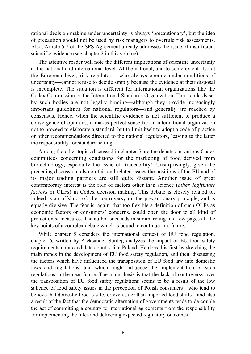rational decision-making under uncertainty is always 'precautionary', but the idea of precaution should not be used by risk managers to overrule risk assessments. Also, Article 5.7 of the SPS Agreement already addresses the issue of insufficient scientific evidence (see chapter 2 in this volume).

The attentive reader will note the different implications of scientific uncertainty at the national and international level. At the national, and to some extent also at the European level, risk regulators—who always operate under conditions of uncertainty—cannot refuse to decide simply because the evidence at their disposal is incomplete. The situation is different for international organizations like the Codex Commission or the International Standards Organization. The standards set by such bodies are not legally binding—although they provide increasingly important guidelines for national regulators—and generally are reached by consensus. Hence, when the scientific evidence is not sufficient to produce a convergence of opinions, it makes perfect sense for an international organization not to proceed to elaborate a standard, but to limit itself to adopt a code of practice or other recommendations directed to the national regulators, leaving to the latter the responsibility for standard setting.

Among the other topics discussed in chapter 5 are the debates in various Codex committees concerning conditions for the marketing of food derived from biotechnology, especially the issue of 'traceability'. Unsurprisingly, given the preceding discussion, also on this and related issues the positions of the EU and of its major trading partners are still quite distant. Another issue of great contemporary interest is the role of factors other than science (*other legitimate factors* or OLFs) in Codex decision making. This debate is closely related to, indeed is an offshoot of, the controversy on the precautionary principle, and is equally divisive. The fear is, again, that too flexible a definition of such OLFs as economic factors or consumers' concerns, could open the door to all kind of protectionist measures. The author succeeds in summarizing in a few pages all the key points of a complex debate which is bound to continue into future.

While chapter 5 considers the international context of EU food regulation, chapter 6, written by A leksander Surdej, analyzes the impact of EU food safety requirements on a candidate country like Poland. He does this first by sketching the main trends in the development of EU food safety regulation, and then, discussing the factors which have influenced the transposition of EU food law into domestic laws and regulations, and which might influence the implementation of such regulations in the near future. The main thesis is that the lack of controversy over the transposition of EU food safety regulations seems to be a result of the low salience of food safety issues in the perception of Polish consumers—who tend to believe that domestic food is safe, or even safer than imported food stuffs—and also a result of the fact that the democratic alternation of governments tends to de-couple the act of committing a country to international agreements from the responsibility for implementing the rules and delivering expected regulatory outcomes.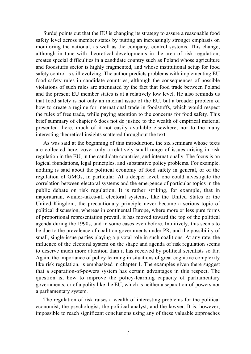Surdej points out that the EU is changing its strategy to assure a reasonable food safety level across member states by putting an increasingly stronger emphasis on monitoring the national, as well as the company, control systems. This change, although in tune with theoretical developments in the area of risk regulation, creates special difficulties in a candidate country such as Poland whose agriculture and foodstuffs sector is highly fragmented, and whose institutional setup for food safety control is still evolving. The author predicts problems with implementing EU food safety rules in candidate countries, although the consequences of possible violations of such rules are attenuated by the fact that food trade between Poland and the present EU member states is at a relatively low level. He also reminds us that food safety is not only an internal issue of the EU, but a broader problem of how to create a regime for international trade in foodstuffs, which would respect the rules of free trade, while paying attention to the concerns for food safety. This brief summary of chapter 6 does not do justice to the wealth of empirical material presented there, much of it not easily available elsewhere, nor to the many interesting theoretical insights scattered throughout the text.

As was said at the beginning of this introduction, the six seminars whose texts are collected here, cover only a relatively small range of issues arising in risk regulation in the EU, in the candidate countries, and internationally. The focus is on logical foundations, legal principles, and substantive policy problems. For example, nothing is said about the political economy of food safety in general, or of the regulation of GMOs, in particular. At a deeper level, one could investigate the correlation between electoral systems and the emergence of particular topics in the public debate on risk regulation. It is rather striking, for example, that in majoritarian, winner-takes-all electoral systems, like the United States or the United Kingdom, the precautionary principle never became a serious topic of political discussion, whereas in continental Europe, where more or less pure forms of proportional representation prevail, it has moved toward the top of the political agenda during the 1990s, and in some cases even before. Intuitively, this seems to be due to the prevalence of coalition governments under PR, and the possibility of small, single-issue parties playing a pivotal role in such coalitions. At any rate, the influence of the electoral system on the shape and agenda of risk regulation seems to deserve much more attention than it has received by political scientists so far. Again, the importance of policy learning in situations of great cognitive complexity like risk regulation, is emphasized in chapter 1. The examples given there suggest that a separation-of-powers system has certain advantages in this respect. The question is, how to improve the policy-learning capacity of parliamentary governments, or of a polity like the EU, which is neither a separation-of-powers nor a parliamentary system.

The regulation of risk raises a wealth of interesting problems for the political economist, the psychologist, the political analyst, and the lawyer. It is, however, impossible to reach significant conclusions using any of these valuable approaches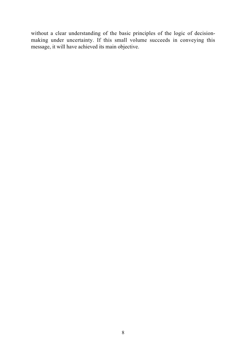without a clear understanding of the basic principles of the logic of decisionmaking under uncertainty. If this small volume succeeds in conveying this message, it will have achieved its main objective.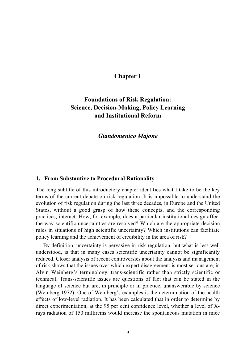### **Chapter 1**

### **Foundations of Risk Regulation: Science, Decision-Making, Policy Learning and Institutional Reform**

### *Giandomenico Majone*

### **1. From Substantive to Procedural Rationality**

The long subtitle of this introductory chapter identifies what I take to be the key terms of the current debate on risk regulation. It is impossible to understand the evolution of risk regulation during the last three decades, in Europe and the United States, without a good grasp of how these concepts, and the corresponding practices, interact. How, for example, does a particular institutional design affect the way scientific uncertainties are resolved? Which are the appropriate decision rules in situations of high scientific uncertainty? Which institutions can facilitate policy learning and the achievement of credibility in the area of risk?

By definition, uncertainty is pervasive in risk regulation, but what is less well understood, is that in many cases scientific uncertainty cannot be significantly reduced. Closer analysis of recent controversies about the analysis and management of risk shows that the issues over which expert disagreement is most serious are, in Alvin Weinberg's terminology, trans-scientific rather than strictly scientific or technical. Trans-scientific issues are questions of fact that can be stated in the language of science but are, in principle or in practice, unanswerable by science (Weinberg 1972). One of Weinberg's examples is the determination of the health effects of low-level radiation. It has been calculated that in order to determine by direct experimentation, at the 95 per cent confidence level, whether a level of Xrays radiation of 150 millirems would increase the spontaneous mutation in mice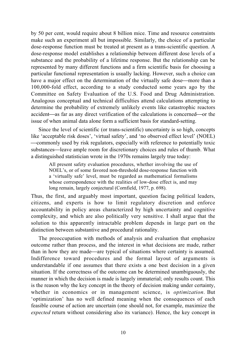by 50 per cent, would require about 8 billion mice. Time and resource constraints make such an experiment all but impossible. Similarly, the choice of a particular dose-response function must be treated at present as a trans-scientific question. A dose-response model establishes a relationship between different dose levels of a substance and the probability of a lifetime response. But the relationship can be represented by many different functions and a firm scientific basis for choosing a particular functional representation is usually lacking. However, such a choice can have a major effect on the determination of the virtually safe dose—more than a 100,000-fold effect, according to a study conducted some years ago by the Committee on Safety Evaluation of the U.S. Food and Drug Administration. Analogous conceptual and technical difficulties attend calculations attempting to determine the probability of extremely unlikely events like catastrophic reactors accident—as far as any direct verification of the calculations is concerned—or the issue of when animal data alone form a sufficient basis for standard-setting.

Since the level of scientific (or trans-scientific) uncertainty is so high, concepts like 'acceptable risk doses', 'virtual safety', and 'no observed effect level' (NOEL) commonly used by risk regulators, especially with reference to potentially toxic substances—leave ample room for discretionary choices and rules of thumb. What a distinguished statistician wrote in the 1970s remains largely true today:

All present safety evaluation procedures, whether involving the use of NOEL's, or of some favored non-threshold dose-response function with a 'virtually safe' level, must be regarded as mathematical formalisms whose correspondence with the realities of low-dose effect is, and may long remain, largely conjectural (Cornfield, 1977, p. 698).

Thus, the first, and arguably most important, question facing political leaders, citizens, and experts is how to limit regulatory discretion and enforce accountability in policy areas characterized by high uncertainty and cognitive complexity, and which are also politically very sensitive. I shall argue that the solution to this apparently intractable problem depends in large part on the distinction between substantive and procedural rationality.

The preoccupation with methods of analysis and evaluation that emphasize outcome rather than process, and the interest in what decisions are made, rather than in how they are made—are typical of situations where certainty is assumed. Indifference toward procedures and the formal layout of arguments is understandable if one assumes that there exists a one best decision in a given situation. If the correctness of the outcome can be determined unambiguously, the manner in which the decision is made is largely immaterial; only results count. This is the reason why the key concept in the theory of decision making under certainty, whether in economics or in management science, is *optimization*. But 'optimization' has no well defined meaning when the consequences of each feasible course of action are uncertain (one should not, for example, maximize the *expected* return without considering also its variance). Hence, the key concept in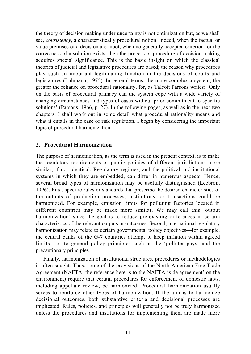the theory of decision making under uncertainty is not optimization but, as we shall see, *consistency*, a characteristically procedural notion. Indeed, when the factual or value premises of a decision are moot, when no generally accepted criterion for the correctness of a solution exists, then the process or procedure of decision making acquires special significance. This is the basic insight on which the classical theories of judicial and legislative procedures are based; the reason why procedures play such an important legitimating function in the decisions of courts and legislatures (Luhmann, 1975). In general terms, the more complex a system, the greater the reliance on procedural rationality, for, as Talcott Parsons writes: 'Only on the basis of procedural primacy can the system cope with a wide variety of changing circumstances and types of cases without prior commitment to specific solutions' (Parsons, 1966, p. 27). In the following pages, as well as in the next two chapters, I shall work out in some detail what procedural rationality means and what it entails in the case of risk regulation. I begin by considering the important topic of procedural harmonization.

### **2. Procedural Harmonization**

The purpose of harmonization, as the term is used in the present context, is to make the regulatory requirements or public policies of different jurisdictions more similar, if not identical. Regulatory regimes, and the political and institutional systems in which they are embedded, can differ in numerous aspects. Hence, several broad types of harmonization may be usefully distinguished (Leebron, 1996). First, specific rules or standards that prescribe the desired characteristics of the outputs of production processes, institutions, or transactions could be harmonized. For example, emission limits for polluting factories located in different countries may be made more similar. We may call this 'output harmonization' since the goal is to reduce pre-existing differences in certain characteristics of the relevant outputs or outcomes. Second, international regulatory harmonization may relate to certain governmental policy objectives-for example, the central banks of the G-7 countries attempt to keep inflation within agreed limits—or to general policy principles such as the 'polluter pays' and the precautionary principles.

Finally, harmonization of institutional structures, procedures or methodologies is often sought. Thus, some of the provisions of the North American Free Trade Agreement (NAFTA; the reference here is to the NAFTA 'side agreement' on the environment) require that certain procedures for enforcement of domestic laws, including appellate review, be harmonized. Procedural harmonization usually serves to reinforce other types of harmonization. If the aim is to harmonize decisional outcomes, both substantive criteria and decisional processes are implicated. Rules, policies, and principles will generally not be truly harmonized unless the procedures and institutions for implementing them are made more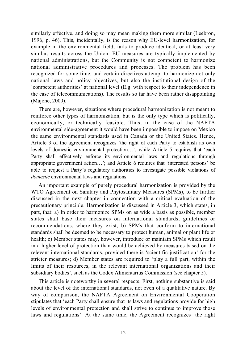similarly effective, and doing so may mean making them more similar (Leebron, 1996, p. 46). This, incidentally, is the reason why EU-level harmonization, for example in the environmental field, fails to produce identical, or at least very similar, results across the Union. EU measures are typically implemented by national administrations, but the Community is not competent to harmonize national administrative procedures and processes. The problem has been recognized for some time, and certain directives attempt to harmonize not only national laws and policy objectives, but also the institutional design of the 'competent authorities' at national level (E.g. with respect to their independence in the case of telecommunications). The results so far have been rather disappointing (Majone, 2000).

There are, however, situations where procedural harmonization is not meant to reinforce other types of harmonization, but is the only type which is politically, economically, or technically feasible. Thus, in the case of the NAFTA environmental side-agreement it would have been impossible to impose on Mexico the same environmental standards used in Canada or the United States. Hence, Article 3 of the agreement recognizes 'the right of each Party to establish its own levels of domestic environmental protection…', while Article 5 requires that 'each Party shall effectively enforce its environmental laws and regulations through appropriate government action...'; and Article 6 requires that 'interested persons' be able to request a Party's regulatory authorities to investigate possible violations of *domestic* environmental laws and regulations.

An important example of purely procedural harmonization is provided by the WTO Agreement on Sanitary and Phytosanitary Measures (SPMs), to be further discussed in the next chapter in connection with a critical evaluation of the precautionary principle. Harmonization is discussed in Article 3, which states, in part, that: a) In order to harmonize SPMs on as wide a basis as possible, member states shall base their measures on international standards, guidelines or recommendations, where they exist; b) SPMs that conform to international standards shall be deemed to be necessary to protect human, animal or plant life or health; c) Member states may, however, introduce or maintain SPMs which result in a higher level of protection than would be achieved by measures based on the relevant international standards, provided there is 'scientific justification' for the stricter measures; d) Member states are required to 'play a full part, within the limits of their resources, in the relevant international organizations and their subsidiary bodies', such as the Codex Alimentarius Commission (see chapter 5).

This article is noteworthy in several respects. First, nothing substantive is said about the level of the international standards, not even of a qualitative nature. By way of comparison, the NAFTA Agreement on Environmental Cooperation stipulates that 'each Party shall ensure that its laws and regulations provide for high levels of environmental protection and shall strive to continue to improve those laws and regulations'. At the same time, the Agreement recognizes 'the right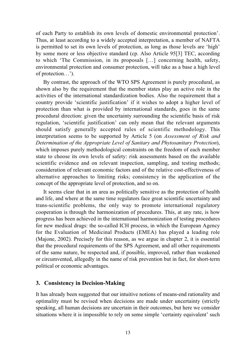of each Party to establish its own levels of domestic environmental protection'. Thus, at least according to a widely accepted interpretation, a member of NAFTA is permitted to set its own levels of protection, as long as those levels are 'high' by some more or less objective standard (cp. Also Article 95[3] TEC, according to which 'The Commission, in its proposals […] concerning health, safety, environmental protection and consumer protection, will take as a base a high level of protection…').

By contrast, the approach of the WTO SPS Agreement is purely procedural, as shown also by the requirement that the member states play an active role in the activities of the international standardization bodies. Also the requirement that a country provide 'scientific justification' if it wishes to adopt a higher level of protection than what is provided by international standards, goes in the same procedural direction: given the uncertainty surrounding the scientific basis of risk regulation, 'scientific justification' can only mean that the relevant arguments should satisfy generally accepted rules of scientific methodology. This interpretation seems to be supported by Article 5 (on *Assessment of Risk and Determination of the Appropriate Level of Sanitary and Phytosanitary Protection*), which imposes purely methodological constraints on the freedom of each member state to choose its own levels of safety: risk assessments based on the available scientific evidence and on relevant inspection, sampling, and testing methods; consideration of relevant economic factors and of the relative cost-effectiveness of alternative approaches to limiting risks; consistency in the application of the concept of the appropriate level of protection, and so on.

It seems clear that in an area as politically sensitive as the protection of health and life, and where at the same time regulators face great scientific uncertainty and trans-scientific problems, the only way to promote international regulatory cooperation is through the harmonization of procedures. This, at any rate, is how progress has been achieved in the international harmonization of testing procedures for new medical drugs: the so-called ICH process, in which the European Agency for the Evaluation of Medicinal Products (EMEA) has played a leading role (Majone, 2002). Precisely for this reason, as we argue in chapter 2, it is essential that the procedural requirements of the SPS Agreement, and all other requirements of the same nature, be respected and, if possible, improved, rather than weakened or circumvented, allegedly in the name of risk prevention but in fact, for short-term political or economic advantages.

### **3. Consistency in Decision-Making**

It has already been suggested that our intuitive notions of means-end rationality and optimality must be revised when decisions are made under uncertainty (strictly speaking, all human decisions are uncertain in their outcomes, but here we consider situations where it is impossible to rely on some simple 'certainty equivalent' such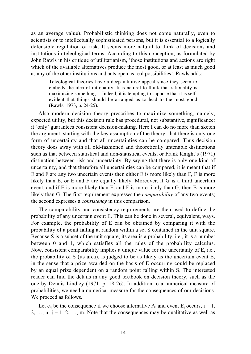as an average value). Probabilistic thinking does not come naturally, even to scientists or to intellectually sophisticated persons, but it is essential to a logically defensible regulation of risk. It seems more natural to think of decisions and institutions in teleological terms. According to this conception, as formulated by John Rawls in his critique of utilitarianism, 'those institutions and actions are right which of the available alternatives produce the most good, or at least as much good as any of the other institutions and acts open as real possibilities'. Rawls adds:

Teleological theories have a deep intuitive appeal since they seem to embody the idea of rationality. It is natural to think that rationality is maximizing something… Indeed, it is tempting to suppose that it is selfevident that things should be arranged as to lead to the most good (Rawls, 1973, p. 24-25).

Also modern decision theory prescribes to maximize something, namely, expected utility, but this decision rule has procedural, not substantive, significance: it 'only' guarantees consistent decision-making. Here I can do no more than sketch the argument, starting with the key assumption of the theory: that there is only one form of uncertainty and that all uncertainties can be compared. Thus decision theory does away with all old-fashioned and theoretically untenable distinctions such as that between statistical and non-statistical events, or Frank Knight's (1971) distinction between risk and uncertainty. By saying that there is only one kind of uncertainty, and that therefore all uncertainties can be compared, it is meant that if E and F are any two uncertain events then either E is more likely than F, F is more likely than E, or E and F are equally likely. Moreover, if G is a third uncertain event, and if E is more likely than F, and F is more likely than G, then E is more likely than G. The first requirement expresses the *comparability* of any two events; the second expresses a *consistency* in this comparison.

The comparability and consistency requirements are then used to define the probability of any uncertain event E. This can be done in several, equivalent, ways. For example, the probability of E can be obtained by comparing it with the probability of a point falling at random within a set S contained in the unit square. Because S is a subset of the unit square, its area is a probability, i.e., it is a number between 0 and 1, which satisfies all the rules of the probability calculus. Now, consistent comparability implies a unique value for the uncertainty of E, i.e., the probability of S (its area), is judged to be as likely as the uncertain event E, in the sense that a prize awarded on the basis of E occurring could be replaced by an equal prize dependent on a random point falling within S. The interested reader can find the details in any good textbook on decision theory, such as the one by Dennis Lindley (1971, p. 18-26). In addition to a numerical measure of probabilities, we need a numerical measure for the consequences of our decisions. We proceed as follows.

Let  $c_{ii}$  be the consequence if we choose alternative  $A_i$  and event  $E_i$  occurs,  $i = 1$ , 2, ...,  $n; j = 1, 2, ..., m$ . Note that the consequences may be qualitative as well as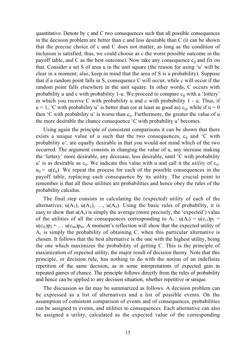quantitative. Denote by c and C two consequences such that all possible consequences in the decision problem are better than c and less desirable than C (it can be shown that the precise choice of c and C does not matter, as long as the condition of inclusion is satisfied; thus, we could choose as c the worst possible outcome in the payoff table, and C as the best outcome). Now take any consequence  $c_{ii}$  and fix on that. Consider a set S of area u in the unit square (the reason for using 'u' will be clear in a moment; also, keep in mind that the area of S is a probability). Suppose that if a random point falls in S, consequence C will occur, while c will occur if the random point falls elsewhere in the unit square. In other words, C occurs with probability u and c with probability 1-u. We proceed to compare  $c_{ii}$  with a 'lottery' in which you receive C with probability u and c with probability 1 - u. Thus, if  $u = 1$ , 'C with probability u' is better than (or at least as good as)  $c_{ii}$ , while if  $u = 0$ then 'C with probability u' is worse than  $c_{ii}$ . Furthermore, the greater the value of u the more desirable the chance consequence 'C with probability u' becomes.

Using again the principle of consistent comparisons it can be shown that there exists a unique value of u such that the two consequences,  $c_{ii}$  and  $\degree C$  with probability u', are equally desirable in that you would not mind which of the two occurred. The argument consists in changing the value of u, any increase making the 'lottery' more desirable, any decrease, less desirable, until 'C with probability u' is as desirable as  $c_{ii}$ . We indicate this value with u and call it the *utility* of  $c_{ii}$ .  $u_{ii} = u(c_{ii})$ . We repeat the process for each of the possible consequences in the payoff table, replacing each consequence by its utility. The crucial point to remember is that all these utilities are probabilities and hence obey the rules of the probability calculus.

The final step consists in calculating the (expected) utility of each of the alternatives:  $u(A_1)$ ,  $u(A_2)$ , ...,  $u(A_n)$ . Using the basic rules of probability, it is easy to show that  $u(A_i)$  is simply the average (more precisely, the 'expected') value of the utilities of all the consequences corresponding to  $A_i$ :  $u(A_i) = u(c_{i1})p_1 +$  $u(c_{i2})p_2 + ... u(c_{im})p_m$ . A moment's reflection will show that the expected utility of  $A_i$  is simply the probability of obtaining C, when this particular alternative is chosen. It follows that the best alternative is the one with the highest utility, being the one which maximizes the probability of getting C. This is the principle of maximization of expected utility, the major result of decision theory. Note that this principle, or decision rule, has nothing to do with the notion of an indefinite repetition of the same decision, as in some interpretations of expected gain in repeated games of chance. The principle follows directly from the rules of probability and hence can be applied to any decision situation, whether repetitive or unique.

The discussion so far may be summarized as follows. A decision problem can be expressed as a list of alternatives and a list of possible events. On the assumption of consistent comparison of events and of consequences, probabilities can be assigned to events, and utilities to consequences. Each alternative can also be assigned a utility, calculated as the expected value of the corresponding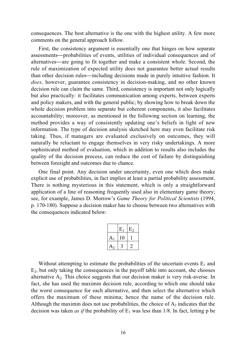consequences. The best alternative is the one with the highest utility. A few more comments on the general approach follow.

First, the consistency argument is essentially one that hinges on how separate assessments—probabilities of events, utilities of individual consequences and of alternatives—are going to fit together and make a consistent whole. Second, the rule of maximization of expected utility does not guarantee better actual results than other decision rules—including decisions made in purely intuitive fashion. It *does,* however, guarantee consistency in decision-making, and no other known decision rule can claim the same. Third, consistency is important not only logically but also practically: it facilitates communication among experts, between experts and policy makers, and with the general public; by showing how to break down the whole decision problem into separate but coherent components, it also facilitates accountability; moreover, as mentioned in the following section on learning, the method provides a way of consistently updating one's beliefs in light of new information. The type of decision analysis sketched here may even facilitate risk taking. Thus, if managers are evaluated exclusively on outcomes, they will naturally be reluctant to engage themselves in very risky undertakings. A more sophisticated method of evaluation, which in addition to results also includes the quality of the decision process, can reduce the cost of failure by distinguishing between foresight and outcomes due to chance.

One final point. Any decision under uncertainty, even one which does make explicit use of probabilities, in fact implies at least a partial probability assessment. There is nothing mysterious in this statement, which is only a straightforward application of a line of reasoning frequently used also in elementary game theory; see, for example, James D. Morrow's *Game Theory for Political Scientists* (1994, p. 170-180). Suppose a decision maker has to choose between two alternatives with the consequences indicated below:

|                | $\mathbf E$ | R, |
|----------------|-------------|----|
| A <sub>1</sub> | ۱0          |    |
| $A_2$          |             |    |

Without attempting to estimate the probabilities of the uncertain events  $E_1$  and  $E_2$ , but only taking the consequences in the payoff table into account, she chooses alternative A2. This choice suggests that our decision maker is very risk-averse. In fact, she has used the maximin decision rule, according to which one should take the worst consequence for each alternative, and then select the alternative which offers the maximum of these minima; hence the name of the decision rule. Although the maximin does not use probabilities, the choice of  $A_2$  indicates that the decision was taken *as if* the probability of  $E_1$  was less than 1/8. In fact, letting p be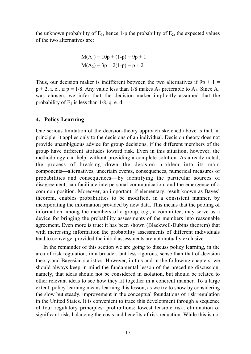the unknown probability of  $E_1$ , hence 1-p the probability of  $E_2$ , the expected values of the two alternatives are:

$$
M(A1) = 10p + (1-p) = 9p + 1
$$
  

$$
M(A2) = 3p + 2(1-p) = p + 2
$$

Thus, our decision maker is indifferent between the two alternatives if  $9p + 1 =$  $p + 2$ , i. e., if  $p = 1/8$ . Any value less than 1/8 makes A<sub>2</sub> preferable to A<sub>1</sub>. Since A<sub>2</sub> was chosen, we infer that the decision maker implicitly assumed that the probability of  $E_1$  is less than 1/8, q. e. d.

### **4. Policy Learning**

One serious limitation of the decision-theory approach sketched above is that, in principle, it applies only to the decisions of an individual. Decision theory does not provide unambiguous advice for group decisions, if the different members of the group have different attitudes toward risk. Even in this situation, however, the methodology can help, without providing a complete solution. As already noted, the process of breaking down the decision problem into its main components—alternatives, uncertain events, consequences, numerical measures of probabilities and consequences by identifying the particular sources of disagreement, can facilitate interpersonal communication, and the emergence of a common position. Moreover, an important, if elementary, result known as Bayes' theorem, enables probabilities to be modified, in a consistent manner, by incorporating the information provided by new data. This means that the pooling of information among the members of a group, e.g., a committee, may serve as a device for bringing the probability assessments of the members into reasonable agreement. Even more is true: it has been shown (Blackwell-Dubins theorem) that with increasing information the probability assessments of different individuals tend to converge, provided the initial assessments are not mutually exclusive.

In the remainder of this section we are going to discuss policy learning, in the area of risk regulation, in a broader, but less rigorous, sense than that of decision theory and Bayesian statistics. However, in this and in the following chapters, we should always keep in mind the fundamental lesson of the preceding discussion, namely, that ideas should not be considered in isolation, but should be related to other relevant ideas to see how they fit together in a coherent manner. To a large extent, policy learning means learning this lesson, as we try to show by considering the slow but steady, improvement in the conceptual foundations of risk regulation in the United States. It is convenient to trace this development through a sequence of four regulatory principles: prohibitions; lowest feasible risk; elimination of significant risk; balancing the costs and benefits of risk reduction. While this is not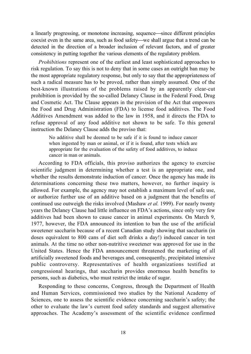a linearly progressing, or monotone increasing, sequence—since different principles coexist even in the same area, such as food safety—we shall argue that a trend can be detected in the direction of a broader inclusion of relevant factors, and of greater consistency in putting together the various elements of the regulatory problem.

*Prohibitions* represent one of the earliest and least sophisticated approaches to risk regulation. To say this is not to deny that in some cases an outright ban may be the most appropriate regulatory response, but only to say that the appropriateness of such a radical measure has to be proved, rather than simply assumed. One of the best-known illustrations of the problems raised by an apparently clear-cut prohibition is provided by the so-called Delaney Clause in the Federal Food, Drug and Cosmetic Act. The Clause appears in the provision of the Act that empowers the Food and Drug Administration (FDA) to license food additives. The Food Additives Amendment was added to the law in 1958, and it directs the FDA to refuse approval of any food additive not shown to be safe. To this general instruction the Delaney Clause adds the proviso that:

No additive shall be deemed to be safe if it is found to induce cancer when ingested by man or animal, or if it is found, after tests which are appropriate for the evaluation of the safety of food additives, to induce cancer in man or animals.

According to FDA officials, this proviso authorizes the agency to exercise scientific judgment in determining whether a test is an appropriate one, and whether the results demonstrate induction of cancer. Once the agency has made its determinations concerning these two matters, however, no further inquiry is allowed. For example, the agency may not establish a maximum level of safe use, or authorize further use of an additive based on a judgment that the benefits of continued use outweigh the risks involved (Mashaw *et al.* 1999). For nearly twenty years the Delaney Clause had little influence on FDA's actions, since only very few additives had been shown to cause cancer in animal experiments. On March 9, 1977, however, the FDA announced its intention to ban the use of the artificial sweetener saccharin because of a recent Canadian study showing that saccharin (in doses equivalent to 800 cans of diet soft drinks a day!) induced cancer in test animals. At the time no other non-nutritive sweetener was approved for use in the United States. Hence the FDA announcement threatened the marketing of all artificially sweetened foods and beverages and, consequently, precipitated intensive public controversy. Representatives of health organizations testified at congressional hearings, that saccharin provides enormous health benefits to persons, such as diabetics, who must restrict the intake of sugar.

Responding to these concerns, Congress, through the Department of Health and Human Services, commissioned two studies by the National Academy of Sciences, one to assess the scientific evidence concerning saccharin's safety; the other to evaluate the law's current food safety standards and suggest alternative approaches. The Academy's assessment of the scientific evidence confirmed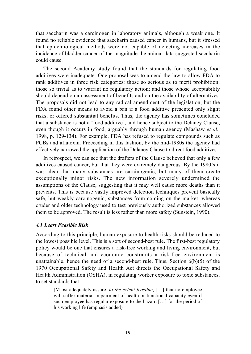that saccharin was a carcinogen in laboratory animals, although a weak one. It found no reliable evidence that saccharin caused cancer in humans, but it stressed that epidemiological methods were not capable of detecting increases in the incidence of bladder cancer of the magnitude the animal data suggested saccharin could cause.

The second Academy study found that the standards for regulating food additives were inadequate. One proposal was to amend the law to allow FDA to rank additives in three risk categories: those so serious as to merit prohibition; those so trivial as to warrant no regulatory action; and those whose acceptability should depend on an assessment of benefits and on the availability of alternatives. The proposals did not lead to any radical amendment of the legislation, but the FDA found other means to avoid a ban if a food additive presented only slight risks, or offered substantial benefits. Thus, the agency has sometimes concluded that a substance is not a 'food additive', and hence subject to the Delaney Clause, even though it occurs in food, arguably through human agency (Mashaw *et al.*, 1998, p. 129-134). For example, FDA has refused to regulate compounds such as PCBs and aflatoxin. Proceeding in this fashion, by the mid-1980s the agency had effectively narrowed the application of the Delaney Clause to direct food additives.

In retrospect, we can see that the drafters of the Clause believed that only a few additives caused cancer, but that they were extremely dangerous. By the 1980's it was clear that many substances are carcinogenic, but many of them create exceptionally minor risks. The new information severely undermined the assumptions of the Clause, suggesting that it may well cause more deaths than it prevents. This is because vastly improved detection techniques prevent basically safe, but weakly carcinogenic, substances from coming on the market, whereas cruder and older technology used to test previously authorized substances allowed them to be approved. The result is less rather than more safety (Sunstein, 1990).

### *4.1 Least Feasible Risk*

According to this principle, human exposure to health risks should be reduced to the lowest possible level. This is a sort of second-best rule. The first-best regulatory policy would be one that ensures a risk-free working and living environment, but because of technical and economic constraints a risk-free environment is unattainable; hence the need of a second-best rule. Thus, Section  $6(b)(5)$  of the 1970 Occupational Safety and Health Act directs the Occupational Safety and Health Administration (OSHA), in regulating worker exposure to toxic substances, to set standards that:

[M]ost adequately assure, *to the extent feasible*, […] that no employee will suffer material impairment of health or functional capacity even if such employee has regular exposure to the hazard […] for the period of his working life (emphasis added).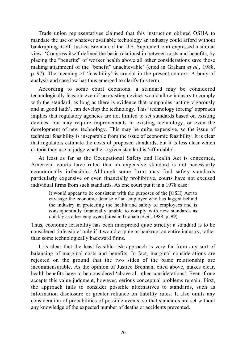Trade union representatives claimed that this instruction obliged OSHA to mandate the use of whatever available technology an industry could afford without bankrupting itself. Justice Brennan of the U.S. Supreme Court expressed a similar view: 'Congress itself defined the basic relationship between costs and benefits, by placing the "benefits" of worker health above all other considerations save those making attainment of the "benefit" unachievable' (cited in Graham *et al.*, 1988, p. 97). The meaning of 'feasibility' is crucial in the present context. A body of analysis and case law has thus emerged to clarify this term.

According to some court decisions, a standard may be considered technologically feasible even if no existing devices would allow industry to comply with the standard, as long as there is evidence that companies 'acting vigorously and in good faith', can develop the technology. This 'technology forcing' approach implies that regulatory agencies are not limited to set standards based on existing devices, but may require improvements in existing technology, or even the development of new technology. This may be quite expensive, so the issue of technical feasibility is inseparable from the issue of economic feasibility. It is clear that regulators estimate the costs of proposed standards, but it is less clear which criteria they use to judge whether a given standard is 'affordable'.

At least as far as the Occupational Safety and Health Act is concerned, American courts have ruled that an expensive standard is not necessarily economically infeasible. Although some firms may find safety standards particularly expensive or even financially prohibitive, courts have not excused individual firms from such standards. As one court put it in a 1978 case:

It would appear to be consistent with the purposes of the [OSH] Act to envisage the economic demise of an employer who has lagged behind the industry in protecting the health and safety of employees and is consequentially financially unable to comply with new standards as quickly as other employers (cited in Graham *et al*., 1988, p. 99).

Thus, economic feasibility has been interpreted quite strictly: a standard is to be considered 'infeasible' only if it would cripple or bankrupt an entire industry, rather than some technologically backward firms.

It is clear that the least-feasible-risk approach is very far from any sort of balancing of marginal costs and benefits. In fact, marginal considerations are rejected on the ground that the two sides of the basic relationship are incommensurable. As the opinion of Justice Brennan, cited above, makes clear, health benefits have to be considered 'above all other considerations'. Even if one accepts this value judgment, however, serious conceptual problems remain. First, the approach fails to consider possible alternatives to standards, such as information disclosure or greater reliance on liability rules. It also omits any consideration of probabilities of possible events, so that standards are set without any knowledge of the expected number of deaths or accidents prevented.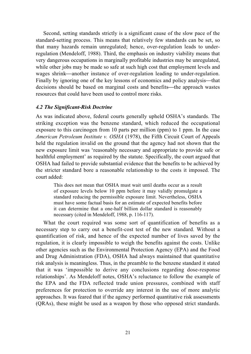Second, setting standards strictly is a significant cause of the slow pace of the standard-setting process. This means that relatively few standards can be set, so that many hazards remain unregulated; hence, over-regulation leads to underregulation (Mendeloff, 1988). Third, the emphasis on industry viability means that very dangerous occupations in marginally profitable industries may be unregulated, while other jobs may be made so safe at such high cost that employment levels and wages shrink—another instance of over-regulation leading to under-regulation. Finally by ignoring one of the key lessons of economics and policy analysis—that decisions should be based on marginal costs and benefits—the approach wastes resources that could have been used to control more risks.

### *4.2 The Significant-Risk Doctrine*

As was indicated above, federal courts generally upheld OSHA's standards. The striking exception was the benzene standard, which reduced the occupational exposure to this carcinogen from 10 parts per million (ppm) to 1 ppm. In the case *American Petroleum Institute v. OSHA* (1978), the Fifth Circuit Court of Appeals held the regulation invalid on the ground that the agency had not shown that the new exposure limit was 'reasonably necessary and appropriate to provide safe or healthful employment' as required by the statute. Specifically, the court argued that OSHA had failed to provide substantial evidence that the benefits to be achieved by the stricter standard bore a reasonable relationship to the costs it imposed. The court added:

This does not mean that OSHA must wait until deaths occur as a result of exposure levels below 10 ppm before it may validly promulgate a standard reducing the permissible exposure limit. Nevertheless, OSHA must have some factual basis for an estimate of expected benefits before it can determine that a one-half billion dollar standard is reasonably necessary (cited in Mendeloff, 1988, p. 116-117).

What the court required was some sort of quantification of benefits as a necessary step to carry out a benefit-cost test of the new standard. Without a quantification of risk, and hence of the expected number of lives saved by the regulation, it is clearly impossible to weigh the benefits against the costs. Unlike other agencies such as the Environmental Protection Agency (EPA) and the Food and Drug Administration (FDA), OSHA had always maintained that quantitative risk analysis is meaningless. Thus, in the preamble to the benzene standard it stated that it was 'impossible to derive any conclusions regarding dose-response relationships'. As Mendeloff notes, OSHA's reluctance to follow the example of the EPA and the FDA reflected trade union pressures, combined with staff preferences for protection to override any interest in the use of more analytic approaches. It was feared that if the agency performed quantitative risk assessments (QRAs), these might be used as a weapon by those who opposed strict standards.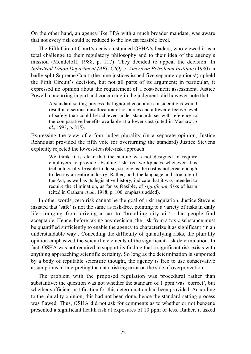On the other hand, an agency like EPA with a much broader mandate, was aware that not every risk could be reduced to the lowest feasible level.

The Fifth Circuit Court's decision stunned OSHA's leaders, who viewed it as a total challenge to their regulatory philosophy and to their idea of the agency's mission (Mendeloff, 1988, p. 117). They decided to appeal the decision. In *Industrial Union Department (AFL-CIO) v. American Petroleum Institute* (1980), a badly split Supreme Court (the nine justices issued five separate opinions!) upheld the Fifth Circuit's decision, but not all parts of its argument; in particular, it expressed no opinion about the requirement of a cost-benefit assessment. Justice Powell, concurring in part and concurring in the judgment, did however note that

A standard-setting process that ignored economic considerations would result in a serious misallocation of resources and a lower effective level of safety than could be achieved under standards set with reference to the comparative benefits available at a lower cost (cited in Mashaw *et al.*, 1998, p. 815).

Expressing the view of a four judge plurality (in a separate opinion, Justice Rehnquist provided the fifth vote for overturning the standard) Justice Stevens explicitly rejected the lowest-feasible-risk approach:

We think it is clear that the statute was not designed to require employers to provide absolute risk-free workplaces whenever it is technologically feasible to do so, so long as the cost is not great enough to destroy an entire industry. Rather, both the language and structure of the Act, as well as its legislative history, indicate that it was intended to require the elimination, as far as feasible, of *significant* risks of harm (cited in Graham *et al.*, 1988, p. 100. emphasis added).

In other words, zero risk cannot be the goal of risk regulation. Justice Stevens insisted that 'safe' is not the same as risk-free, pointing to a variety of risks in daily life ranging from driving a car to 'breathing city air'—that people find acceptable. Hence, before taking any decision, the risk from a toxic substance must be quantified sufficiently to enable the agency to characterize it as significant 'in an understandable way'. Conceding the difficulty of quantifying risks, the plurality opinion emphasized the scientific elements of the significant-risk determination. In fact, OSHA was not required to support its finding that a significant risk exists with anything approaching scientific certainty. So long as the determination is supported by a body of reputable scientific thought, the agency is free to use conservative assumptions in interpreting the data, risking error on the side of overprotection.

The problem with the proposed regulation was procedural rather than substantive: the question was not whether the standard of 1 ppm was 'correct', but whether sufficient justification for this determination had been provided. According to the plurality opinion, this had not been done, hence the standard-setting process was flawed. Thus, OSHA did not ask for comments as to whether or not benzene presented a significant health risk at exposures of 10 ppm or less. Rather, it asked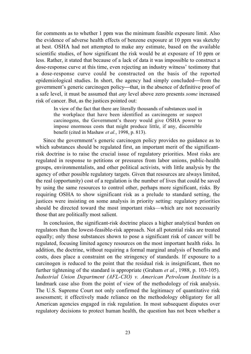for comments as to whether 1 ppm was the minimum feasible exposure limit. Also the evidence of adverse health effects of benzene exposure at 10 ppm was sketchy at best. OSHA had not attempted to make any estimate, based on the available scientific studies, of how significant the risk would be at exposure of 10 ppm or less. Rather, it stated that because of a lack of data it was impossible to construct a dose-response curve at this time, even rejecting an industry witness' testimony that a dose-response curve could be constructed on the basis of the reported epidemiological studies. In short, the agency had simply concluded—from the government's generic carcinogen policy—that, in the absence of definitive proof of a safe level, it must be assumed that *any* level above zero presents *some* increased risk of cancer. But, as the justices pointed out:

In view of the fact that there are literally thousands of substances used in the workplace that have been identified as carcinogens or suspect carcinogens, the Government's theory would give OSHA power to impose enormous costs that might produce little, if any, discernible benefit (cited in Mashaw *et al.*, 1998, p. 813).

Since the government's generic carcinogen policy provides no guidance as to which substances should be regulated first, an important merit of the significantrisk doctrine is to raise the crucial issue of regulatory priorities. Most risks are regulated in response to petitions or pressures from labor unions, public-health groups, environmentalists, and other political activists, with little analysis by the agency of other possible regulatory targets. Given that resources are always limited, the real (opportunity) cost of a regulation is the number of lives that could be saved by using the same resources to control other, perhaps more significant, risks. By requiring OSHA to show significant risk as a prelude to standard setting, the justices were insisting on some analysis in priority setting: regulatory priorities should be directed toward the most important risks—which are not necessarily those that are politically most salient.

In conclusion, the significant-risk doctrine places a higher analytical burden on regulators than the lowest-feasible-risk approach. Not all potential risks are treated equally; only those substances shown to pose a significant risk of cancer will be regulated, focusing limited agency resources on the most important health risks. In addition, the doctrine, without requiring a formal marginal analysis of benefits and costs, does place a constraint on the stringency of standards. If exposure to a carcinogen is reduced to the point that the residual risk is insignificant, then no further tightening of the standard is appropriate (Graham *et al.*, 1988, p. 103-105). *Industrial Union Department (AFL-CIO) v. American Petroleum Institute* is a landmark case also from the point of view of the methodology of risk analysis. The U.S. Supreme Court not only confirmed the legitimacy of quantitative risk assessment; it effectively made reliance on the methodology obligatory for all American agencies engaged in risk regulation. In most subsequent disputes over regulatory decisions to protect human health, the question has not been whether a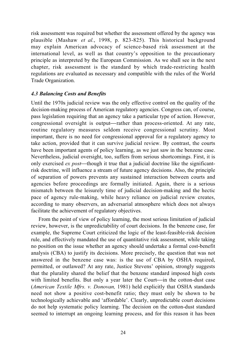risk assessment was required but whether the assessment offered by the agency was plausible (Mashaw *et al.*, 1998, p. 823-825). This historical background may explain American advocacy of science-based risk assessment at the international level, as well as that country's opposition to the precautionary principle as interpreted by the European Commission. As we shall see in the next chapter, risk assessment is the standard by which trade-restricting health regulations are evaluated as necessary and compatible with the rules of the World Trade Organization.

### *4.3 Balancing Costs and Benefits*

Until the 1970s judicial review was the only effective control on the quality of the decision-making process of American regulatory agencies. Congress can, of course, pass legislation requiring that an agency take a particular type of action. However, congressional oversight is output—rather than process-oriented. At any rate, routine regulatory measures seldom receive congressional scrutiny. Most important, there is no need for congressional approval for a regulatory agency to take action, provided that it can survive judicial review. By contrast, the courts have been important agents of policy learning, as we just saw in the benzene case. Nevertheless, judicial oversight, too, suffers from serious shortcomings. First, it is only exercised  $ex$  *post*—though it true that a judicial doctrine like the significantrisk doctrine, will influence a stream of future agency decisions. Also, the principle of separation of powers prevents any sustained interaction between courts and agencies before proceedings are formally initiated. Again, there is a serious mismatch between the leisurely time of judicial decision-making and the hectic pace of agency rule-making, while heavy reliance on judicial review creates, according to many observers, an adversarial atmosphere which does not always facilitate the achievement of regulatory objectives.

From the point of view of policy learning, the most serious limitation of judicial review, however, is the unpredictability of court decisions. In the benzene case, for example, the Supreme Court criticized the logic of the least-feasible-risk decision rule, and effectively mandated the use of quantitative risk assessment, while taking no position on the issue whether an agency should undertake a formal cost-benefit analysis (CBA) to justify its decisions. More precisely, the question that was not answered in the benzene case was: is the use of CBA by OSHA required, permitted, or outlawed? At any rate, Justice Stevens' opinion, strongly suggests that the plurality shared the belief that the benzene standard imposed high costs with limited benefits. But only a year later the Court—in the cotton-dust case (*American Textile Mfrs. v. Donovan,* 1981) held explicitly that OSHA standards need not show a positive cost-benefit ratio; they must only be shown to be technologically achievable and 'affordable'. Clearly, unpredictable court decisions do not help systematic policy learning. The decision on the cotton-dust standard seemed to interrupt an ongoing learning process, and for this reason it has been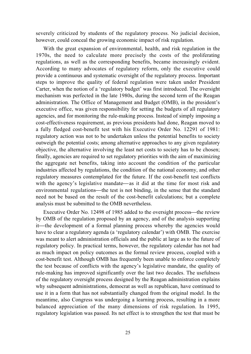severely criticized by students of the regulatory process. No judicial decision, however, could conceal the growing economic impact of risk regulation.

With the great expansion of environmental, health, and risk regulation in the 1970s, the need to calculate more precisely the costs of the proliferating regulations, as well as the corresponding benefits, became increasingly evident. According to many advocates of regulatory reform, only the executive could provide a continuous and systematic oversight of the regulatory process. Important steps to improve the quality of federal regulation were taken under President Carter, when the notion of a 'regulatory budget' was first introduced. The oversight mechanism was perfected in the late 1980s, during the second term of the Reagan administration. The Office of Management and Budget (OMB), in the president's executive office, was given responsibility for setting the budgets of all regulatory agencies, and for monitoring the rule-making process. Instead of simply imposing a cost-effectiveness requirement, as previous presidents had done, Reagan moved to a fully fledged cost-benefit test with his Executive Order No. 12291 of 1981: regulatory action was not to be undertaken unless the potential benefits to society outweigh the potential costs; among alternative approaches to any given regulatory objective, the alternative involving the least net costs to society has to be chosen; finally, agencies are required to set regulatory priorities with the aim of maximizing the aggregate net benefits, taking into account the condition of the particular industries affected by regulations, the condition of the national economy, and other regulatory measures contemplated for the future. If the cost-benefit test conflicts with the agency's legislative mandate—as it did at the time for most risk and environmental regulations—the test is not binding, in the sense that the standard need not be based on the result of the cost-benefit calculations; but a complete analysis must be submitted to the OMB nevertheless.

Executive Order No. 12498 of 1985 added to the oversight process—the review by OMB of the regulation proposed by an agency, and of the analysis supporting it—the development of a formal planning process whereby the agencies would have to clear a regulatory agenda (a 'regulatory calendar') with OMB. The exercise was meant to alert administration officials and the public at large as to the future of regulatory policy. In practical terms, however, the regulatory calendar has not had as much impact on policy outcomes as the formal review process, coupled with a cost-benefit test. Although OMB has frequently been unable to enforce completely the test because of conflicts with the agency's legislative mandate, the quality of rule-making has improved significantly over the last two decades. The usefulness of the regulatory oversight process designed by the Reagan administration explains why subsequent administrations, democrat as well as republican, have continued to use it in a form that has not substantially changed from the original model. In the meantime, also Congress was undergoing a learning process, resulting in a more balanced appreciation of the many dimensions of risk regulation. In 1995, regulatory legislation was passed. Its net effect is to strengthen the test that must be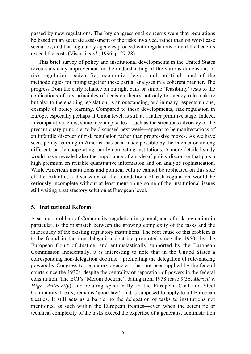passed by new regulations. The key congressional concerns were that regulations be based on an accurate assessment of the risks involved, rather than on worst case scenarios, and that regulatory agencies proceed with regulations only if the benefits exceed the costs (Viscusi *et al.*, 1996, p. 27-28).

This brief survey of policy and institutional developments in the United States reveals a steady improvement in the understanding of the various dimensions of risk regulation—scientific, economic, legal, and political—and of the methodologies for fitting together these partial analyses in a coherent manner. The progress from the early reliance on outright bans or simple 'feasibility' tests to the applications of key principles of decision theory not only to agency rule-making but also to the enabling legislation, is an outstanding, and in many respects unique, example of policy learning. Compared to these developments, risk regulation in Europe, especially perhaps at Union level, is still at a rather primitive stage. Indeed, in comparative terms, some recent episodes—such as the strenuous advocacy of the precautionary principle, to be discussed next week—appear to be manifestations of an infantile disorder of risk regulation rather than progressive moves. As we have seen, policy learning in America has been made possible by the interaction among different, partly cooperating, partly competing institutions. A more detailed study would have revealed also the importance of a style of policy discourse that puts a high premium on reliable quantitative information and on analytic sophistication. While American institutions and political culture cannot be replicated on this side of the Atlantic, a discussion of the foundations of risk regulation would be seriously incomplete without at least mentioning some of the institutional issues still waiting a satisfactory solution at European level.

### **5. Institutional Reform**

A serious problem of Community regulation in general, and of risk regulation in particular, is the mismatch between the growing complexity of the tasks and the inadequacy of the existing regulatory institutions. The root cause of this problem is to be found in the non-delegation doctrine promoted since the 1950s by the European Court of Justice, and enthusiastically supported by the European Commission Incidentally, it is interesting to note that in the United States a corresponding non-delegation doctrine—prohibiting the delegation of rule-making powers by Congress to regulatory agencies—has not been applied by the federal courts since the 1930s, despite the centrality of separation-of-powers in the federal constitution. The ECJ's 'Meroni doctrine', dating from 1958 (case 9/56, *Meroni v. High Authority*) and relating specifically to the European Coal and Steel Community Treaty, remains 'good law', and is supposed to apply to all European treaties. It still acts as a barrier to the delegation of tasks to institutions not mentioned as such within the European treaties—even when the scientific or technical complexity of the tasks exceed the expertise of a generalist administration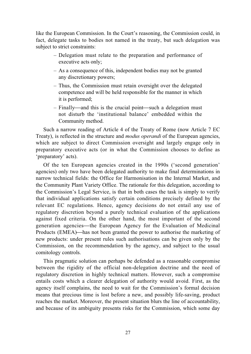like the European Commission. In the Court's reasoning, the Commission could, in fact, delegate tasks to bodies not named in the treaty, but such delegation was subject to strict constraints:

- Delegation must relate to the preparation and performance of executive acts only;
- As a consequence of this, independent bodies may not be granted any discretionary powers;
- Thus, the Commission must retain oversight over the delegated competence and will be held responsible for the manner in which it is performed;
- $-$  Finally—and this is the crucial point—such a delegation must not disturb the 'institutional balance' embedded within the Community method.

Such a narrow reading of Article 4 of the Treaty of Rome (now Article 7 EC Treaty), is reflected in the structure and *modus operandi* of the European agencies, which are subject to direct Commission oversight and largely engage only in preparatory executive acts (or in what the Commission chooses to define as 'preparatory' acts).

Of the ten European agencies created in the 1990s ('second generation' agencies) only two have been delegated authority to make final determinations in narrow technical fields: the Office for Harmonisation in the Internal Market, and the Community Plant Variety Office. The rationale for this delegation, according to the Commission's Legal Service, is that in both cases the task is simply to verify that individual applications satisfy certain conditions precisely defined by the relevant EC regulations. Hence, agency decisions do not entail any use of regulatory discretion beyond a purely technical evaluation of the applications against fixed criteria. On the other hand, the most important of the second generation agencies—the European Agency for the Evaluation of Medicinal Products (EMEA)—has not been granted the power to authorise the marketing of new products: under present rules such authorisations can be given only by the Commission, on the recommendation by the agency, and subject to the usual comitology controls.

This pragmatic solution can perhaps be defended as a reasonable compromise between the rigidity of the official non-delegation doctrine and the need of regulatory discretion in highly technical matters. However, such a compromise entails costs which a clearer delegation of authority would avoid. First, as the agency itself complains, the need to wait for the Commission's formal decision means that precious time is lost before a new, and possibly life-saving, product reaches the market. Moreover, the present situation blurs the line of accountability, and because of its ambiguity presents risks for the Commission, which some day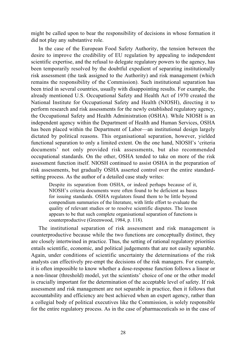might be called upon to bear the responsibility of decisions in whose formation it did not play any substantive role.

In the case of the European Food Safety Authority, the tension between the desire to improve the credibility of EU regulation by appealing to independent scientific expertise, and the refusal to delegate regulatory powers to the agency, has been temporarily resolved by the doubtful expedient of separating institutionally risk assessment (the task assigned to the Authority) and risk management (which remains the responsibility of the Commission). Such institutional separation has been tried in several countries, usually with disappointing results. For example, the already mentioned U.S. Occupational Safety and Health Act of 1970 created the National Institute for Occupational Safety and Health (NIOSH), directing it to perform research and risk assessments for the newly established regulatory agency, the Occupational Safety and Health Administration (OSHA). While NIOSH is an independent agency within the Department of Health and Human Services, OSHA has been placed within the Department of Labor—an institutional design largely dictated by political reasons. This organisational separation, however, yielded functional separation to only a limited extent. On the one hand, NIOSH's 'criteria documents' not only provided risk assessments, but also recommended occupational standards. On the other, OSHA tended to take on more of the risk assessment function itself. NIOSH continued to assist OSHA in the preparation of risk assessments, but gradually OSHA asserted control over the entire standardsetting process. As the author of a detailed case study writes:

Despite its separation from OSHA, or indeed perhaps because of it, NIOSH's criteria documents were often found to be deficient as bases for issuing standards. OSHA regulators found them to be little beyond compendium summaries of the literature, with little effort to evaluate the quality of relevant studies or to resolve scientific disputes. The lesson appears to be that such complete organisational separation of functions is counterproductive (Greenwood, 1984, p. 118).

The institutional separation of risk assessment and risk management is counterproductive because while the two functions are conceptually distinct, they are closely intertwined in practice. Thus, the setting of rational regulatory priorities entails scientific, economic, and political judgements that are not easily separable. Again, under conditions of scientific uncertainty the determinations of the risk analysts can effectively pre-empt the decisions of the risk managers. For example, it is often impossible to know whether a dose-response function follows a linear or a non-linear (threshold) model, yet the scientists' choice of one or the other model is crucially important for the determination of the acceptable level of safety. If risk assessment and risk management are not separable in practice, then it follows that accountability and efficiency are best achieved when an expert agency, rather than a collegial body of political executives like the Commission, is solely responsible for the entire regulatory process. As in the case of pharmaceuticals so in the case of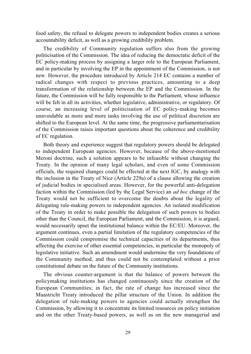food safety, the refusal to delegate powers to independent bodies creates a serious accountability deficit, as well as a growing credibility problem.

The credibility of Community regulation suffers also from the growing politicisation of the Commission. The idea of reducing the democratic deficit of the EC policy-making process by assigning a larger role to the European Parliament, and in particular by involving the EP in the appointment of the Commission, is not new. However, the procedure introduced by Article 214 EC contains a number of radical changes with respect to previous practices, amounting to a deep transformation of the relationship between the EP and the Commission. In the future, the Commission will be fully responsible to the Parliament, whose influence will be felt in all its activities, whether legislative, administrative, or regulatory. Of course, an increasing level of politicisation of EC policy-making becomes unavoidable as more and more tasks involving the use of political discretion are shifted to the European level. At the same time, the progressive parliamentarisation of the Commission raises important questions about the coherence and credibility of EC regulation.

Both theory and experience suggest that regulatory powers should be delegated to independent European agencies. However, because of the above-mentioned Meroni doctrine, such a solution appears to be infeasible without changing the Treaty. In the opinion of many legal scholars, and even of some Commission officials, the required changes could be effected at the next IGC, by analogy with the inclusion in the Treaty of Nice (Article 229a) of a clause allowing the creation of judicial bodies in specialised areas. However, for the powerful anti-delegation faction within the Commission (led by the Legal Service) an *ad hoc* change of the Treaty would not be sufficient to overcome the doubts about the legality of delegating rule-making powers to independent agencies. An isolated modification of the Treaty in order to make possible the delegation of such powers to bodies other than the Council, the European Parliament, and the Commission, it is argued, would necessarily upset the institutional balance within the EC/EU. Moreover, the argument continues, even a partial limitation of the regulatory competencies of the Commission could compromise the technical capacities of its departments, thus affecting the exercise of other essential competencies, in particular the monopoly of legislative initiative. Such an amendment would undermine the very foundations of the Community method, and thus could not be contemplated without a prior constitutional debate on the future of the Community institutions.

The obvious counter-argument is that the balance of powers between the policymaking institutions has changed continuously since the creation of the European Communities; in fact, the rate of change has increased since the Maastricht Treaty introduced the pillar structure of the Union. In addition the delegation of rule-making powers to agencies could actually strengthen the Commission, by allowing it to concentrate its limited resources on policy initiation and on the other Treaty-based powers, as well as on the new managerial and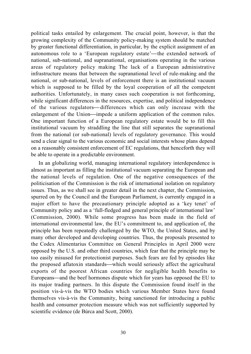political tasks entailed by enlargement. The crucial point, however, is that the growing complexity of the Community policy-making system should be matched by greater functional differentiation, in particular, by the explicit assignment of an autonomous role to a 'European regulatory estate'—the extended network of national, sub-national, and supranational, organisations operating in the various areas of regulatory policy making The lack of a European administrative infrastructure means that between the supranational level of rule-making and the national, or sub-national, levels of enforcement there is an institutional vacuum which is supposed to be filled by the loyal cooperation of all the competent authorities. Unfortunately, in many cases such cooperation is not forthcoming, while significant differences in the resources, expertise, and political independence of the various regulators—differences which can only increase with the enlargement of the Union—impede a uniform application of the common rules. One important function of a European regulatory estate would be to fill this institutional vacuum by straddling the line that still separates the supranational from the national (or sub-national) levels of regulatory governance. This would send a clear signal to the various economic and social interests whose plans depend on a reasonably consistent enforcement of EC regulations, that henceforth they will be able to operate in a predictable environment.

In an globalizing world, managing international regulatory interdependence is almost as important as filling the institutional vacuum separating the European and the national levels of regulation. One of the negative consequences of the politicisation of the Commission is the risk of international isolation on regulatory issues. Thus, as we shall see in greater detail in the next chapter, the Commission, spurred on by the Council and the European Parliament, is currently engaged in a major effort to have the precautionary principle adopted as a 'key tenet' of Community policy and as a 'full-fledged and general principle of international law' (Commission, 2000). While some progress has been made in the field of international environmental law, the EU's commitment to, and application of, the principle has been repeatedly challenged by the WTO, the United States, and by many other developed and developing countries. Thus, the proposals presented to the Codex Alimentarius Committee on General Principles in April 2000 were opposed by the U.S. and other third countries, which fear that the principle may be too easily misused for protectionist purposes. Such fears are fed by episodes like the proposed aflatoxin standards—which would seriously affect the agricultural exports of the poorest African countries for negligible health benefits to Europeans—and the beef hormones dispute which for years has opposed the EU to its major trading partners. In this dispute the Commission found itself in the position vis-à-vis the WTO bodies which various Member States have found themselves vis-à-vis the Community, being sanctioned for introducing a public health and consumer protection measure which was not sufficiently supported by scientific evidence (de Búrca and Scott, 2000).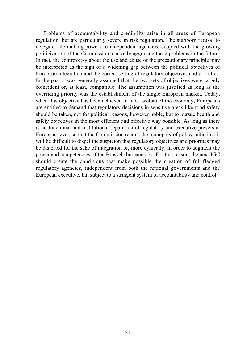Problems of accountability and credibility arise in all areas of European regulation, but are particularly severe in risk regulation. The stubborn refusal to delegate rule-making powers to independent agencies, coupled with the growing politicization of the Commission, can only aggravate these problems in the future. In fact, the controversy about the use and abuse of the precautionary principle may be interpreted as the sign of a widening gap between the political objectives of European integration and the correct setting of regulatory objectives and priorities. In the past it was generally assumed that the two sets of objectives were largely coincident or, at least, compatible. The assumption was justified as long as the overriding priority was the establishment of the single European market. Today, when this objective has been achieved in most sectors of the economy, Europeans are entitled to demand that regulatory decisions in sensitive areas like food safety should be taken, not for political reasons, however noble, but to pursue health and safety objectives in the most efficient and effective way possible. As long as there is no functional and institutional separation of regulatory and executive powers at European level, so that the Commission retains the monopoly of policy initiation, it will be difficult to dispel the suspicion that regulatory objectives and priorities may be distorted for the sake of integration or, more cynically, in order to augment the power and competencies of the Brussels bureaucracy. For this reason, the next IGC should create the conditions that make possible the creation of full-fledged regulatory agencies, independent from both the national governments and the European executive, but subject to a stringent system of accountability and control.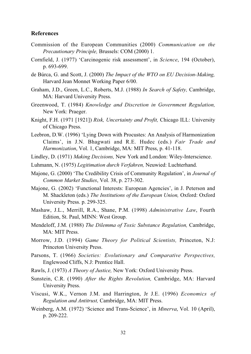#### **References**

- Commission of the European Communities (2000) *Communication on the Precautionary Principle,* Brussels: COM (2000) 1.
- Cornfield, J. (1977) 'Carcinogenic risk assessment', in *Science*, 194 (October), p. 693-699.
- de Búrca, G. and Scott, J. (2000) *The Impact of the WTO on EU Decision-Making,* Harvard Jean Monnet Working Paper 6/00.
- Graham, J.D., Green, L.C., Roberts, M.J. (1988) *In Search of Safety,* Cambridge, MA: Harvard University Press.
- Greenwood, T. (1984) *Knowledge and Discretion in Government Regulation,* New York: Praeger.
- Knight, F.H. (1971 [1921]) *Risk, Uncertainty and Profit,* Chicago ILL: University of Chicago Press.
- Leebron, D.W. (1996) 'Lying Down with Procustes: An Analysis of Harmonization Claims', in J.N. Bhagwati and R.E. Hudec (eds.) *Fair Trade and Harmonization*, Vol. 1, Cambridge, MA: MIT Press, p. 41-118.
- Lindley, D. (1971) *Making Decisions,* New York and London: Wiley-Interscience.
- Luhmann, N. (1975) *Legitimation durch Verfahren,* Neuwied: Luchterhand.
- Majone, G. (2000) 'The Credibility Crisis of Community Regulation', in *Journal of Common Market Studies*, Vol. 38, p. 273-302.
- Majone, G. (2002) 'Functional Interests: European Agencies', in J. Peterson and M. Shackleton (eds.) *The Institutions of the European Union,* Oxford: Oxford University Press. p. 299-325.
- Mashaw, J.L., Merrill, R.A., Shane, P.M. (1998) *Administrative Law*, Fourth Edition, St. Paul, MINN: West Group.
- Mendeloff, J.M. (1988) *The Dilemma of Toxic Substance Regulation,* Cambridge, MA: MIT Press.
- Morrow, J.D. (1994) *Game Theory for Political Scientists,* Princeton, N.J: Princeton University Press.
- Parsons, T. (1966) *Societies: Evolutionary and Comparative Perspectives,* Englewood Cliffs, N.J: Prentice Hall.
- Rawls, J. (1973) *A Theory of Justice,* New York: Oxford University Press.
- Sunstein, C.R. (1990) *After the Rights Revolution,* Cambridge, MA: Harvard University Press.
- Viscusi, W.K., Vernon J.M. and Harrington, Jr J.E. (1996) *Economics of Regulation and Antitrust,* Cambridge, MA: MIT Press.
- Weinberg, A.M. (1972) 'Science and Trans-Science', in *Minerva*, Vol. 10 (April), p. 209-222.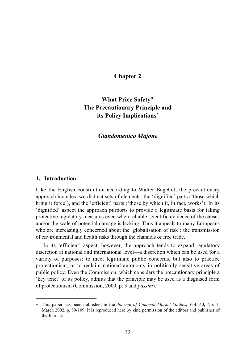# **Chapter 2**

# **What Price Safety? The Precautionary Principle and its Policy Implications**<sup>∗</sup>

# *Giandomenico Majone*

#### **1. Introduction**

 $\overline{a}$ 

Like the English constitution according to Walter Bagehot, the precautionary approach includes two distinct sets of elements: the 'dignified' parts ('those which bring it force'), and the 'efficient' parts ('those by which it, in fact, works'). In its 'dignified' aspect the approach purports to provide a legitimate basis for taking protective regulatory measures even when reliable scientific evidence of the causes and/or the scale of potential damage is lacking. Thus it appeals to many Europeans who are increasingly concerned about the 'globalisation of risk': the transmission of environmental and health risks through the channels of free trade.

In its 'efficient' aspect, however, the approach tends to expand regulatory discretion at national and international level—a discretion which can be used for a variety of purposes: to meet legitimate public concerns, but also to practice protectionism, or to reclaim national autonomy in politically sensitive areas of public policy. Even the Commission, which considers the precautionary principle a 'key tenet' of its policy, admits that the principle may be used as a disguised form of protectionism (Commission, 2000, p. 3 and *passim*).

<sup>∗</sup> This paper has been published in the *Journal of Common Market Studies*, Vol. 40, No. 1, March 2002, p. 89-109. It is reproduced here by kind permission of the editors and publisher of the Journal.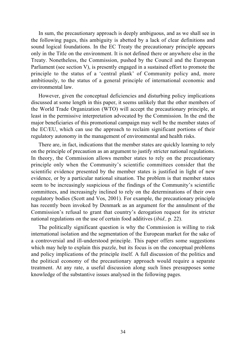In sum, the precautionary approach is deeply ambiguous, and as we shall see in the following pages, this ambiguity is abetted by a lack of clear definitions and sound logical foundations. In the EC Treaty the precautionary principle appears only in the Title on the environment. It is not defined there or anywhere else in the Treaty. Nonetheless, the Commission, pushed by the Council and the European Parliament (see section V), is presently engaged in a sustained effort to promote the principle to the status of a 'central plank' of Community policy and, more ambitiously, to the status of a general principle of international economic and environmental law.

However, given the conceptual deficiencies and disturbing policy implications discussed at some length in this paper, it seems unlikely that the other members of the World Trade Organization (WTO) will accept the precautionary principle, at least in the permissive interpretation advocated by the Commission. In the end the major beneficiaries of this promotional campaign may well be the member states of the EC/EU, which can use the approach to reclaim significant portions of their regulatory autonomy in the management of environmental and health risks.

There are, in fact, indications that the member states are quickly learning to rely on the principle of precaution as an argument to justify stricter national regulations. In theory, the Commission allows member states to rely on the precautionary principle only when the Community's scientific committees consider that the scientific evidence presented by the member states is justified in light of new evidence, or by a particular national situation. The problem is that member states seem to be increasingly suspicious of the findings of the Community's scientific committees, and increasingly inclined to rely on the determinations of their own regulatory bodies (Scott and Vos, 2001). For example, the precautionary principle has recently been invoked by Denmark as an argument for the annulment of the Commission's refusal to grant that country's derogation request for its stricter national regulations on the use of certain food additives (*ibid.,* p. 22).

The politically significant question is why the Commission is willing to risk international isolation and the segmentation of the European market for the sake of a controversial and ill-understood principle. This paper offers some suggestions which may help to explain this puzzle, but its focus is on the conceptual problems and policy implications of the principle itself. A full discussion of the politics and the political economy of the precautionary approach would require a separate treatment. At any rate, a useful discussion along such lines presupposes some knowledge of the substantive issues analysed in the following pages.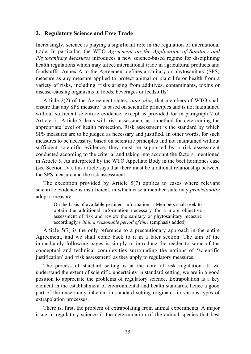#### **2. Regulatory Science and Free Trade**

Increasingly, science is playing a significant role in the regulation of international trade. In particular, the WTO *Agreement on the Application of Sanitary and Phytosanitary Measures* introduces a new science-based regime for disciplining health regulations which may affect international trade in agricultural products and foodstuffs. Annex A to the Agreement defines a sanitary or phytosanitary (SPS) measure as any measure applied to protect animal or plant life or health from a variety of risks, including 'risks arising from additives, contaminants, toxins or disease-causing organisms in foods, beverages or feedstuffs'.

Article 2(2) of the Agreement states, *inter alia*, that members of WTO shall ensure that any SPS measure 'is based on scientific principles and is not maintained without sufficient scientific evidence, except as provided for in paragraph 7 of Article 5'. Article 5 deals with risk assessment as a method for determining the appropriate level of health protection. Risk assessment is the standard by which SPS measures are to be judged as necessary and justified. In other words, for such measures to be necessary, based on scientific principles and not maintained without sufficient scientific evidence, they must be supported by a risk assessment conducted according to the criteria, and taking into account the factors, mentioned in Article 5. As interpreted by the WTO Appellate Body in the beef hormones case (see Section IV), this article says that there must be a rational relationship between the SPS measure and the risk assessment.

The exception provided by Article 5(7) applies to cases where relevant scientific evidence is insufficient, in which case a member state may *provisionally* adopt a measure

On the basis of available pertinent information… Members shall seek to obtain the additional information necessary for a more objective assessment of risk and review the sanitary or phytosanitary measure accordingly *within a reasonable period of time* (emphasis added).

Article 5(7) is the only reference to a precautionary approach in the entire Agreement, and we shall come back to it in a later section. The aim of the immediately following pages is simply to introduce the reader to some of the conceptual and technical complexities surrounding the notions of 'scientific justification' and 'risk assessment' as they apply to regulatory measures.

The process of standard setting is at the core of risk regulation. If we understand the extent of scientific uncertainty in standard setting, we are in a good position to appreciate the problems of regulatory science. Extrapolation is a key element in the establishment of environmental and health standards, hence a good part of the uncertainty inherent in standard setting originates in various types of extrapolation processes.

There is, first, the problem of extrapolating from animal experiments. A major issue in regulatory science is the determination of the animal species that best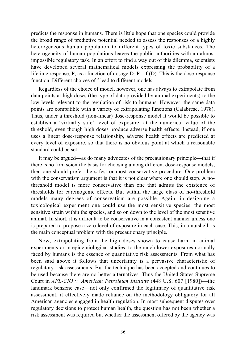predicts the response in humans. There is little hope that one species could provide the broad range of predictive potential needed to assess the responses of a highly heterogeneous human population to different types of toxic substances. The heterogeneity of human populations leaves the public authorities with an almost impossible regulatory task. In an effort to find a way out of this dilemma, scientists have developed several mathematical models expressing the probability of a lifetime response, P, as a function of dosage D:  $P = f(D)$ . This is the dose-response function. Different choices of f lead to different models.

Regardless of the choice of model, however, one has always to extrapolate from data points at high doses (the type of data provided by animal experiments) to the low levels relevant to the regulation of risk to humans. However, the same data points are compatible with a variety of extrapolating functions (Calabrese, 1978). Thus, under a threshold (non-linear) dose-response model it would be possible to establish a 'virtually safe' level of exposure, at the numerical value of the threshold, even though high doses produce adverse health effects. Instead, if one uses a linear dose-response relationship, adverse health effects are predicted at every level of exposure, so that there is no obvious point at which a reasonable standard could be set.

It may be argued—as do many advocates of the precautionary principle—that if there is no firm scientific basis for choosing among different dose-response models, then one should prefer the safest or most conservative procedure. One problem with the conservatism argument is that it is not clear where one should stop. A nothreshold model is more conservative than one that admits the existence of thresholds for carcinogenic effects. But within the large class of no-threshold models many degrees of conservatism are possible. Again, in designing a toxicological experiment one could use the most sensitive species, the most sensitive strain within the species, and so on down to the level of the most sensitive animal. In short, it is difficult to be conservative in a consistent manner unless one is prepared to propose a zero level of exposure in each case. This, in a nutshell, is the main conceptual problem with the precautionary principle.

Now, extrapolating from the high doses shown to cause harm in animal experiments or in epidemiological studies, to the much lower exposures normally faced by humans is the essence of quantitative risk assessments. From what has been said above it follows that uncertainty is a pervasive characteristic of regulatory risk assessments. But the technique has been accepted and continues to be used because there are no better alternatives. Thus the United States Supreme Court in *AFL-CIO v. American Petroleum Institute* (448 U.S. 607 [1980])—the landmark benzene case—not only confirmed the legitimacy of quantitative risk assessment; it effectively made reliance on the methodology obligatory for all American agencies engaged in health regulation. In most subsequent disputes over regulatory decisions to protect human health, the question has not been whether a risk assessment was required but whether the assessment offered by the agency was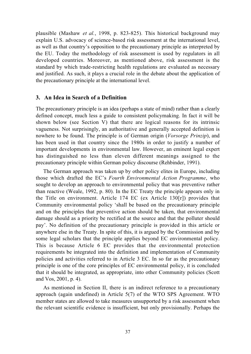plausible (Mashaw *et al.*, 1998, p. 823-825). This historical background may explain U.S. advocacy of science-based risk assessment at the international level, as well as that country's opposition to the precautionary principle as interpreted by the EU. Today the methodology of risk assessment is used by regulators in all developed countries. Moreover, as mentioned above, risk assessment is the standard by which trade-restricting health regulations are evaluated as necessary and justified. As such, it plays a crucial role in the debate about the application of the precautionary principle at the international level.

#### **3. An Idea in Search of a Definition**

The precautionary principle is an idea (perhaps a state of mind) rather than a clearly defined concept, much less a guide to consistent policymaking. In fact it will be shown below (see Section V) that there are logical reasons for its intrinsic vagueness. Not surprisingly, an authoritative and generally accepted definition is nowhere to be found. The principle is of German origin (*Vorsorge Prinzip*), and has been used in that country since the 1980s in order to justify a number of important developments in environmental law. However, an eminent legal expert has distinguished no less than eleven different meanings assigned to the precautionary principle within German policy discourse (Rehbinder, 1991).

The German approach was taken up by other policy elites in Europe, including those which drafted the EC's *Fourth Environmental Action Programme*, who sought to develop an approach to environmental policy that was preventive rather than reactive (Weale, 1992, p. 80). In the EC Treaty the principle appears only in the Title on environment. Article 174 EC (ex Article 130[r]) provides that Community environmental policy 'shall be based on the precautionary principle and on the principles that preventive action should be taken, that environmental damage should as a priority be rectified at the source and that the polluter should pay'. No definition of the precautionary principle is provided in this article or anywhere else in the Treaty. In spite of this, it is argued by the Commission and by some legal scholars that the principle applies beyond EC environmental policy. This is because Article 6 EC provides that the environmental protection requirements be integrated into the definition and implementation of Community policies and activities referred to in Article 3 EC. In so far as the precautionary principle is one of the core principles of EC environmental policy, it is concluded that it should be integrated, as appropriate, into other Community policies (Scott and Vos, 2001, p. 4).

As mentioned in Section II, there is an indirect reference to a precautionary approach (again undefined) in Article 5(7) of the WTO SPS Agreement. WTO member states are allowed to take measures unsupported by a risk assessment when the relevant scientific evidence is insufficient, but only provisionally. Perhaps the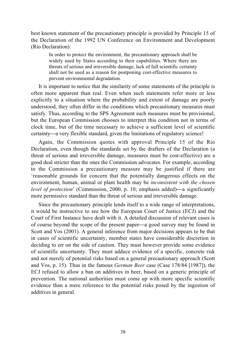best known statement of the precautionary principle is provided by Principle 15 of the Declaration of the 1992 UN Conference on Environment and Development (Rio Declaration):

In order to protect the environment, the precautionary approach shall be widely used by States according to their capabilities. Where there are threats of serious and irreversible damage, lack of full scientific certainty shall not be used as a reason for postponing cost-effective measures to prevent environmental degradation.

It is important to notice that the similarity of some statements of the principle is often more apparent than real. Even when such statements refer more or less explicitly to a situation where the probability and extent of damage are poorly understood, they often differ in the conditions which precautionary measures must satisfy. Thus, according to the SPS Agreement such measures must be provisional, but the European Commission chooses to interpret this condition not in terms of clock time, but of the time necessary to achieve a sufficient level of scientific certainty—a very flexible standard, given the limitations of regulatory science!

Again, the Commission quotes with approval Principle 15 of the Rio Declaration, even though the standards set by the drafters of the Declaration (a threat of serious and irreversible damage, measures must be cost-effective) are a good deal stricter than the ones the Commission advocates. For example, according to the Commission a precautionary measure may be justified if there are 'reasonable grounds for concern that the potentially dangerous effects on the environment, human, animal or plant health may be *inconsistent with the chosen level of protection*' (Commission, 2000, p. 10; emphasis added)—a significantly more permissive standard than the threat of serious and irreversible damage.

Since the precautionary principle lends itself to a wide range of interpretations, it would be instructive to see how the European Court of Justice (ECJ) and the Court of First Instance have dealt with it. A detailed discussion of relevant cases is of course beyond the scope of the present paper—a good survey may be found in Scott and Vos (2001). A general inference from major decisions appears to be that in cases of scientific uncertainty, member states have considerable discretion in deciding to err on the side of caution. They must however provide some evidence of scientific uncertainty. They must adduce evidence of a specific, concrete risk and not merely of potential risks based on a general precautionary approach (Scott and Vos, p. 15). Thus in the famous *German Beer* case (Case 178/84 [1987]), the ECJ refused to allow a ban on additives in beer, based on a generic principle of prevention. The national authorities must come up with more specific scientific evidence than a mere reference to the potential risks posed by the ingestion of additives in general.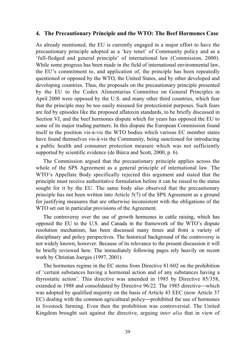#### **4. The Precautionary Principle and the WTO: The Beef Hormones Case**

As already mentioned, the EU is currently engaged in a major effort to have the precautionary principle adopted as a 'key tenet' of Community policy and as a 'full-fledged and general principle' of international law (Commission, 2000). While some progress has been made in the field of international environmental law, the EU's commitment to, and application of, the principle has been repeatedly questioned or opposed by the WTO, the United States, and by other developed and developing countries. Thus, the proposals on the precautionary principle presented by the EU to the Codex Alimentarius Committee on General Principles in April 2000 were opposed by the U.S. and many other third countries, which fear that the principle may be too easily misused for protectionist purposes. Such fears are fed by episodes like the proposed aflatoxin standards, to be briefly discussed in Section VI, and the beef hormones dispute which for years has opposed the EU to some of its major trading partners. In this dispute the European Commission found itself in the position vis-à-vis the WTO bodies which various EC member states have found themselves vis-à-vis the Community, being sanctioned for introducing a public health and consumer protection measure which was not sufficiently supported by scientific evidence (de Búrca and Scott, 2000, p. 6).

The Commission argued that the precautionary principle applies across the whole of the SPS Agreement as a general principle of international law. The WTO's Appellate Body specifically rejected this argument and stated that the principle must receive authoritative formulation before it can be raised to the status sought for it by the EU. The same body also observed that the precautionary principle has not been written into Article 5(7) of the SPS Agreement as a ground for justifying measures that are otherwise inconsistent with the obligations of the WTO set out in particular provisions of the Agreement.

The controversy over the use of growth hormones in cattle raising, which has opposed the EU to the U.S. and Canada in the framework of the WTO's dispute resolution mechanism, has been discussed many times and from a variety of disciplinary and policy perspectives. The historical background of the controversy is not widely known, however. Because of its relevance to the present discussion it will be briefly reviewed here. The immediately following pages rely heavily on recent work by Christian Joerges (1997, 2001).

The hormones regime in the EC stems from Directive 81/602 on the prohibition of 'certain substances having a hormonal action and of any substances having a thyrostatic action'. This directive was amended in 1985 by Directive 85/358, extended in 1988 and consolidated by Directive 96/22. The 1985 directive—which was adopted by qualified majority on the basis of Article 43 EEC (now Article 37 EC) dealing with the common agricultural policy—prohibited the use of hormones in livestock farming. Even then the prohibition was controversial. The United Kingdom brought suit against the directive, arguing *inter alia* that in view of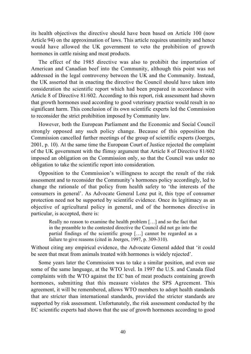its health objectives the directive should have been based on Article 100 (now Article 94) on the approximation of laws. This article requires unanimity and hence would have allowed the UK government to veto the prohibition of growth hormones in cattle raising and meat products.

The effect of the 1985 directive was also to prohibit the importation of American and Canadian beef into the Community, although this point was not addressed in the legal controversy between the UK and the Community. Instead, the UK asserted that in enacting the directive the Council should have taken into consideration the scientific report which had been prepared in accordance with Article 8 of Directive 81/602. According to this report, risk assessment had shown that growth hormones used according to good veterinary practice would result in no significant harm. This conclusion of its own scientific experts led the Commission to reconsider the strict prohibition imposed by Community law.

However, both the European Parliament and the Economic and Social Council strongly opposed any such policy change. Because of this opposition the Commission cancelled further meetings of the group of scientific experts (Joerges, 2001, p. 10). At the same time the European Court of Justice rejected the complaint of the UK government with the flimsy argument that Article 8 of Directive 81/602 imposed an obligation on the Commission only, so that the Council was under no obligation to take the scientific report into consideration.

Opposition to the Commission's willingness to accept the result of the risk assessment and to reconsider the Community's hormones policy accordingly, led to change the rationale of that policy from health safety to 'the interests of the consumers in general'. As Advocate General Lenz put it, this type of consumer protection need not be supported by scientific evidence. Once its legitimacy as an objective of agricultural policy in general, and of the hormones directive in particular, is accepted, there is:

Really no reason to examine the health problem […] and so the fact that in the preamble to the contested directive the Council did not go into the partial findings of the scientific group […] cannot be regarded as a failure to give reasons (cited in Joerges, 1997, p. 309-310).

Without citing any empirical evidence, the Advocate General added that 'it could be seen that meat from animals treated with hormones is widely rejected'.

Some years later the Commission was to take a similar position, and even use some of the same language, at the WTO level. In 1997 the U.S. and Canada filed complaints with the WTO against the EC ban of meat products containing growth hormones, submitting that this measure violates the SPS Agreement. This agreement, it will be remembered, allows WTO members to adopt health standards that are stricter than international standards, provided the stricter standards are supported by risk assessment. Unfortunately, the risk assessment conducted by the EC scientific experts had shown that the use of growth hormones according to good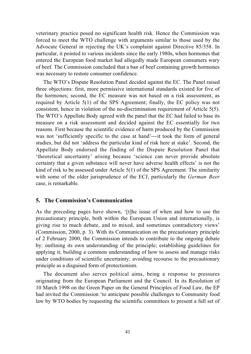veterinary practice posed no significant health risk. Hence the Commission was forced to meet the WTO challenge with arguments similar to those used by the Advocate General in rejecting the UK's complaint against Directive 85/358. In particular, it pointed to various incidents since the early 1980s, when hormones that entered the European food market had allegedly made European consumers wary of beef. The Commission concluded that a ban of beef containing growth hormones was necessary to restore consumer confidence.

The WTO's Dispute Resolution Panel decided against the EC. The Panel raised three objections: first, more permissive international standards existed for five of the hormones; second, the EC measure was not based on a risk assessment, as required by Article 5(1) of the SPS Agreement; finally, the EC policy was not consistent, hence in violation of the no-discrimination requirement of Article 5(5). The WTO's Appellate Body agreed with the panel that the EC had failed to base its measure on a risk assessment and decided against the EC essentially for two reasons. First because the scientific evidence of harm produced by the Commission was not 'sufficiently specific to the case at hand'—it took the form of general studies, but did not 'address the particular kind of risk here at stake'. Second, the Appellate Body endorsed the finding of the Dispute Resolution Panel that 'theoretical uncertainty' arising because 'science can never provide absolute certainty that a given substance will never have adverse health effects' is not the kind of risk to be assessed under Article 5(1) of the SPS Agreement. The similarity with some of the older jurisprudence of the ECJ, particularly the *German Beer* case, is remarkable.

#### **5. The Commission's Communication**

As the preceding pages have shown, '[t]he issue of when and how to use the precautionary principle, both within the European Union and internationally, is giving rise to much debate, and to mixed, and sometimes contradictory views' (Commission, 2000, p. 3). With its Communication on the precautionary principle of 2 February 2000, the Commission intends to contribute to the ongoing debate by: outlining its own understanding of the principle; establishing guidelines for applying it; building a common understanding of how to assess and manage risks under conditions of scientific uncertainty; avoiding recourse to the precautionary principle as a disguised form of protectionism.

The document also serves political aims, being a response to pressures originating from the European Parliament and the Council. In its Resolution of 10 March 1998 on the Green Paper on the General Principles of Food Law, the EP had invited the Commission 'to anticipate possible challenges to Community food law by WTO bodies by requesting the scientific committees to present a full set of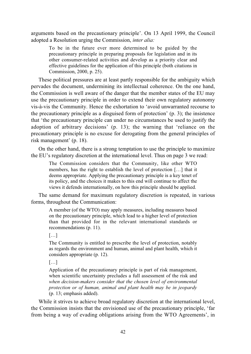arguments based on the precautionary principle'. On 13 April 1999, the Council adopted a Resolution urging the Commission, *inter alia:*

To be in the future ever more determined to be guided by the precautionary principle in preparing proposals for legislation and in its other consumer-related activities and develop as a priority clear and effective guidelines for the application of this principle (both citations in Commission, 2000, p. 25).

These political pressures are at least partly responsible for the ambiguity which pervades the document, undermining its intellectual coherence. On the one hand, the Commission is well aware of the danger that the member states of the EU may use the precautionary principle in order to extend their own regulatory autonomy vis-à-vis the Community. Hence the exhortation to 'avoid unwarranted recourse to the precautionary principle as a disguised form of protection' (p. 3); the insistence that 'the precautionary principle can under no circumstances be used to justify the adoption of arbitrary decisions' (p. 13); the warning that 'reliance on the precautionary principle is no excuse for derogating from the general principles of risk management' (p. 18).

On the other hand, there is a strong temptation to use the principle to maximize the EU's regulatory discretion at the international level. Thus on page 3 we read:

The Commission considers that the Community, like other WTO members, has the right to establish the level of protection […] that it deems appropriate. Applying the precautionary principle is a key tenet of its policy, and the choices it makes to this end will continue to affect the views it defends internationally, on how this principle should be applied.

The same demand for maximum regulatory discretion is repeated, in various forms, throughout the Communication:

A member (of the WTO) may apply measures, including measures based on the precautionary principle, which lead to a higher level of protection than that provided for in the relevant international standards or recommendations (p. 11).

[…]

The Community is entitled to prescribe the level of protection, notably as regards the environment and human, animal and plant health, which it considers appropriate (p. 12).

[…]

Application of the precautionary principle is part of risk management, when scientific uncertainty precludes a full assessment of the risk and *when decision-makers consider that the chosen level of environmental protection or of human, animal and plant health may be in jeopardy* (p. 13; emphasis added).

While it strives to achieve broad regulatory discretion at the international level, the Commission insists that the envisioned use of the precautionary principle, 'far from being a way of evading obligations arising from the WTO Agreements', in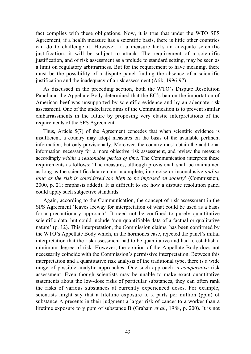fact complies with these obligations. Now, it is true that under the WTO SPS Agreement, if a health measure has a scientific basis, there is little other countries can do to challenge it. However, if a measure lacks an adequate scientific justification, it will be subject to attack. The requirement of a scientific justification, and of risk assessment as a prelude to standard setting, may be seen as a limit on regulatory arbitrariness. But for the requirement to have meaning, there must be the possibility of a dispute panel finding the absence of a scientific justification and the inadequacy of a risk assessment (Atik, 1996-97).

As discussed in the preceding section, both the WTO's Dispute Resolution Panel and the Appellate Body determined that the EC's ban on the importation of American beef was unsupported by scientific evidence and by an adequate risk assessment. One of the undeclared aims of the Communication is to prevent similar embarrassments in the future by proposing very elastic interpretations of the requirements of the SPS Agreement.

Thus, Article  $5(7)$  of the Agreement concedes that when scientific evidence is insufficient, a country may adopt measures on the basis of the available pertinent information, but only provisionally. Moreover, the country must obtain the additional information necessary for a more objective risk assessment, and review the measure accordingly *within a reasonable period of time*. The Communication interprets these requirements as follows: 'The measures, although provisional, shall be maintained as long as the scientific data remain incomplete, imprecise or inconclusive *and as long as the risk is considered too high to be imposed on society*' (Commission, 2000, p. 21; emphasis added). It is difficult to see how a dispute resolution panel could apply such subjective standards.

Again, according to the Communication, the concept of risk assessment in the SPS Agreement 'leaves leeway for interpretation of what could be used as a basis for a precautionary approach'. It need not be confined to purely quantitative scientific data, but could include 'non-quantifiable data of a factual or qualitative nature' (p. 12). This interpretation, the Commission claims, has been confirmed by the WTO's Appellate Body which, in the hormones case, rejected the panel's initial interpretation that the risk assessment had to be quantitative and had to establish a minimum degree of risk. However, the opinion of the Appellate Body does not necessarily coincide with the Commission's permissive interpretation. Between this interpretation and a quantitative risk analysis of the traditional type, there is a wide range of possible analytic approaches. One such approach is *comparative* risk assessment. Even though scientists may be unable to make exact quantitative statements about the low-dose risks of particular substances, they can often rank the risks of various substances at currently experienced doses. For example, scientists might say that a lifetime exposure to x parts per million (ppm) of substance A presents in their judgment a larger risk of cancer to a worker than a lifetime exposure to y ppm of substance B (Graham *et al.*, 1988, p. 200). It is not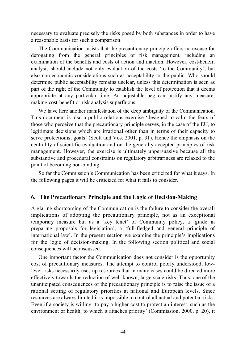necessary to evaluate precisely the risks posed by both substances in order to have a reasonable basis for such a comparison.

The Communication insists that the precautionary principle offers no excuse for derogating from the general principles of risk management, including an examination of the benefits and costs of action and inaction. However, cost-benefit analysis should include not only evaluation of the costs 'to the Community', but also non-economic considerations such as acceptability to the public. Who should determine public acceptability remains unclear, unless this determination is seen as part of the right of the Community to establish the level of protection that it deems appropriate at any particular time. An adjustable peg can justify any measure, making cost-benefit or risk analysis superfluous.

We have here another manifestation of the deep ambiguity of the Communication. This document is also a public relations exercise 'designed to calm the fears of those who perceive that the precautionary principle serves, in the case of the EU, to legitimate decisions which are irrational other than in terms of their capacity to serve protectionist goals' (Scott and Vos, 2001, p. 31). Hence the emphasis on the centrality of scientific evaluation and on the generally accepted principles of risk management. However, the exercise is ultimately unpersuasive because all the substantive and procedural constraints on regulatory arbitrariness are relaxed to the point of becoming non-binding.

So far the Commission's Communication has been criticized for what it says. In the following pages it will be criticized for what it fails to consider.

#### **6. The Precautionary Principle and the Logic of Decision-Making**

A glaring shortcoming of the Communication is the failure to consider the overall implications of adopting the precautionary principle, not as an exceptional temporary measure but as a 'key tenet' of Community policy, a 'guide in preparing proposals for legislation', a 'full-fledged and general principle of international law'. In the present section we examine the principle's implications for the logic of decision-making. In the following section political and social consequences will be discussed.

One important factor the Communication does not consider is the opportunity cost of precautionary measures. The attempt to control poorly understood, lowlevel risks necessarily uses up resources that in many cases could be directed more effectively towards the reduction of well-known, large-scale risks. Thus, one of the unanticipated consequences of the precautionary principle is to raise the issue of a rational setting of regulatory priorities at national and European levels. Since resources are always limited it is impossible to control all actual and potential risks. Even if a society is willing 'to pay a higher cost to protect an interest, such as the environment or health, to which it attaches priority' (Commission, 2000, p. 20), it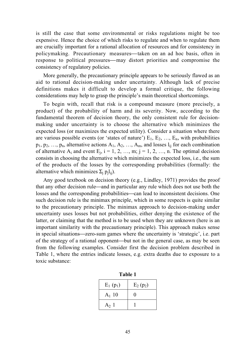is still the case that some environmental or risks regulations might be too expensive. Hence the choice of which risks to regulate and when to regulate them are crucially important for a rational allocation of resources and for consistency in policymaking. Precautionary measures—taken on an ad hoc basis, often in response to political pressures—may distort priorities and compromise the consistency of regulatory policies.

More generally, the precautionary principle appears to be seriously flawed as an aid to rational decision-making under uncertainty. Although lack of precise definitions makes it difficult to develop a formal critique, the following considerations may help to grasp the principle's main theoretical shortcomings.

To begin with, recall that risk is a compound measure (more precisely, a product) of the probability of harm and its severity. Now, according to the fundamental theorem of decision theory, the only consistent rule for decisionmaking under uncertainty is to choose the alternative which minimizes the expected loss (or maximizes the expected utility). Consider a situation where there are various possible events (or 'states of nature')  $E_1, E_2, ..., E_n$ , with probabilities  $p_1, p_2, ..., p_n$ , alternative actions  $A_1, A_2, ..., A_m$ , and losses  $l_{ij}$  for each combination of alternative  $A_i$  and event  $E_j$ ,  $i = 1, 2, ..., m$ ;  $j = 1, 2, ..., n$ . The optimal decision consists in choosing the alternative which minimizes the expected loss, i.e., the sum of the products of the losses by the corresponding probabilities (formally: the alternative which minimizes  $\Sigma_j$   $p_j l_{ij}$ ).

Any good textbook on decision theory (e.g., Lindley, 1971) provides the proof that any other decision rule—and in particular any rule which does not use both the losses and the corresponding probabilities—can lead to inconsistent decisions. One such decision rule is the minimax principle, which in some respects is quite similar to the precautionary principle. The minimax approach to decision-making under uncertainty uses losses but not probabilities, either denying the existence of the latter, or claiming that the method is to be used when they are unknown (here is an important similarity with the precautionary principle). This approach makes sense in special situations—zero-sum games where the uncertainty is 'strategic', i.e. part of the strategy of a rational opponent—but not in the general case, as may be seen from the following examples. Consider first the decision problem described in Table 1, where the entries indicate losses, e.g. extra deaths due to exposure to a toxic substance:

| $E_1(p_1)$ | $E_2(p_2)$ |
|------------|------------|
| $A_1$ 10   | 0          |
| $A_2$ 1    |            |

**Table 1**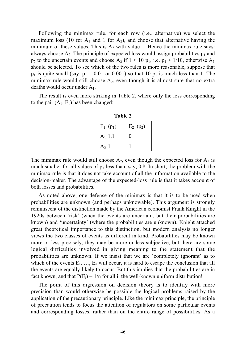Following the minimax rule, for each row (i.e., alternative) we select the maximum loss (10 for  $A_1$  and 1 for  $A_2$ ), and choose that alternative having the minimum of these values. This is  $A_2$  with value 1. Hence the minimax rule says: always choose  $A_2$ . The principle of expected loss would assign probabilities  $p_1$  and  $p_2$  to the uncertain events and choose  $A_2$  if  $1 < 10$   $p_1$ , i.e.  $p_1 > 1/10$ , otherwise  $A_1$ should be selected. To see which of the two rules is more reasonable, suppose that  $p_1$  is quite small (say,  $p_1 = 0.01$  or 0.001) so that 10  $p_1$  is much less than 1. The minimax rule would still choose  $A_2$ , even though it is almost sure that no extra deaths would occur under  $A_1$ .

The result is even more striking in Table 2, where only the loss corresponding to the pair  $(A_1, E_1)$  has been changed:

| Table 2    |                   |
|------------|-------------------|
| $E_1(p_1)$ | $E_2(p_2)$        |
| $A_1$ 1.1  | $\mathbf{\Omega}$ |
| $A_2$ 1    |                   |

The minimax rule would still choose  $A_2$ , even though the expected loss for  $A_1$  is much smaller for all values of  $p_1$  less than, say, 0.8. In short, the problem with the minimax rule is that it does not take account of all the information available to the decision-maker. The advantage of the expected-loss rule is that it takes account of both losses and probabilities.

As noted above, one defense of the minimax is that it is to be used when probabilities are unknown (and perhaps unknowable). This argument is strongly reminiscent of the distinction made by the American economist Frank Knight in the 1920s between 'risk' (when the events are uncertain, but their probabilities are known) and 'uncertainty' (where the probabilities are unknown). Knight attached great theoretical importance to this distinction, but modern analysis no longer views the two classes of events as different in kind. Probabilities may be known more or less precisely, they may be more or less subjective, but there are some logical difficulties involved in giving meaning to the statement that the probabilities are unknown. If we insist that we are 'completely ignorant' as to which of the events  $E_1, ..., E_n$  will occur, it is hard to escape the conclusion that all the events are equally likely to occur. But this implies that the probabilities are in fact known, and that  $P(E_i) = 1/n$  for all i: the well-known uniform distribution!

The point of this digression on decision theory is to identify with more precision than would otherwise be possible the logical problems raised by the application of the precautionary principle. Like the minimax principle, the principle of precaution tends to focus the attention of regulators on some particular events and corresponding losses, rather than on the entire range of possibilities. As a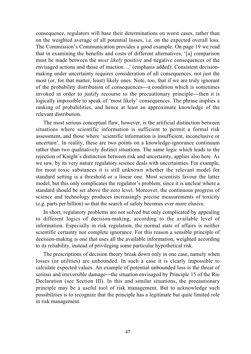consequence, regulators will base their determinations on worst cases, rather than on the weighted average of all potential losses, i.e. on the expected overall loss. The Commission's Communication provides a good example. On page 19 we read that in examining the benefits and costs of different alternatives, '[a] comparison must be made between the *most likely* positive and negative consequences of the envisaged actions and those of inaction…' (emphasis added). Consistent decisionmaking under uncertainty requires consideration of all consequences, not just the most (or, for that matter, least) likely ones. Note, too, that if we are truly ignorant of the probability distribution of consequences—a condition which is sometimes invoked in order to justify recourse to the precautionary principle—then it is logically impossible to speak of 'most likely' consequences. The phrase implies a ranking of probabilities, and hence at least an approximate knowledge of the relevant distribution.

The most serious conceptual flaw, however, is the artificial distinction between situations where scientific information is sufficient to permit a formal risk assessment, and those where 'scientific information is insufficient, inconclusive or uncertain'. In reality, these are two points on a knowledge-ignorance continuum rather than two qualitatively distinct situations. The same logic which leads to the rejection of Knight's distinction between risk and uncertainty, applies also here. As we saw, by its very nature regulatory science deals with uncertainties. For example, for most toxic substances it is still unknown whether the relevant model for standard setting is a threshold or a linear one. Most scientists favour the latter model, but this only complicates the regulator's problem, since it is unclear where a standard should be set above the zero level. Moreover, the continuous progress of science and technology produces increasingly precise measurements of toxicity (e.g. parts per billion) so that the search of safety becomes ever more elusive.

In short, regulatory problems are not solved but only complicated by appealing to different logics of decision-making, according to the available level of information. Especially in risk regulation, the normal state of affairs is neither scientific certainty nor complete ignorance. For this reason a sensible principle of decision-making is one that uses all the available information, weighted according to its reliability, instead of privileging some particular hypothetical risk.

The prescriptions of decision theory break down only in one case, namely when losses (or utilities) are unbounded. In such a case it is clearly impossible to calculate expected values. An example of potential unbounded loss is the threat of serious and irreversible damage—the situation envisaged by Principle 15 of the Rio Declaration (see Section III). In this and similar situations, the precautionary principle may be a useful tool of risk management. But to acknowledge such possibilities is to recognize that the principle has a legitimate but quite limited role in risk management.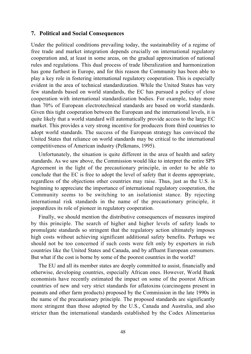#### **7. Political and Social Consequences**

Under the political conditions prevailing today, the sustainability of a regime of free trade and market integration depends crucially on international regulatory cooperation and, at least in some areas, on the gradual approximation of national rules and regulations. This dual process of trade liberalization and harmonization has gone furthest in Europe, and for this reason the Community has been able to play a key role in fostering international regulatory cooperation. This is especially evident in the area of technical standardization. While the United States has very few standards based on world standards, the EC has pursued a policy of close cooperation with international standardization bodies. For example, today more than 70% of European electrotechnical standards are based on world standards. Given this tight cooperation between the European and the international levels, it is quite likely that a world standard will automatically provide access to the large EC market. This provides a very strong incentive for producers from third countries to adopt world standards. The success of the European strategy has convinced the United States that reliance on world standards may be critical to the international competitiveness of American industry (Pelkmans, 1995).

Unfortunately, the situation is quite different in the area of health and safety standards. As we saw above, the Commission would like to interpret the entire SPS Agreement in the light of the precautionary principle, in order to be able to conclude that the EC is free to adopt the level of safety that it deems appropriate, regardless of the objections other countries may raise. Thus, just as the U.S. is beginning to appreciate the importance of international regulatory cooperation, the Community seems to be switching to an isolationist stance. By rejecting international risk standards in the name of the precautionary principle, it jeopardizes its role of pioneer in regulatory cooperation.

Finally, we should mention the distributive consequences of measures inspired by this principle. The search of higher and higher levels of safety leads to promulgate standards so stringent that the regulatory action ultimately imposes high costs without achieving significant additional safety benefits. Perhaps we should not be too concerned if such costs were felt only by exporters in rich countries like the United States and Canada, and by affluent European consumers. But what if the cost is borne by some of the poorest countries in the world?

The EU and all its member states are deeply committed to assist, financially and otherwise, developing countries, especially African ones. However, World Bank economists have recently estimated the impact on some of the poorest African countries of new and very strict standards for aflatoxins (carcinogens present in peanuts and other farm products) proposed by the Commission in the late 1990s in the name of the precautionary principle. The proposed standards are significantly more stringent than those adopted by the U.S., Canada and Australia, and also stricter than the international standards established by the Codex Alimentarius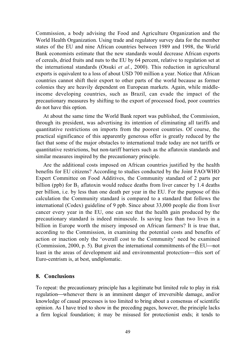Commission, a body advising the Food and Agriculture Organization and the World Health Organization. Using trade and regulatory survey data for the member states of the EU and nine African countries between 1989 and 1998, the World Bank economists estimate that the new standards would decrease African exports of cereals, dried fruits and nuts to the EU by 64 percent, relative to regulation set at the international standards (Otsuki *et al.*, 2000). This reduction in agricultural exports is equivalent to a loss of about USD 700 million a year. Notice that African countries cannot shift their export to other parts of the world because as former colonies they are heavily dependent on European markets. Again, while middleincome developing countries, such as Brazil, can evade the impact of the precautionary measures by shifting to the export of processed food, poor countries do not have this option.

At about the same time the World Bank report was published, the Commission, through its president, was advertising its intention of eliminating all tariffs and quantitative restrictions on imports from the poorest countries. Of course, the practical significance of this apparently generous offer is greatly reduced by the fact that some of the major obstacles to international trade today are not tariffs or quantitative restrictions, but non-tariff barriers such as the aflatoxin standards and similar measures inspired by the precautionary principle.

Are the additional costs imposed on African countries justified by the health benefits for EU citizens? According to studies conducted by the Joint FAO/WHO Expert Committee on Food Additives, the Community standard of 2 parts per billion (ppb) for  $B_1$  aflatoxin would reduce deaths from liver cancer by 1.4 deaths per billion, i.e. by less than one death per year in the EU. For the purpose of this calculation the Community standard is compared to a standard that follows the international (Codex) guideline of 9 ppb. Since about 33,000 people die from liver cancer every year in the EU, one can see that the health gain produced by the precautionary standard is indeed minuscule. Is saving less than two lives in a billion in Europe worth the misery imposed on African farmers? It is true that, according to the Commission, in examining the potential costs and benefits of action or inaction only the 'overall cost to the Community' need be examined (Commission, 2000, p. 5). But given the international commitments of the  $EU$ —not least in the areas of development aid and environmental protection—this sort of Euro-centrism is, at best, undiplomatic.

### **8. Conclusions**

To repeat: the precautionary principle has a legitimate but limited role to play in risk regulation—whenever there is an imminent danger of irreversible damage, and/or knowledge of causal processes is too limited to bring about a consensus of scientific opinion. As I have tried to show in the preceding pages, however, the principle lacks a firm logical foundation; it may be misused for protectionist ends; it tends to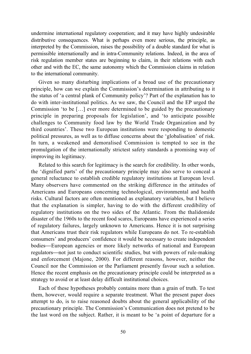undermine international regulatory cooperation; and it may have highly undesirable distributive consequences. What is perhaps even more serious, the principle, as interpreted by the Commission, raises the possibility of a double standard for what is per missible internationally and in intra-Community relations. Indeed, in the area of risk regulation member states are beginning to claim, in their relations with each other and with the EC, the same autonomy which the Commission claims in relation to the international community.

Given so many disturbing implications of a broad use of the precautionary principle, how can we explain the Commission's determination in attributing to it the status of 'a central plank of Community policy'? Part of the explanation has to do with inter-institutional politics. As we saw, the Council and the EP urged the Commission 'to be […] ever more determined to be guided by the precautionary principle in preparing proposals for legislation', and 'to anticipate possible challenges to Community food law by the World Trade Organization and by third countries'. These two European institutions were responding to domestic political pressures, as well as to diffuse concerns about the 'globalisation' of risk. In turn, a weakened and demoralised Commission is tempted to see in the promulgation of the internationally strictest safety standards a promising way of improving its legitimacy.

Related to this search for legitimacy is the search for credibility. In other words, the 'dignified parts' of the precautionary principle may also serve to conceal a general reluctance to establish credible regulatory institutions at European level. Many observers have commented on the striking difference in the attitudes of Americans and Europeans concerning technological, environmental and health risks. Cultural factors are often mentioned as explanatory variables, but I believe that the explanation is simpler, having to do with the different credibility of regulatory institutions on the two sides of the Atlantic. From the thalidomide disaster of the 1960s to the recent food scares, Europeans have experienced a series of regulatory failures, largely unknown to Americans. Hence it is not surprising that Americans trust their risk regulators while Europeans do not. To re-establish consumers' and producers' confidence it would be necessary to create independent bodies—European agencies or more likely networks of national and European regulators-not just to conduct scientific studies, but with powers of rule-making and enforcement (Majone, 2000). For different reasons, however, neither the Council nor the Commission or the Parliament presently favour such a solution. Hence the recent emphasis on the precautionary principle could be interpreted as a strategy to avoid or at least delay difficult institutional choices.

Each of these hypotheses probably contains more than a grain of truth. To test them, however, would require a separate treatment. What the present paper does attempt to do, is to raise reasoned doubts about the general applicability of the precautionary principle. The Commission's Communication does not pretend to be the last word on the subject. Rather, it is meant to be 'a point of departure for a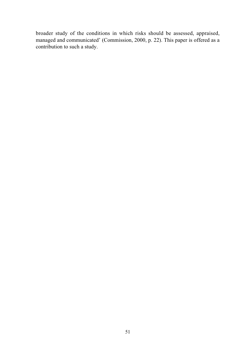broader study of the conditions in which risks should be assessed, appraised, managed and communicated' (Commission, 2000, p. 22). This paper is offered as a contribution to such a study.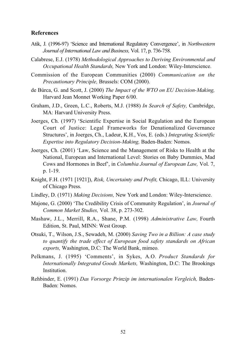#### **References**

- Atik, J. (1996-97) 'Science and International Regulatory Convergence', in *Northwestern Journal of International Law and Business,* Vol. 17, p. 736-758.
- Calabrese, E.J. (1978) *Methodological Approaches to Deriving Environmental and Occupational Health Standards,* New York and London: Wiley-Interscience.
- Commission of the European Communities (2000) *Communication on the Precautionary Principle,* Brussels: COM (2000).
- de Búrca, G. and Scott, J. (2000) *The Impact of the WTO on EU Decision-Making,* Harvard Jean Monnet Working Paper 6/00.
- Graham, J.D., Green, L.C., Roberts, M.J. (1988) *In Search of Safety,* Cambridge, MA: Harvard University Press.
- Joerges, Ch. (1997) 'Scientific Expertise in Social Regulation and the European Court of Justice: Legal Frameworks for Denationalized Governance Structures', in Joerges, Ch., Ladeur, K.H., Vos, E. (eds.) *Integrating Scientific Expertise into Regulatory Decision-Making,* Baden-Baden: Nomos.
- Joerges, Ch. (2001) 'Law, Science and the Management of Risks to Health at the National, European and International Level: Stories on Baby Dummies, Mad Cows and Hormones in Beef', in *Columbia Journal of European Law,* Vol. 7, p. 1-19.
- Knight, F.H. (1971 [1921]), *Risk, Uncertainty and Profit,* Chicago, ILL: University of Chicago Press.
- Lindley, D. (1971) *Making Decisions,* New York and London: Wiley-Interscience.
- Majone, G. (2000) 'The Credibility Crisis of Community Regulation', in *Journal of Common Market Studies,* Vol. 38, p. 273-302.
- Mashaw, J.L., Merrill, R.A., Shane, P.M. (1998) *Administrative Law,* Fourth Edition, St. Paul, MINN: West Group.
- Otsuki, T., Wilson, J.S., Sewadeh, M. (2000) *Saving Two in a Billion: A case study to quantify the trade effect of European food safety standards on African exports,* Washington, D.C: The World Bank, mimeo.
- Pelkmans, J. (1995) 'Comments', in Sykes, A.O. *Product Standards for Internationally Integrated Goods Markets,* Washington, D.C: The Brookings **Institution**
- Rehbinder, E. (1991) *Das Vorsorge Prinzip im internationalen Vergleich,* Baden-Baden: Nomos.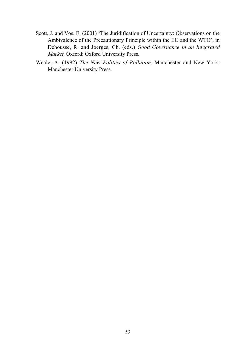- Scott, J. and Vos, E. (2001) 'The Juridification of Uncertainty: Observations on the Ambivalence of the Precautionary Principle within the EU and the WTO', in Dehousse, R. and Joerges, Ch. (eds.) *Good Governance in an Integrated Market,* Oxford: Oxford University Press.
- Weale, A. (1992) *The New Politics of Pollution,* Manchester and New York: Manchester University Press.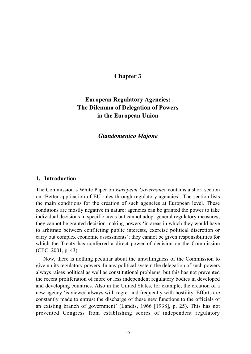# **Chapter 3**

# **European Regulatory Agencies: The Dilemma of Delegation of Powers in the European Union**

#### *Giandomenico Majone*

#### **1. Introduction**

The Commission's White Paper on *European Governance* contains a short section on 'Better application of EU rules through regulatory agencies'. The section lists the main conditions for the creation of such agencies at European level. These conditions are mostly negative in nature: agencies can be granted the power to take individual decisions in specific areas but cannot adopt general regulatory measures; they cannot be granted decision-making powers 'in areas in which they would have to arbitrate between conflicting public interests, exercise political discretion or carry out complex economic assessments'; they cannot be given responsibilities for which the Treaty has conferred a direct power of decision on the Commission (CEC, 2001, p. 43).

Now, there is nothing peculiar about the unwillingness of the Commission to give up its regulatory powers. In any political system the delegation of such powers always raises political as well as constitutional problems, but this has not prevented the recent proliferation of more or less independent regulatory bodies in developed and developing countries. Also in the United States, for example, the creation of a new agency 'is viewed always with regret and frequently with hostility. Efforts are constantly made to entrust the discharge of these new functions to the officials of an existing branch of government' (Landis, 1966 [1938], p. 25). This has not prevented Congress from establishing scores of independent regulatory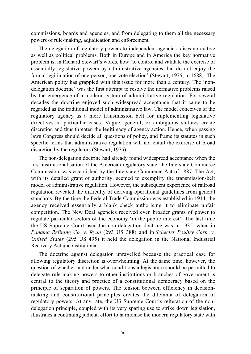commissions, boards and agencies, and from delegating to them all the necessary powers of rule-making, adjudication and enforcement.

The delegation of regulatory powers to independent agencies raises normative as well as political problems. Both in Europe and in America the key normative problem is, in Richard Stewart's words, how 'to control and validate the exercise of essentially legislative powers by administrative agencies that do not enjoy the formal legitimation of one-person, one-vote election' (Stewart, 1975, p. 1688). The American polity has grappled with this issue for more than a century. The 'nondelegation doctrine' was the first attempt to resolve the normative problems raised by the emergence of a modern system of administrative regulation. For several decades the doctrine enjoyed such widespread acceptance that it came to be regarded as the traditional model of administrative law. The model conceives of the regulatory agency as a mere transmission belt for implementing legislative directives in particular cases. Vague, general, or ambiguous statutes create discretion and thus threaten the legitimacy of agency action. Hence, when passing laws Congress should decide all questions of policy, and frame its statutes in such specific terms that administrative regulation will not entail the exercise of broad discretion by the regulators (Stewart, 1975).

The non-delegation doctrine had already found widespread acceptance when the first institutionalisation of the American regulatory state, the Interstate Commerce Commission, was established by the Interstate Commerce Act of 1887. The Act, with its detailed grant of authority, seemed to exemplify the transmission-belt model of administrative regulation. However, the subsequent experience of railroad regulation revealed the difficulty of deriving operational guidelines from general standards. By the time the Federal Trade Commission was established in 1914, the agency received essentially a blank check authorising it to eliminate unfair competition. The New Deal agencies received even broader grants of power to regulate particular sectors of the economy 'in the public interest'. The last time the US Supreme Court used the non-delegation doctrine was in 1935, when in *Panama Refining Co. v. Ryan* (293 US 388) and in *Schecter Poultry Corp. v. United States* (295 US 495) it held the delegation in the National Industrial Recovery Act unconstitutional.

The doctrine against delegation unravelled because the practical case for allowing regulatory discretion is overwhelming. At the same time, however, the question of whether and under what conditions a legislature should be permitted to delegate rule-making powers to other institutions or branches of government is central to the theory and practice of a constitutional democracy based on the principle of separation of powers. The tension between efficiency in decisionmaking and constitutional principles creates the dilemma of delegation of regulatory powers. At any rate, the US Supreme Court's reiteration of the nondelegation principle, coupled with its very sparing use to strike down legislation, illustrates a continuing judicial effort to harmonise the modern regulatory state with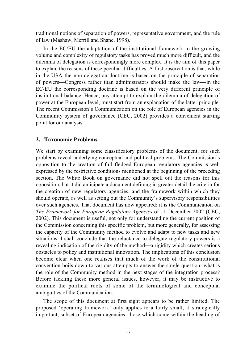traditional notions of separation of powers, representative government, and the rule of law (Mashaw, Merrill and Shane, 1998).

In the EC/EU the adaptation of the institutional framework to the growing volume and complexity of regulatory tasks has proved much more difficult, and the dilemma of delegation is correspondingly more complex. It is the aim of this paper to explain the reasons of these peculiar difficulties. A first observation is that, while in the USA the non-delegation doctrine is based on the principle of separation of powers—Congress rather than administrators should make the law—in the EC/EU the corresponding doctrine is based on the very different principle of institutional balance. Hence, any attempt to explain the dilemma of delegation of power at the European level, must start from an explanation of the latter principle. The recent Commission's Communication on the role of European agencies in the Community system of governance (CEC, 2002) provides a convenient starting point for our analysis.

#### **2. Taxonomic Problems**

We start by examining some classificatory problems of the document, for such problems reveal underlying conceptual and political problems. The Commission's opposition to the creation of full fledged European regulatory agencies is well expressed by the restrictive conditions mentioned at the beginning of the preceding section. The White Book on governance did not spell out the reasons for this opposition, but it did anticipate a document defining in greater detail the criteria for the creation of new regulatory agencies, and the framework within which they should operate, as well as setting out the Community's supervisory responsibilities over such agencies. That document has now appeared: it is the Communication on *The Framework for European Regulatory Agencies* of 11 December 2002 (CEC, 2002). This document is useful, not only for understanding the current position of the Commission concerning this specific problem, but more generally, for assessing the capacity of the Community method to evolve and adapt to new tasks and new situations. I shall conclude that the reluctance to delegate regulatory powers is a revealing indication of the rigidity of the method—a rigidity which creates serious obstacles to policy and institutional innovation. The implications of this conclusion become clear when one realises that much of the work of the constitutional convention boils down to various attempts to answer the single question: what is the role of the Community method in the next stages of the integration process? Before tackling these more general issues, however, it may be instructive to examine the political roots of some of the terminological and conceptual ambiguities of the Communication.

The scope of this document at first sight appears to be rather limited. The proposed 'operating framework' only applies to a fairly small, if strategically important, subset of European agencies: those which come within the heading of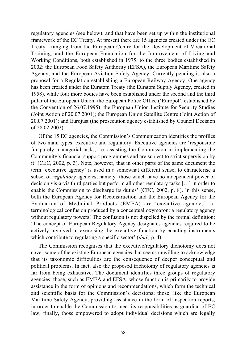regulatory agencies (see below), and that have been set up within the institutional framework of the EC Treaty. At present there are 15 agencies created under the EC Treaty—ranging from the European Centre for the Development of Vocational Training, and the European Foundation for the Improvement of Living and Working Conditions, both established in 1975, to the three bodies established in 2002: the European Food Safety Authority (EFSA), the European Maritime Safety Agency, and the European Aviation Safety Agency. Currently pending is also a proposal for a Regulation establishing a European Railway Agency. One agency has been created under the Euratom Treaty (the Euratom Supply Agency, created in 1958), while four more bodies have been established under the second and the third pillar of the European Union: the European Police Office ('Europol', established by the Convention of 26.07.1995); the European Union Institute for Security Studies (Joint Action of 20.07.2001); the European Union Satellite Centre (Joint Action of 20.07.2001); and Eurojust (the prosecution agency established by Council Decision of 28.02.2002).

Of the 15 EC agencies, the Commission's Communication identifies the profiles of two main types: executive and regulatory. Executive agencies are 'responsible for purely managerial tasks, i.e. assisting the Commission in implementing the Community's financial support programmes and are subject to strict supervision by it' (CEC, 2002, p. 3). Note, however, that in other parts of the same document the term 'executive agency' is used in a somewhat different sense, to characterise a subset of *regulatory* agencies, namely 'those which have no independent power of decision vis-à-vis third parties but perform all other regulatory tasks […] in order to enable the Commission to discharge its duties' (CEC, 2002, p. 8). In this sense, both the European Agency for Reconstruction and the European Agency for the Evaluation of Medicinal Products (EMEA) are 'executive agencies'—a terminological confusion produced by a conceptual oxymoron: a regulatory agency without regulatory powers! The confusion is not dispelled by the formal definition: 'The concept of European Regulatory Agency designates agencies required to be actively involved in exercising the executive function by enacting instruments which contribute to regulating a specific sector' (*ibid.,* p. 4).

The Commission recognises that the executive/regulatory dichotomy does not cover some of the existing European agencies, but seems unwilling to acknowledge that its taxonomic difficulties are the consequence of deeper conceptual and political problems. In fact, also the proposed trichotomy of regulatory agencies is far from being exhaustive. The document identifies three groups of regulatory agencies: those, such as EMEA and EFSA, whose function is primarily to provide assistance in the form of opinions and recommendations, which form the technical and scientific basis for the Commission's decisions; those, like the European Maritime Safety Agency, providing assistance in the form of inspection reports, in order to enable the Commission to meet its responsibilities as guardian of EC law; finally, those empowered to adopt individual decisions which are legally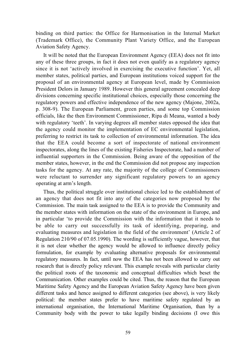binding on third parties: the Office for Harmonisation in the Internal Market (Trademark Office), the Community Plant Variety Office, and the European Aviation Safety Agency.

It will be noted that the European Environment Agency (EEA) does not fit into any of these three groups, in fact it does not even qualify as a regulatory agency since it is not 'actively involved in exercising the executive function'. Yet, all member states, political parties, and European institutions voiced support for the proposal of an environmental agency at European level, made by Commission President Delors in January 1989. However this general agreement concealed deep divisions concerning specific institutional choices, especially those concerning the regulatory powers and effective independence of the new agency (Majone, 2002a, p. 308-9). The European Parliament, green parties, and some top Commission officials, like the then Environment Commissioner, Ripa di Meana, wanted a body with regulatory 'teeth'. In varying degrees all member states opposed the idea that the agency could monitor the implementation of EC environmental legislation, preferring to restrict its task to collection of environmental information. The idea that the EEA could become a sort of inspectorate of national environment inspectorates, along the lines of the existing Fisheries Inspectorate, had a number of influential supporters in the Commission. Being aware of the opposition of the member states, however, in the end the Commission did not propose any inspection tasks for the agency. At any rate, the majority of the college of Commissioners were reluctant to surrender any significant regulatory powers to an agency operating at arm's length.

Thus, the political struggle over institutional choice led to the establishment of an agency that does not fit into any of the categories now proposed by the Commission. The main task assigned to the EEA is to provide the Community and the member states with information on the state of the environment in Europe, and in particular 'to provide the Commission with the information that it needs to be able to carry out successfully its task of identifying, preparing, and evaluating measures and legislation in the field of the environment' (Article 2 of Regulation 210/90 of 07.05.1990). The wording is sufficiently vague, however, that it is not clear whether the agency would be allowed to influence directly policy formulation, for example by evaluating alternative proposals for environmental regulatory measures. In fact, until now the EEA has not been allowed to carry out r esearch that is directly policy relevant. This example reveals with particular clarity the political roots of the taxonomic and conceptual difficulties which beset the Communication. Other examples could be cited. Thus, the reason that the European Maritime Safety Agency and the European Aviation Safety Agency have been given different tasks and hence assigned to different categories (see above), is very likely political: the member states prefer to have maritime safety regulated by an international organisation, the International Maritime Organisation, than by a Community body with the power to take legally binding decisions (I owe this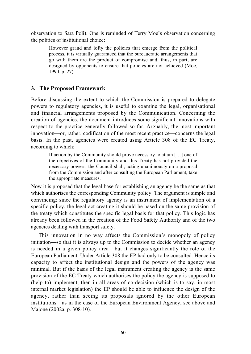observation to Sara Poli). One is reminded of Terry Moe's observation concerning the politics of institutional choice:

However grand and lofty the policies that emerge from the political process, it is virtually guaranteed that the bureaucratic arrangements that go with them are the product of compromise and, thus, in part, are designed by opponents to ensure that policies are not achieved (Moe, 1990, p. 27).

## **3. The Proposed Framework**

Before discussing the extent to which the Commission is prepared to delegate powers to regulatory agencies, it is useful to examine the legal, organisational and financial arrangements proposed by the Communication. Concerning the creation of agencies, the document introduces some significant innovations with respect to the practice generally followed so far. Arguably, the most important innovation—or, rather, codification of the most recent practice—concerns the legal basis. In the past, agencies were created using Article 308 of the EC Treaty, according to which:

If action by the Community should prove necessary to attain […] one of the objectives of the Community and this Treaty has not provided the necessary powers, the Council shall, acting unanimously on a proposal from the Commission and after consulting the European Parliament, take the appropriate measures.

Now it is proposed that the legal base for establishing an agency be the same as that which authorises the corresponding Community policy. The argument is simple and convincing: since the regulatory agency is an instrument of implementation of a specific policy, the legal act creating it should be based on the same provision of the treaty which constitutes the specific legal basis for that policy. This logic has already been followed in the creation of the Food Safety Authority and of the two agencies dealing with transport safety.

This innovation in no way affects the Commission's monopoly of policy initiation—so that it is always up to the Commission to decide whether an agency is needed in a given policy area—but it changes significantly the role of the European Parliament. Under Article 308 the EP had only to be consulted. Hence its capacity to affect the institutional design and the powers of the agency was minimal. But if the basis of the legal instrument creating the agency is the same provision of the EC Treaty which authorises the policy the agency is supposed to (help to) implement, then in all areas of co-decision (which is to say, in most internal market legislation) the EP should be able to influence the design of the agency, rather than seeing its proposals ignored by the other European institutions—as in the case of the European Environment Agency, see above and Majone (2002a, p. 308-10).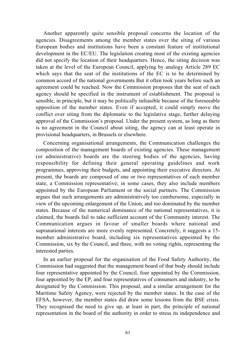Another apparently quite sensible proposal concerns the location of the agencies. Disagreements among the member states over the siting of various European bodies and institutions have been a constant feature of institutional development in the EC/EU. The legislation creating most of the existing agencies did not specify the location of their headquarters. Hence, the siting decision was taken at the level of the European Council, applying by analogy Article 289 EC which says that the seat of the institutions of the EC is to be determined by common accord of the national governments But it often took years before such an agreement could be reached. Now the Commission proposes that the seat of each agency should be specified in the instrument of establishment. The proposal is sensible, in principle, but it may be politically infeasible because of the foreseeable opposition of the member states. Even if accepted, it could simply move the conflict over siting from the diplomatic to the legislative stage, further delaying approval of the Commission's proposal. Under the present system, as long as there is no agreement in the Council about siting, the agency can at least operate in provisional headquarters, in Brussels or elsewhere.

Concerning organisational arrangements, the Communication challenges the composition of the management boards of existing agencies. These management (or administrative) boards are the steering bodies of the agencies, having responsibility for defining their general operating guidelines and work programmes, approving their budgets, and appointing their executive directors. At present, the boards are composed of one or two representatives of each member state, a Commission representative; in some cases, they also include members appointed by the European Parliament or the social partners. The Commission argues that such arrangements are administratively too cumbersome, especially in view of the upcoming enlargement of the Union, and too dominated by the member states. Because of the numerical dominance of the national representatives, it is claimed, the boards fail to take sufficient account of the Community interest. The Communication argues in favour of smaller boards where national and supranational interests are more evenly represented. Concretely, it suggests a 15 member administrative board, including six representatives appointed by the Commission, six by the Council, and three, with no voting rights, representing the interested parties.

In an earlier proposal for the organisation of the Food Safety Authority, the Commission had suggested that the management board of that body should include four representative appointed by the Council, four appointed by the Commission, four appointed by the EP, and four representatives of consumers and industry, to be designated by the Commission. This proposal, and a similar arrangement for the Maritime Safety Agency, were rejected by the member states. In the case of the EFSA, however, the member states did draw some lessons from the BSE crisis. They recognised the need to give up, at least in part, the principle of national representation in the board of the authority in order to stress its independence and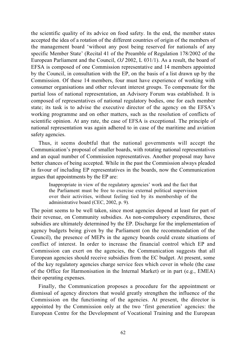the scientific quality of its advice on food safety. In the end, the member states accepted the idea of a rotation of the different countries of origin of the members of the management board 'without any post being reserved for nationals of any specific Member State' (Recital 41 of the Preamble of Regulation 178/2002 of the European Parliament and the Council, *OJ* 2002, L 031/1). As a result, the board of EFSA is composed of one Commission representative and 14 members appointed by the Council, in consultation with the EP, on the basis of a list drawn up by the Commission. Of these 14 members, four must have experience of working with consumer organisations and other relevant interest groups. To compensate for the partial loss of national representation, an Advisory Forum was established. It is composed of representatives of national regulatory bodies, one for each member state; its task is to advise the executive director of the agency on the EFSA's working programme and on other matters, such as the resolution of conflicts of scientific opinion. At any rate, the case of EFSA is exceptional. The principle of national representation was again adhered to in case of the maritime and aviation safety agencies.

Thus, it seems doubtful that the national governments will accept the Communication's proposal of smaller boards, with rotating national representatives and an equal number of Commission representatives. Another proposal may have better chances of being accepted. While in the past the Commission always pleaded in favour of including EP representatives in the boards, now the Communication argues that appointments by the EP are:

Inappropriate in view of the regulatory agencies' work and the fact that the Parliament must be free to exercise external political supervision over their activities, without feeling tied by its membership of the administrative board (CEC, 2002, p. 9).

The point seems to be well taken, since most agencies depend at least for part of their revenue, on Community subsidies. As non-compulsory expenditures, these subsidies are ultimately determined by the EP. Discharge for the implementation of agency budgets being given by the Parliament (on the recommendation of the Council), the presence of MEPs in the agency boards could create situations of conflict of interest. In order to increase the financial control which EP and Commission can exert on the agencies, the Communication suggests that all European agencies should receive subsidies from the EC budget. At present, some of the key regulatory agencies charge service fees which cover in whole (the case of the Office for Harmonisation in the Internal Market) or in part (e.g., EMEA) their operating expenses.

Finally, the Communication proposes a procedure for the appointment or dismissal of agency directors that would greatly strengthen the influence of the Commission on the functioning of the agencies. At present, the director is appointed by the Commission only at the two 'first generation' agencies: the European Centre for the Development of Vocational Training and the European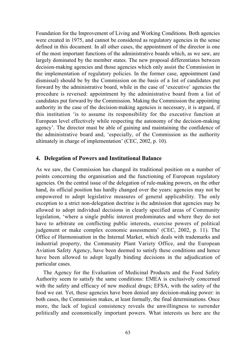Foundation for the Improvement of Living and Working Conditions. Both agencies were created in 1975, and cannot be considered as regulatory agencies in the sense defined in this document. In all other cases, the appointment of the director is one of the most important functions of the administrative boards which, as we saw, are largely dominated by the member states. The new proposal differentiates between decision-making agencies and those agencies which only assist the Commission in the implementation of regulatory policies. In the former case, appointment (and dismissal) should be by the Commission on the basis of a list of candidates put forward by the administrative board, while in the case of 'executive' agencies the procedure is reversed: appointment by the administrative board from a list of candidates put forward by the Commission. Making the Commission the appointing authority in the case of the decision-making agencies is necessary, it is argued, if this institution 'is to assume its responsibility for the executive function at European level effectively while respecting the autonomy of the decision-making agency'. The director must be able of gaining and maintaining the confidence of the administrative board and, 'especially, of the Commission as the authority ultimately in charge of implementation' (CEC, 2002, p. 10).

#### **4. Delegation of Powers and Institutional Balance**

As we saw, the Commission has changed its traditional position on a number of points concerning the organisation and the functioning of European regulatory agencies. On the central issue of the delegation of rule-making powers, on the other hand, its official position has hardly changed over the years: agencies may not be empowered to adopt legislative measures of general applicability. The only exception to a strict non-delegation doctrine is the admission that agencies may be allowed to adopt individual decisions in clearly specified areas of Community legislation, 'where a single public interest predominates and where they do not have to arbitrate on conflicting public interests, exercise powers of political judgement or make complex economic assessments' (CEC, 2002, p. 11). The Office of Harmonisation in the Internal Market, which deals with trademarks and industrial property, the Community Plant Variety Office, and the European Aviation Safety Agency, have been deemed to satisfy these conditions and hence have been allowed to adopt legally binding decisions in the adjudication of particular cases.

The Agency for the Evaluation of Medicinal Products and the Food Safety Authority seem to satisfy the same conditions: EMEA is exclusively concerned with the safety and efficacy of new medical drugs; EFSA, with the safety of the food we eat. Yet, these agencies have been denied any decision-making power: in both cases, the Commission makes, at least formally, the final determinations. Once more, the lack of logical consistency reveals the unwillingness to surrender politically and economically important powers. What interests us here are the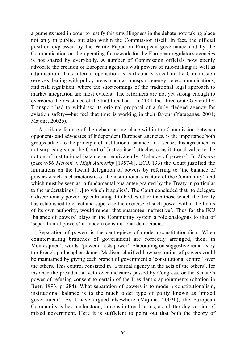arguments used in order to justify this unwillingness in the debate now taking place not only in public, but also within the Commission itself. In fact, the official position expressed by the White Paper on European governance and by the Communication on the operating framework for the European regulatory agencies is not shared by everybody. A number of Commission officials now openly advocate the creation of European agencies with powers of rule-making as well as adjudication. This internal opposition is particularly vocal in the Commission services dealing with policy areas, such as transport, energy, telecommunications, and risk regulation, where the shortcomings of the traditional legal approach to market integration are most evident. The reformers are not yet strong enough to overcome the resistance of the traditionalists—in 2001 the Directorate General for Transport had to withdraw its original proposal of a fully fledged agency for aviation safety—but feel that time is working in their favour (Yataganas, 2001; Majone, 2002b).

A striking feature of the debate taking place within the Commission between opponents and advocates of independent European agencies, is the importance both groups attach to the principle of institutional balance. In a sense, this agreement is not surprising since the Court of Justice itself attaches constitutional value to the notion of institutional balance or, equivalently, 'balance of powers'. In *Meroni* (case 9/56 *Meroni v. High Authority* [1957-8], ECR 133) the Court justified the limitations on the lawful delegation of powers by referring to 'the balance of powers which is characteristic of the institutional structure of the Community', and which must be seen as 'a fundamental guarantee granted by the Treaty in particular to the undertakings [...] to which it applies'. The Court concluded that 'to delegate a discretionary power, by entrusting it to bodies other than those which the Treaty has established to effect and supervise the exercise of such power within the limits of its own authority, would render that guarantee ineffective'. Thus for the ECJ 'balance of powers' plays in the Community system a role analogous to that of 'separation of powers' in modern constitutional democracies.

Separation of powers is the centrepiece of modern constitutionalism. When countervailing branches of government are correctly arranged, then, in Montesquieu's words, 'power arrests power'. Elaborating on suggestive remarks by the French philosopher, James Madison clarified how separation of powers could be maintained by giving each branch of government a 'constitutional control' over the others. This control consisted in 'a partial agency in the acts of the others', for instance the presidential veto over measures passed by Congress, or the Senate's power of refusing consent to certain of the President's appointments (citation in Beer, 1993, p. 284). What separation of powers is to modern constitutionalism, institutional balance is to the much older type of polity known as 'mixed government'. As I have argued elsewhere (Majone, 2002b), the European Community is best understood, in constitutional terms, as a latter-day version of mixed government. Here it is sufficient to point out that both the theory of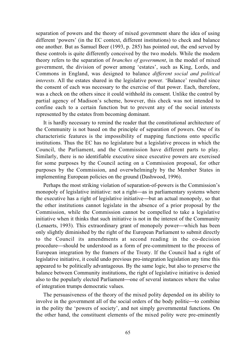separation of powers and the theory of mixed government share the idea of using different 'powers' (in the EC context, different institutions) to check and balance one another. But as Samuel Beer (1993, p. 285) has pointed out, the end served by these controls is quite differently conceived by the two models. While the modern theory refers to the separation of *branches of government*, in the model of mixed government, the division of power among 'estates', such as King, Lords, and Commons in England, was designed to balance *different social and political interests*. All the estates shared in the legislative power. 'Balance' resulted since the consent of each was necessary to the exercise of that power. Each, therefore, was a check on the others since it could withhold its consent. Unlike the control by partial agency of Madison's scheme, however, this check was not intended to confine each to a certain function but to prevent any of the social interests represented by the estates from becoming dominant.

It is hardly necessary to remind the reader that the constitutional architecture of the Community is not based on the principle of separation of powers. One of its characteristic features is the impossibility of mapping functions onto specific institutions. Thus the EC has no legislature but a legislative process in which the Council, the Parliament, and the Commission have different parts to play. Similarly, there is no identifiable executive since executive powers are exercised for some purposes by the Council acting on a Commission proposal, for other purposes by the Commission, and overwhelmingly by the Member States in implementing European policies on the ground (Dashwood, 1996).

Perhaps the most striking violation of separation-of-powers is the Commission's monopoly of legislative initiative: not a right—as in parliamentary systems where the executive has a right of legislative initiative—but an actual monopoly, so that the other institutions cannot legislate in the absence of a prior proposal by the Commission, while the Commission cannot be compelled to take a legislative initiative when it thinks that such initiative is not in the interest of the Community (Lenaerts, 1993). This extraordinary grant of monopoly power—which has been only slightly diminished by the right of the European Parliament to submit directly to the Council its amendments at second reading in the co-decision procedure—should be understood as a form of pre-commitment to the process of European integration by the framers of the Treaty. If the Council had a right of legislative initiative, it could undo previous pro-integration legislation any time this appeared to be politically advantageous. By the same logic, but also to preserve the balance between Community institutions, the right of legislative initiative is denied also to the popularly elected Parliament—one of several instances where the value of integration trumps democratic values.

The persuasiveness of the theory of the mixed polity depended on its ability to involve in the government all of the social orders of the body politic—to combine in the polity the 'powers of society', and not simply governmental functions. On the other hand, the constituent elements of the mixed polity were pre-eminently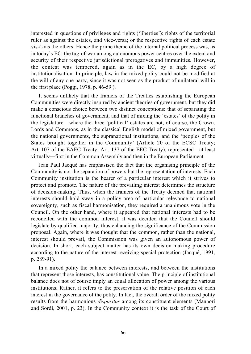interested in questions of privileges and rights ('liberties'): rights of the territorial ruler as against the estates, and vice-versa; or the respective rights of each estate vis-à-vis the others. Hence the prime theme of the internal political process was, as in today's EC, the tug-of-war among autonomous power centres over the extent and security of their respective jurisdictional prerogatives and immunities. However, the contest was tempered, again as in the EC, by a high degree of institutionalisation. In principle, law in the mixed polity could not be modified at the will of any one party, since it was not seen as the product of unilateral will in the first place (Poggi, 1978, p. 46-59 ).

It seems unlikely that the framers of the Treaties establishing the European Communities were directly inspired by ancient theories of government, but they did make a conscious choice between two distinct conceptions: that of separating the functional branches of government, and that of mixing the 'estates' of the polity in the legislaturewhere the three 'political' estates are not, of course, the Crown, Lords and Commons, as in the classical English model of mixed government, but the national governments, the supranational institutions, and the 'peoples of the States brought together in the Community' (Article 20 of the ECSC Treaty; Art. 107 of the EAEC Treaty; Art. 137 of the EEC Treaty), represented—at least virtually—first in the Common Assembly and then in the European Parliament.

Jean Paul Jacqué has emphasised the fact that the organising principle of the Community is not the separation of powers but the representation of interests. Each Community institution is the bearer of a particular interest which it strives to protect and promote. The nature of the prevailing interest determines the structure of decision-making. Thus, when the framers of the Treaty deemed that national interests should hold sway in a policy area of particular relevance to national sovereignty, such as fiscal harmonisation, they required a unanimous vote in the Council. On the other hand, where it appeared that national interests had to be reconciled with the common interest, it was decided that the Council should legislate by qualified majority, thus enhancing the significance of the Commission proposal. Again, where it was thought that the common, rather than the national, interest should prevail, the Commission was given an autonomous power of decision. In short, each subject matter has its own decision-making procedure according to the nature of the interest receiving special protection (Jacqué, 1991, p. 289-91).

In a mixed polity the balance between interests, and between the institutions that represent those interests, has constitutional value. The principle of institutional balance does not of course imply an equal allocation of power among the various institutions. Rather, it refers to the preservation of the relative position of each interest in the governance of the polity. In fact, the overall order of the mixed polity results from the harmonious *disparitas* among its constituent elements (Mannori and Sordi, 2001, p. 23). In the Community context it is the task of the Court of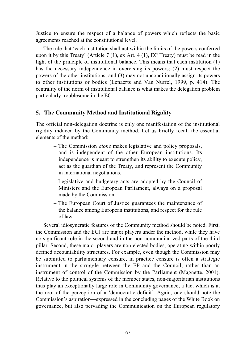Justice to ensure the respect of a balance of powers which reflects the basic agreements reached at the constitutional level.

The rule that 'each institution shall act within the limits of the powers conferred upon it by this Treaty' (Article 7  $(1)$ , ex Art. 4  $(1)$ , EC Treaty) must be read in the light of the principle of institutional balance. This means that each institution (1) has the necessary independence in exercising its powers; (2) must respect the powers of the other institutions; and (3) may not unconditionally assign its powers to other institutions or bodies (Lenaerts and Van Nuffel, 1999, p. 414). The centrality of the norm of institutional balance is what makes the delegation problem particularly troublesome in the EC.

## **5. The Community Method and Institutional Rigidity**

The official non-delegation doctrine is only one manifestation of the institutional rigidity induced by the Community method. Let us briefly recall the essential elements of the method:

- The Commission *alone* makes legislative and policy proposals, and is independent of the other European institutions. Its independence is meant to strengthen its ability to execute policy, act as the guardian of the Treaty, and represent the Community in international negotiations.
- Legislative and budgetary acts are adopted by the Council of Ministers and the European Parliament, always on a proposal made by the Commission.
- The European Court of Justice guarantees the maintenance of the balance among European institutions, and respect for the rule of law.

Several idiosyncratic features of the Community method should be noted. First, the Commission and the ECJ are major players under the method, while they have no significant role in the second and in the non-communitarized parts of the third pillar. Second, these major players are non-elected bodies, operating within poorly defined accountability structures. For example, even though the Commission may be submitted to parliamentary censure, in practice censure is often a strategic instrument in the struggle between the EP and the Council, rather than an instrument of control of the Commission by the Parliament (Magnette, 2001). Relative to the political systems of the member states, non-majoritarian institutions thus play an exceptionally large role in Community governance, a fact which is at the root of the perception of a 'democratic deficit'. Again, one should note the Commission's aspiration—expressed in the concluding pages of the White Book on governance, but also pervading the Communication on the European regulatory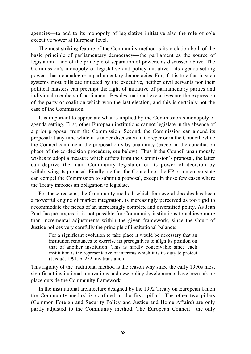agencies—to add to its monopoly of legislative initiative also the role of sole executive power at European level.

The most striking feature of the Community method is its violation both of the basic principle of parliamentary democracy—the parliament as the source of legislation—and of the principle of separation of powers, as discussed above. The Commission's monopoly of legislative and policy initiative—its agenda-setting power—has no analogue in parliamentary democracies. For, if it is true that in such systems most bills are initiated by the executive, neither civil servants nor their political masters can preempt the right of initiative of parliamentary parties and individual members of parliament. Besides, national executives are the expression of the party or coalition which won the last election, and this is certainly not the case of the Commission.

It is important to appreciate what is implied by the Commission's monopoly of agenda setting. First, other European institutions cannot legislate in the absence of a prior proposal from the Commission. Second, the Commission can amend its proposal at any time while it is under discussion in Coreper or in the Council, while the Council can amend the proposal only by unanimity (except in the conciliation phase of the co-decision procedure, see below). Thus if the Council unanimously wishes to adopt a measure which differs from the Commission's proposal, the latter can deprive the main Community legislator of its power of decision by withdrawing its proposal. Finally, neither the Council nor the EP or a member state can compel the Commission to submit a proposal, except in those few cases where the Treaty imposes an obligation to legislate.

For these reasons, the Community method, which for several decades has been a powerful engine of market integration, is increasingly perceived as too rigid to accommodate the needs of an increasingly complex and diversified polity. As Jean Paul Jacqué argues, it is not possible for Community institutions to achieve more than incremental adjustments within the given framework, since the Court of Justice polices very carefully the principle of institutional balance:

For a significant evolution to take place it would be necessary that an institution renounces to exercise its prerogatives to align its position on that of another institution. This is hardly conceivable since each institution is the representative of interests which it is its duty to protect (Jacqué, 1991, p. 252; my translation).

This rigidity of the traditional method is the reason why since the early 1990s most significant institutional innovations and new policy developments have been taking place outside the Community framework.

In the institutional architecture designed by the 1992 Treaty on European Union the Community method is confined to the first 'pillar'. The other two pillars (Common Foreign and Security Policy and Justice and Home Affairs) are only partly adjusted to the Community method. The European Council—the only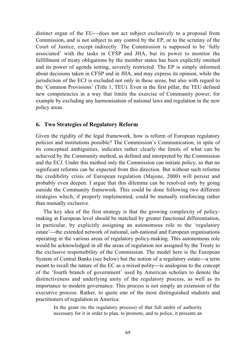distinct organ of the EU—does not act subject exclusively to a proposal from Commission, and is not subject to any control by the EP, or to the scrutiny of the Court of Justice, except indirectly. The Commission is supposed to be 'fully associated' with the tasks in CFSP and JHA, but its power to monitor the fulfillment of treaty obligations by the member states has been explicitly omitted and its power of agenda setting, severely restricted. The EP is simply informed about decisions taken in CFSP and in JHA, and may express its opinion, while the jurisdiction of the ECJ is excluded not only in these areas, but also with regard to the 'Common Provisions' (Title 1, TEU). Even in the first pillar, the TEU defined new competencies in a way that limits the exercise of Community power, for example by excluding any harmonisation of national laws and regulation in the new policy areas.

### **6. Two Strategies of Regulatory Reform**

Given the rigidity of the legal framework, how is reform of European regulatory policies and institutions possible? The Commission's Communication, in spite of its conceptual ambiguities, indicates rather clearly the limits of what can be achieved by the Community method, as defined and interpreted by the Commission and the ECJ. Under this method only the Commission can initiate policy, so that no significant reforms can be expected from this direction. But without such reforms the credibility crisis of European regulation (Majone, 2000) will persist and probably even deepen. I argue that this dilemma can be resolved only by going outside the Community framework. This could be done following two different strategies which, if properly implemented, could be mutually reinforcing rather than mutually exclusive.

The key idea of the first strategy is that the growing complexity of policymaking at European level should be matched by greater functional differentiation, in particular, by explicitly assigning an autonomous role to the 'regulatory estate'—the extended network of national, sub-national and European organisations operating in the various areas of regulatory policy-making. This autonomous role would be acknowledged in all the areas of regulation not assigned by the Treaty to the exclusive responsibility of the Commission. The model here is the European System of Central Banks (see below) but the notion of a regulatory estate—a term meant to recall the nature of the EC as a mixed polity—is analogous to the concept of the 'fourth branch of government' used by American scholars to denote the distinctiveness and underlying unity of the regulatory process, as well as its importance to modern governance. This process is not simply an extension of the executive process. Rather, to quote one of the most distinguished students and practitioners of regulation in America:

In the grant (to the regulatory process) of that full ambit of authority necessary for it in order to plan, to promote, and to police, it presents an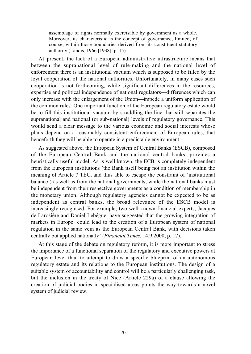assemblage of rights normally exercisable by government as a whole. Moreover, its characteristic is the concept of governance, limited, of course, within those boundaries derived from its constituent statutory authority (Landis, 1966 [1938], p. 15).

At present, the lack of a European administrative infrastructure means that between the supranational level of rule-making and the national level of enforcement there is an institutional vacuum which is supposed to be filled by the loyal cooperation of the national authorities. Unfortunately, in many cases such cooperation is not forthcoming, while significant differences in the resources, expertise and political independence of national regulators—differences which can only increase with the enlargement of the Union—impede a uniform application of the common rules. One important function of the European regulatory estate would be to fill this institutional vacuum by straddling the line that still separates the supranational and national (or sub-national) levels of regulatory governance. This would send a clear message to the various economic and social interests whose plans depend on a reasonably consistent enforcement of European rules, that henceforth they will be able to operate in a predictable environment.

As suggested above, the European System of Central Banks (ESCB), composed of the European Central Bank and the national central banks, provides a heuristically useful model. As is well known, the ECB is completely independent from the European institutions (the Bank itself being not an institution within the meaning of Article 7 TEC, and thus able to escape the constraint of 'institutional balance') as well as from the national governments, while the national banks must be independent from their respective governments as a condition of membership in the monetary union. Although regulatory agencies cannot be expected to be as independent as central banks, the broad relevance of the ESCB model is increasingly recognised. For example, two well known financial experts, Jacques de Larosière and Daniel Lebégue, have suggested that the growing integration of markets in Europe 'could lead to the creation of a European system of national regulation in the same vein as the European Central Bank, with decisions taken centrally but applied nationally' (*Financial Times*, 14.9.2000, p. 17).

At this stage of the debate on regulatory reform, it is more important to stress the importance of a functional separation of the regulatory and executive powers at European level than to attempt to draw a specific blueprint of an autonomous regulatory estate and its relations to the European institutions. The design of a suitable system of accountability and control will be a particularly challenging task, but the inclusion in the treaty of Nice (Article 229a) of a clause allowing the creation of judicial bodies in specialised areas points the way towards a novel system of judicial review.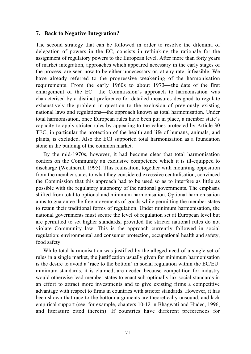#### **7. Back to Negative Integration?**

The second strategy that can be followed in order to resolve the dilemma of delegation of powers in the EC, consists in rethinking the rationale for the assignment of regulatory powers to the European level. After more than forty years of market integration, approaches which appeared necessary in the early stages of the process, are seen now to be either unnecessary or, at any rate, infeasible. We have already referred to the progressive weakening of the harmonisation requirements. From the early 1960s to about 1973—the date of the first enlargement of the EC-the Commission's approach to harmonisation was characterised by a distinct preference for detailed measures designed to regulate exhaustively the problem in question to the exclusion of previously existing national laws and regulations—the approach known as total harmonisation. Under total harmonisation, once European rules have been put in place, a member state's capacity to apply stricter rules by appealing to the values protected by Article 30 TEC, in particular the protection of the health and life of humans, animals, and plants, is excluded. Also the ECJ supported total harmonisation as a foundation stone in the building of the common market.

By the mid-1970s, however, it had become clear that total harmonisation confers on the Community an exclusive competence which it is ill-equipped to discharge (Weatherill, 1995). This realisation, together with mounting opposition from the member states to what they considered excessive centralisation, convinced the Commission that this approach had to be used so as to interfere as little as possible with the regulatory autonomy of the national governments. The emphasis shifted from total to optional and minimum harmonisation. Optional harmonisation aims to guarantee the free movements of goods while permitting the member states to retain their traditional forms of regulation. Under minimum harmonisation, the national governments must secure the level of regulation set at European level but are permitted to set higher standards, provided the stricter national rules do not violate Community law. This is the approach currently followed in social regulation: environmental and consumer protection, occupational health and safety, food safety.

While total harmonisation was justified by the alleged need of a single set of rules in a single market, the justification usually given for minimum harmonisation is the desire to avoid a 'race to the bottom' in social regulation within the EC/EU: minimum standards, it is claimed, are needed because competition for industry would otherwise lead member states to enact sub-optimally lax social standards in an effort to attract more investments and to give existing firms a competitive advantage with respect to firms in countries with stricter standards. However, it has been shown that race-to-the bottom arguments are theoretically unsound, and lack empirical support (see, for example, chapters 10-12 in Bhagwati and Hudec, 1996, and literature cited therein). If countries have different preferences for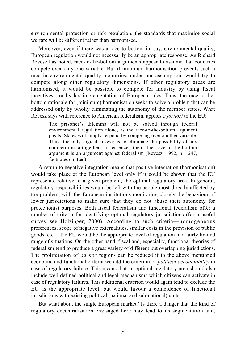environmental protection or risk regulation, the standards that maximise social welfare will be different rather than harmonised.

Moreover, even if there was a race to bottom in, say, environmental quality, European regulation would not necessarily be an appropriate response. As Richard Revesz has noted, race-to-the-bottom arguments appear to assume that countries compete over only one variable. But if minimum harmonisation prevents such a race in environmental quality, countries, under our assumption, would try to compete along other regulatory dimensions. If other regulatory areas are harmonised, it would be possible to compete for industry by using fiscal incentives—or by lax implementation of European rules. Thus, the race-to-thebottom rationale for (minimum) harmonisation seeks to solve a problem that can be addressed only by wholly eliminating the autonomy of the member states. What Revesz says with reference to American federalism, applies *a fortiori* to the EU:

The prisoner's dilemma will not be solved through federal environmental regulation alone, as the race-to-the-bottom argument posits. States will simply respond by competing over another variable. Thus, the only logical answer is to eliminate the possibility of any competition altogether. In essence, then, the race-to-the-bottom argument is an argument against federalism (Revesz, 1992, p. 1247, footnotes omitted).

A return to negative integration means that positive integration (harmonisation) would take place at the European level only if it could be shown that the EU represents, relative to a given problem, the optimal regulatory area. In general, regulatory responsibilities would be left with the people most directly affected by the problem, with the European institutions monitoring closely the behaviour of lower jurisdictions to make sure that they do not abuse their autonomy for protectionist purposes. Both fiscal federalism and functional federalism offer a number of criteria for identifying optimal regulatory jurisdictions (for a useful survey see Holzinger, 2000). According to such criteria-homogeneous preferences, scope of negative externalities, similar costs in the provision of public goods, etc.—the EU would be the appropriate level of regulation in a fairly limited range of situations. On the other hand, fiscal and, especially, functional theories of federalism tend to produce a great variety of different but overlapping jurisdictions. The proliferation of *ad hoc* regions can be reduced if to the above mentioned economic and functional criteria we add the criterion of *political accountability* in case of regulatory failure. This means that an optimal regulatory area should also include well defined political and legal mechanisms which citizens can activate in case of regulatory failures. This additional criterion would again tend to exclude the EU as the appropriate level, but would favour a coincidence of functional jurisdictions with existing political (national and sub-national) units.

But what about the single European market? Is there a danger that the kind of regulatory decentralisation envisaged here may lead to its segmentation and,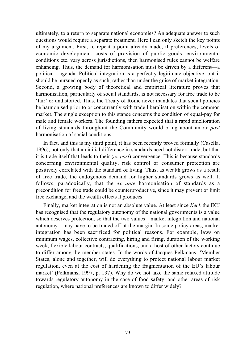ultimately, to a return to separate national economies? An adequate answer to such questions would require a separate treatment. Here I can only sketch the key points of my argument. First, to repeat a point already made, if preferences, levels of economic development, costs of provision of public goods, environmental conditions etc. vary across jurisdictions, then harmonised rules cannot be welfare enhancing. Thus, the demand for harmonisation must be driven by a different—a political—agenda. Political integration is a perfectly legitimate objective, but it should be pursued openly as such, rather than under the guise of market integration. Second, a growing body of theoretical and empirical literature proves that harmonisation, particularly of social standards, is not necessary for free trade to be 'fair' or undistorted. Thus, the Treaty of Rome never mandates that social policies be harmonised prior to or concurrently with trade liberalisation within the common market. The single exception to this stance concerns the condition of equal-pay for male and female workers. The founding fathers expected that a rapid amelioration of living standards throughout the Community would bring about an *ex post* harmonisation of social conditions.

In fact, and this is my third point, it has been recently proved formally (Casella, 1996), not only that an initial difference in standards need not distort trade, but that it is trade itself that leads to their (*ex post*) convergence. This is because standards concerning environmental quality, risk control or consumer protection are positively correlated with the standard of living. Thus, as wealth grows as a result of free trade, the endogenous demand for higher standards grows as well. It follows, paradoxically, that the *ex ante* harmonisation of standards as a precondition for free trade could be counterproductive, since it may prevent or limit free exchange, and the wealth effects it produces.

Finally, market integration is not an absolute value. At least since *Keck* the ECJ has recognised that the regulatory autonomy of the national governments is a value which deserves protection, so that the two values—market integration and national autonomy—may have to be traded off at the margin. In some policy areas, market integration has been sacrificed for political reasons. For example, laws on minimum wages, collective contracting, hiring and firing, duration of the working week, flexible labour contracts, qualifications, and a host of other factors continue to differ among the member states. In the words of Jacques Pelkmans: 'Member States, alone and together, will do everything to protect national labour market regulation, even at the cost of hardening the fragmentation of the EU's labour market' (Pelkmans, 1997, p. 137). Why do we not take the same relaxed attitude towards regulatory autonomy in the case of food safety, and other areas of risk regulation, where national preferences are known to differ widely?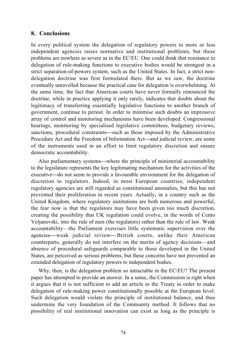## **8. Conclusions**

In every political system the delegation of regulatory powers to more or less independent agencies raises normative and institutional problems, but these problems are nowhere as severe as in the EC/EU. One could think that resistance to delegation of rule-making functions to executive bodies would be strongest in a strict separation-of-powers system, such as the United States. In fact, a strict nondelegation doctrine was first formulated there. But as we saw, the doctrine eventually unravelled because the practical case for delegation is overwhelming. At the same time, the fact that American courts have never formally renounced the doctrine, while in practice applying it only rarely, indicates that doubts about the legitimacy of transferring essentially legislative functions to another branch of government, continue to persist. In order to minimise such doubts an impressive array of control and monitoring mechanisms have been developed. Congressional hearings, monitoring by specialised legislative committees, budgetary reviews, sanctions, procedural constraints—such as those imposed by the Administrative Procedure Act and the Freedom of Information Act—and judicial review, are some of the instruments used in an effort to limit regulatory discretion and ensure democratic accountability.

Also parliamentary systems—where the principle of ministerial accountability to the legislature represents the key legitimating mechanism for the activities of the executive—do not seem to provide a favourable environment for the delegation of discretion to regulators. Indeed, in most European countries, independent regulatory agencies are still regarded as constitutional anomalies, but this has not prevented their proliferation in recent years. Actually, in a country such as the United Kingdom, where regulatory institutions are both numerous and powerful, the fear now is that the regulators may have been given too much discretion, creating the possibility that UK regulation could evolve, in the words of Cento Veljanovski, into the rule of men (the regulators) rather than the rule of law. Weak accountability—the Parliament exercises little systematic supervision over the agencies—weak judicial review—British courts, unlike their American counterparts, generally do not interfere on the merits of agency decisions—and absence of procedural safeguards comparable to those developed in the United States, are perceived as serious problems, but these concerns have not prevented an extended delegation of regulatory powers to independent bodies.

Why, then, is the delegation problem so intractable in the EC/EU? The present paper has attempted to provide an answer. In a sense, the Commission is right when it argues that it is not sufficient to add an article to the Treaty in order to make delegation of rule-making power constitutionally possible at the European level. Such delegation would violate the principle of institutional balance, and thus undermine the very foundation of the Community method. It follows that no possibility of real institutional innovation can exist as long as the principle is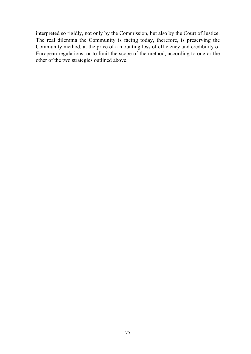interpreted so rigidly, not only by the Commission, but also by the Court of Justice. The real dilemma the Community is facing today, therefore, is preserving the Community method, at the price of a mounting loss of efficiency and credibility of European regulations, or to limit the scope of the method, according to one or the other of the two strategies outlined above.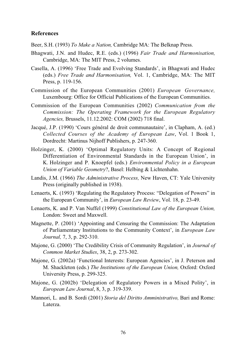## **References**

Beer, S.H. (1993) *To Make a Nation,* Cambridge MA: The Belknap Press.

- Bhagwati, J.N. and Hudec, R.E. (eds.) (1996) *Fair Trade and Harmonisation,* Cambridge, MA: The MIT Press, 2 volumes.
- Casella, A. (1996) 'Free Trade and Evolving Standards', in Bhagwati and Hudec (eds.) *Free Trade and Harmonisation,* Vol. 1, Cambridge, MA: The MIT Press, p. 119-156.
- Commission of the European Communities (2001) *European Governance,* Luxembourg: Office for Official Publications of the European Communities.
- Commission of the European Communities (2002) *Communication from the Commission: The Operating Framework for the European Regulatory Agencies,* Brussels, 11.12.2002: COM (2002) 718 final.
- Jacqué, J.P. (1990) 'Cours général de droit communautaire', in Clapham, A. (ed.) *Collected Courses of the Academy of European Law*, Vol. 1 Book 1, Dordrecht: Martinus Nijhoff Publishers, p. 247-360.
- Holzinger, K. (2000) 'Optimal Regulatory Units: A Concept of Regional Differentiation of Environmental Standards in the European Union', in K. Holzinger and P. Knoepfel (eds.) *Environmental Policy in a European Union of Variable Geometry*?, Basel: Helbing & Lichtenhahn.
- Landis, J.M. (1966) *The Administrative Process,* New Haven, CT: Yale University Press (originally published in 1938).
- Lenaerts, K. (1993) 'Regulating the Regulatory Process: "Delegation of Powers" in the European Community', in *European Law Review*, Vol. 18, p. 23-49.
- Lenaerts, K. and P. Van Nuffel (1999) *Constitutional Law of the European Union,* London: Sweet and Maxwell.
- Magnette, P. (2001) 'Appointing and Censuring the Commission: The Adaptation of Parliamentary Institutions to the Community Context', in *European Law Journal,* 7, 3, p. 292-310.
- Majone, G. (2000) 'The Credibility Crisis of Community Regulation', in *Journal of Common Market Studies*, 38, 2, p. 273-302.
- Majone, G. (2002a) 'Functional Interests: European Agencies', in J. Peterson and M. Shackleton (eds.) *The Institutions of the European Union,* Oxford: Oxford University Press, p. 299-325.
- Majone, G. (2002b) 'Delegation of Regulatory Powers in a Mixed Polity', in *European Law Journal*, 8, 3, p. 319-339.
- Mannori, L. and B. Sordi (2001) *Storia del Diritto Amministrativo,* Bari and Rome: Laterza.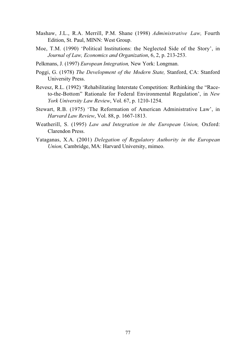- Mashaw, J.L., R.A. Merrill, P.M. Shane (1998) *Administrative Law,* Fourth Edition, St. Paul, MINN: West Group.
- Moe, T.M. (1990) 'Political Institutions: the Neglected Side of the Story', in *Journal of Law, Economics and Organization*, 6, 2, p. 213-253.
- Pelkmans, J. (1997) *European Integration,* New York: Longman.
- Poggi, G. (1978) *The Development of the Modern State,* Stanford, CA: Stanford University Press.
- Revesz, R.L. (1992) 'Rehabilitating Interstate Competition: Rethinking the "Raceto-the-Bottom" Rationale for Federal Environmental Regulation', in *New York University Law Review*, Vol. 67, p. 1210-1254.
- Stewart, R.B. (1975) 'The Reformation of American Administrative Law', in *Harvard Law Review*, Vol. 88, p. 1667-1813.
- Weatherill, S. (1995) *Law and Integration in the European Union,* Oxford: Clarendon Press.
- Yataganas, X.A. (2001) *Delegation of Regulatory Authority in the European Union,* Cambridge, MA: Harvard University, mimeo.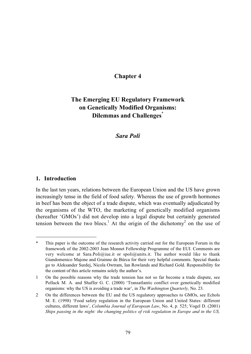## **Chapter 4**

# **The Emerging EU Regulatory Framework on Genetically Modified Organisms: Dilemmas and Challenges**\*

## *Sara Poli*

## **1. Introduction**

 $\overline{a}$ 

In the last ten years, relations between the European Union and the US have grown increasingly tense in the field of food safety. Whereas the use of growth hormones in beef has been the object of a trade dispute, which was eventually adjudicated by the organisms of the WTO, the marketing of genetically modified organisms (hereafter 'GMOs') did not develop into a legal dispute but certainly generated tension between the two blocs.<sup>1</sup> At the origin of the dichotomy<sup>2</sup> on the use of

This paper is the outcome of the research activity carried out for the European Forum in the framework of the 2002-2003 Jean Monnet Fellowship Programme of the EUI. Comments are very welcome at Sara.Poli@iue.it or spoli@units.it. The author would like to thank Giandomenico Majone and Grainne de Búrca for their very helpful comments. Special thanks go to Aleksander Surdej, Nicola Owtram, Ian Rowlands and Richard Gold. Responsibility for the content of this article remains solely the author's.

<sup>1</sup> On the possible reasons why the trade tension has not so far become a trade dispute, see Pollack M. A. and Shaffer G. C. (2000) 'Transatlantic conflict over genetically modified organisms: why the US is avoiding a trade war', in *The Washington Quarterly,* No. 23.

<sup>2</sup> On the differences between the EU and the US regulatory approaches to GMOs, see Echols M. E. (1998) 'Food safety regulation in the European Union and United States: different cultures, different laws', *Columbia Journal of European Law*, No. 4, p. 525; Vogel D. (2001) *Ships passing in the night: the changing politics of risk regulation in Europe and in the US,*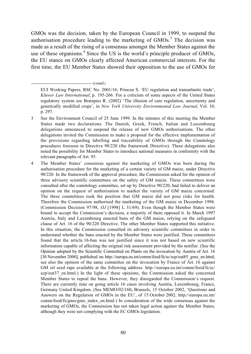GMOs was the decision, taken by the European Council in 1999, to suspend the authorisation procedure leading to the marketing of GMOs.<sup>3</sup> The decision was made as a result of the rising of a consensus amongst the Member States against the use of these organisms.<sup>4</sup> Since the US is the world's principle producer of GMOs, the EU stance on GMOs clearly affected American commercial interests. For the first time, the EU Member States showed their opposition to the use of GMOs for

*(contd.)*

- 3 See the Environment Council of 25 June 1999. In the minutes of this meeting the Member States made two declarations. The Danish, Greek, French, Italian and Luxembourg delegations announced to suspend the release of new GMOs authorisations. The other delegations invited the Commission to make a proposal for the effective implementation of the provisions regarding labelling and traceability of GMOs through the Comitology procedures foreseen in Directive 90/220 (the framework Directive). These delegations also noted the possibility for Member States to introduce national measures in conformity with the relevant paragraphs of Art. 95.
- 4 The Member States' consensus against the marketing of GMOs was born during the authorisation procedure for the marketing of a certain variety of GM maize, under Directive 90/220. In the framework of the approval procedure, the Commission asked for the opinion of three advisory scientific committees on the safety of GM maize. These committees were consulted after the comitology committee, set up by Directive 90/220, had failed to deliver an opinion on the request of authorisation to market the variety of GM maize concerned. The three committees took the position that GM maize did not pose risks for health. Therefore the Commission authorised the marketing of the GM maize in December 1996. (Commission Decision 97/98, *OJ* [1998] L 31/69). Even though the Member States were bound to accept the Commission's decision, a majority of them opposed it. In March 1997 Austria, Italy and Luxembourg enacted bans of the GM maize, relying on the safeguard clause of Art. 16 of the 90/220 Directive. The other Member States supported this initiative. In this situation, the Commission consulted its advisory scientific committees in order to understand whether the bans enacted by the Member States were justified. These committees found that the article 16-ban was not justified since it was not based on new scientific information capable of affecting the original risk assessment provided by the notifier. (See the Opinion adopted by the Scientific Committed on Plants on the invocation by Austria of Art. 16 [30 November 2000], published on http://europa.eu.int/comm/food/fs/sc/scp/out85\_gmo\_en.html; see also the opinion of the same committee on the invocation by France of Art. 16 against GM oil seed rape available at the following address: http://europa.eu.int/comm/food/fs/sc/ scp/out37 en.html.) In the light of these opinions, the Commission asked the concerned Member States to repeal the bans. However, they disregarded the Commission's request. There are currently nine on going article 16 cases involving Austria, Luxembourg, France, Germany United Kingdom. (See MEMO/02/160**,** Brussels, 15 October 2002, 'Questions and Answers on the Regulation of GMOs in the EU', of 15 October 2002, http://europa.eu.int/ comm/food/fs/gmo/gmo\_index\_en.html.) In consideration of the wide consensus against the marketing of GMOs, the Commission has not taken legal action against the Member States, although they were not complying with the EC GMOs legislation.

EUI Working Papers, RSC No. 2001/16; Princen S. 'EU regulation and transatlantic trade', *Kluwer Law International*, p. 195-266. For a criticism of some aspects of the United States regulatory system see Bratspies R. (2002) 'The illusion of care regulation, uncertainty and genetically modified crops', in *New York University Environmental Law Journal*, Vol. 10, p. 297.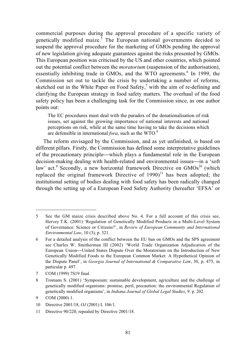commercial purposes during the approval procedure of a specific variety of genetically modified maize.<sup>5</sup> The European national governments decided to suspend the approval procedure for the marketing of GMOs pending the approval of new legislation giving adequate guarantees against the risks presented by GMOs. This European position was criticised by the US and other countries, which pointed out the potential conflict between the *moratorium* (suspension of the authorisation), essentially inhibiting trade in GMOs, and the WTO agreements.<sup>6</sup> In 1999, the Commission set out to tackle the crisis by undertaking a number of reforms, sketched out in the White Paper on Food Safety,<sup>7</sup> with the aim of re-defining and clarifying the European strategy in food safety matters. The overhaul of the food safety policy has been a challenging task for the Commission since, as one author points out:

The EC procedures must deal with the paradox of the denationalisation of risk issues, set against the growing importance of national interests and national perceptions on risk, while at the same time having to take the decisions which are defensible in international *fora*, such as the WTO.<sup>8</sup>

The reform envisaged by the Commission, and as yet unfinished, is based on different pillars. Firstly, the Commission has defined some interpretative guidelines of the precautionary principlewhich plays a fundamental role in the European decision-making dealing with health-related and environmental issues—in a 'soft law' act.<sup>9</sup> Secondly, a new horizontal framework Directive on GMOs<sup>10</sup> (which replaced the original framework Directive of  $1990$ <sup>11</sup> has been adopted; the institutional setting of bodies dealing with food safety has been radically changed through the setting up of a European Food Safety Authority (hereafter 'EFSA' or

<sup>5</sup> See the GM maize crisis described above No. 4. For a full account of this crisis see, Hervey T.K. (2001) 'Regulation of Genetically Modified Products in a Multi-Level System of Governance: Science or Citizens?', in *Review of European Community and International Environmental Law*, 10 (3), p. 321.

<sup>6</sup> For a detailed analysis of the conflict between the EU ban on GMOs and the SPS agreement see Charles W. Smitherman III (2002) 'World Trade Organization Adjudication of the European Union—United States Dispute Over the Moratorium on the Introduction of New Genetically Modified Foods to the European Common Market: A Hypothetical Opinion of the Dispute Panel', in *Georgia Journal of International & Comparative La*w, 30, p. 475, in particular p. 497.

<sup>7</sup> COM (1999) 7S19 final.

<sup>8</sup> Tromans S. (2001) 'Symposium: sustainable development, agriculture and the challenge of genetically modified organisms: promise, peril, precaution: the environmental Regulation of genetically modified organisms', in *Indiana Journal of Global Legal Studies*, 9. p. 202.

<sup>9</sup> COM (2000) 1.

<sup>10</sup> Directive 2001/18, *OJ* (2001) L 106/1.

<sup>11</sup> Directive 90/220, repealed by Directive 2001/18.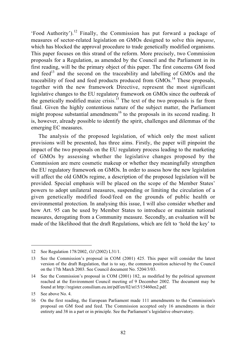'Food Authority').<sup>12</sup> Finally, the Commission has put forward a package of measures of sector-related legislation on GMOs designed to solve this *impasse*, which has blocked the approval procedure to trade genetically modified organisms. This paper focuses on this strand of the reform. More precisely, two Commission proposals for a Regulation, as amended by the Council and the Parliament in its first reading, will be the primary object of this paper. The first concerns GM food and feed<sup>13</sup> and the second on the traceability and labelling of GMOs and the traceability of food and feed products produced from GMOs.<sup>14</sup> These proposals, together with the new framework Directive, represent the most significant legislative changes to the EU regulatory framework on GMOs since the outbreak of the genetically modified maize crisis.<sup>15</sup> The text of the two proposals is far from final. Given the highly contentious nature of the subject matter, the Parliament might propose substantial amendments<sup>16</sup> to the proposals in its second reading. It is, however, already possible to identify the spirit, challenges and dilemmas of the emerging EC measures.

The analysis of the proposed legislation, of which only the most salient provisions will be presented, has three aims. Firstly, the paper will pinpoint the impact of the two proposals on the EU regulatory process leading to the marketing of GMOs by assessing whether the legislative changes proposed by the Commission are mere cosmetic makeup or whether they meaningfully strengthen the EU regulatory framework on GMOs. In order to assess how the new legislation will affect the old GMOs regime, a description of the proposed legislation will be provided. Special emphasis will be placed on the scope of the Member States' powers to adopt unilateral measures, suspending or limiting the circulation of a given genetically modified food/feed on the grounds of public health or environmental protection. In analysing this issue, I will also consider whether and how Art. 95 can be used by Member States to introduce or maintain national measures, derogating from a Community measure. Secondly, an evaluation will be made of the likelihood that the draft Regulations, which are felt to 'hold the key' to

<sup>12</sup> See Regulation 178/2002, *OJ* (2002) L31/1.

<sup>13</sup> See the Commission's proposal in COM (2001) 425. This paper will consider the latest version of the draft Regulation, that is to say, the common position achieved by the Council on the 17th March 2003. See Council document No. 5204/3/03.

<sup>14</sup> See the Commission's proposal in COM (2001) 182, as modified by the political agreement reached at the Environment Council meeting of 9 December 2002. The document may be found at http://register.consilium.eu.int/pdf/en/02/st15/15460en2.pdf.

<sup>15</sup> See above No. 4.

<sup>16</sup> On the first reading, the European Parliament made 111 amendments to the Commission's proposal on GM food and feed. The Commission accepted only 16 amendments in their entirety and 38 in a part or in principle. See the Parliament's legislative observatory.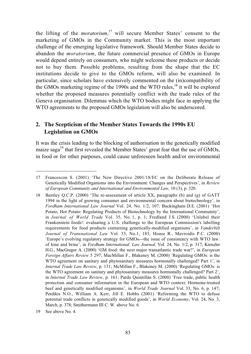the lifting of the *moratorium*, <sup>17</sup> will secure Member States' consent to the marketing of GMOs in the Community market. This is the most important challenge of the emerging legislative framework. Should Member States decide to abandon the *moratorium*, the future commercial presence of GMOs in Europe would depend entirely on consumers, who might welcome these products or decide not to buy them. Possible problems, resulting from the shape that the EC institutions decide to give to the GMOs reform, will also be examined. In particular, since scholars have extensively commented on the (in)compatibility of the GMOs marketing regime of the 1990s and the WTO rules, $^{18}$  it will be explored whether the proposed measures potentially conflict with the trade rules of the Geneva organisation. Dilemmas which the WTO bodies might face in applying the WTO agreements to the proposed GMOs legislation will also be underscored.

## **2. The Scepticism of the Member States Towards the 1990s EU Legislation on GMOs**

It was the crisis leading to the blocking of authorisation in the genetically modified maize saga $^{19}$  that first revealed the Member States' great fear that the use of GMOs, in food or for other purposes, could cause unforeseen health and/or environmental

<sup>17</sup> Francescon S. (2001) 'The New Directive 2001/18/EC on the Deliberate Release of Genetically Modified Organisms into the Environment: Changes and Perspectives', in *Review of European Community and International and Environmental Law,* 10 (3), p. 320.

<sup>18</sup> Bentley Q.C.P. (2000) 'The re-assessment of article XX, paragraphs (b) and (g) of GATT 1994 in the light of growing consumer and environmental concern about biotechnology', in *Fordham International Law Journal* Vol. 24, No. 1/2, 107*;* Buckingham D.E. (2001) 'Hot Potato, Hot Potato: Regulating Products of Biotechnology by the International Community', in *Journal of World Trade* Vol. 35, No. 1, p. 1; Fredland J.S. (2000) 'Unlabel their Frankenstein foods!: evaluating a U.S. challenge to the European Commission's labelling requirements for food products containing genetically-modified organisms', in *Vanderbilt Journal of Transnational Law* Vol. 33, No.1, 183; House R., Mavroidis P.C. (2000) 'Europe's evolving regulatory strategy for GMOs—the issue of consistency with WTO law: of kine and brine', in *Fordham International. Law Journal*, Vol. 24, No. 1/2, p. 317; Krenzler H.G., MacGregor A. (2000) 'GM food: the next major transatlantic trade war?', in *European Foreign Affairs Review* 5 297; MacMillan F., Blakeney M. (2000) 'Regulating GMOs: is the WTO agreement on sanitary and phytosanitary measures hormonally challenged? Part 1', in *Internal Trade Law Review*, p. 131; McMillan F., Blakeney M. (2000) 'Regulating GMOs: is the WTO agreement on sanitary and phytosanitary measures hormonally challenged? Part 2', in *Internal Trade Law Review*, p. 161; Pardo Quintillán S. (2000) 'Free trade, public health protection and consumer information in the European and WTO context: Hormone-treated beef and genetically modified organisms', in *World Trade Journal* Vol. 33, No. 6, p. 147; Perdikis N.O., William A. Kerr, Jill E. Hobbs (2001) 'Reforming the WTO to defuse potential trade conflicts in genetically modified goods', in *World Economy*, Vol. 24, No. 3, March, p. 378; Smithermann III C. W. above No. 6.

<sup>19</sup> See above No. 4.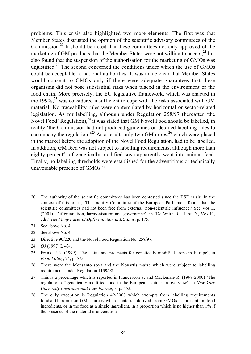problems. This crisis also highlighted two more elements. The first was that Member States distrusted the opinion of the scientific advisory committees of the Commission.<sup>20</sup> It should be noted that these committees not only approved of the marketing of GM products that the Member States were not willing to accept, $^{21}$  but also found that the suspension of the authorisation for the marketing of GMOs was unjustified.<sup>22</sup> The second concerned the conditions under which the use of GMOs could be acceptable to national authorities. It was made clear that Member States would consent to GMOs only if there were adequate guarantees that these organisms did not pose substantial risks when placed in the environment or the food chain. More precisely, the EU legislative framework, which was enacted in the  $1990s$ ,<sup>23</sup> was considered insufficient to cope with the risks associated with GM material. No traceability rules were contemplated by horizontal or sector-related legislation. As for labelling, although under Regulation 258/97 (hereafter 'the Novel Food' Regulation), $^{24}$  it was stated that GM Novel Food should be labelled, in reality 'the Commission had not produced guidelines on detailed labelling rules to accompany the regulation.<sup>25</sup> As a result, only two GM crops,<sup>26</sup> which were placed in the market before the adoption of the Novel Food Regulation, had to be labelled. In addition, GM feed was not subject to labelling requirements, although more than eighty percent<sup>27</sup> of genetically modified soya apparently went into animal feed. Finally, no labelling thresholds were established for the adventitious or technically unavoidable presence of  $GMOs.<sup>28</sup>$ 

<sup>20</sup> The authority of the scientific committees has been contested since the BSE crisis. In the context of this crisis, 'The Inquiry Committee of the European Parliament found that the scientific committees had not been free from external, non-scientific influence.' See Vos E. (2001) 'Differentiation, harmonisation and governance', in (De Witte B., Hanf D., Vos E., eds.) *The Many Faces of Differentiation in EU Law*, p. 175.

<sup>21</sup> See above No. 4.

<sup>22</sup> See above No. 4.

<sup>23</sup> Directive 90/220 and the Novel Food Regulation No. 258/97.

<sup>24</sup> *OJ* (1997) L 43/1.

<sup>25</sup> Franks J.R. (1999) 'The status and prospects for genetically modified crops in Europe', in *Food Policy*, 24, p. 573.

<sup>26</sup> These were the Monsanto soya and the Novartis maize which were subject to labelling requirements under Regulation 1139/98.

<sup>27</sup> This is a percentage which is reported in Francescon S. and Mackenzie R. (1999-2000) 'The regulation of genetically modified food in the European Union: an overview', in *New York University Environmental Law Journal*, 8, p. 553.

<sup>28</sup> The only exception is Regulation 49/2000 which exempts from labelling requirements foodstuff from non-GM sources where material derived from GMOs is present in food ingredients, or in the food as a single ingredient, in a proportion which is no higher than 1% if the presence of the material is adventitious.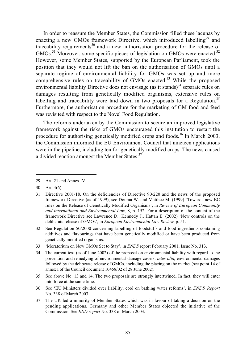In order to reassure the Member States, the Commission filled these lacunas by enacting a new GMOs framework Directive, which introduced labelling<sup>29</sup> and traceability requirements<sup>30</sup> and a new authorisation procedure for the release of GMOs.<sup>31</sup> Moreover, some specific pieces of legislation on GMOs were enacted.<sup>32</sup> However, some Member States, supported by the European Parliament, took the position that they would not lift the ban on the authorisation of GMOs until a separate regime of environmental liability for GMOs was set up and more comprehensive rules on traceability of GMOs enacted.<sup>33</sup> While the proposed environmental liability Directive does not envisage (as it stands)<sup>34</sup> separate rules on damages resulting from genetically modified organisms, extensive rules on labelling and traceability were laid down in two proposals for a Regulation.<sup>35</sup> Furthermore, the authorisation procedure for the marketing of GM food and feed was revisited with respect to the Novel Food Regulation.

The reforms undertaken by the Commission to secure an improved legislative framework against the risks of GMOs encouraged this institution to restart the procedure for authorising genetically modified crops and foods.<sup>36</sup> In March 2003, the Commission informed the EU Environment Council that nineteen applications were in the pipeline, including ten for genetically modified crops. The news caused a divided reaction amongst the Member States.<sup>37</sup>

 $\overline{a}$ 

32 See Regulation 50/2000 concerning labelling of foodstuffs and food ingredients containing additives and flavourings that have been genetically modified or have been produced from genetically modified organisms.

- 33 'Moratorium on New GMOs Set to Stay', in *ENDS* report February 2001, Issue No. 313.
- 34 The current text (as of June 2002) of the proposal on environmental liability with regard to the prevention and remedying of environmental damage covers, *inter alia*, environmental damages followed by the deliberate release of GMOs, including the placing on the market (see point 14 of annex I of the Council document 10458/02 of 28 June 2002).
- 35 See above No. 13 and 14. The two proposals are strongly intertwined. In fact, they will enter into force at the same time.
- 36 See 'EU Ministers divided over liability, cool on bathing water reforms', in *ENDS Report* No. 338 of March 2003.
- 37 The UK led a minority of Member States which was in favour of taking a decision on the pending applications. Germany and other Member States objected the initiative of the Commission. See *END report* No. 338 of March 2003.

<sup>29</sup> Art. 21 and Annex IV.

<sup>30</sup> Art. 4(6).

<sup>31</sup> Directive 2001/18. On the deficiencies of Directive 90/220 and the news of the proposed framework Directive (as of 1999), see Douma W. and Matthee M. (1999) 'Towards new EC rules on the Release of Genetically Modified Organisms', in *Review of European Community and International and Environmental Law,* 8, p. 152. For a description of the content of the framework Directive see Lawrence D., Kennedy J., Hattan E. (2002) 'New controls on the deliberate release of GMOs', in *European Environmental Law Review*, p. 51.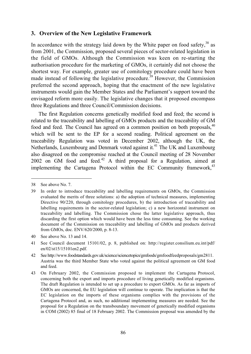### **3. Overview of the New Legislative Framework**

In accordance with the strategy laid down by the White paper on food safety, $38$  as from 2001, the Commission, proposed several pieces of sector-related legislation in the field of GMOs. Although the Commission was keen on re-starting the authorisation procedure for the marketing of GMOs, it certainly did not choose the shortest way. For example, greater use of comitology procedure could have been made instead of following the legislative procedure.<sup>39</sup> However, the Commission preferred the second approach, hoping that the enactment of the new legislative instruments would gain the Member States and the Parliament's support toward the envisaged reform more easily. The legislative changes that it proposed encompass three Regulations and three Council/Commission decisions.

The first Regulation concerns genetically modified food and feed; the second is related to the traceability and labelling of GMOs products and the traceability of GM food and feed. The Council has agreed on a common position on both proposals,<sup>40</sup> which will be sent to the EP for a second reading. Political agreement on the trace ability Regulation was voted in December 2002, although the UK, the Netherlands, Luxembourg and Denmark voted against it.<sup>41</sup> The UK and Luxembourg also disagreed on the compromise reached at the Council meeting of 28 November 2002 on GM food and feed.<sup>42</sup> A third proposal for a Regulation, aimed at implementing the Cartagena Protocol within the EC Community framework.<sup>43</sup>

<sup>38</sup> See above No. 7.

<sup>39</sup> In order to introduce traceability and labelling requirements on GMOs, the Commission evaluated the merits of three solutions: a) the adoption of technical measures, implementing Directive 90/220, through comitology procedures, b) the introduction of traceability and labelling requirements in the sector-related legislation; c) a new horizontal instrument on traceability and labelling. The Commission chose the latter legislative approach, thus discarding the first option which would have been the less time consuming. See the working document of the Commission on traceability and labelling of GMOs and products derived from GMOs, doc. ENV/620/2000, p. 8-13.

<sup>40</sup> See above No. 13 and 14.

<sup>41</sup> See Council document 15101/02, p. 8, published on: http://register.consilium.eu.int/pdf/ en/02/st15/15101en2.pdf.

<sup>42</sup> See http://www.foodstandards.gov.uk/science/sciencetopics/gmfoods/gmfoodfeedproposals/gm2811. Austria was the third Member State who voted against the political agreement on GM food and feed.

<sup>43</sup> On February 2002, the Commission proposed to implement the Cartagena Protocol, concerning both the export and imports procedure of living genetically modified organisms. The draft Regulation is intended to set up a procedure to export GMOs. As far as imports of GMOs are concerned, the EU legislation will continue to operate. The implication is that the EC legislation on the imports of these organisms complies with the provisions of the Cartagena Protocol and, as such, no additional implementing measures are needed. See the proposal for a Regulation on the transboundary movement of genetically modified organisms in COM (2002) 85 final of 18 February 2002. The Commission proposal was amended by the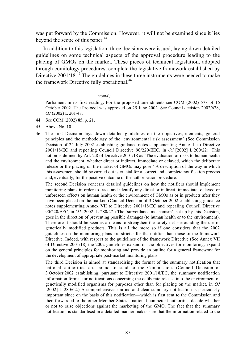was put forward by the Commission. However, it will not be examined since it lies beyond the scope of this paper.<sup>44</sup>

In addition to this legislation, three decisions were issued, laying down detailed guidelines on some technical aspects of the approval procedure leading to the placing of GMOs on the market. These pieces of technical legislation, adopted through comitology procedures, complete the legislative framework established by Directive  $2001/18<sup>45</sup>$  The guidelines in these three instruments were needed to make the framework Directive fully operational.<sup>46</sup>

*(contd.)*

- 44 See COM (2002) 85, p. 21.
- 45 Above No. 10.
- 46 The first Decision lays down detailed guidelines on the objectives, elements, general principles and the methodology of the 'environmental risk assessment' (See Commission Decision of 24 July 2002 establishing guidance notes supplementing Annex II to Directive 2001/18/EC and repealing Council Directive 90/220/EEC, in *OJ* [2002] L 200/22). This notion is defined by Art. 2.8 of Directive 2001/18 as 'The evaluation of risks to human health and the environment, whether direct or indirect, immediate or delayed, which the deliberate release or the placing on the market of GMOs may pose.' A description of the way in which this assessment should be carried out is crucial for a correct and complete notification process and, eventually, for the positive outcome of the authorisation procedure.

The second Decision concerns detailed guidelines on how the notifiers should implement monitoring plans in order to trace and identify any direct or indirect, immediate, delayed or unforeseen effects on human health or the environment of GMOs as or in products after they have been placed on the market. (Council Decision of 3 October 2002 establishing guidance notes supplementing Annex VII to Directive 2001/18/EC and repealing Council Directive 90/220/EEC, in *OJ* [2002] L 280/27.) The 'surveillance mechanism', set up by this Decision, goes in the direction of preventing possible damages (to human health or to the environment). Therefore it should be seen as a means to strengthen the safety net surrounding the use of genetically modified products. This is all the more so if one considers that the 2002 guidelines on the monitoring plans are stricter for the notifier than those of the framework Directive. Indeed, with respect to the guidelines of the framework Directive (See Annex VII of Directive 2001/18) the 2002 guidelines expand on the objectives for monitoring, expand on the general principles for monitoring and provide an outline for a general framework for the development of appropriate post-market monitoring plans.

The third Decision is aimed at standardising the format of the summary notification that national authorities are bound to send to the Commission. (Council Decision of 3 October 2002 establishing, pursuant to Directive 2001/18/EC, the summary notification information format for notifications concerning the deliberate release into the environment of genetically modified organisms for purposes other than for placing on the market, in *OJ* [2002] L 280/62.) A comprehensive, unified and clear summary notification is particularly important since on the basis of this notification—which is first sent to the Commission and then forwarded to the other Member States—national competent authorities decide whether or not to raise objections against the marketing of the GMO. The fact that the summary notification is standardised in a detailed manner makes sure that the information related to the

Parliament in its first reading. For the proposed amendments see COM (2002) 578 of 16 October 2002. The Protocol was approved on 25 June 2002. See Council decision 2002/628, *OJ* (2002) L 201/48.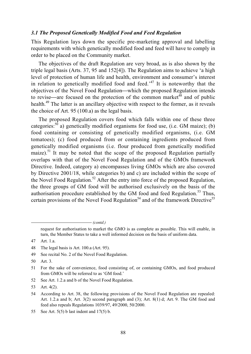## *3.1 The Proposed Genetically Modified Food and Feed Regulation*

This Regulation lays down the specific pre-marketing approval and labelling requirements with which genetically modified food and feed will have to comply in order to be placed on the Community market.

The objectives of the draft Regulation are very broad, as is also shown by the triple legal basis (Arts. 37, 95 and 152[4]). The Regulation aims to achieve 'a high level of protection of human life and health, environment and consumer's interest in relation to genetically modified food and feed.<sup> $47$ </sup> It is noteworthy that the objectives of the Novel Food Regulation—which the proposed Regulation intends to revise—are focused on the protection of the common market $48$  and of public health.<sup>49</sup> The latter is an ancillary objective with respect to the former, as it reveals the choice of Art. 95 (100.a) as the legal basis.

The proposed Regulation covers food which falls within one of these three categories:<sup>50</sup> a) genetically modified organisms for food use, (i.e. GM maize); (b) food containing or consisting of genetically modified organisms, (i.e. GM tomatoes); (c) food produced from or containing ingredients produced from genetically modified organisms (i.e. flour produced from genetically modified maize).<sup>51</sup> It may be noted that the scope of the proposed Regulation partially overlaps with that of the Novel Food Regulation and of the GMOs framework Directive. Indeed, category a) encompasses living GMOs which are also covered by Directive 2001/18, while categories b) and c) are included within the scope of the Novel Food Regulation.<sup>52</sup> After the entry into force of the proposed Regulation, the three groups of GM food will be authorised exclusively on the basis of the authorisation procedure established by the GM food and feed Regulation.<sup>53</sup> Thus, certain provisions of the Novel Food Regulation<sup>54</sup> and of the framework Directive<sup>55</sup>

*(contd.)*

request for authorisation to market the GMO is as complete as possible. This will enable, in turn, the Member States to take a well informed decision on the basis of uniform data.

<sup>47</sup> Art. 1.a.

<sup>48</sup> The legal basis is Art. 100.a (Art. 95).

<sup>49</sup> See recital No. 2 of the Novel Food Regulation.

<sup>50</sup> Art. 3.

<sup>51</sup> For the sake of convenience, food consisting of, or containing GMOs, and food produced from GMOs will be referred to as 'GM food.'

<sup>52</sup> See Art. 1.2.a and b of the Novel Food Regulation.

<sup>53</sup> Art. 4(2).

<sup>54</sup> According to Art. 38, the following provisions of the Novel Food Regulation are repealed: Art. 1.2.a and b; Art. 3(2) second paragraph and (3); Art. 8(1) d; Art. 9. The GM food and feed also repeals Regulations 1039/97, 49/2000, 50/2000.

<sup>55</sup> See Art. 5(5) b last indent and 17(5) b.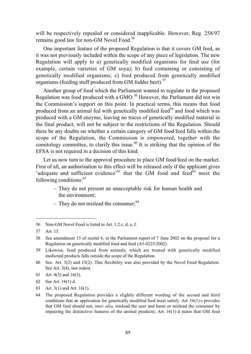will be respectively repealed or considered inapplicable. However, Reg. 258/97 remains good law for non-GM Novel Food.<sup>56</sup>

One important feature of the proposed Regulation is that it covers GM feed, as it was not previously included within the scope of any piece of legislation. The new Regulation will apply to a) genetically modified organisms for feed use (for example, certain varieties of GM soya); b) feed containing or consisting of genetically modified organisms; c) feed produced from genetically modified organisms (feeding stuff produced from GM fodder beet).<sup>57</sup>

Another group of food which the Parliament wanted to regulate in the proposed Regulation was food produced with a GMO.<sup>58</sup> However, the Parliament did not win the Commission's support on this point. In practical terms, this means that food produced from an animal fed with genetically modified feed<sup>59</sup> and food which was produced with a GM enzyme, leaving no traces of genetically modified material in the final product, will not be subject to the restrictions of the Regulation. Should there be any doubts on whether a certain category of GM food/feed falls within the scope of the Regulation, the Commission is empowered, together with the comitology committee, to clarify this issue.<sup>60</sup> It is striking that the opinion of the EFSA is not required in a decision of this kind.

Let us now turn to the approval procedure to place GM food/feed on the market. First of all, an authorisation to this effect will be released only if the applicant gives 'adequate and sufficient evidence'<sup>61</sup> that the GM food and feed<sup>62</sup> meet the following conditions:<sup>63</sup>

- They do not present an unacceptable risk for human health and the environment;
- They do not mislead the consumer; $64$

 $\overline{a}$ 

63 Art. 3(1) and Art. 16(1).

<sup>56</sup> Non-GM Novel Food is listed in Art. 1.2.c, d, e, f.

<sup>57</sup> Art. 15.

<sup>58</sup> See amendment 15 of recital 6, in the Parliament report of 7 June 2002 on the proposal for a Regulation on genetically modified food and feed (A5-0225/2002).

<sup>59</sup> Likewise, food produced from animals, which are treated with genetically modified medicinal products falls outside the scope of the Regulation.

<sup>60</sup> See. Art. 3(2) and 15(2). This flexibility was also provided by the Novel Food Regulation. See Art. 3(4), last indent.

<sup>61</sup> Art. 4(3) and 16(3).

<sup>62</sup> See Art. 16(1) d.

<sup>64</sup> The proposed Regulation provides a slightly different wording of the second and third conditions that an application for genetically modified feed must satisfy. Art.  $16(1)$  c provides that GM feed should not, *inter alia*, mislead the user and harm or mislead the consumer by impairing the distinctive features of the animal products; Art. 16(1) d states that GM feed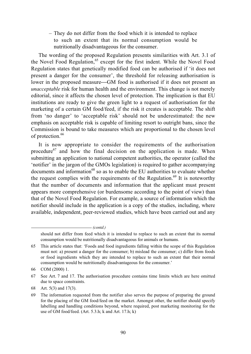– They do not differ from the food which it is intended to replace to such an extent that its normal consumption would be nutritionally disadvantageous for the consumer.

The wording of the proposed Regulation presents similarities with Art. 3.1 of the Novel Food Regulation,<sup>65</sup> except for the first indent. While the Novel Food Regulation states that genetically modified food can be authorised if 'it does not present a danger for the consumer', the threshold for releasing authorisation is lower in the proposed measure—GM food is authorised if it does not present an *unacceptable* risk for human health and the environment. This change is not merely editorial, since it affects the chosen level of protection. The implication is that EU institutions are ready to give the green light to a request of authorisation for the marketing of a certain GM food/feed, if the risk it creates is acceptable. The shift from 'no danger' to 'acceptable risk' should not be underestimated: the new emphasis on acceptable risk is capable of limiting resort to outright bans, since the Commission is bound to take measures which are proportional to the chosen level of protection.<sup>66</sup>

It is now appropriate to consider the requirements of the authorisation procedure<sup>67</sup> and how the final decision on the application is made. When submitting an application to national competent authorities, the operator (called the 'notifier' in the jargon of the GMOs legislation) is required to gather accompanying documents and information<sup>68</sup> so as to enable the EU authorities to evaluate whether the request complies with the requirements of the Regulation.<sup>69</sup> It is noteworthy that the number of documents and information that the applicant must present appears more comprehensive (or burdensome according to the point of view) than that of the Novel Food Regulation. For example, a source of information which the notifier should include in the application is a copy of the studies, including, where available, independent, peer-reviewed studies, which have been carried out and any

*(contd.)*

should not differ from feed which it is intended to replace to such an extent that its normal consumption would be nutritionally disadvantageous for animals or humans.

<sup>65</sup> This article states that: 'Foods and food ingredients falling within the scope of this Regulation must not: a) present a danger for the consumer; b) mislead the consumer; c) differ from foods or food ingredients which they are intended to replace to such an extent that their normal consumption would be nutritionally disadvantageous for the consumer.'

<sup>66</sup> COM (2000) 1.

<sup>67</sup> See Art. 7 and 17. The authorisation procedure contains time limits which are here omitted due to space constraints.

<sup>68</sup> Art. 5(3) and 17(3).

<sup>69</sup> The information requested from the notifier also serves the purpose of preparing the ground for the placing of the GM food/feed on the market. Amongst other, the notifier should specify labelling and handling conditions beyond, where required, post marketing monitoring for the use of GM food/feed. (Art. 5.3.h; k and Art. 17.h; k)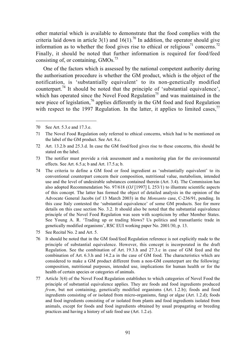other material which is available to demonstrate that the food complies with the criteria laid down in article 3(1) and  $16(1)$ .<sup>70</sup> In addition, the operator should give information as to whether the food gives rise to ethical or religious<sup>71</sup> concerns.<sup>72</sup> Finally, it should be noted that further information is required for food/feed consisting of, or containing,  $GMOs.<sup>73</sup>$ 

One of the factors which is assessed by the national competent authority during the authorisation procedure is whether the GM product, which is the object of the notification, is 'substantially equivalent' to its non-genetically modified counterpart.<sup>74</sup> It should be noted that the principle of 'substantial equivalence', which has operated since the Novel Food Regulation<sup>75</sup> and was maintained in the new piece of legislation,<sup>76</sup> applies differently in the GM food and feed Regulation with respect to the 1997 Regulation. In the latter, it applies to limited cases,  $77$ 

- 75 See Recital No. 2 and Art. 5.
- 76 It should be noted that in the GM food/feed Regulation reference is not explicitly made to the principle of substantial equivalence. However, this concept is incorporated in the draft Regulation. See the combination of Art. 19.3.h and 27.3.c in case of GM feed and the combination of Art. 6.3.h and 14.2.a in the case of GM food. The characteristics which are considered to make a GM product different from a non-GM counterpart are the following: composition, nutritional purposes, intended use, implications for human health or for the health of certain species or categories of animals.
- 77 Article 3(4) of the Novel Food Regulation establishes to which categories of Novel Food the principle of substantial equivalence applies. They are foods and food ingredients produced *from*, but not containing, genetically modified organisms (Art. 1.2.b); foods and food ingredients consisting of or isolated from micro-organisms, fungi or algae (Art. 1.2.d); foods and food ingredients consisting of or isolated from plants and food ingredients isolated from animals, except for foods and food ingredients obtained by usual propagating or breeding practices and having a history of safe food use (Art. 1.2.e).

<sup>70</sup> See Art. 5.3.e and 17.3.e.

<sup>71</sup> The Novel Food Regulation only referred to ethical concerns, which had to be mentioned on the label of the GM product. See Art. 8.c.

<sup>72</sup> Art. 13.2.b and 25.3.d. In case the GM food/feed gives rise to these concerns, this should be stated on the label.

<sup>73</sup> The notifier must provide a risk assessment and a monitoring plan for the environmental effects. See Art. 6.5.a; b and Art. 17.5.a; b.

<sup>74</sup> The criteria to define a GM food or food ingredient as 'substantially equivalent' to its conventional counterpart concern their composition, nutritional value, metabolism, intended use and the level of undesirable substances contained therein (Art. 3.4). The Commission has also adopted Recommendation No. 97/618 (*OJ* [1997] L 253/1) to illustrate scientific aspects of this concept. The latter has formed the object of detailed analysis in the opinion of the Advocate General Jacobs (of 13 March 2003) in the *Monsanto* case, C-236/91, pending. In this case Italy contested the 'substantial equivalence' of some GM products. See for more details on this case section No. 3.2. It should also be noted that the substantial equivalence principle of the Novel Food Regulation was seen with scepticism by other Member States. See Young A. R. 'Trading up or trading blows? Us politics and transatlantic trade in genetically modified organisms', RSC EUI working paper No. 2001/30, p. 13.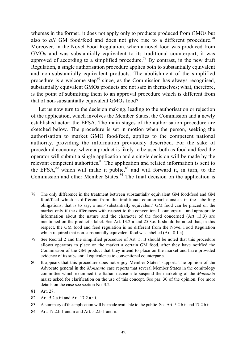whereas in the former, it does not apply only to products produced from GMOs but also to *all* GM food/feed and does not give rise to a different procedure.<sup>78</sup> Moreover, in the Novel Food Regulation, when a novel food was produced from GMOs and was substantially equivalent to its traditional counterpart, it was approved of according to a simplified procedure.<sup>79</sup> By contrast, in the new draft Regulation, a single authorisation procedure applies both to substantially equivalent and non-substantially equivalent products. The abolishment of the simplified procedure is a welcome step $80$  since, as the Commission has always recognised, substantially equivalent GMOs products are not safe in themselves; what, therefore, is the point of submitting them to an approval procedure which is different from that of non-substantially equivalent GMOs food?

Let us now turn to the decision making, leading to the authorisation or rejection of the application, which involves the Member States, the Commission and a newly established actor: the EFSA. The main stages of the authorisation procedure are sketched below. The procedure is set in motion when the person, seeking the authorisation to market GMO food/feed, applies to the competent national authority, providing the information previously described. For the sake of procedural economy, where a product is likely to be used both as food and feed the operator will submit a single application and a single decision will be made by the relevant competent authorities. ${}^{81}$  The application and related information is sent to the EFSA, $82$  which will make it public,  $83$  and will forward it, in turn, to the Commission and other Member States. <sup>84</sup> The final decision on the application is

<sup>78</sup> The only difference in the treatment between substantially equivalent GM food/feed and GM food/feed which is different from the traditional counterpart consists in the labelling obligations, that is to say, a non-'substantially equivalent' GM food can be placed on the market only if the differences with respect to the conventional counterpart—and appropriate information about the nature and the character of the food concerned (Art. 13.3) are mentioned on the product's label. See Art. 13.2 a and 25.3.c. It should be noted that, in this respect, the GM food and feed regulation is no different from the Novel Food Regulation which required that non-substantially equivalent food was labelled (Art. 8.1.a).

<sup>79</sup> See Recital 2 and the simplified procedure of Art. 5. It should be noted that this procedure allows operators to place on the market a certain GM food, after they have notified the Commission of the GM product that they intend to place on the market and have provided evidence of its substantial equivalence to conventional counterparts.

<sup>80</sup> It appears that this procedure does not enjoy Member States' support. The opinion of the Advocate general in the *Monsanto* case reports that several Member States in the comitology committee which examined the Italian decision to suspend the marketing of the *Monsanto* maize asked for clarification on the use of this concept. See par. 30 of the opinion. For more details on the case see section No. 3.2.

<sup>81</sup> Art. 27.

<sup>82</sup> Art. 5.2.a.iii and Art. 17.2.a.iii.

<sup>83</sup> A summary of the application will be made available to the public. See Art. 5.2 b.ii and 17.2 b.ii.

<sup>84</sup> Art. 17.2.b.1 and ii and Art. 5.2.b.1 and ii.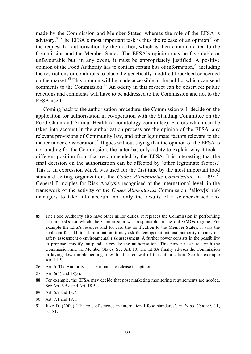made by the Commission and Member States, whereas the role of the EFSA is advisory. $85$  The EFSA's most important task is thus the release of an opinion $86$  on the request for authorisation by the notifier, which is then communicated to the Commission and the Member States. The EFSA's opinion may be favourable or unfavourable but, in any event, it must be appropriately justified. A positive opinion of the Food Authority has to contain certain bits of information,  $87$  including the restrictions or conditions to place the genetically modified food/feed concerned on the market.<sup>88</sup> This opinion will be made accessible to the public, which can send comments to the Commission.<sup>89</sup> An oddity in this respect can be observed: public reactions and comments will have to be addressed to the Commission and not to the EFSA itself.

Coming back to the authorisation procedure, the Commission will decide on the application for authorisation in co-operation with the Standing Committee on the Food Chain and Animal Health (a comitology committee). Factors which can be taken into account in the authorization process are the opinion of the EFSA, any relevant provisions of Community law, and other legitimate factors relevant to the matter under consideration.<sup>90</sup> It goes without saying that the opinion of the EFSA is not binding for the Commission; the latter has only a duty to explain why it took a different position from that recommended by the EFSA. It is interesting that the final decision on the authorization can be affected by 'other legitimate factors.' This is an expression which was used for the first time by the most important food standard setting organization, the *Codex Alimentarius Commission*, in 1995.<sup>91</sup> General Principles for Risk Analysis recognised at the international level, in the framework of the activity of the *Codex Alimentarius* Commission, 'allow[s] risk managers to take into account not only the results of a science-based risk

<sup>85</sup> The Food Authority also have other minor duties. It replaces the Commission in performing certain tasks for which the Commission was responsible in the old GMOs regime. For example the EFSA receives and forward the notification to the Member States, it asks the applicant for additional information, it may ask the competent national authority to carry out safety assessment o environmental risk assessment. A further power consists in the possibility to propose, modify, suspend or revoke the authorisation. This power is shared with the Commission and the Member States. See Art. 10. The EFSA finally advises the Commission in laying down implementing rules for the renewal of the authorisation. See for example Art. 11.5.

<sup>86</sup> Art. 6. The Authority has six months to release its opinion.

<sup>87</sup> Art. 6(5) and 18(5).

<sup>88</sup> For example, the EFSA may decide that post marketing monitoring requirements are needed. See Art. 6.5.e and Art. 18.5.e.

<sup>89</sup> Art. 6.7 and 18.7.

<sup>90</sup> Art. 7.1 and 19.1.

<sup>91</sup> Juke D. (2000) 'The role of science in international food standards', in *Food Control*, 11, p. 181.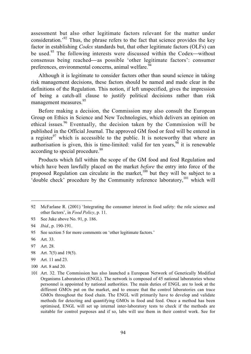assessment but also other legitimate factors relevant for the matter under consideration.<sup>92</sup> Thus, the phrase refers to the fact that science provides the key factor in establishing *Codex* standards but, that other legitimate factors (OLFs) can be used.<sup>93</sup> The following interests were discussed within the Codex—without consensus being reached—as possible 'other legitimate factors': consumer preferences, environmental concerns, animal welfare.<sup>94</sup>

Although it is legitimate to consider factors other than sound science in taking risk management decisions, these factors should be named and made clear in the de finitions of the Regulation. This notion, if left unspecified, gives the impression of being a catch-all clause to justify political decisions rather than risk management measures.<sup>95</sup>

Before making a decision, the Commission may also consult the European Group on Ethics in Science and New Technologies, which delivers an opinion on ethical issues.<sup>96</sup> Eventually, the decision taken by the Commission will be published in the Official Journal. The approved GM food or feed will be entered in a register $97$  which is accessible to the public. It is noteworthy that where an authorisation is given, this is time-limited: valid for ten years,  $98$  it is renewable according to special procedure.<sup>99</sup>

Products which fall within the scope of the GM food and feed Regulation and which have been lawfully placed on the market *before* the entry into force of the proposed Regulation can circulate in the market,  $100$  but they will be subject to a ' double check' procedure by the Community reference laboratory,<sup>101</sup> which will

- 98 Art. 7(5) and 19(5).
- 99 Art. 11 and 23.
- 100 Art. 8 and 20.

<sup>92</sup> McFarlane R. (2001) 'Integrating the consumer interest in food safety: the role science and other factors', in *Food Policy*, p. 11.

<sup>93</sup> See Juke above No. 91, p. 186.

<sup>94</sup> *Ibid.*, p. 190-191.

<sup>95</sup> See section 5 for more comments on 'other legitimate factors.'

<sup>96</sup> Art. 33.

<sup>97</sup> Art. 28.

<sup>101</sup> Art. 32. The Commission has also launched a European Network of Genetically Modified Organisms Laboratories (ENGL). The network is composed of 45 national laboratories whose personnel is appointed by national authorities. The main duties of ENGL are to look at the different GMOs put on the market, and to ensure that the control laboratories can trace GMOs throughout the food chain. The ENGL will primarily have to develop and validate methods for detecting and quantifying GMOs in food and feed. Once a method has been optimised, ENGL will set up internal inter-laboratory tests to check if the methods are suitable for control purposes and if so, labs will use them in their control work. See for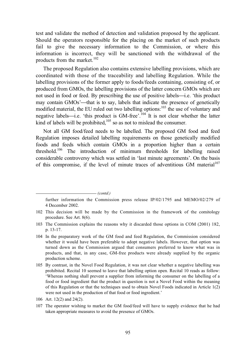test and validate the method of detection and validation proposed by the applicant. Should the operators responsible for the placing on the market of such products fail to give the necessary information to the Commission, or where this information is incorrect, they will be sanctioned with the withdrawal of the products from the market. $102$ 

The proposed Regulation also contains extensive labelling provisions, which are coordinated with those of the traceability and labelling Regulation. While the labelling provisions of the former apply to foods/feeds containing, consisting of, or produced from GMOs, the labelling provisions of the latter concern GMOs which are not used in food or feed. By prescribing the use of positive labels—i.e. 'this product may contain GMOs'—that is to say, labels that indicate the presence of genetically modified material, the EU ruled out two labelling options:<sup>103</sup> the use of voluntary and negative labels—i.e. 'this product is GM-free'.<sup>104</sup> It is not clear whether the latter kind of labels will be prohibited,  $105$  so as not to mislead the consumer.

Not all GM food/feed needs to be labelled. The proposed GM food and feed Regulation imposes detailed labelling requirements on those genetically modified foods and feeds which contain GMOs in a proportion higher than a certain threshold.<sup>106</sup> The introduction of minimum thresholds for labelling raised considerable controversy which was settled in 'last minute agreements'. On the basis of this compromise, if the level of minute traces of adventitious GM material<sup>107</sup>

*(contd.)*

further information the Commission press release IP/02/1795 and MEMO/02/279 of 4 December 2002.

<sup>102</sup> This decision will be made by the Commission in the framework of the comitology procedure. See Art. 8(6).

<sup>103</sup> The Commission explains the reasons why it discarded those options in COM (2001) 182, p. 13-17.

<sup>104</sup> In the preparatory work of the GM food and feed Regulation, the Commission considered whether it would have been preferable to adopt negative labels. However, that option was turned down as the Commission argued that consumers preferred to know what was in products, and that, in any case, GM-free products were already supplied by the organic production scheme.

<sup>105</sup> By contrast, in the Novel Food Regulation, it was not clear whether a negative labelling was prohibited. Recital 10 seemed to leave that labelling option open. Recital 10 reads as follow: 'Whereas nothing shall prevent a supplier from informing the consumer on the labelling of a food or food ingredient that the product in question is not a Novel Food within the meaning of this Regulation or that the techniques used to obtain Novel Foods indicated in Article 1(2) were not used in the production of that food or food ingredient.'

<sup>106</sup> Art. 12(2) and 24(2).

<sup>107</sup> The operator wishing to market the GM food/feed will have to supply evidence that he had taken appropriate measures to avoid the presence of GMOs.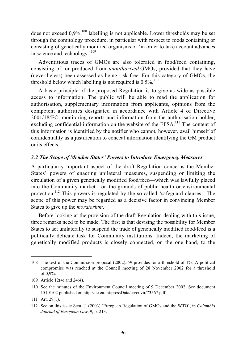does not exceed  $0.9\%$ , <sup>108</sup> labelling is not applicable. Lower thresholds may be set through the comitology procedure, in particular with respect to foods containing or consisting of genetically modified organisms or 'in order to take account advances in science and technology.'<sup>109</sup>

Adventitious traces of GMOs are also tolerated in food/feed containing, consisting of, or produced from *unauthorised* GMOs, provided that they have (nevertheless) been assessed as being risk-free. For this category of GMOs, the threshold below which labelling is not required is  $0.5\%$ .<sup>110</sup>

A basic principle of the proposed Regulation is to give as wide as possible access to information. The public will be able to read the application for authorisation, supplementary information from applicants, opinions from the competent authorities designated in accordance with Article 4 of Directive 2001/18/EC, monitoring reports and information from the authorisation holder, excluding confidential information on the website of the EFSA.<sup>111</sup> The content of this information is identified by the notifier who cannot, however, avail himself of confidentiality as a justification to conceal information identifying the GM product or its effects.

## *3.2 The Scope of Member States' Powers to Introduce Emergency Measures*

A particularly important aspect of the draft Regulation concerns the Member States' powers of enacting unilateral measures, suspending or limiting the circulation of a given genetically modified food/feedwhich was lawfully placed into the Community market—on the grounds of public health or environmental protection.<sup>112</sup> This powers is regulated by the so-called 'safeguard clauses'. The scope of this power may be regarded as a decisive factor in convincing Member States to give up the *moratorium*.

Before looking at the provision of the draft Regulation dealing with this issue, three remarks need to be made. The first is that devising the possibility for Member States to act unilaterally to suspend the trade of genetically modified food/feed is a politically delicate task for Community institutions. Indeed, the marketing of genetically modified products is closely connected, on the one hand, to the

<sup>108</sup> The text of the Commission proposal (2002)559 provides for a threshold of 1%. A political compromise was reached at the Council meeting of 28 November 2002 for a threshold of 0,9%.

<sup>109</sup> Article 12(4) and 24(4).

<sup>110</sup> See the minutes of the Environment Council meeting of 9 December 2002. See document 15101/02 published on http://ue.eu.int/pressData/en/envir/73567.pdf.

<sup>111</sup> Art. 29(1).

<sup>112</sup> See on this issue Scott J. (2003) 'European Regulation of GMOs and the WTO', in *Columbia Journal of European Law*, 9, p. 213.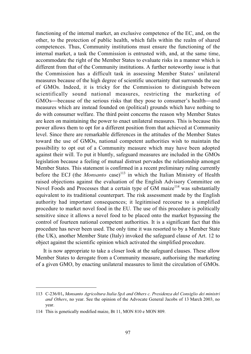functioning of the internal market, an exclusive competence of the EC, and, on the other, to the protection of public health, which falls within the realm of shared competences. Thus, Community institutions must ensure the functioning of the internal market, a task the Commission is entrusted with, and, at the same time, accommodate the right of the Member States to evaluate risks in a manner which is different from that of the Community institutions. A further noteworthy issue is that the Commission has a difficult task in assessing Member States' unilateral measures because of the high degree of scientific uncertainty that surrounds the use of GMOs. Indeed, it is tricky for the Commission to distinguish between scientifically sound national measures, restricting the marketing of GMOs—because of the serious risks that they pose to consumer's health—and measures which are instead founded on (political) grounds which have nothing to do with consumer welfare. The third point concerns the reason why Member States are keen on maintaining the power to enact unilateral measures. This is because this power allows them to opt for a different position from that achieved at Community level. Since there are remarkable differences in the attitudes of the Member States toward the use of GMOs, national competent authorities wish to maintain the possibility to opt out of a Community measure which may have been adopted against their will. To put it bluntly, safeguard measures are included in the GMOs legislation because a feeling of mutual distrust pervades the relationship amongst Member States. This statement is confirmed in a recent preliminary ruling currently before the ECJ (the *Monsanto* case)<sup>113</sup> in which the Italian Ministry of Health raised objections against the evaluation of the English Advisory Committee on Novel Foods and Processes that a certain type of GM maize $114$  was substantially equivalent to its traditional counterpart. The risk assessment made by the English authority had important consequences; it legitimised recourse to a simplified procedure to market novel food in the EU. The use of this procedure is politically sensitive since it allows a novel food to be placed onto the market bypassing the control of fourteen national competent authorities. It is a significant fact that this procedure has never been used. The only time it was resorted to by a Member State (the UK), another Member State (Italy) invoked the safeguard clause of Art. 12 to object against the scientific opinion which activated the simplified procedure.

It is now appropriate to take a closer look at the safeguard clauses. These allow Member States to derogate from a Community measure, authorising the marketing of a given GMO, by enacting unilateral measures to limit the circulation of GMOs.

<sup>113</sup> C-236/01, Monsanto Agricoltura Italia SpA and Others c. Presidenza del Consiglio dei ministri *a nd Others*, no year. See the opinion of the Advocate General Jacobs of 13 March 2003, no year.

<sup>114</sup> This is genetically modified maize, Bt 11, MON 810 e MON 809.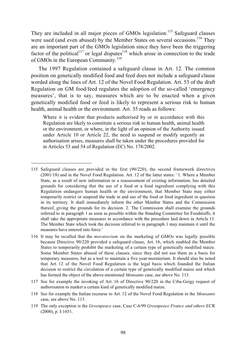They are included in all major pieces of GMOs legislation.<sup>115</sup> Safeguard clauses were used (and even abused) by the Member States on several occasions.<sup>116</sup> They are an important part of the GMOs legislation since they have been the triggering factor of the political<sup>117</sup> or legal disputes<sup>118</sup> which arose in connection to the trade of GMOs in the European Community.<sup>119</sup>

The 1997 Regulation contained a safeguard clause in Art. 12. The common position on genetically modified food and feed does not include a safeguard clause worded along the lines of Art. 12 of the Novel Food Regulation. Art. 53 of the draft Regulation on GM food/feed regulates the adoption of the so-called 'emergency measures', that is to say, measures which are to be enacted when a given genetically modified food or feed is likely to represent a serious risk to human health, animal health or the environment. Art. 35 reads as follows:

Where it is evident that products authorised by or in accordance with this Regulation are likely to constitute a serious risk to human health, animal health or the environment, or where, in the light of an opinion of the Authority issued under Article 10 or Article 22, the need to suspend or modify urgently an authorisation arises, measures shall be taken under the procedures provided for in Articles 53 and 54 of Regulation (EC) No. 178/2002.

<sup>115</sup> Safeguard clauses are provided in the first (90/220), the second framework directives (2001/18) and in the Novel Food Regulation. Art. 12 of the latter states: '1. Where a Member State, as a result of new information or a reassessment of existing information, has detailed grounds for considering that the use of a food or a food ingredient complying with this Regulation endangers human health or the environment, that Member State may either temporarily restrict or suspend the trade in and use of the food or food ingredient in question in its territory. It shall immediately inform the other Member States and the Commission thereof, giving the grounds for its decision. 2. The Commission shall examine the grounds r eferred to in paragraph 1 as soon as possible within the Standing Committee for Foodstuffs; it shall take the appropriate measures in accordance with the procedure laid down in Article 13. The Member State which took the decision referred to in paragraph 1 may maintain it until the measures have entered into force.'

<sup>116</sup> It may be recalled that the *moratorium* on the marketing of GMOs was legally possible because Directive 90/220 provided a safeguard clause, Art. 16, which enabled the Member States to temporarily prohibit the marketing of a certain type of genetically modified maize. Some Member States abused of these clauses, since they did not use them as a basis for temporary measures, but as a tool to maintain a five year-moratorium. It should also be noted that Art. 12 of the Novel Food Regulation is the legal basis which founded the Italian decision to restrict the circulation of a certain type of genetically modified maize and which has formed the object of the above-mentioned *Monsanto* case, see above No. 113.

<sup>117</sup> See for example the invoking of Art. 16 of Directive 90/220 in the Ciba-Geigy request of authorisation to market a certain kind of genetically modified maize.

<sup>118</sup> See for example the Italian recourse to Art. 12 of the Novel Food Regulation in the *Monsanto* case, see above No. 113.

<sup>119</sup> The only exception is the *Greenpeace* case, Case C-6/99 *Greenpeace France and others* ECR (2000), p. I-1651.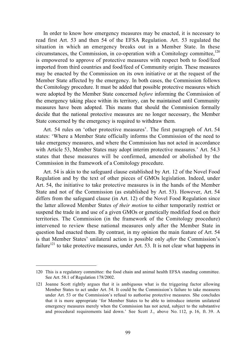In order to know how emergency measures may be enacted, it is necessary to read first Art. 53 and then 54 of the EFSA Regulation. Art. 53 regulated the situation in which an emergency breaks out in a Member State. In these circumstances, the Commission, in co-operation with a Comitology committee,<sup>120</sup> is empowered to approve of protective measures with respect both to food/feed imported from third countries and food/feed of Community origin. These measures may be enacted by the Commission on its own initiative or at the request of the Member State affected by the emergency. In both cases, the Commission follows the Comitology procedure. It must be added that possible protective measures which were adopted by the Member State concerned *before* informing the Commission of the emergency taking place within its territory, can be maintained until Community measures have been adopted. This means that should the Commission formally decide that the national protective measures are no longer necessary, the Member State concerned by the emergency is required to withdraw them.

Art. 54 rules on 'other protective measures'. The first paragraph of Art. 54 states: 'Where a Member State officially informs the Commission of the need to take emergency measures, and where the Commission has not acted in accordance with Article 53, Member States may adopt interim protective measures.' Art. 54.3 states that these measures will be confirmed, amended or abolished by the Commission in the framework of a Comitology procedure.

Art. 54 is akin to the safeguard clause established by Art. 12 of the Novel Food Regulation and by the text of other pieces of GMOs legislation. Indeed, under Art. 54, the initiative to take protective measures is in the hands of the Member State and not of the Commission (as established by Art. 53). However, Art. 54 differs from the safeguard clause (in Art. 12) of the Novel Food Regulation since the latter allowed Member States *of their motion* to either temporarily restrict or suspend the trade in and use of a given GMOs or genetically modified food on their territories. The Commission (in the framework of the Comitology procedure) intervened to review these national measures only after the Member State in question had enacted them. By contrast, in my opinion the main feature of Art. 54 is that Member States' unilateral action is possible only *after* the Commission's failure $121$  to take protective measures, under Art. 53. It is not clear what happens in

<sup>120</sup> This is a regulatory committee: the food chain and animal health EFSA standing committee. See Art. 58.1 of Regulation 178/2002.

<sup>121</sup> Joanne Scott rightly argues that it is ambiguous what is the triggering factor allowing Member States to act under Art. 54. It could be the Commission's failure to take measures under Art. 53 or the Commission's refusal to authorise protective measures. She concludes that it is more appropriate 'for Member States to be able to introduce interim unilateral emergency measures merely when the Commission has not acted, subject to the substantive and procedural requirements laid down.' See Scott J., above No. 112, p. 16, ft. 39. A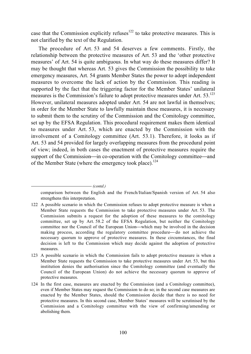case that the Commission explicitly refuses<sup>122</sup> to take protective measures. This is not clarified by the text of the Regulation.

The procedure of Art. 53 and 54 deserves a few comments. Firstly, the relationship between the protective measures of Art. 53 and the 'other protective measures' of Art. 54 is quite ambiguous. In what way do these measures differ? It may be thought that whereas Art. 53 gives the Commission the possibility to take emergency measures, Art. 54 grants Member States the power to adopt independent measures to overcome the lack of action by the Commission. This reading is supported by the fact that the triggering factor for the Member States' unilateral measures is the Commission's failure to adopt protective measures under Art. 53.<sup>123</sup> However, unilateral measures adopted under Art. 54 are not lawful in themselves; in order for the Member State to lawfully maintain these measures, it is necessary to submit them to the scrutiny of the Commission and the Comitology committee, set up by the EFSA Regulation. This procedural requirement makes them identical to measures under Art. 53, which are enacted by the Commission with the involvement of a Comitology committee (Art. 53.1). Therefore, it looks as if Art. 53 and 54 provided for largely overlapping measures from the procedural point of view; indeed, in both cases the enactment of protective measures require the support of the Commission—in co-operation with the Comitology committee—and of the Member State (where the emergency took place).<sup>124</sup>

*(contd.)*

comparison between the English and the French/Italian/Spanish version of Art. 54 also strengthens this interpretation.

- 122 A possible scenario in which the Commission refuses to adopt protective measure is when a Member State requests the Commission to take protective measures under Art. 53. The Commission submits a request for the adoption of these measures to the comitology committee, set up by Art. 58.2 of the EFSA Regulation, but neither the Comitology committee nor the Council of the European Union-which may be involved in the decision making process, according the regulatory committee procedure—do not achieve the necessary quorum to approve of protective measures. In these circumstances, the final decision is left to the Commission which may decide against the adoption of protective measures.
- 123 A possible scenario in which the Commission fails to adopt protective measure is when a Member State requests the Commission to take protective measures under Art. 53, but this institution denies the authorisation since the Comitology committee (and eventually the Council of the European Union) do not achieve the necessary quorum to approve of protective measures.
- 124 In the first case, measures are enacted by the Commission (and a Comitology committee), even if Member States may request the Commission to do so; in the second case measures are enacted by the Member States, should the Commission decide that there is no need for protective measures. In this second case, Member States' measures will be scrutinised by the Commission and a Comitology committee with the view of confirming/amending or abolishing them.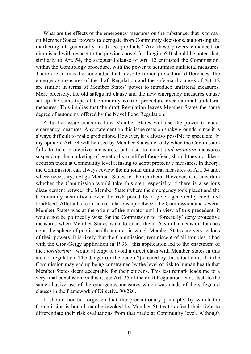What are the effects of the emergency measures on the substance, that is to say, on Member States' powers to derogate from Community decisions, authorising the marketing of genetically modified products? Are these powers enhanced or diminished with respect to the previous novel food regime? It should be noted that, similarly to Art. 54, the safeguard clause of Art. 12 entrusted the Commission, within the Comitology procedure, with the power to scrutinise unilateral measures. Therefore, it may be concluded that, despite minor procedural differences, the emergency measures of the draft Regulation and the safeguard clauses of Art. 12 are similar in terms of Member States' power to introduce unilateral measures. More precisely, the old safeguard clause and the new emergency measures clause set up the same type of Community control procedure over national unilateral measures. This implies that the draft Regulation leaves Member States the same degree of autonomy offered by the Novel Food Regulation.

A further issue concerns how Member States will use the power to enact emergency measures. Any statement on this issue rests on shaky grounds, since it is always difficult to make predictions. However, it is always possible to speculate. In my opinion, Art. 54 will be used by Member States not only when the Commission fails to take protective measures, but also to enact *and maintain* measures suspending the marketing of genetically modified food/feed, should they not like a decision taken at Community level refusing to adopt protective measures. In theory, the Commission can always review the national unilateral measures of Art. 54 and, where necessary, oblige Member States to abolish them. However, it is uncertain whether the Commission would take this step, especially if there is a serious disagreement between the Member State (where the emergency took place) and the Community institutions over the risk posed by a given genetically modified food/feed. After all, a conflictual relationship between the Commission and several Member States was at the origin of the moratorium! In view of this precedent, it would not be politically wise for the Commission to 'forcefully' deny protective measures when Member States want to enact them. A similar decision touches upon the sphere of public health, an area in which Member States are very jealous of their powers. It is likely that the Commission, reminiscent of all troubles it had with the Ciba-Geigy application in 1996*—*this application led to the enactment of the *moratorium—*would attempt to avoid a direct clash with Member States in this area of regulation. The danger (or the benefit?) created by this situation is that the Commission may end up being constrained by the level of risk to human health that Member States deem acceptable for their citizens. This last remark leads me to a very final conclusion on this issue: Art. 35 of the draft Regulation lends itself to the same abusive use of the emergency measures which was made of the safeguard clauses in the framework of Directive 90/220.

It should not be forgotten that the precautionary principle, by which the Commission is bound, can be invoked by Member States to defend their right to differentiate their risk evaluations from that made at Community level. Although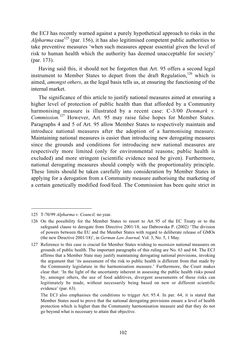the ECJ has recently warned against a purely hypothetical approach to risks in the Alpharma case<sup>125</sup> (par. 156), it has also legitimised competent public authorities to take preventive measures 'when such measures appear essential given the level of risk to human health which the authority has deemed unacceptable for society' (par. 173).

Having said this, it should not be forgotten that Art. 95 offers a second legal instrument to Member States to depart from the draft Regulation,<sup>126</sup> which is aimed, *amongst others*, as the legal basis tells us, at ensuring the functioning of the internal market.

The significance of this article to justify national measures aimed at ensuring a higher level of protection of public health than that afforded by a Community harmonising measure is illustrated by a recent case: C-3/00 *Denmark v. Commission.*<sup>127</sup> However, Art. 95 may raise false hopes for Member States. Paragraphs 4 and 5 of Art. 95 allow Member States to respectively maintain and introduce national measures after the adoption of a harmonising measure. Maintaining national measures is easier than introducing new derogating measures since the grounds and conditions for introducing new national measures are respectively more limited (only for environmental reasons; public health is excluded) and more stringent (scientific evidence need be given). Furthermore, national derogating measures should comply with the proportionality principle. These limits should be taken carefully into consideration by Member States in applying for a derogation from a Community measure authorising the marketing of a certain genetically modified food/feed. The Commission has been quite strict in

<sup>125</sup> T-70/99 *Alpharma v. Council,* no year.

<sup>126</sup> On the possibility for the Member States to resort to Art. 95 of the EC Treaty or to the safeguard clause to derogate from Directive 2001/18, see Dabrowska P. (2002) 'The division of powers between the EU and the Member States with regard to deliberate release of GMOs (the new Directive 2001/18)', in *German Law Journal*, Vol. 3, No. 5, 1 May.

<sup>127</sup> Reference to this case is crucial for Member States wishing to *maintain* national measures on grounds of public health. The important paragraphs of this ruling are No. 63 and 64. The ECJ affirms that a Member State may justify maintaining derogating national provisions, invoking the argument that 'its assessment of the risk to public health is different from that made by the Community legislature in the harmonisation measure.' Furthermore, the Court makes clear that: 'In the light of the uncertainty inherent in assessing the public health risks posed by, amongst others, the use of food additives, divergent assessments of those risks can legitimately be made, without necessarily being based on new or different scientific evidence' (par. 63).

The ECJ also emphasises the conditions to trigger Art. 95.4. In par. 64, it is stated that Member States need to prove that the national derogating provisions ensure a level of health protection which is higher than the Community harmonisation measure and that they do not go beyond what is necessary to attain that objective.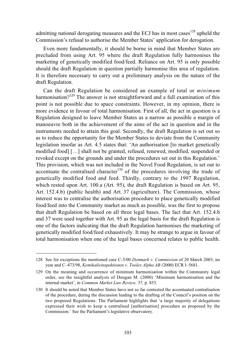admitting national derogating measures and the ECJ has in most cases $128$  upheld the Commission's refusal to authorise the Member States' application for derogation.

Even more fundamentally, it should be borne in mind that Member States are precluded from using Art. 95 where the draft Regulation fully harmonises the marketing of genetically modified food/feed. Reliance on Art. 95 is only possible should the draft Regulation in question partially harmonise this area of regulation. It is therefore necessary to carry out a preliminary analysis on the nature of the draft Regulation.

Can the draft Regulation be considered an example of total or *minimum* harmonisation?<sup>129</sup> The answer is not straightforward and a full examination of this point is not possible due to space constraints. However, in my opinion, there is more evidence in favour of total harmonisation. First of all, the act in question is a Regulation designed to leave Member States as a narrow as possible a margin of manoeuvre both in the achievement of the aims of the act in question and in the instruments needed to attain this goal. Secondly, the draft Regulation is set out so as to reduce the opportunity for the Member States to deviate from the Community legislation insofar as Art. 4.5 states that: 'An authorisation [to market genetically modified food] […] shall not be granted, refused, renewed, modified, suspended or revoked except on the grounds and under the procedures set out in this Regulation.' This provision, which was not included in the Novel Food Regulation, is set out to accentuate the centralised character<sup>130</sup> of the procedures involving the trade of genetically modified food and feed. Thirdly, contrary to the 1997 Regulation, which rested upon Art. 100.a (Art. 95), the draft Regulation is based on Art. 95, Art. 152.4.b) (public health) and Art. 37 (agriculture). The Commission, whose interest was to centralise the authorisation procedure to place genetically modified food/feed into the Community market as much as possible, was the first to propose that draft Regulation be based on all three legal bases. The fact that Art. 152.4.b and 37 were used together with Art. 95 as the legal basis for the draft Regulation is one of the factors indicating that the draft Regulation harmonises the marketing of genetically modified food/feed exhaustively. It may be strange to argue in favour of total harmonisation when one of the legal bases concerned relates to public health.

<sup>128</sup> See for exceptions the mentioned case C-3/00 *Denmark v. Commission* of 20 March 2003, no year and C–473/98, *Kemikalieinspektionen v. Toolex Alpha AB (*2000) ECR I–5681.

<sup>129</sup> On the meaning and occurrence of minimum harmonisation within the Community legal order, see the insightful analysis of Dougan M. (2000) 'Minimum harmonisation and the internal market', in *Common Market Law Review,* 37*,* p. 853.

<sup>130</sup> It should be noted that Member States have not so far contested the accentuated centralisation of the procedure, during the discussion leading to the drafting of the Council's position on the two proposed Regulations. The Parliament highlights that 'a large majority of delegations expressed their wish to keep a centralised [authorisation] procedure as proposed by the Commission.' See the Parliament's legislative observatory.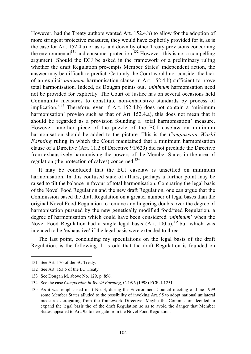However, had the Treaty authors wanted Art. 152.4.b) to allow for the adoption of more stringent protective measures, they would have explicitly provided for it, as is the case for Art. 152.4.a) or as is laid down by other Treaty provisions concerning the environmental $1^{131}$  and consumer protection.<sup>132</sup> However, this is not a compelling argument. Should the ECJ be asked in the framework of a preliminary ruling whether the draft Regulation pre-empts Member States' independent action, the answer may be difficult to predict. Certainly the Court would not consider the lack of an explicit *minimum* harmonisation clause in Art. 152.4.b) sufficient to prove total harmonisation. Indeed, as Dougan points out, '*minimum* harmonisation need not be provided for explicitly. The Court of Justice has on several occasions held Community measures to constitute non-exhaustive standards by process of implication.<sup>'133</sup> Therefore, even if Art. 152.4.b) does not contain a 'minimum harmonisation' proviso such as that of Art. 152.4.a), this does not mean that it should be regarded as a provision founding a 'total harmonisation' measure. However, another piece of the puzzle of the ECJ caselaw on minimum harmonisation should be added to the picture. This is the *Compassion World Farming* ruling in which the Court maintained that a minimum harmonisation clause of a Directive (Art. 11.2 of Directive 91/629) did not preclude the Directive from exhaustively harmonising the powers of the Member States in the area of regulation (the protection of calves) concerned.<sup>134</sup>

It may be concluded that the ECJ caselaw is unsettled on minimum harmonisation. In this confused state of affairs, perhaps a further point may be raised to tilt the balance in favour of total harmonisation. Comparing the legal basis of the Novel Food Regulation and the new draft Regulation, one can argue that the Commission based the draft Regulation on a greater number of legal bases than the original Novel Food Regulation to remove any lingering doubts over the degree of harmonisation pursued by the new genetically modified food/feed Regulation, a degree of harmonisation which could have been considered '*minimum*' when the Novel Food Regulation had a single legal basis (Art.  $100.a$ ),  $135$  but which was intended to be 'exhaustive' if the legal basis were extended to three.

The last point, concluding my speculations on the legal basis of the draft Regulation, is the following. It is odd that the draft Regulation is founded on

<sup>131</sup> See Art. 176 of the EC Treaty.

<sup>132</sup> See Art. 153.5 of the EC Treaty.

<sup>133</sup> See Dougan M. above No. 129, p. 856.

<sup>134</sup> See the case *Compassion in World Farming*, C-1/96 (1998) ECR-I-1251.

<sup>135</sup> As it was emphasised in ft No. 3, during the Environment Council meeting of June 1999 some Member States alluded to the possibility of invoking Art. 95 to adopt national unilateral measures derogating from the framework Directive. Maybe the Commission decided to expand the legal basis the of the draft Regulation so as to avoid the danger that Member States appealed to Art. 95 to derogate from the Novel Food Regulation.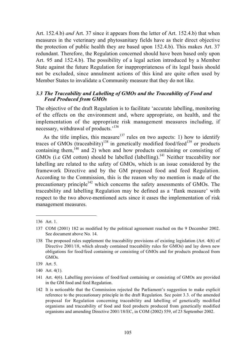Art. 152.4.b) *and* Art. 37 since it appears from the letter of Art. 152.4.b) that when measures in the veterinary and phytosanitary fields have as their direct objective the protection of public health they are based upon 152.4.b). This makes Art. 37 redundant. Therefore, the Regulation concerned should have been based only upon Art. 95 and 152.4.b). The possibility of a legal action introduced by a Member State against the future Regulation for inappropriateness of its legal basis should not be excluded, since annulment actions of this kind are quite often used by Member States to invalidate a Community measure that they do not like.

### *3.3 The Traceability and Labelling of GMOs and the Traceability of Food and Feed Produced from GMOs*

The objective of the draft Regulation is to facilitate 'accurate labelling, monitoring of the effects on the environment and, where appropriate, on health, and the implementation of the appropriate risk management measures including, if necessary, withdrawal of products.'<sup>136</sup>

As the title implies, this measure<sup>137</sup> rules on two aspects: 1) how to identify traces of GMOs (traceability)<sup>138</sup> in genetically modified food/feed<sup>139</sup> or products containing them,<sup>140</sup> and 2) when and how products containing or consisting of GMOs (i.e GM cotton) should be labelled (labelling).<sup>141</sup> Neither traceability nor labelling are related to the safety of GMOs, which is an issue considered by the framework Directive and by the GM proposed food and feed Regulation. According to the Commission, this is the reason why no mention is made of the precautionary principle $142$  which concerns the safety assessments of GMOs. The traceability and labelling Regulation may be defined as a 'flank measure' with respect to the two above-mentioned acts since it eases the implementation of risk management measures.

 $\overline{a}$ 

140 Art. 4(1).

<sup>136</sup> Art. 1.

<sup>137</sup> COM (2001) 182 as modified by the political agreement reached on the 9 December 2002. See document above No. 14.

<sup>138</sup> The proposed rules supplement the traceability provisions of existing legislation (Art. 4(6) of Directive 2001/18, which already contained traceability rules for GMOs) and lay down new obligations for food/feed containing or consisting of GMOs and for products produced from GMOs.

<sup>139</sup> Art. 5.

<sup>141</sup> Art. 4(6). Labelling provisions of food/feed containing or consisting of GMOs are provided in the GM food and feed Regulation.

<sup>142</sup> It is noticeable that the Commission rejected the Parliament's suggestion to make explicit reference to the precautionary principle in the draft Regulation. See point 3.3. of the amended proposal for Regulation concerning traceability and labelling of genetically modified organisms and traceability of food and feed products produced from genetically modified organisms and amending Directive 2001/18/EC, in COM (2002) 559, of 23 September 2002.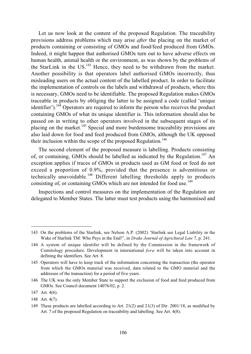Let us now look at the content of the proposed Regulation. The traceability provisions address problems which may arise *after* the placing on the market of products containing or consisting of GMOs and food/feed produced from GMOs. Indeed, it might happen that authorised GMOs turn out to have adverse effects on human health, animal health or the environment, as was shown by the problems of the StarLink in the US.<sup>143</sup> Hence, they need to be withdrawn from the market. Another possibility is that operators label authorised GMOs incorrectly, thus misleading users on the actual content of the labelled product. In order to facilitate the implementation of controls on the labels and withdrawal of products, where this is necessary, GMOs need to be identifiable. The proposed Regulation makes GMOs traceable in products by obliging the latter to be assigned a code (called 'unique identifier').<sup>144</sup> Operators are required to inform the person who receives the product containing GMOs of what its unique identifier is. This information should also be passed on in writing to other operators involved in the subsequent stages of its placing on the market.<sup>145</sup> Special and more burdensome traceability provisions are also laid down for food and feed produced from GMOs, although the UK opposed their inclusion within the scope of the proposed Regulation.<sup>146</sup>

The second element of the proposed measure is labelling. Products consisting of, or containing, GMOs should be labelled as indicated by the Regulation.<sup>147</sup> An exception applies if traces of GMOs in products used as GM food or feed do not exceed a proportion of 0.9%, provided that the presence is adventitious or technically unavoidable.<sup>148</sup> Different labelling thresholds apply to products consisting of, or containing GMOs which are not intended for food use.<sup>149</sup>

Inspections and control measures on the implementation of the Regulation are delegated to Member States. The latter must test products using the harmonised and

<sup>143</sup> On the problems of the Starlink, see Nelson A.P. (2002) 'Starlink see Legal Liability in the Wake of Starlink TM: Who Pays in the End?', in *Drake Journal of Agricltural Law* 7, p. 241.

<sup>144</sup> A system of unique identifer will be defined by the Commission in the framework of Comitology procedure. Development in international *fora* will be taken into account in defining the identifiers. See Art. 8.

<sup>145</sup> Operators will have to keep track of the information concerning the transaction (the operator from which the GMOs material was received, data related to the GMO material and the addressee of the transaction) for a period of five years.

<sup>146</sup> The UK was the only Member State to support the exclusion of food and feed produced from GMOs. See Council document 14076/02, p. 2.

<sup>147</sup> Art. 4(6).

<sup>148</sup> Art. 4(7).

<sup>149</sup> These products are labelled according to Art. 21(2) and 21(3) of Dir. 2001/18, as modified by Art. 7 of the proposed Regulation on traceability and labelling. See Art. 4(8).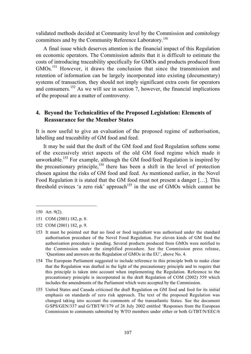validated methods decided at Community level by the Commission and comitology committees and by the Community Reference Laboratory.<sup>150</sup>

A final issue which deserves attention is the financial impact of this Regulation on economic operators. The Commission admits that it is difficult to estimate the costs of introducing traceability specifically for GMOs and products produced from GMOs.<sup>151</sup> However, it draws the conclusion that since the transmission and retention of information can be largely incorporated into existing (documentary) systems of transaction, they should not imply significant extra costs for operators and consumers.<sup>152</sup> As we will see in section 7, however, the financial implications of the proposal are a matter of controversy.

### **4. Beyond the Technicalities of the Proposed Legislation: Elements of Reassurance for the Member States**

It is now useful to give an evaluation of the proposed regime of authorisation, labelling and traceability of GM food and feed.

It may be said that the draft of the GM food and feed Regulation softens some of the excessively strict aspects of the old GM food regime which made it unworkable.<sup>153</sup> For example, although the GM food/feed Regulation is inspired by the precautionary principle, $154$  there has been a shift in the level of protection chosen against the risks of GM food and feed. As mentioned earlier, in the Novel Food Regulation it is stated that the GM food must not present a danger […]. This threshold evinces 'a zero risk' approach<sup>155</sup> in the use of GMOs which cannot be

<sup>150</sup> Art. 9(2).

<sup>151</sup> COM (2001) 182, p. 8.

<sup>152</sup> COM (2001) 182, p. 9.

<sup>153</sup> It must be pointed out that no food or food ingredient was authorised under the standard authorisation procedure of the Novel Food Regulation. For eleven kinds of GM food the authorisation procedure is pending. Several products produced from GMOs were notified to the Commission under the simplified procedure. See the Commission press release, 'Questions and answers on the Regulation of GMOs in the EU', above No. 4.

<sup>154</sup> The European Parliament suggested to include reference to this principle both to make clear that the Regulation was drafted in the light of the precautionary principle and to require that this principle is taken into account when implementing the Regulation. Reference to the precautionary principle is incorporated in the draft Regulation of COM (2002) 559 which includes the amendments of the Parliament which were accepted by the Commission.

<sup>155</sup> United States and Canada criticised the draft Regulation on GM food and feed for its initial emphasis on standards of zero risk approach. The text of the proposed Regulation was changed taking into account the comments of the transatlantic States. See the document G/SPS/GEN/337 and G/TBT/W/179 of 26 July 2002 entitled 'Responses from the European Commission to comments submitted by WTO members under either or both G/TBT/N/EEC/6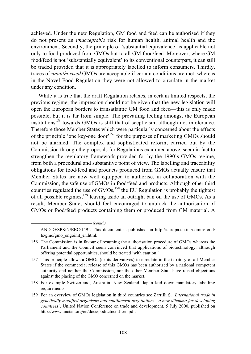achieved. Under the new Regulation, GM food and feed can be authorised if they do not present an *unacceptable* risk for human health, animal health and the environment. Secondly, the principle of 'substantial equivalence' is applicable not only to food produced from GMOs but to all GM food/feed. Moreover, where GM food/feed is not 'substantially equivalent' to its conventional counterpart, it can still be traded provided that it is appropriately labelled to inform consumers. Thirdly, traces of *unauthorised* GMOs are acceptable if certain conditions are met, whereas in the Novel Food Regulation they were not allowed to circulate in the market under any condition.

While it is true that the draft Regulation relaxes, in certain limited respects, the previous regime, the impression should not be given that the new legislation will open the European borders to transatlantic GM food and feed—this is only made possible, but it is far from simple. The prevailing feeling amongst the European institutions<sup>156</sup> towards GMOs is still that of scepticism, although not intolerance. Therefore those Member States which were particularly concerned about the effects of the principle 'one key-one door'<sup>157</sup> for the purposes of marketing GMOs should not be alarmed. The complex and sophisticated reform, carried out by the Commission through the proposals for Regulations examined above, seem in fact to strengthen the regulatory framework provided for by the 1990's GMOs regime, from both a procedural and substantive point of view. The labelling and traceability obligations for food/feed and products produced from GMOs actually ensure that Member States are now well equipped to authorise, in collaboration with the Commission, the safe use of GMOs in food/feed and products. Although other third countries regulated the use of GMOs,<sup>158</sup> the EU Regulation is probably the tightest of all possible regimes,<sup>159</sup> leaving aside an outright ban on the use of GMOs. As a result, Member States should feel encouraged to unblock the authorisation of GMOs or food/feed products containing them or produced from GM material. A

*(contd.)*

AND G/SPS/N/EEC/149'. This document is published on http://europa.eu.int/comm/food/ fs/gmo/gmo\_ongoinit\_en.html.

<sup>156</sup> The Commission is in favour of resuming the authorisation procedure of GMOs whereas the Parliament and the Council seem convinced that applications of biotechnology, although offering potential opportunities, should be treated 'with caution.'

<sup>157</sup> This principle allows a GMOs (or its derivatives) to circulate in the territory of all Member States if the commercial release of this GMOs has been authorised by a national competent authority and neither the Commission, nor the other Member State have raised objections against the placing of the GMO concerned on the market.

<sup>158</sup> For example Switzerland, Australia, New Zealand, Japan laid down mandatory labelling requirements.

<sup>159</sup> For an overview of GMOs legislation in third countries see Zarrilli S. '*International trade in genetically modified organisms and multilateral negotiations—a new dilemma for developing countries*', United Nation Conference on trade and development, 5 July 2000, published on http://www.unctad.org/en/docs/poditctncdd1.en.pdf.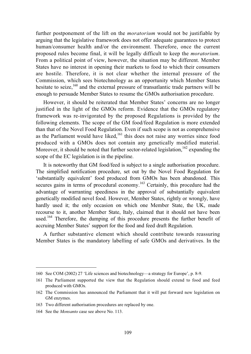further postponement of the lift on the *moratorium* would not be justifiable by arguing that the legislative framework does not offer adequate guarantees to protect human/consumer health and/or the environment. Therefore, once the current proposed rules become final, it will be legally difficult to keep the *moratorium*. From a political point of view, however, the situation may be different. Member States have no interest in opening their markets to food to which their consumers are hostile. Therefore, it is not clear whether the internal pressure of the Commission, which sees biotechnology as an opportunity which Member States hesitate to seize, $160$  and the external pressure of transatlantic trade partners will be enough to persuade Member States to resume the GMOs authorisation procedure.

However, it should be reiterated that Member States' concerns are no longer justified in the light of the GMOs reform. Evidence that the GMOs regulatory framework was re-invigorated by the proposed Regulations is provided by the following elements. The scope of the GM food/feed Regulation is more extended than that of the Novel Food Regulation. Even if such scope is not as comprehensive as the Parliament would have liked, $161$  this does not raise any worries since food produced with a GMOs does not contain any genetically modified material. Moreover, it should be noted that further sector-related legislation,  $162$  expanding the scope of the EC legislation is in the pipeline.

It is noteworthy that GM food/feed is subject to a single authorisation procedure. The simplified notification procedure, set out by the Novel Food Regulation for 'substantially equivalent' food produced from GMOs has been abandoned. This secures gains in terms of procedural economy.<sup>163</sup> Certainly, this procedure had the advantage of warranting speediness in the approval of substantially equivalent genetically modified novel food. However, Member States, rightly or wrongly, have hardly used it; the only occasion on which one Member State, the UK, made recourse to it, another Member State, Italy, claimed that it should not have been used.  $164$  Therefore, the dumping of this procedure presents the further benefit of accruing Member States' support for the food and feed draft Regulation.

A further substantive element which should contribute towards reassuring Member States is the mandatory labelling of safe GMOs and derivatives. In the

<sup>160</sup> See COM (2002) 27 'Life sciences and biotechnology—a strategy for Europe', p. 8-9.

<sup>161</sup> The Parliament supported the view that the Regulation should extend to food and feed produced with GMOs.

<sup>162</sup> The Commission has announced the Parliament that it will put forward new legislation on GM enzymes.

<sup>163</sup> Two different authorisation procedures are replaced by one.

<sup>164</sup> See the *Monsanto* case see above No. 113.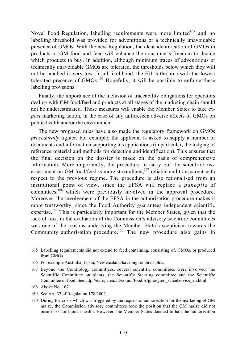Novel Food Regulation, labelling requirements were more limited<sup>165</sup> and no labelling threshold was provided for adventitious or a technically unavoidable presence of GMOs. With the new Regulation, the clear identification of GMOs in products or GM food and feed will enhance the consumer's freedom to decide which products to buy. In addition, although minimum traces of adventitious or technically unavoidable GMOs are tolerated, the thresholds below which they will not be labelled is very low. In all likelihood, the EU is the area with the lowest tolerated presence of GMOs.<sup>166</sup> Hopefully, it will be possible to enforce these labelling provisions.

Finally, the importance of the inclusion of traceability obligations for operators dealing with GM food/feed and products at all stages of the marketing chain should not be underestimated. These measures will enable the Member States to take *expost* marketing action, in the case of any unforeseen adverse effects of GMOs on public health and/or the environment.

The new proposed rules have also made the regulatory framework on GMOs *procedurally* tighter. For example, the applicant is asked to supply a number of documents and information supporting his applications (in particular, the lodging of reference material and methods for detection and identification). This ensures that the final decision on the dossier is made on the basis of comprehensive information. More importantly, the procedure to carry out the scientific risk assessment on GM food/feed is more streamlined, $167$  reliable and transparent with respect to the previous regime. The procedure is also rationalised from an institutional point of view, since the EFSA will replace a *panoplia* of committees,<sup>168</sup> which were previously involved in the approval procedure. Moreover, the involvement of the EFSA in the authorisation procedure makes it more trustworthy, since the Food Authority guarantees independent scientific expertise.<sup>169</sup> This is particularly important for the Member States, given that the lack of trust in the evaluation of the Commission's advisory scientific committees was one of the reasons underlying the Member State's scepticism towards the Community authorisation procedure.<sup>170</sup> The new procedure also gains in

<sup>165</sup> Labelling requirements did not extend to feed containing, consisting of, GMOs, or produced from GMOs.

<sup>166</sup> For example Australia, Japan, New Zealand have higher thresholds.

<sup>167</sup> Beyond the Comitology committees, several scientific committees were involved: the Scientific Committee on plants, the Scientific Steering committee and the Scientific Committee of food. See http://europa.eu.int/comm/food/fs/gmo/gmo\_scientadvice\_en.html.

<sup>168</sup> Above No. 167.

<sup>169</sup> See Art. 37 of Regulation 178/2002.

<sup>170</sup> During the crisis which was triggered by the request of authorisation for the marketing of GM maize, the Commission advisory committees took the position that the GM maize did not pose risks for human health. However, the Member States decided to halt the authorisation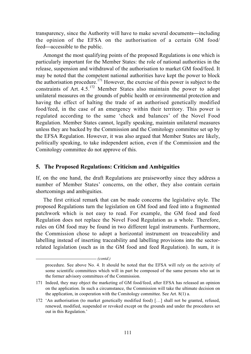transparency, since the Authority will have to make several documents—including the opinion of the EFSA on the authorisation of a certain GM food/ feed—accessible to the public.

Amongst the most qualifying points of the proposed Regulations is one which is particularly important for the Member States: the role of national authorities in the release, suspension and withdrawal of the authorisation to market GM food/feed. It may be noted that the competent national authorities have kept the power to block the authorisation procedure.<sup>171</sup> However, the exercise of this power is subject to the constraints of Art.  $4.5$ <sup>172</sup> Member States also maintain the power to adopt unilateral measures on the grounds of public health or environmental protection and having the effect of halting the trade of an authorised genetically modified food/feed, in the case of an emergency within their territory. This power is regulated according to the same 'check and balances' of the Novel Food Regulation. Member States cannot, legally speaking, maintain unilateral measures unless they are backed by the Commission and the Comitology committee set up by the EFSA Regulation. However, it was also argued that Member States are likely, politically speaking, to take independent action, even if the Commission and the Comitology committee do not approve of this.

#### **5. The Proposed Regulations: Criticism and Ambiguities**

If, on the one hand, the draft Regulations are praiseworthy since they address a number of Member States' concerns, on the other, they also contain certain shortcomings and ambiguities.

The first critical remark that can be made concerns the legislative style. The proposed Regulations turn the legislation on GM food and feed into a fragmented patchwork which is not easy to read. For example, the GM food and feed Regulation does not replace the Novel Food Regulation as a whole. Therefore, rules on GM food may be found in two different legal instruments. Furthermore, the Commission chose to adopt a horizontal instrument on treaceability and labelling instead of inserting traceability and labelling provisions into the sectorrelated legislation (such as in the GM food and feed Regulation). In sum, it is

*(contd.)*

procedure. See above No. 4. It should be noted that the EFSA will rely on the activity of some scientific committees which will in part be composed of the same persons who sat in the former advisory committees of the Commission.

<sup>171</sup> Indeed, they may object the marketing of GM food/feed, after EFSA has released an opinion on the application. In such a circumstance, the Commission will take the ultimate decision on the application, in cooperation with the Comitology committee. See Art. 8(1) a.

<sup>172</sup> 'An authorisation (to market genetically modified food) […] shall not be granted, refused, renewed, modified, suspended or revoked except on the grounds and under the procedures set out in this Regulation.'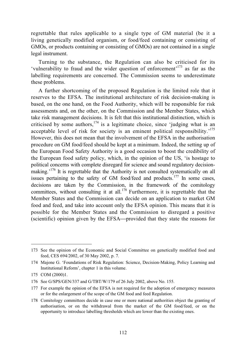regrettable that rules applicable to a single type of GM material (be it a living genetically modified organism, or food/feed containing or consisting of GMOs, or products containing or consisting of GMOs) are not contained in a single legal instrument.

Turning to the substance, the Regulation can also be criticised for its 'vulnerability to fraud and the wider question of enforcement'<sup>173</sup> as far as the labelling requirements are concerned. The Commission seems to underestimate these problems.

A further shortcoming of the proposed Regulation is the limited role that it reserves to the EFSA. The institutional architecture of risk decision-making is based, on the one hand, on the Food Authority, which will be responsible for risk assessments and, on the other, on the Commission and the Member States, which take risk management decisions. It is felt that this institutional distinction, which is criticised by some authors,  $174$  is a legitimate choice, since 'judging what is an acceptable level of risk for society is an eminent political responsibility.<sup> $175$ </sup> However, this does not mean that the involvement of the EFSA in the authorisation procedure on GM food/feed should be kept at a minimum. Indeed, the setting up of the European Food Safety Authority is a good occasion to boost the credibility of the European food safety policy, which, in the opinion of the US, 'is hostage to political concerns with complete disregard for science and sound regulatory decisionmaking.<sup> $176$ </sup> It is regrettable that the Authority is not consulted systematically on all issues pertaining to the safety of GM food/feed and products.<sup>177</sup> In some cases, decisions are taken by the Commission, in the framework of the comitology committees, without consulting it at all.<sup>178</sup> Furthermore, it is regrettable that the Member States and the Commission can decide on an application to market GM food and feed, and take into account only the EFSA opinion. This means that it is possible for the Member States and the Commission to disregard a positive (scientific) opinion given by the EFSA—provided that they state the reasons for

<sup>173</sup> See the opinion of the Economic and Social Committee on genetically modified food and feed, CES 694/2002, of 30 May 2002, p. 7.

<sup>174</sup> Majone G. 'Foundations of Risk Regulation: Science, Decision-Making, Policy Learning and Institutional Reform', chapter 1 in this volume.

<sup>175</sup> COM (2000)1.

<sup>176</sup> See G/SPS/GEN/337 and G/TBT/W/179 of 26 July 2002, above No. 155.

<sup>177</sup> For example the opinion of the EFSA is not required for the adoption of emergency measures or for the enlargement of the scope of the GM food and feed Regulation.

<sup>178</sup> Comitology committees decide in case one or more national authorities object the granting of authorisation, or on the withdrawal from the market of the GM food/feed, or on the opportunity to introduce labelling thresholds which are lower than the existing ones.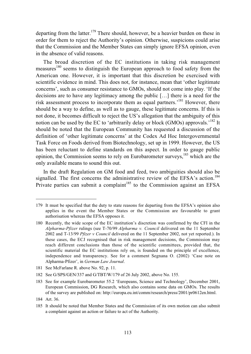departing from the latter.<sup>179</sup> There should, however, be a heavier burden on these in order for them to reject the Authority's opinion. Otherwise, suspicions could arise that the Commission and the Member States can simply ignore EFSA opinion, even in the absence of valid reasons.

The broad discretion of the EC institutions in taking risk management measures<sup>180</sup> seems to distinguish the European approach to food safety from the American one. However, it is important that this discretion be exercised with scientific evidence in mind. This does not, for instance, mean that 'other legitimate concerns', such as consumer resistance to GMOs, should not come into play. 'If the decisions are to have any legitimacy among the public […] there is a need for the risk assessment process to incorporate them as equal partners.'<sup>181</sup> However, there should be a way to define, as well as to gauge, these legitimate concerns. If this is not done, it becomes difficult to reject the US's allegation that the ambiguity of this notion can be used by the EC to 'arbitrarily delay or block (GMOs) approvals.<sup>'182</sup> It should be noted that the European Community has requested a discussion of the definition of 'other legitimate concerns' at the Codex Ad Hoc Intergovernmental Task Force on Foods derived from Biotechnology, set up in 1999. However, the US has been reluctant to define standards on this aspect. In order to gauge public opinion, the Commission seems to rely on Eurobarometer surveys, <sup>183</sup> which are the only available means to sound this out.

In the draft Regulation on GM food and feed, two ambiguities should also be signalled. The first concerns the administrative review of the EFSA's action.<sup>184</sup> Private parties can submit a complaint<sup>185</sup> to the Commission against an EFSA

<sup>179</sup> It must be specified that the duty to state reasons for departing from the EFSA's opinion also applies in the event the Member States or the Commission are favourable to grant authorisation whereas the EFSA opposes it.

<sup>180</sup> Recently, the wide scope of the EC institution's discretion was confirmed by the CFI in the *Alpharma-Pfizer* rulings (see T-70/99 *Alpharma v. Council* delivered on the 11 September 2002 and T-13/99 *Pfizer v Council* delivered on the 11 September 2002, not yet reported.). In these cases, the ECJ recognised that in risk management decisions, the Commission may reach different conclusions than those of the scientific committees, provided that, the scientific material the EC institutions rely on, is founded on the principle of excellence, independence and transparency. See for a comment Segnana O. (2002) 'Case note on Alpharma-Pfizer', in *German Law Journal*.

<sup>181</sup> See McFarlane R. above No. 92, p. 11.

<sup>182</sup> See G/SPS/GEN/337 and G/TBT/W/179 of 26 July 2002, above No. 155.

<sup>183</sup> See for example Eurobarometer 55.2 'Europeans, Science and Technology', December 2001, European Commission, DG Research, which also contains some data on GMOs. The results of the survey are published on: http://europa.eu.int/comm/research/press/2001/pr0612en.html.

<sup>184</sup> Art. 36.

<sup>185</sup> It should be noted that Member States and the Commission of its own motion can also submit a complaint against an action or failure to act of the Authority.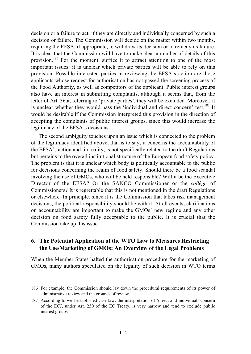decision or a failure to act, if they are directly and individually concerned by such a decision or failure. The Commission will decide on the matter within two months, requiring the EFSA, if appropriate, to withdraw its decision or to remedy its failure. It is clear that the Commission will have to make clear a number of details of this provision.<sup>186</sup> For the moment, suffice it to attract attention to one of the most important issues: it is unclear which private parties will be able to rely on this provision. Possible interested parties in reviewing the EFSA's action are those applicants whose request for authorisation has not passed the screening process of the Food Authority, as well as competitors of the applicant. Public interest groups also have an interest in submitting complaints, although it seems that, from the letter of Art. 36.a, referring to 'private parties', they will be excluded. Moreover, it is unclear whether they would pass the 'individual and direct concern' test.<sup>187</sup> It would be desirable if the Commission interpreted this provision in the direction of accepting the complaints of public interest groups, since this would increase the legitimacy of the EFSA's decisions.

The second ambiguity touches upon an issue which is connected to the problem of the legitimacy identified above, that is to say, it concerns the accountability of the EFSA's action and, in reality, is not specifically related to the draft Regulations but pertains to the overall institutional structure of the European food safety policy. The problem is that it is unclear which body is politically accountable to the public for decisions concerning the realm of food safety. Should there be a food scandal involving the use of GMOs, who will be held responsible? Will it be the Executive Director of the EFSA? Or the SANCO Commissioner or the *collège* of Commissioners? It is regrettable that this is not mentioned in the draft Regulations or elsewhere. In principle, since it is the Commission that takes risk management decisions, the political responsibility should lie with it. At all events, clarifications on accountability are important to make the GMOs' new regime and any other decision on food safety fully acceptable to the public. It is crucial that the Commission take up this issue.

## **6. The Potential Application of the WTO Law to Measures Restricting the Use/Marketing of GMOs: An Overview of the Legal Problems**

When the Member States halted the authorisation procedure for the marketing of GMOs, many authors speculated on the legality of such decision in WTO terms

<sup>186</sup> For example, the Commission should lay down the procedural requirements of its power of administrative review and the grounds of review.

<sup>187</sup> According to well established case-law, the interpretation of 'direct and individual' concern of the ECJ, under Art. 230 of the EC Treaty, is very narrow and tend to exclude public interest groups.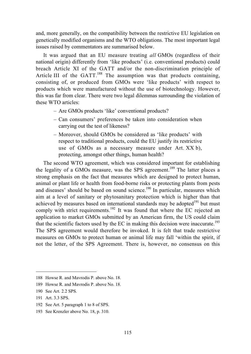and, more generally, on the compatibility between the restrictive EU legislation on genetically modified organisms and the WTO obligations. The most important legal issues raised by commentators are summarised below.

It was argued that an EU measure treating *all* GMOs (regardless of their national origin) differently from 'like products' (i.e. conventional products) could breach Article XI of the GATT and/or the non-discrimination principle of Article III of the GATT. $188$  The assumption was that products containing, consisting of, or produced from GMOs were 'like products' with respect to products which were manufactured without the use of biotechnology. However, this was far from clear. There were two legal dilemmas surrounding the violation of these WTO articles:

- Are GMOs products 'like' conventional products?
- Can consumers' preferences be taken into consideration when carrying out the test of likeness?
- Moreover, should GMOs be considered as 'like products' with respect to traditional products, could the EU justify its restrictive use of GMOs as a necessary measure under Art. XX b), protecting, amongst other things, human health?

The second WTO agreement, which was considered important for establishing the legality of a GMOs measure, was the SPS agreement.<sup>189</sup> The latter places a strong emphasis on the fact that measures which are designed to protect human, animal or plant life or health from food-borne risks or protecting plants from pests and diseases' should be based on sound science.<sup>190</sup> In particular, measures which aim at a level of sanitary or phytosanitary protection which is higher than that achieved by measures based on international standards may be adopted $191$  but must comply with strict requirements.<sup>192</sup> It was found that where the EC rejected an application to market GMOs submitted by an American firm, the US could claim that the scientific factors used by the EC in making this decision were inaccurate.<sup>193</sup> The SPS agreement would therefore be invoked. It is felt that trade restrictive measures on GMOs to protect human or animal life may fall 'within the spirit, if not the letter, of the SPS Agreement. There is, however, no consensus on this

 $\overline{a}$ 

192 See Art. 5 paragraph 1 to 8 of SPS.

<sup>188</sup> Howse R. and Mavrodis P. above No. 18.

<sup>189</sup> Howse R. and Mavrodis P. above No. 18.

<sup>190</sup> See Art. 2.2 SPS.

<sup>191</sup> Art. 3.3 SPS.

<sup>193</sup> See Krenzler above No. 18, p. 310.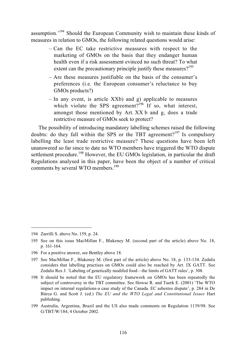assumption.<sup>'194</sup> Should the European Community wish to maintain these kinds of measures in relation to GMOs, the following related questions would arise:

- Can the EC take restrictive measures with respect to the marketing of GMOs on the basis that they endanger human health even if a risk assessment evinced no such threat? To what extent can the precautionary principle justify these measures?<sup>195</sup>
- Are these measures justifiable on the basis of the consumer's preferences (i.e. the European consumer's reluctance to buy GMOs products?)
- In any event, is article XXb) and g) applicable to measures which violate the SPS agreement?<sup>196</sup> If so, what interest, amongst those mentioned by Art. XX b and g, does a trade restrictive measure of GMOs seek to protect?

The possibility of introducing mandatory labelling schemes raised the following doubts: do they fall within the SPS or the TBT agreement?<sup>197</sup> Is compulsory labelling the least trade restrictive measure? These questions have been left unanswered so far since to date no WTO members have triggered the WTO dispute settlement procedure.<sup>198</sup> However, the EU GMOs legislation, in particular the draft Regulations analysed in this paper, have been the object of a number of critical comments by several WTO members.<sup>199</sup>

<sup>194</sup> Zarrilli S. above No. 159, p. 24.

<sup>195</sup> See on this issue MacMillan F., Blakeney M. (second part of the article) above No. 18, p. 161-164.

<sup>196</sup> For a positive answer, see Bentley above 18.

<sup>197</sup> See MacMillan F., Blakeney M. (first part of the article) above No. 18, p. 133-134. Zedalis considers that labelling practises on GMOs could also be reached by Art. IX GATT. See Zedalis Rex J. 'Labeling of genetically modifed food—the limits of GATT rules', p. 308.

<sup>198</sup> It should be noted that the EU regulatory framework on GMOs has been repeatedly the subject of controversy in the TBT committee. See Howse R. and Tuerk E. (2001) 'The WTO impact on internal regulations-a case study of the Canada. EC asbestos dispute', p. 284 in De Búrca G. and Scott J. (ed.) *The EU and the WTO Legal and Constitutional Issues* Hart publishing.

<sup>199</sup> Australia, Argentina, Brazil and the US also made comments on Regulation 1139/98. See G/TBT/W/184, 4 October 2002.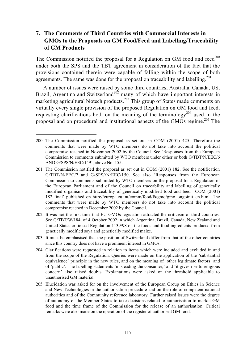## **7. The Comments of Third Countries with Commercial Interests in GMOs to the Proposals on GM Food/Feed and Labelling/Traceability of GM Products**

The Commission notified the proposal for a Regulation on GM food and feed $^{200}$ under both the SPS and the TBT agreement in consideration of the fact that the provisions contained therein were capable of falling within the scope of both agreements. The same was done for the proposal on traceability and labelling.<sup>201</sup>

A number of issues were raised by some third countries, Australia, Canada, US, Brazil, Argentina and Switzerland<sup>202</sup> many of which have important interests in marketing agricultural biotech products.<sup>203</sup> This group of States made comments on virtually every single provision of the proposed Regulation on GM food and feed, requesting clarifications both on the meaning of the terminology<sup>204</sup> used in the proposal and on procedural and institutional aspects of the GMOs regime.<sup>205</sup> The

<sup>200</sup> The Commission notified the proposal as set out in COM (2001) 425. Therefore the comments that were made by WTO members do not take into account the political compromise reached in November 2002 by the Council. See 'Responses from the European Commission to comments submitted by WTO members under either or both G/TBT/N/EEC/6 AND G/SPS/N/EEC/149', above No. 155.

<sup>201</sup> The Commission notified the proposal as set out in COM (2001) 182. See the notification G/TBT/N/EEC/7 and G/SPS//N/EEC/150. See also 'Responses from the European Commission to comments submitted by WTO members on the proposal for a Regulation of the European Parliament and of the Council on traceability and labelling of genetically modified organisms and traceability of genetically modified food and feed—COM (2001) 182 final' published on http://europa.eu.int/comm/food/fs/gmo/gmo\_ongoinit\_en.html. The comments that were made by WTO members do not take into account the political compromise reached in December 2002 by the Council.

<sup>202</sup> It was not the first time that EU GMOs legislation attracted the criticism of third countries. See G/TBT/W/184, of 4 October 2002 in which Argentina, Brazil, Canada, New Zealand and United States criticised Regulation 1139/98 on the foods and food ingredients produced from genetically modified soya and genetically modified maize.

<sup>203</sup> It must be emphasised that the position of Switzerland differ from that of the other countries since this country does not have a prominent interest in GMOs.

<sup>204</sup> Clarifications were requested in relation to items which were included and excluded in and from the scope of the Regulation. Queries were made on the application of the 'substantial equivalence' principle in the new rules, and on the meaning of 'other legitimate factors' and of 'public'. The labelling statements 'misleading the consumer,' and 'it gives rise to religious concern' also raised doubts. Explanations were asked on the threshold applicable to unauthorised GM material.

<sup>205</sup> Elucidation was asked for on the involvement of the European Group on Ethics in Science and New Technologies in the authorisation procedure and on the role of competent national authorities and of the Community reference laboratory. Further raised issues were the degree of autonomy of the Member States to take decisions related to authorisation to market GM food and the time frame of the Commission for the release of an authorisation. Critical remarks were also made on the operation of the register of authorised GM food.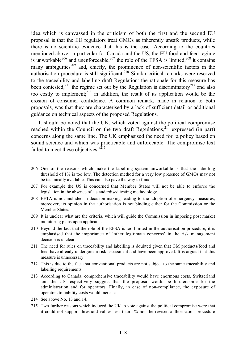idea which is canvassed in the criticism of both the first and the second EU proposal is that the EU regulators treat GMOs as inherently unsafe products, while there is no scientific evidence that this is the case. According to the countries mentioned above, in particular for Canada and the US, the EU food and feed regime is unworkable  $^{206}$  and unenforceable,  $^{207}$  the role of the EFSA is limited,  $^{208}$  it contains many ambiguities<sup>209</sup> and, chiefly, the prominence of non-scientific factors in the authorisation procedure is still significant.<sup>210</sup> Similar critical remarks were reserved to the traceability and labelling draft Regulation: the rationale for this measure has been contested;<sup>211</sup> the regime set out by the Regulation is discriminatory<sup>212</sup> and also too costly to implement; $2^{13}$  in addition, the result of its application would be the erosion of consumer confidence. A common remark, made in relation to both proposals, was that they are characterised by a lack of sufficient detail or additional guidance on technical aspects of the proposed Regulations.

It should be noted that the UK, which voted against the political compromise reached within the Council on the two draft Regulations,<sup>214</sup> expressed (in part) concerns along the same line. The UK emphasised the need for 'a policy based on sound science and which was practicable and enforceable. The compromise text failed to meet these objectives. $i^{215}$ 

<sup>206</sup> One of the reasons which make the labelling system unworkable is that the labelling threshold of 1% is too low. The detection method for a very low presence of GMOs may not be technically available. This can also pave the way to fraud.

<sup>207</sup> For example the US is concerned that Member States will not be able to enforce the legislation in the absence of a standardised testing methodology.

<sup>208</sup> EFTA is not included in decision-making leading to the adoption of emergency measures; moreover, its opinion in the authorisation is not binding either for the Commission or the Member States.

<sup>209</sup> It is unclear what are the criteria, which will guide the Commission in imposing post market monitoring plans upon applicants.

<sup>210</sup> Beyond the fact that the role of the EFSA is too limited in the authorisation procedure, it is emphasised that the importance of 'other legitimate concerns' in the risk management decision is unclear.

<sup>211</sup> The need for rules on traceability and labelling is doubted given that GM products/food and feed have already undergone a risk assessment and have been approved. It is argued that this measure is unnecessary.

<sup>212</sup> This is due to the fact that conventional products are not subject to the same traceability and labelling requirements.

<sup>213</sup> According to Canada, comprehensive traceability would have enormous costs. Switzerland and the US respectively suggest that the proposal would be burdensome for the administration and for operators. Finally, in case of non-compliance, the exposure of operators to liability costs would increase.

<sup>214</sup> See above No. 13 and 14.

<sup>215</sup> Two further reasons which induced the UK to vote against the political compromise were that it could not support threshold values less than 1% nor the revised authorisation procedure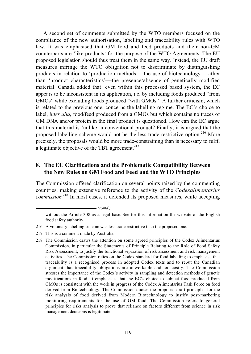A second set of comments submitted by the WTO members focused on the compliance of the new authorisation, labelling and traceability rules with WTO law. It was emphasised that GM food and feed products and their non-GM counterparts are 'like products' for the purpose of the WTO Agreements. The EU proposed legislation should thus treat them in the same way. Instead, the EU draft measures infringe the WTO obligation not to discriminate by distinguishing products in relation to 'production methods'—the use of biotechnology—rather than 'product characteristics'—the presence/absence of genetically modified material. Canada added that 'even within this processed based system, the EC appears to be inconsistent in its application, i.e. by including foods produced "from GMOs" while excluding foods produced "with GMOs"' A further criticism, which is related to the previous one, concerns the labelling regime. The EC's choice to label, *inter alia*, food/feed produced from a GMOs but which contains no traces of GM DNA and/or protein in the final product is questioned. How can the EC argue that this material is 'unlike' a conventional product? Finally, it is argued that the proposed labelling scheme would not be the less trade restrictive option.<sup>216</sup> More precisely, the proposals would be more trade-constraining than is necessary to fulfil a legitimate objective of the TBT agreement. $217$ 

## **8. The EC Clarifications and the Problematic Compatibility Between the New Rules on GM Food and Feed and the WTO Principles**

The Commission offered clarification on several points raised by the commenting countries, making extensive reference to the activity of the *Codexalimentarius commission.*<sup>218</sup> In most cases, it defended its proposed measures, while accepting

*(contd.)*

without the Article 308 as a legal base. See for this information the website of the English food safety authority.

- 216 A voluntary labelling scheme was less trade restrictive than the proposed one.
- 217 This is a comment made by Australia.
- 218 The Commission draws the attention on some agreed principles of the Codex Alimentarius Commission, in particular the Statements of Principle Relating to the Role of Food Safety Risk Assessment, to justify the functional separation of risk assessment and risk management activities. The Commission relies on the Codex standard for food labelling to emphasise that traceability is a recognised process in adopted Codex texts and to rebut the Canadian argument that traceability obligations are unworkable and too costly. The Commission stresses the importance of the Codex's activity in sampling and detection methods of genetic modifications in food. It emphasises that the EC's choice to subject food produced from GMOs is consistent with the work in progress of the Codex Alimentarius Task Force on food derived from Biotechnology. The Commission quotes the proposed draft principles for the risk analysis of food derived from Modern Biotechnology to justify post-marketing monitoring requirements for the use of GM food. The Commission refers to general principles for risks analysis to prove that reliance on factors different from science in risk management decisions is legitimate.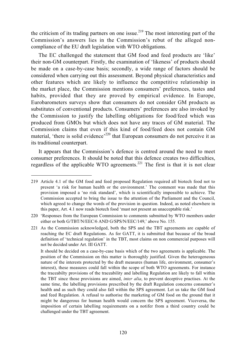the criticism of its trading partners on one issue.<sup>219</sup> The most interesting part of the Commission's answers lies in the Commission's rebut of the alleged noncompliance of the EU draft legislation with WTO obligations.

The EC challenged the statement that GM food and feed products are 'like' their non-GM counterpart. Firstly, the examination of 'likeness' of products should be made on a case-by-case basis; secondly, a wide range of factors should be considered when carrying out this assessment. Beyond physical characteristics and other features which are likely to influence the competitive relationship in the market place, the Commission mentions consumers' preferences, tastes and habits, provided that they are proved by empirical evidence. In Europe, Eurobarometers surveys show that consumers do not consider GM products as substitutes of conventional products. Consumers' preferences are also invoked by the Commission to justify the labelling obligations for food/feed which was produced from GMOs but which does not have any traces of GM material. The Commission claims that even if this kind of food/feed does not contain GM material, 'there is solid evidence'<sup>220</sup> that European consumers do not perceive it as its traditional counterpart.

It appears that the Commission's defence is centred around the need to meet consumer preferences. It should be noted that this defence creates two difficulties, regardless of the applicable WTO agreements.<sup>221</sup> The first is that it is not clear

<sup>219</sup> Article 4.1 of the GM food and feed proposed Regulation required all biotech food not to present 'a risk for human health or the environment.' The comment was made that this provision imposed a 'no risk standard', which is scientifically impossible to achieve. The Commission accepted to bring the issue to the attention of the Parliament and the Council, which agreed to change the words of the provision in question. Indeed, as noted elsewhere in this paper, Art. 4.1 now reads biotech food 'must not present an unacceptable risk.'

<sup>220</sup> 'Responses from the European Commission to comments submitted by WTO members under either or both G/TBT/N/EEC/6 AND G/SPS/N/EEC/149,' above No. 155.

<sup>221</sup> As the Commission acknowledged, both the SPS and the TBT agreements are capable of reaching the EC draft Regulations. As for GATT, it is submitted that because of the broad definition of 'technical regulation' in the TBT, most claims on non commercial purposes will not be decided under Art. III GATT.

It should be decided on a case-by-case basis which of the two agreements is applicable. The position of the Commission on this matter is thoroughly justified. Given the heterogeneous nature of the interests protected by the draft measures (human life, environment, consumer's interest), these measures could fall within the scope of both WTO agreements. For instance the traceabilty provisions of the traceability and labelling Regulation are likely to fall within the TBT since those provisions are aimed, *inter alia*, to prevent deceptive practises. At the same time, the labelling provisions prescribed by the draft Regulation concerns consumer's health and as such they could also fall within the SPS agreement. Let us take the GM food and feed Regulation. A refusal to authorise the marketing of GM food on the ground that it might be dangerous for human health would concern the SPS agreement. Viceversa, the imposition of certain labelling requirements on a notifer from a third country could be challenged under the TBT agreement.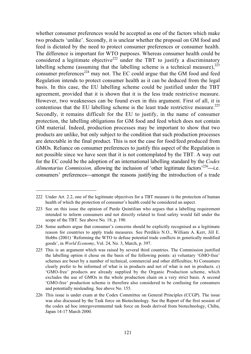whether consumer preferences would be accepted as one of the factors which make two products 'unlike'. Secondly, it is unclear whether the proposal on GM food and feed is dictated by the need to protect consumer preferences or consumer health. The difference is important for WTO purposes. Whereas consumer health could be considered a legitimate objective<sup>222</sup> under the TBT to justify a discriminatory labelling scheme (assuming that the labelling scheme is a technical measure),  $223$ consumer preferences<sup>224</sup> may not. The EC could argue that the GM food and feed Regulation intends to protect consumer health as it can be deduced from the legal basis. In this case, the EU labelling scheme could be justified under the TBT agreement, provided that it is shown that it is the less trade restrictive measure. However, two weaknesses can be found even in this argument. First of all, it is contentious that the EU labelling scheme is the least trade restrictive measure.<sup>225</sup> Secondly, it remains difficult for the EU to justify, in the name of consumer protection, the labelling obligations for GM food and feed which does not contain GM material. Indeed, production processes may be important to show that two products are unlike, but only subject to the condition that such production processes are detectable in the final product. This is not the case for food/feed produced from GMOs. Reliance on consumer preferences to justify this aspect of the Regulation is not possible since we have seen that it is not contemplated by the TBT. A way out for the EC could be the adoption of an international labelling standard by the *Codex Alimentarius Commission,* allowing the inclusion of 'other legitimate factors'<sup>226</sup><sub>-1</sub>.e. consumers' preferences—amongst the reasons justifying the introduction of a trade

<sup>222</sup> Under Art. 2.2, one of the legitimate objectives for a TBT measure is the protection of human health of which the protection of consumer's health could be considered an aspect.

<sup>223</sup> See on this issue the opinion of Pardo Quintilian who argues that a labelling requirement intended to inform consumers and not directly related to food safety would fall under the scope of the TBT. See above No. 18, p. 190.

<sup>224</sup> Some authors argue that consumer's concerns should be explicitly recognised as a legitimate reason for countries to apply trade measures. See Perdikis N.O., William A. Kerr, Jill E. Hobbs (2001) 'Reforming the WTO to defuse potential trade conflicts in genetically modified goods', in *World Economy*, Vol. 24, No. 3, March, p. 397.

<sup>225</sup> This is an argument which was raised by several third countries. The Commission justified the labelling option it chose on the basis of the following points: a) voluntary 'GMO-free' schemes are beset by a number of technical, commercial and other difficulties; b) Consumers clearly prefer to be informed of what is in products and not of what is not in products. c) 'GMO-free' products are already supplied by the Organic Production scheme, which excludes the use of GMOs in the whole production chain on a very strict basis. A second 'GMO-free' production scheme is therefore also considered to be confusing for consumers and potentially misleading. See above No. 155.

<sup>226</sup> This issue is under exam at the Codex Committee on General Principles (CCGP). The issue was also discussed by the Task force on Biotechnology. See the Report of the first session of the codex ad hoc intergovernmental task force on foods derived from biotechnology, Chiba, Japan 14-17 March 2000.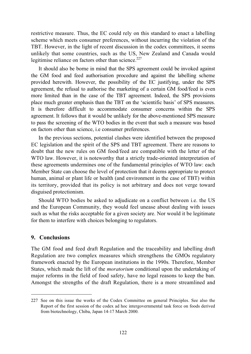restrictive measure. Thus, the EC could rely on this standard to enact a labelling scheme which meets consumer preferences, without incurring the violation of the TBT. However, in the light of recent discussion in the codex committees, it seems unlikely that some countries, such as the US, New Zealand and Canada would legitimise reliance on factors other than science. $227$ 

It should also be borne in mind that the SPS agreement could be invoked against the GM food and feed authorisation procedure and against the labelling scheme provided here with. However, the possibility of the EC justifying, under the SPS agreement, the refusal to authorise the marketing of a certain GM food/feed is even more limited than in the case of the TBT agreement. Indeed, the SPS provisions place much greater emphasis than the TBT on the 'scientific basis' of SPS measures. It is therefore difficult to accommodate consumer concerns within the SPS agreement. It follows that it would be unlikely for the above-mentioned SPS measure to pass the screening of the WTO bodies in the event that such a measure was based on factors other than science, i.e consumer preferences.

In the previous sections, potential clashes were identified between the proposed EC legislation and the spirit of the SPS and TBT agreement. There are reasons to doubt that the new rules on GM food/feed are compatible with the letter of the WTO law. However, it is noteworthy that a strictly trade-oriented interpretation of these agreements undermines one of the fundamental principles of WTO law: each Member State can choose the level of protection that it deems appropriate to protect human, animal or plant life or health (and environment in the case of TBT) within its territory, provided that its policy is not arbitrary and does not verge toward disguised protectionism.

Should WTO bodies be asked to adjudicate on a conflict between i.e. the US and the European Community, they would feel unease about dealing with issues such as what the risks acceptable for a given society are. Nor would it be legitimate for them to interfere with choices belonging to regulators.

#### **9. Conclusions**

 $\overline{a}$ 

The GM food and feed draft Regulation and the traceability and labelling draft Regulation are two complex measures which strengthens the GMOs regulatory framework enacted by the European institutions in the 1990s. Therefore, Member States, which made the lift of the *moratorium* conditional upon the undertaking of major reforms in the field of food safety, have no legal reasons to keep the ban. Amongst the strengths of the draft Regulation, there is a more streamlined and

<sup>227</sup> See on this issue the works of the Codex Committee on general Principles. See also the Report of the first session of the codex ad hoc intergovernmental task force on foods derived from biotechnology, Chiba, Japan 14-17 March 2000.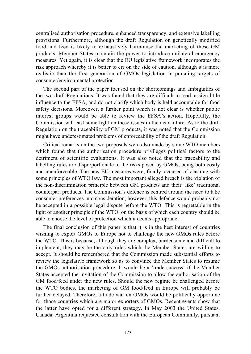centralised authorisation procedure, enhanced transparency, and extensive labelling provisions. Furthermore, although the draft Regulation on genetically modified food and feed is likely to exhaustively harmonise the marketing of these GM products, Member States maintain the power to introduce unilateral emergency measures. Yet again, it is clear that the EU legislative framework incorporates the risk approach whereby it is better to err on the side of caution, although it is more realistic than the first generation of GMOs legislation in pursuing targets of consumer/environmental protection.

The second part of the paper focused on the shortcomings and ambiguities of the two draft Regulations. It was found that they are difficult to read, assign little influence to the EFSA, and do not clarify which body is held accountable for food safety decisions. Moreover, a further point which is not clear is whether public interest groups would be able to review the EFSA's action. Hopefully, the Commission will cast some light on these issues in the near future. As to the draft Regulation on the traceability of GM products, it was noted that the Commission might have underestimated problems of enforceability of the draft Regulation.

Critical remarks on the two proposals were also made by some WTO members which found that the authorisation procedure privileges political factors to the detriment of scientific evaluations. It was also noted that the traceability and labelling rules are disproportionate to the risks posed by GMOs, being both costly and unenforceable. The new EU measures were, finally, accused of clashing with some principles of WTO law. The most important alleged breach is the violation of the non-discrimination principle between GM products and their 'like' traditional counterpart products. The Commission's defence is centred around the need to take consumer preferences into consideration; however, this defence would probably not be accepted in a possible legal dispute before the WTO. This is regrettable in the light of another principle of the WTO, on the basis of which each country should be able to choose the level of protection which it deems appropriate.

The final conclusion of this paper is that it is in the best interest of countries wishing to export GMOs to Europe not to challenge the new GMOs rules before the WTO. This is because, although they are complex, burdensome and difficult to implement, they may be the only rules which the Member States are willing to accept. It should be remembered that the Commission made substantial efforts to review the legislative framework so as to convince the Member States to resume the GMOs authorisation procedure. It would be a 'trade success' if the Member States accepted the invitation of the Commission to allow the authorisation of the GM food/feed under the new rules. Should the new regime be challenged before the WTO bodies, the marketing of GM food/feed in Europe will probably be further delayed. Therefore, a trade war on GMOs would be politically opportune for those countries which are major exporters of GMOs. Recent events show that the latter have opted for a different strategy. In May 2003 the United States, Canada, Argentina requested consultation with the European Community, pursuant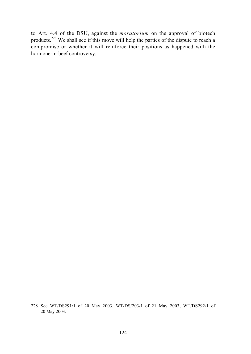to Art. 4.4 of the DSU, against the *moratorium* on the approval of biotech products.<sup>228</sup> We shall see if this move will help the parties of the dispute to reach a compromise or whether it will reinforce their positions as happened with the hormone-in-beef controversy.

<sup>228</sup> See WT/DS291/1 of 20 May 2003, WT/DS/203/1 of 21 May 2003, WT/DS292/1 of 20 May 2003.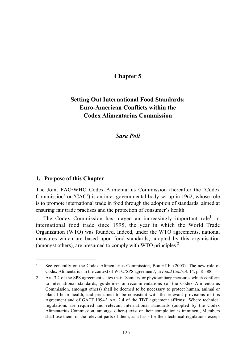## **Chapter 5**

# **Setting Out International Food Standards: Euro-American Conflicts within the Codex Alimentarius Commission**

## *Sara Poli*

#### **1. Purpose of this Chapter**

 $\overline{a}$ 

The Joint FAO/WHO Codex Alimentarius Commission (hereafter the 'Codex Commission' or 'CAC') is an inter-governmental body set up in 1962, whose role is to promote international trade in food through the adoption of standards, aimed at ensuring fair trade practises and the protection of consumer's health.

The Codex Commission has played an increasingly important role<sup>1</sup> in international food trade since 1995, the year in which the World Trade Organization (WTO) was founded. Indeed, under the WTO agreements, national measures which are based upon food standards, adopted by this organisation (amongst others), are presumed to comply with WTO principles. $<sup>2</sup>$ </sup>

<sup>1</sup> See generally on the Codex Alimentarius Commission, Boutrif E. (2003) 'The new role of Codex Alimentarius in the context of WTO/SPS agreement', in *Food Control,* 14, p. 81-88.

<sup>2</sup> Art. 3.2 of the SPS agreement states that: 'Sanitary or phytosanitary measures which conform to international standards, guidelines or recommendations (of the Codex Alimentarius Commission, amongst others) shall be deemed to be necessary to protect human, animal or plant life or health, and presumed to be consistent with the relevant provisions of this Agreement and of GATT 1994.' Art. 2.4 of the TBT agreement affirms: 'Where technical regulations are required and relevant international standards (adopted by the Codex Alimentarius Commission, amongst others) exist or their completion is imminent, Members shall use them, or the relevant parts of them, as a basis for their technical regulations except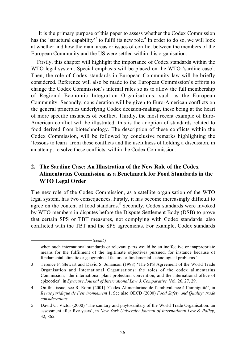It is the primary purpose of this paper to assess whether the Codex Commission has the 'structural capability'<sup>3</sup> to fulfil its new role.<sup>4</sup> In order to do so, we will look at whether and how the main areas or issues of conflict between the members of the European Community and the US were settled within this organisation.

Firstly, this chapter will highlight the importance of Codex standards within the WTO legal system. Special emphasis will be placed on the WTO 'sardine case'. Then, the role of Codex standards in European Community law will be briefly considered. Reference will also be made to the European Commission's efforts to change the Codex Commission's internal rules so as to allow the full membership of Regional Economic Integration Organisations, such as the European Community. Secondly, consideration will be given to Euro-American conflicts on the general principles underlying Codex decision-making, these being at the heart of more specific instances of conflict. Thirdly, the most recent example of Euro-American conflict will be illustrated: this is the adoption of standards related to food derived from biotechnology. The description of these conflicts within the Codex Commission, will be followed by conclusive remarks highlighting the 'lessons to learn' from these conflicts and the usefulness of holding a discussion, in an attempt to solve these conflicts, within the Codex Commission.

## **2. The Sardine Case: An Illustration of the New Role of the Codex Alimentarius Commission as a Benchmark for Food Standards in the WTO Legal Order**

The new role of the Codex Commission, as a satellite organisation of the WTO legal system, has two consequences. Firstly, it has become increasingly difficult to agree on the content of food standards.<sup>5</sup> Secondly, Codex standards were invoked by WTO members in disputes before the Dispute Settlement Body (DSB) to prove that certain SPS or TBT measures, not complying with Codex standards, also conflicted with the TBT and the SPS agreements. For example, Codex standards

(*contd.*)

when such international standards or relevant parts would be an ineffective or inappropriate means for the fulfilment of the legitimate objectives pursued, for instance because of fundamental climatic or geographical factors or fundamental technological problems.'

<sup>3</sup> Terence P. Stewart and David S. Johanson (1998) 'The SPS Agreement of the World Trade Organisation and International Organisations: the roles of the codex alimentarius Commission, the international plant protection convention, and the international office of epizootics', in *Syracuse Journal of International Law & Comparative*, Vol. 26, 27, 29.

<sup>4</sup> On this issue, see R. Romi (2001) 'Codex Alimentarius: de l'ambivalence à l'ambiguité', in *Revue juridique de l'environnement* 1. See also OECD (2000) *Food Safety and Quality: trade considerations.*

<sup>5</sup> David G. Victor (2000) 'The sanitary and phytosanitary of the World Trade Organisation: an assessment after five years', in *New York University Journal of International Law & Policy*, 32, 865.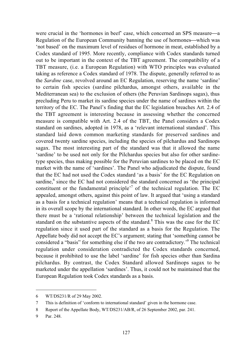were crucial in the 'hormones in beef' case, which concerned an SPS measure—a Regulation of the European Community banning the use of hormones—which was 'not based' on the maximum level of residues of hormone in meat, established by a Codex standard of 1995. More recently, compliance with Codex standards turned out to be important in the context of the TBT agreement. The compatibility of a TBT measure, (i.e. a European Regulation) with WTO principles was evaluated taking as reference a Codex standard of 1978. The dispute, generally referred to as the *Sardine* case, revolved around an EC Regulation, reserving the name 'sardine' to certain fish species (sardine pilchardus, amongst others, available in the Mediterranean sea) to the exclusion of others (the Peruvian Sardinops sagax), thus precluding Peru to market its sardine species under the name of sardines within the territory of the EC. The Panel's finding that the EC legislation breaches Art. 2.4 of the TBT agreement is interesting because in assessing whether the concerned measure is compatible with Art. 2.4 of the TBT, the Panel considers a Codex standard on sardines, adopted in 1978, as a 'relevant international standard'. This standard laid down common marketing standards for preserved sardines and covered twenty sardine species, including the species of pilchardus and Sardinops sagax. The most interesting part of the standard was that it allowed the name 'sardine' to be used not only for the Pilchardus species but also for other sardinetype species, thus making possible for the Peruvian sardines to be placed on the EC market with the name of 'sardines'. The Panel who adjudicated the dispute, found that the EC had not used the Codex standard 'as a basis' for the EC Regulation on sardine,<sup>6</sup> since the EC had not considered the standard concerned as 'the principal constituent or the fundamental principle<sup> $,7$ </sup> of the technical regulation. The EC appealed, amongst others, against this point of law. It argued that 'using a standard as a basis for a technical regulation' means that a technical regulation is informed in its overall scope by the international standard. In other words, the EC argued that there must be a 'rational relationship' between the technical legislation and the standard on the substantive aspects of the standard.<sup>8</sup> This was the case for the EC regulation since it used part of the standard as a basis for the Regulation. The Appellate body did not accept the EC's argument; stating that 'something cannot be considered a "basis" for something else if the two are contradictory.'<sup>9</sup> The technical regulation under consideration contradicted the Codex standards concerned, because it prohibited to use the label 'sardine' for fish species other than Sardina pilchardus. By contrast, the Codex Standard allowed Sardinops sagax to be marketed under the appellation 'sardines'. Thus, it could not be maintained that the European Regulation took Codex standards as a basis.

<sup>6</sup> WT/DS231/R of 29 May 2002.

<sup>7</sup> This is definition of 'conform to international standard' given in the hormone case.

<sup>8</sup> Report of the Appellate Body, WT/DS231/AB/R, of 26 September 2002, par. 241.

<sup>9</sup> Par. 248.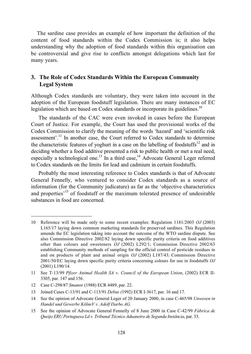The sardine case provides an example of how important the definition of the content of food standards within the Codex Commission is; it also helps understanding why the adoption of food standards within this organisation can be controversial and give rise to conflicts amongst delegations which last for many years.

## **3. The Role of Codex Standards Within the European Community Legal System**

Although Codex standards are voluntary, they were taken into account in the adoption of the European foodstuff legislation. There are many instances of EC legislation which are based on Codex standards or incorporate its guidelines.<sup>10</sup>

The standards of the CAC were even invoked in cases before the European Court of Justice. For example, the Court has used the provisional works of the Codex Commission to clarify the meaning of the words 'hazard' and 'scientific risk assessment'.<sup>11</sup> In another case, the Court referred to Codex standards to determine the characteristic features of yoghurt in a case on the labelling of foodstuffs<sup>12</sup> and in deciding whe the r a food additive presented a risk to public health or met a real need, especially a technological one.<sup>13</sup> In a third case,<sup>14</sup> Advocate General Leger referred to Codex standards on the limits for lead and cadmium in certain foodstuffs.

Probably the most interesting reference to Codex standards is that of Advocate General Fennelly, who ventured to consider Codex standards as a source of information (for the Community judicature) as far as the 'objective characteristics and properties'<sup>15</sup> of foodstuff or the maximum tolerated presence of undesirable substances in food are concerned.

<sup>10</sup> Reference will be made only to some recent examples: Regulation 1181/2003 *OJ* (2003) L165/17 laying down common marketing standards for preserved sardines. This Regulation amends the EC legislation taking into account the outcome of the WTO sardine dispute. See also Commission Directive 2002/82 laying down specific purity criteria on food additives other than colours and sweeteners *OJ* (2002) L292/1; Commission Directive 2002/63 establishing Community methods of sampling for the official control of pesticide residues in and on products of plant and animal origin *OJ* (2002) L187/43*;* Commission Directive 2001/50/EC laying down specific purity criteria concerning colours for use in foodstuffs *OJ* (2001) L190/14.

<sup>11</sup> See T-13/99 *Pfizer Animal Health SA v. Council of the European Union*, (2002) ECR II-3305, par. 147 and 156.

<sup>12</sup> Case C-298/87 *Smanor* (1988) ECR 4489, par. 22.

<sup>13</sup> Joined Cases C-13/91 and C-113/91 *Debus (*1992) ECR I-3617, par. 16 and 17.

<sup>14</sup> See the opinion of Advocate General Leger of 20 January 2000, in case C-465/98 *Unwesen in Handel und Gewerbe KölneV v. Adolf Darbo AG.*

<sup>15</sup> See the opinion of Advocate General Fennelly of 8 June 2000 in Case C-42/99 *Fábrica de* Queijo ERU Portuguesa Ld v. Tribunal Técnico Aduaneiro de Segunda Instância, par. 33.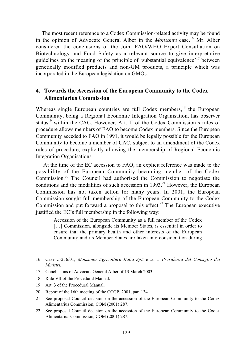The most recent reference to a Codex Commission-related activity may be found in the opinion of Advocate General Alber in the *Monsanto* case. <sup>16</sup> Mr. Alber considered the conclusions of the Joint FAO/WHO Expert Consultation on Biotechnology and Food Safety as a relevant source to give interpretative guidelines on the meaning of the principle of 'substantial equivalence'<sup>17</sup> between genetically modified products and non-GM products, a principle which was incorporated in the European legislation on GMOs.

## **4. Towards the Accession of the European Community to the Codex Alimentarius Commission**

Whereas single European countries are full Codex members,  $18$  the European Community, being a Regional Economic Integration Organisation, has observer status<sup>19</sup> within the CAC. However, Art. II of the Codex Commission's rules of procedure allows members of FAO to become Codex members. Since the European Community acceded to FAO in 1991, it would be legally possible for the European Community to become a member of CAC, subject to an amendment of the Codex rules of procedure, explicitly allowing the membership of Regional Economic Integration Organisations.

At the time of the EC accession to FAO, an explicit reference was made to the possibility of the European Community becoming member of the Codex Commission.<sup>20</sup> The Council had authorised the Commission to negotiate the conditions and the modalities of such accession in  $1993<sup>21</sup>$  However, the European Commission has not taken action for many years. In 2001, the European Commission sought full membership of the European Community to the Codex Commission and put forward a proposal to this effect.<sup>22</sup> The European executive justified the EC's full membership in the following way:

Accession of the European Community as a full member of the Codex [...] Commission, alongside its Member States, is essential in order to ensure that the primary health and other interests of the European Community and its Member States are taken into consideration during

- 18 Rule VII of the Procedural Manual.
- 19 Art. 3 of the Procedural Manual.

<sup>16</sup> Case C-236/01, *Monsanto Agricoltura Italia SpA e a. v. Presidenza del Consiglio dei Ministri*.

<sup>17</sup> Conclusions of Advocate General Alber of 13 March 2003.

<sup>20</sup> Report of the 16th meeting of the CCGP, 2001, par. 134.

<sup>21</sup> See proposal Council decision on the accession of the European Community to the Codex Alimentarius Commission, COM (2001) 287.

<sup>22</sup> See proposal Council decision on the accession of the European Community to the Codex Alimentarius Commission, COM (2001) 287.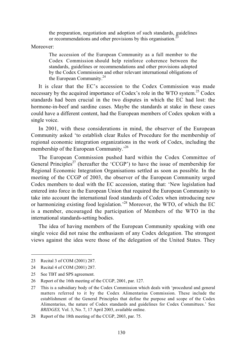the preparation, negotiation and adoption of such standards, guidelines or recommendations and other provisions by this organisation.<sup>2</sup>

Moreover:

The accession of the European Community as a full member to the Codex Commission should help reinforce coherence between the standards, guidelines or recommendations and other provisions adopted by the Codex Commission and other relevant international obligations of the European Community.<sup>24</sup>

It is clear that the EC's accession to the Codex Commission was made necessary by the acquired importance of Codex's role in the WTO system.<sup>25</sup> Codex standards had been crucial in the two disputes in which the EC had lost: the hormone-in-beef and sardine cases. Maybe the standards at stake in these cases could have a different content, had the European members of Codex spoken with a single voice.

In 2001, with these considerations in mind, the observer of the European Community asked 'to establish clear Rules of Procedure for the membership of regional economic integration organizations in the work of Codex, including the membership of the European Community.<sup>26</sup>

The European Commission pushed hard within the Codex Committee of General Principles<sup>27</sup> (hereafter the 'CCGP') to have the issue of membership for Regional Economic Integration Organisations settled as soon as possible. In the meeting of the CCGP of 2003, the observer of the European Community urged Codex members to deal with the EC accession, stating that: 'New legislation had entered into force in the European Union that required the European Community to take into account the international food standards of Codex when introducing new or harmonizing existing food legislation.'<sup>28</sup> Moreover, the WTO, of which the EC is a member, encouraged the participation of Members of the WTO in the international standards-setting bodies.

The idea of having members of the European Community speaking with one single voice did not raise the enthusiasm of any Codex delegation. The strongest views against the idea were those of the delegation of the United States. They

 $\overline{a}$ 

25 See TBT and SPS agreement.

<sup>23</sup> Recital 3 of COM (2001) 287.

<sup>24</sup> Recital 4 of COM (2001) 287.

<sup>26</sup> Report of the 16th meeting of the CCGP, 2001, par. 127.

<sup>27</sup> This is a subsidiary body of the Codex Commission which deals with 'procedural and general matters referred to it by the Codex Alimentarius Commission. These include the establishment of the General Principles that define the purpose and scope of the Codex Alimentarius, the nature of Codex standards and guidelines for Codex Committees.' See *BRIDGES,* Vol. 3, No. 7, 17 April 2003, available online.

<sup>28</sup> Report of the 18th meeting of the CCGP, 2003, par. 75.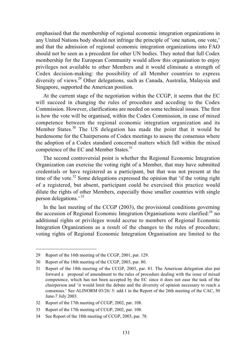emphasised that the membership of regional economic integration organizations in any United Nations body should not infringe the principle of 'one nation, one vote,' and that the admission of regional economic integration organizations into FAO should not be seen as a precedent for other UN bodies. They noted that full Codex membership for the European Community would allow this organisation to enjoy privileges not available to other Members and it would eliminate a strength of Codex decision-making: the possibility of all Member countries to express diversity of views.<sup>29</sup> Other delegations, such as Canada, Australia, Malaysia and Singapore, supported the American position.

At the current stage of the negotiation within the CCGP, it seems that the EC will succeed in changing the rules of procedure and acceding to the Codex Commission. However, clarifications are needed on some technical issues. The first is how the vote will be organised, within the Codex Commission, in case of mixed competence between the regional economic integration organization and its Member States.<sup>30</sup> The US delegation has made the point that it would be burdensome for the Chairpersons of Codex meetings to assess the consensus where the adoption of a Codex standard concerned matters which fall within the mixed competence of the EC and Member States.<sup>31</sup>

The second controversial point is whether the Regional Economic Integration Organization can exercise the voting right of a Member, that may have submitted credentials or have registered as a participant, but that was not present at the time of the vote.<sup>32</sup> Some delegations expressed the opinion that 'if the voting right of a registered, but absent, participant could be exercised this practice would dilute the rights of other Members, especially those smaller countries with single person delegations.' <sup>33</sup>

In the last meeting of the CCGP (2003), the provisional conditions governing the accession of Regional Economic Integration Organisations were clarified:<sup>34</sup> no additional rights or privileges would accrue to members of Regional Economic Integration Organizations as a result of the changes to the rules of procedure; voting rights of Regional Economic Integration Organisation are limited to the

<sup>29</sup> Report of the 16th meeting of the CCGP, 2001, par. 129.

<sup>30</sup> Report of the 18th meeting of the CCGP, 2003, par. 80.

<sup>31</sup> Report of the 18th meeting of the CCGP, 2003, par. 81. The American delegation also put forward a proposal of amendment to the rules of procedure dealing with the issue of mixed competence, which has not been accepted by the EC since it does not ease the task of the chairperson and 'it would limit the debate and the diversity of opinion necessary to reach a consensus.' See ALINORM 03/26/ 5: add.1 in the Report of the 26th meeting of the CAC, 30 June-7 July 2003.

<sup>32</sup> Report of the 17th meeting of CCGP, 2002, par. 108.

<sup>33</sup> Report of the 17th meeting of CCGP, 2002, par. 108.

<sup>34</sup> See Report of the 18th meeting of CCGP, 2003, par. 78.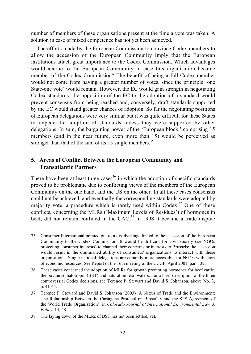number of members of these organisations present at the time a vote was taken. A solution in case of mixed competence has not yet been achieved.

The efforts made by the European Commission to convince Codex members to allow the accession of the European Community imply that the European institutions attach great importance to the Codex Commission. Which advantages would accrue to the European Community in case this organisation became member of the Codex Commission? The benefit of being a full Codex member would not come from having a greater number of votes, since the principle 'one State-one vote' would remain. However, the EC would gain strength in negotiating Codex standards; the opposition of the EC to the adoption of a standard would prevent consensus from being reached and, conversely, draft standards supported by the EC would stand greater chances of adoption. So far the negotiating positions of European delegations were very similar but it was quite difficult for these States to impede the adoption of standards unless they were supported by other delegations. In sum, the bargaining power of the 'European block,' comprising 15 members (and in the near future, even more than 15) would be perceived as stronger than that of the sum of its 15 single members.<sup>35</sup>

## **5. Areas of Conflict Between the European Community and Transatlantic Partners**

There have been at least three cases<sup>36</sup> in which the adoption of specific standards proved to be problematic due to conflicting views of the members of the European Community on the one hand, and the US on the other. In all these cases consensus could not be achieved, and eventually the corresponding standards were adopted by majority vote, a procedure which is rarely used within  $Codex$ <sup>37</sup> One of these conflicts, concerning the MLRs ('Maximum Levels of Residues') of hormones in beef, did not remain confined in the  $CAC$ ;<sup>38</sup> in 1998 it became a trade dispute

<sup>35</sup> Consumer International pointed out to a disadvantage linked to the accession of the European Community to the Codex Commission. It would be difficult for civil society (i.e NGOs protecting consumer interests) to channel their concerns or interests to Brussels; the accession would result in the diminished ability of consumers' organizations to interact with these organisations. Single national delegations are certainly more accessible for NGOs with short of economic resources. See Report of the 16th meeting of the CCGP, April 2001, par. 132.

<sup>36</sup> These cases concerned the adoption of MLRs for growth promoting hormones for beef cattle, the bovine somatotropin (BST) and natural mineral waters. For a brief description of the three controversial Codex decisions, see Terence P. Stewart and David S. Johanson, above No. 3, p. 41-45.

<sup>37</sup> Terence P. Steward and David S. Johanson (2003) 'A Nexus of Trade and the Environment: The Relationship Between the Cartagena Protocol on Biosafety and the SPS Agreement of the World Trade Organization', in *Colorado Journal of International Environmental Law & Policy*, 14, 48.

<sup>38</sup> The laying down of the MLRs of BST has not been settled, yet.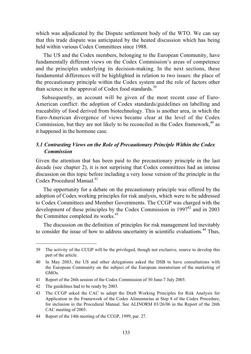which was adjudicated by the Dispute settlement body of the WTO. We can say that this trade dispute was anticipated by the heated discussion which has being held within various Codex Committees since 1988.

The US and the Codex members, belonging to the European Community, have fundamentally different views on the Codex Commission's areas of competence and the principles underlying its decision-making. In the next sections, these fundamental differences will be highlighted in relation to two issues: the place of the precautionary principle within the Codex system and the role of factors other than science in the approval of Codex food standards.<sup>39</sup>

Subsequently, an account will be given of the most recent case of Euro-American conflict: the adoption of Codex standards/guidelines on labelling and traceability of food derived from biotechnology. This is another area, in which the Euro-American divergence of views became clear at the level of the Codex Commission, but they are not likely to be reconciled in the Codex framework, $40$  as it happened in the hormone case.

### *5.1 Contrasting Views on the Role of Precautionary Principle Within the Codex Commission*

Given the attention that has been paid to the precautionary principle in the last decade (see chapter 2), it is not surprising that Codex committees had an intense discussion on this topic before including a very loose version of the principle in the Codex Procedural Manual.<sup>41</sup>

The opportunity for a debate on the precautionary principle was offered by the adoption of Codex working principles for risk analysis, which were to be addressed to Codex Committees and Member Governments. The CCGP was charged with the development of these principles by the Codex Commission in  $1997<sup>42</sup>$  and in 2003 the Committee completed its works.<sup>43</sup>

The discussion on the definition of principles for risk management led inevitably to consider the issue of how to address uncertainty in scientific evaluations.<sup>44</sup> Thus,

- 41 Report of the 26th session of the Codex Commission of 30 June-7 July 2003.
- 42 The guidelines had to be ready by 2003.

 $\overline{a}$ 

43 The CCGP asked the CAC to adopt the Draft Working Principles for Risk Analysis for Application in the Framework of the Codex Alimentarius at Step 8 of the Codex Procedure, for inclusion in the Procedural Manual. See ALINORM 03/26/06 in the Report of the 26th CAC meeting of 2003.

<sup>39</sup> The activity of the CCGP will be the privileged, though not exclusive, source to develop this part of the article.

<sup>40</sup> In May 2003, the US and other delegations asked the DSB to have consultations with the European Community on the subject of the European moratorium of the marketing of GMOs.

<sup>44</sup> Report of the 14th meeting of the CCGP, 1999, par. 27.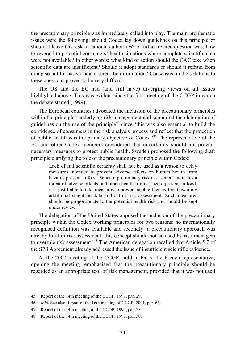the precautionary principle was immediately called into play. The main problematic issues were the following: should Codex lay down guidelines on this principle or should it leave this task to national authorities? A further related question was: how to respond to potential consumers' health situations where complete scientific data were not available? In other words: what kind of action should the CAC take when scientific data are insufficient? Should it adopt standards or should it refrain from doing so until it has sufficient scientific information? Consensus on the solutions to these questions proved to be very difficult.

The US and the EC had (and still have) diverging views on all issues highlighted above. This was evident since the first meeting of the CCGP in which the debate started (1999).

The European countries advocated the inclusion of the precautionary principles within the principles underlying risk management and supported the elaboration of guidelines on the use of the principle<sup>45</sup> since 'this was also essential to build the confidence of consumers in the risk analysis process and reflect that the protection of public health was the primary objective of Codex.'<sup>46</sup> The representative of the EC and other Codex members considered that uncertainty should not prevent necessary measures to protect public health. Sweden proposed the following draft principle clarifying the role of the precautionary principle within Codex:

Lack of full scientific certainty shall not be used as a reason to delay measures intended to prevent adverse effects on human health from hazards present in food. When a preliminary risk assessment indicates a threat of adverse effects on human health from a hazard present in food, it is justifiable to take measures to prevent such effects without awaiting additional scientific data and a full risk assessment. Such measures should be proportionate to the potential health risk and should be kept under review. $47$ 

The delegation of the United States opposed the inclusion of the precautionary principle within the Codex working principles for two reasons: no internationally recognised definition was available and secondly 'a precautionary approach was already built in risk assessment; this concept should not be used by risk managers to overrule risk assessment.<sup>48</sup> The American delegation recalled that Article 5.7 of the SPS Agreement already addressed the issue of insufficient scientific evidence.

At the 2000 meeting of the CCGP, held in Paris, the French representative, opening the meeting, emphasised that the precautionary principle should be regarded as an appropriate tool of risk management, provided that it was not used

<sup>45</sup> Report of the 14th meeting of the CCGP, 1999, par. 29.

<sup>46</sup> *Ibid*. See also Report of the 16th meeting of CCGP, 2001, par. 66.

<sup>47</sup> Report of the 14th meeting of the CCGP, 1999, par. 28.

<sup>48</sup> Report of the 14th meeting of the CCGP, 1999, par. 30.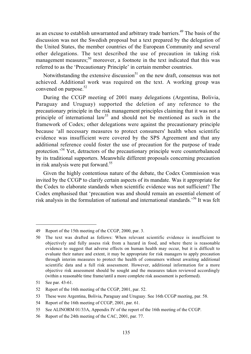as an excuse to establish unwarranted and arbitrary trade barriers.<sup>49</sup> The basis of the discussion was not the Swedish proposal but a text prepared by the delegation of the United States, the member countries of the European Community and several other delegations. The text described the use of precaution in taking risk management measures;<sup>50</sup> moreover, a footnote in the text indicated that this was referred to as the 'Precautionary Principle' in certain member countries.

Notwithstanding the extensive discussion<sup>51</sup> on the new draft, consensus was not achieved. Additional work was required on the text. A working group was convened on purpose. $52$ 

During the CCGP meeting of 2001 many delegations (Argentina, Bolivia, Paraguay and Uruguay) supported the deletion of any reference to the precautionary principle in the risk management principles claiming that it was not a principle of international law<sup>53</sup> and should not be mentioned as such in the framework of Codex; other delegations were against the precautionary principle because 'all necessary measures to protect consumers' health when scientific evidence was insufficient were covered by the SPS Agreement and that any additional reference could foster the use of precaution for the purpose of trade protection.'<sup>54</sup> Yet, detractors of the precautionary principle were counterbalanced by its traditional supporters. Meanwhile different proposals concerning precaution in risk analysis were put forward.<sup>55</sup>

Given the highly contentious nature of the debate, the Codex Commission was invited by the CCGP to clarify certain aspects of its mandate. Was it appropriate for the Codex to elaborate standards when scientific evidence was not sufficient? The Codex emphasised that 'precaution was and should remain an essential element of risk analysis in the formulation of national and international standards.<sup>56</sup> It was felt

<sup>49</sup> Report of the 15th meeting of the CCGP, 2000, par. 3.

<sup>50</sup> The text was drafted as follows: When relevant scientific evidence is insufficient to objectively and fully assess risk from a hazard in food, and where there is reasonable evidence to suggest that adverse effects on human health may occur, but it is difficult to evaluate their nature and extent, it may be appropriate for risk managers to apply precaution through interim measures to protect the health of consumers without awaiting additional scientific data and a full risk assessment. However, additional information for a more objective risk assessment should be sought and the measures taken reviewed accordingly (within a reasonable time frame/until a more complete risk assessment is performed).

<sup>51</sup> See par. 43-61.

<sup>52</sup> Report of the 16th meeting of the CCGP, 2001, par. 52.

<sup>53</sup> These were Argentina, Bolivia, Paraguay and Uruguay. See 16th CCGP meeting, par. 58.

<sup>54</sup> Report of the 16th meeting of CCGP, 2001, par. 61.

<sup>55</sup> See ALINORM 01/33A, Appendix IV of the report of the 16th meeting of the CCGP.

<sup>56</sup> Report of the 24th meeting of the CAC, 2001, par. 77.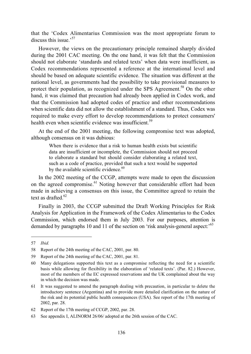that the 'Codex Alimentarius Commission was the most appropriate forum to discuss this issue.'<sup>57</sup>

However, the views on the precautionary principle remained sharply divided during the 2001 CAC meeting. On the one hand, it was felt that the Commission should not elaborate 'standards and related texts' when data were insufficient, as Codex recommendations represented a reference at the international level and should be based on adequate scientific evidence. The situation was different at the national level, as governments had the possibility to take provisional measures to protect their population, as recognized under the SPS Agreement.<sup>58</sup> On the other hand, it was claimed that precaution had already been applied in Codex work, and that the Commission had adopted codes of practice and other recommendations when scientific data did not allow the establishment of a standard. Thus, Codex was required to make every effort to develop recommendations to protect consumers' health even when scientific evidence was insufficient.<sup>59</sup>

At the end of the 2001 meeting, the following compromise text was adopted, although consensus on it was dubious:

When there is evidence that a risk to human health exists but scientific data are insufficient or incomplete, the Commission should not proceed to elaborate a standard but should consider elaborating a related text, such as a code of practice, provided that such a text would be supported by the available scientific evidence. $60$ 

In the 2002 meeting of the CCGP, attempts were made to open the discussion on the agreed compromise.<sup>61</sup> Noting however that considerable effort had been made in achieving a consensus on this issue, the Committee agreed to retain the text as drafted. $62$ 

Finally in 2003, the CCGP submitted the Draft Working Principles for Risk Analysis for Application in the Framework of the Codex Alimentarius to the Codex Commission, which endorsed them in July 2003. For our purposes, attention is demanded by paragraphs 10 and 11 of the section on 'risk analysis-general aspect: $^{83}$ 

<sup>57</sup> *Ibid.*

<sup>58</sup> Report of the 24th meeting of the CAC, 2001, par. 80.

<sup>59</sup> Report of the 24th meeting of the CAC, 2001, par. 81.

<sup>60</sup> Many delegations supported this text as a compromise reflecting the need for a scientific basis while allowing for flexibility in the elaboration of 'related texts'. (Par. 82.) However, most of the members of the EC expressed reservations and the UK complained about the way in which the decision was made.

<sup>61</sup> It was suggested to amend the paragraph dealing with precaution, in particular to delete the introductory sentence (Argentina) and to provide more detailed clarification on the nature of the risk and its potential public health consequences (USA). See report of the 17th meeting of 2002, par. 28.

<sup>62</sup> Report of the 17th meeting of CCGP, 2002, par. 28.

<sup>63</sup> See appendix I, ALINORM 26/06/ adopted at the 26th session of the CAC.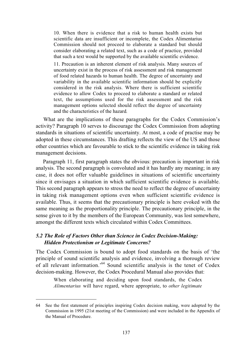10. When there is evidence that a risk to human health exists but scientific data are insufficient or incomplete, the Codex Alimentarius Commission should not proceed to elaborate a standard but should consider elaborating a related text, such as a code of practice, provided that such a text would be supported by the available scientific evidence.

11. Precaution is an inherent element of risk analysis. Many sources of uncertainty exist in the process of risk assessment and risk management of food related hazards to human health. The degree of uncertainty and variability in the available scientific information should be explicitly considered in the risk analysis. Where there is sufficient scientific evidence to allow Codex to proceed to elaborate a standard or related text, the assumptions used for the risk assessment and the risk management options selected should reflect the degree of uncertainty and the characteristics of the hazard*.*

What are the implications of these paragraphs for the Codex Commission's activity? Paragraph 10 serves to discourage the Codex Commission from adopting standards in situations of scientific uncertainty. At most, a code of practise may be adopted in these circumstances. This drafting reflects the view of the US and those other countries which are favourable to stick to the scientific evidence in taking risk management decisions.

Paragraph 11, first paragraph states the obvious: precaution is important in risk analysis. The second paragraph is convoluted and it has hardly any meaning; in any case, it does not offer valuable guidelines in situations of scientific uncertainty since it envisages a situation in which sufficient scientific evidence is available. This second paragraph appears to stress the need to reflect the degree of uncertainty in taking risk management options even when sufficient scientific evidence is available. Thus, it seems that the precautionary principle is here evoked with the same meaning as the proportionality principle. The precautionary principle, in the sense given to it by the members of the European Community, was lost somewhere, amongst the different texts which circulated within Codex Committees.

### *5.2 The Role of Factors Other than Science in Codex Decision-Making: Hidden Protectionism or Legitimate Concerns?*

 $\overline{a}$ 

The Codex Commission is bound to adopt food standards on the basis of 'the principle of sound scientific analysis and evidence, involving a thorough review of all relevant information.'<sup>64</sup> Sound scientific analysis is the tenet of Codex decision-making. However, the Codex Procedural Manual also provides that:

When elaborating and deciding upon food standards, the Codex *Alimentarius* will have regard, where appropriate, to *other legitimate*

<sup>64</sup> See the first statement of principles inspiring Codex decision making, were adopted by the Commission in 1995 (21st meeting of the Commission) and were included in the Appendix of the Manual of Procedure.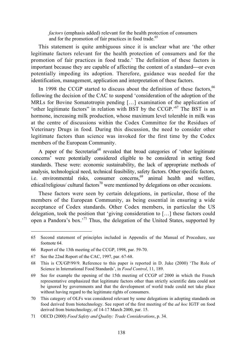*factors* (emphasis added) relevant for the health protection of consumers and for the promotion of fair practices in food trade.<sup>65</sup>

This statement is quite ambiguous since it is unclear what are 'the other legitimate factors relevant for the health protection of consumers and for the promotion of fair practices in food trade.' The definition of these factors is important because they are capable of affecting the content of a standard—or even potentially impeding its adoption. Therefore, guidance was needed for the identification, management, application and interpretation of these factors.

In 1998 the CCGP started to discuss about the definition of these factors,<sup>66</sup> following the decision of the CAC to suspend 'consideration of the adoption of the MRLs for Bovine Somatotropin pending […] examination of the application of "other legitimate factors" in relation with BST by the CCGP.'<sup>67</sup> The BST is an hormone, increasing milk production, whose maximum level tolerable in milk was at the centre of discussions within the Codex Committee for the Residues of Veterinary Drugs in food. During this discussion, the need to consider other legitimate factors than science was invoked for the first time by the Codex members of the European Community.

A paper of the Secretariat<sup>68</sup> revealed that broad categories of 'other legitimate concerns' were potentially considered eligible to be considered in setting food standards. These were: economic sustainability, the lack of appropriate methods of analysis, technological need, technical feasibility, safety factors. Other specific factors, i.e. environmental risks, consumer concerns,<sup>69</sup> animal health and welfare, ethical/religious/ cultural factors<sup>70</sup> were mentioned by delegations on other occasions.

These factors were seen by certain delegations, in particular, those of the members of the European Community, as being essential in ensuring a wide acceptance of Codex standards. Other Codex members, in particular the US delegation, took the position that 'giving consideration to […] these factors could open a Pandora's box.<sup>71</sup> Thus, the delegation of the United States, supported by

<sup>65</sup> Second statement of principles included in Appendix of the Manual of Procedure, see footnote 64.

<sup>66</sup> Report of the 13th meeting of the CCGP, 1998, par. 59-70.

<sup>67</sup> See the 22nd Report of the CAC, 1997, par. 67-68.

<sup>68</sup> This is CX/GP/99/9. Reference to this paper is reported in D. Juke (2000) 'The Role of Science in International Food Standards', in *Food Control*, 11, 189.

<sup>69</sup> See for example the opening of the 15th meeting of CCGP of 2000 in which the French representative emphasized that legitimate factors other than strictly scientific data could not be ignored by governments and that the development of world trade could not take place without having regard to the legitimate rights of consumers.

<sup>70</sup> This category of OLFs was considered relevant by some delegations in adopting standards on food derived from biotechnology. See report of the first meeting of the *ad hoc* IGTF on food derived from biotechnology, of 14-17 March 2000, par. 15.

<sup>71</sup> OECD (2000) *Food Safety and Quality: Trade Considerations*, p. 34.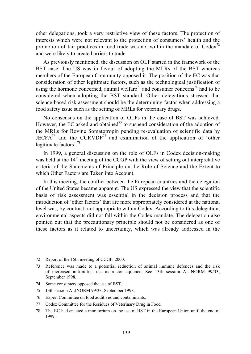other delegations, took a very restrictive view of these factors. The protection of interests which were not relevant to the protection of consumers' health and the promotion of fair practices in food trade was not within the mandate of  $Codex^{72}$ and were likely to create barriers to trade.

As previously mentioned, the discussion on OLF started in the framework of the BST case. The US was in favour of adopting the MLRs of the BST whereas members of the European Community opposed it. The position of the EC was that consideration of other legitimate factors, such as the technological justification of using the hormone concerned, animal welfare<sup>73</sup> and consumer concerns<sup>74</sup> had to be considered when adopting the BST standard. Other delegations stressed that science-based risk assessment should be the determining factor when addressing a food safety issue such as the setting of MRLs for veterinary drugs.

No consensus on the application of OLFs in the case of BST was achieved. However, the EC asked and obtained<sup>75</sup> to suspend consideration of the adoption of the MRLs for Bovine Somatotropin pending re-evaluation of scientific data by  $JECFA^{76}$  and the  $CCRVDF^{77}$  and examination of the application of 'other legitimate factors'.<sup>78</sup>

In 1999, a general discussion on the role of OLFs in Codex decision-making was held at the 14<sup>th</sup> meeting of the CCGP with the view of setting out interpretative criteria of the Statements of Principle on the Role of Science and the Extent to which Other Factors are Taken into Account.

In this meeting, the conflict between the European countries and the delegation of the United States became apparent. The US expressed the view that the scientific basis of risk assessment was essential in the decision process and that the introduction of 'other factors' that are more appropriately considered at the national level was, by contrast, not appropriate within Codex. According to this delegation, environmental aspects did not fall within the Codex mandate. The delegation also pointed out that the precautionary principle should not be considered as one of these factors as it related to uncertainty, which was already addressed in the

<sup>72</sup> Report of the 15th meeting of CCGP, 2000.

<sup>73</sup> Reference was made to a potential reduction of animal immune defences and the risk of increased antibiotics use as a consequence. See 13th session ALINORM 99/33, September 1998.

<sup>74</sup> Some consumers opposed the use of BST.

<sup>75</sup> 13th session ALINORM 99/33, September 1998.

<sup>76</sup> Expert Committee on food additives and contaminants.

<sup>77</sup> Codex Committee for the Residues of Veterinary Drug in Food.

<sup>78</sup> The EC had enacted a moratorium on the use of BST in the European Union until the end of 1999.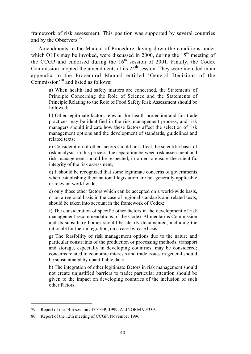framework of risk assessment. This position was supported by several countries and by the Observers.<sup>79</sup>

Amendments to the Manual of Procedure, laying down the conditions under which OLFs may be invoked, were discussed in 2000, during the  $15<sup>th</sup>$  meeting of the CCGP and endorsed during the  $16<sup>th</sup>$  session of 2001. Finally, the Codex Commission adopted the amendments at its  $24<sup>th</sup>$  session. They were included in an appendix to the Procedural Manual entitled 'General Decisions of the Commission<sup>'80</sup> and listed as follows:

a) When health and safety matters are concerned, the Statements of Principle Concerning the Role of Science and the Statements of Principle Relating to the Role of Food Safety Risk Assessment should be followed;

b) Other legitimate factors relevant for health protection and fair trade practices may be identified in the risk management process, and risk managers should indicate how these factors affect the selection of risk management options and the development of standards, guidelines and related texts;

c) Consideration of other factors should not affect the scientific basis of risk analysis; in this process, the separation between risk assessment and risk management should be respected, in order to ensure the scientific integrity of the risk assessment;

d) It should be recognized that some legitimate concerns of governments when establishing their national legislation are not generally applicable or relevant world-wide;

e) only those other factors which can be accepted on a world-wide basis, or on a regional basis in the case of regional standards and related texts, should be taken into account in the framework of Codex;

f) The consideration of specific other factors in the development of risk management recommendations of the Codex Alimentarius Commission and its subsidiary bodies should be clearly documented, including the rationale for their integration, on a case-by-case basis;

g) The feasibility of risk management options due to the nature and particular constraints of the production or processing methods, transport and storage, especially in developing countries, may be considered; concerns related to economic interests and trade issues in general should be substantiated by quantifiable data;

h) The integration of other legitimate factors in risk management should not create unjustified barriers to trade; particular attention should be given to the impact on developing countries of the inclusion of such other factors.

<sup>79</sup> Report of the 14th session of CCGP, 1999, ALINORM 99/33A.

<sup>80</sup> Report of the 12th meeting of CCGP, November 1996.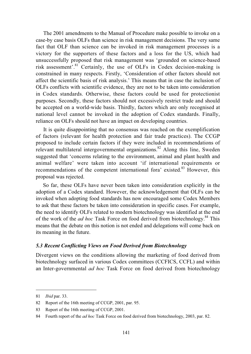The 2001 amendments to the Manual of Procedure make possible to invoke on a case-by case basis OLFs than science in risk management decisions. The very same fact that OLF than science can be invoked in risk management processes is a victory for the supporters of these factors and a loss for the US, which had unsuccessfully proposed that risk management was 'grounded on science-based risk assessment'.<sup>81</sup> Certainly, the use of OLFs in Codex decision-making is constrained in many respects. Firstly, 'Consideration of other factors should not affect the scientific basis of risk analysis.' This means that in case the inclusion of OLFs conflicts with scientific evidence, they are not to be taken into consideration in Codex standards. Otherwise, these factors could be used for protectionist purposes. Secondly, these factors should not excessively restrict trade and should be accepted on a world-wide basis. Thirdly, factors which are only recognised at national level cannot be invoked in the adoption of Codex standards. Finally, reliance on OLFs should not have an impact on developing countries.

It is quite disappointing that no consensus was reached on the exemplification of factors (relevant for health protection and fair trade practices). The CCGP proposed to include certain factors if they were included in recommendations of relevant multilateral intergovernmental organizations.<sup>82</sup> Along this line, Sweden suggested that 'concerns relating to the environment, animal and plant health and animal welfare' were taken into account 'if international requirements or recommendations of the competent international fora' existed.<sup>83</sup> However, this proposal was rejected.

So far, these OLFs have never been taken into consideration explicitly in the adoption of a Codex standard. However, the acknowledgement that OLFs can be invoked when adopting food standards has now encouraged some Codex Members to ask that these factors be taken into consideration in specific cases. For example, the need to identify OLFs related to modern biotechnology was identified at the end of the work of the *ad hoc* Task Force on food derived from biotechnology.<sup>84</sup> This means that the debate on this notion is not ended and delegations will come back on its meaning in the future.

#### *5.3 Recent Conflicting Views on Food Derived from Biotechnology*

Divergent views on the conditions allowing the marketing of food derived from biotechnology surfaced in various Codex committees (CCFICS, CCFL) and within an Inter-governmental *ad hoc* Task Force on food derived from biotechnology

<sup>81</sup> *Ibid* par. 33.

<sup>82</sup> Report of the 16th meeting of CCGP, 2001, par. 95.

<sup>83</sup> Report of the 16th meeting of CCGP, 2001.

<sup>84</sup> Fourth report of the *ad hoc* Task Force on food derived from biotechnology, 2003, par. 82.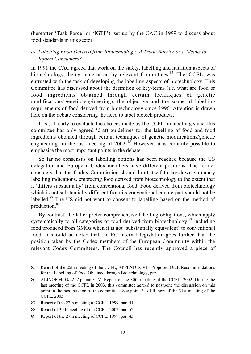(hereafter 'Task Force' or 'IGTF'), set up by the CAC in 1999 to discuss about food standards in this sector.

# *a) Labelling Food Derived from Biotechnology: A Trade Barrier or a Means to Inform Consumers?*

In 1991 the CAC agreed that work on the safety, labelling and nutrition aspects of biotechnology, being undertaken by relevant Committees.<sup>85</sup> The CCFL was entrusted with the task of developing the labelling aspects of biotechnology. This Committee has discussed about the definition of key-terms (i.e. what are food or food ingredients obtained through certain techniques of genetic modifications/genetic engineering), the objective and the scope of labelling requirements of food derived from biotechnology since 1996. Attention is drawn here on the debate considering the need to label biotech products.

It is still early to evaluate the choices made by the CCFL on labelling since, this committee has only agreed 'draft guidelines for the labelling of food and food ingredients obtained through certain techniques of genetic modifications/genetic engineering' in the last meeting of 2002.<sup>86</sup> However, it is certainly possible to emphasise the most important points in the debate.

So far no consensus on labelling options has been reached because the US delegation and European Codex members have different positions. The former considers that the Codex Commission should limit itself to lay down voluntary labelling indications, embracing food derived from biotechnology to the extent that it 'differs substantially' from conventional food. Food derived from biotechnology which is not substantially different from its conventional counterpart should not be labelled.<sup>87</sup> The US did not want to consent to labelling based on the method of production.<sup>88</sup>

By contrast, the latter prefer comprehensive labelling obligations, which apply systematically to all categories of food derived from biotechnology,<sup>89</sup> including food produced from GMOs when it is not 'substantially equivalent' to conventional food. It should be noted that the EC internal legislation goes further than the position taken by the Codex members of the European Community within the relevant Codex Committees. The Council has recently approved a piece of

<sup>85</sup> Report of the 25th meeting of the CCFL, APPENDIX VI - Proposed Draft Recommendations for the Labelling of Food Obtained through Biotechnology, par. 1.

<sup>86</sup> ALINORM 03/22, Appendix IV, Report of the 30th meeting of the CCFL, 2002. During the last meeting of the CCFL in 2003, this committee agreed to postpone the discussion on this point to the next session of the committee. See point 74 of Report of the 31st meeting of the CCFL, 2003.

<sup>87</sup> Report of the 27th meeting of CCFL, 1999, par. 41.

<sup>88</sup> Report of 30th meeting of the CCFL, 2002, par. 52.

<sup>89</sup> Report of the 27th meeting of CCFL, 1999, par. 43.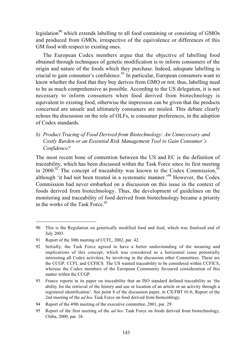legislation<sup>90</sup> which extends labelling to all food containing or consisting of GMOs and produced from GMOs, irrespective of the equivalence or differences of this GM food with respect to existing ones.

The European Codex members argue that the objective of labelling food obtained through techniques of genetic modification is to inform consumers of the origin and nature of the foods which they purchase. Indeed, adequate labelling is crucial to gain consumer's confidence.<sup>91</sup> In particular, European consumers want to know whether the food that they buy derives from GMO or not; thus, labelling need to be as much comprehensive as possible. According to the US delegation, it is not necessary to inform consumers when food derived from biotechnology is equivalent to existing food, otherwise the impression can be given that the products concerned are unsafe and ultimately consumers are misled. This debate clearly echoes the discussion on the role of OLFs, ie consumer preferences, in the adoption of Codex standards.

*b) Product Tracing of Food Derived from Biotechnology: An Unnecessary and Costly Burden or an Essential Risk Management Tool to Gain Consumer's Confidence?*

The most recent bone of contention between the US and EC is the definition of traceability, which has been discussed within the Task Force since its first meeting in 2000.<sup>92</sup> The concept of traceability was known to the Codex Commission,<sup>93</sup> although 'it had not been treated in a systematic manner.<sup>94</sup> However, the Codex Commission had never embarked on a discussion on this issue in the context of foods derived from biotechnology. Thus, the development of guidelines on the monitoring and traceability of food derived from biotechnology became a priority in the works of the Task Force.  $95$ 

<sup>90</sup> This is the Regulation on genetically modified food and feed, which was finalised end of July 2003.

<sup>91</sup> Report of the 30th meeting of CCFL, 2002, par. 42.

<sup>92</sup> Initially, the Task Force agreed to have a better understanding of the meaning and implications of this concept, which was considered as a horizontal issue potentially interesting all Codex activities, by involving in the discussion other Committees. These are the CCGP, CCFL and CCFICS. The US wanted traceability to be considered within CCFICS, whereas the Codex members of the European Community favoured consideration of this matter within the CCGP.

<sup>93</sup> France reports in its paper on traceability that an ISO standard defined traceability as 'the ability for the retrieval of the history and use or location of an article or an activity through a registered identification'. See point 8 of the discussion paper, in CX/FBT 01/6, Report of the 2nd meeting of the *ad hoc* Task Force on food derived from biotecnhlogy.

<sup>94</sup> Report of the 49th meeting of the executive committee, 2001, par. 29.

<sup>95</sup> Report of the first meeting of the *ad hoc* Task Force on foods derived from biotechnology, Chiba, 2000, par. 18.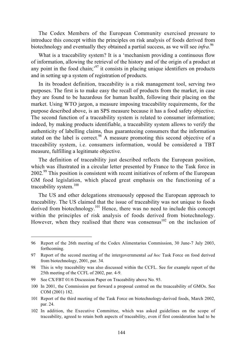The Codex Members of the European Community exercised pressure to introduce this concept within the principles on risk analysis of foods derived from biotechnology and eventually they obtained a partial success, as we will see *infra*. 96

What is a traceability system? It is a 'mechanism providing a continuous flow of information, allowing the retrieval of the history and of the origin of a product at any point in the food chain;<sup>97</sup> it consists in placing unique identifiers on products and in setting up a system of registration of products.

In its broadest definition, traceability is a risk management tool, serving two purposes. The first is to make easy the recall of products from the market, in case they are found to be hazardous for human health, following their placing on the market. Using WTO jargon, a measure imposing traceability requirements, for the purpose described above, is an SPS measure because it has a food safety objective. The second function of a traceability system is related to consumer information; indeed, by making products identifiable, a traceability system allows to verify the authenticity of labelling claims, thus guaranteeing consumers that the information stated on the label is correct.<sup>98</sup> A measure promoting this second objective of a traceability system, i.e. consumers information, would be considered a TBT measure, fulfilling a legitimate objective.

The definition of traceability just described reflects the European position, which was illustrated in a circular letter presented by France to the Task force in 2002.<sup>99</sup> This position is consistent with recent initiatives of reform of the European GM food legislation, which placed great emphasis on the functioning of a traceability system.<sup>100</sup>

The US and other delegations strenuously opposed the European approach to traceability. The US claimed that the issue of traceability was not unique to foods derived from biotechnology.<sup>101</sup> Hence, there was no need to include this concept within the principles of risk analysis of foods derived from biotechnology. However, when they realised that there was consensus $102$  on the inclusion of

<sup>96</sup> Report of the 26th meeting of the Codex Alimentarius Commission, 30 June-7 July 2003, forthcoming.

<sup>97</sup> Report of the second meeting of the intergovernmental *ad hoc* Task Force on food derived from biotechnology, 2001, par. 34.

<sup>98</sup> This is why traceability was also discussed within the CCFL. See for example report of the 25th meeting of the CCFL of 2002, par. 4-9.

<sup>99</sup> See CX/FBT 01/6 Discussion Paper on Traceability above No. 93.

<sup>100</sup> In 2001, the Commission put forward a proposal centred on the treaceability of GMOs. See COM (2001) 182.

<sup>101</sup> Report of the third meeting of the Task Force on biotechnology-derived foods, March 2002, par. 24.

<sup>102</sup> In addition, the Executive Committee, which was asked guidelines on the scope of traceability, agreed to retain both aspects of traceability, even if first consideration had to be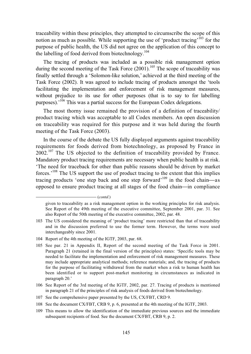traceability within these principles, they attempted to circumscribe the scope of this notion as much as possible. While supporting the use of 'product tracing'<sup>103</sup> for the purpose of public health, the US did not agree on the application of this concept to the labelling of food derived from biotechnology.<sup>104</sup>

The tracing of products was included as a possible risk management option during the second meeting of the Task Force  $(2001)$ .<sup>105</sup> The scope of traceability was finally settled through a 'Solomon-like solution,' achieved at the third meeting of the Task Force (2002). It was agreed to include tracing of products amongst the 'tools facilitating the implementation and enforcement of risk management measures, without prejudice to its use for other purposes (that is to say to for labelling pur poses).  $1^{106}$  This was a partial success for the European Codex delegations.

The most thorny issue remained the provision of a definition of traceability/ product tracing which was acceptable to all Codex members. An open discussion on traceability was required for this purpose and it was held during the fourth meeting of the Task Force (2003).

In the course of the debate the US fully displayed arguments against traceability requirements for foods derived from biotechnology, as proposed by France in  $2002$ <sup>107</sup> The US objected to the definition of traceability provided by France. Mandatory product tracing requirements are necessary when public health is at risk. 'The need for traceback for other than public reasons should be driven by market forces.<sup>'108</sup> The US support the use of product tracing to the extent that this implies tracing products 'one step back and one step forward'<sup>109</sup> in the food chain—as opposed to ensure product tracing at all stages of the food chain—in compliance

(*contd.*)

- 103 The US considered the meaning of 'product tracing' more restricted than that of traceability and in the discussion preferred to use the former term. However, the terms were used interchangeably since 2001.
- 104 Report of the 4th meeting of the IGTF, 2003, par. 68.
- 105 See par. 21 in Appendix II, Report of the second meeting of the Task Force in 2001. Paragraph 21 (retained in the final version of the principles) states: 'Specific tools may be needed to facilitate the implementation and enforcement of risk management measures. These may include appropriate analytical methods; reference materials; and, the tracing of products for the purpose of facilitating withdrawal from the market when a risk to human health has been identified or to support post-market monitoring in circumstances as indicated in paragraph 20.'
- 106 See Report of the 3rd meeting of the IGTF, 2002, par. 27. Tracing of products is mentioned in paragraph 21 of the principles of risk analysis of foods derived from biotechnology.
- 107 See the comprehensive paper presented by the US, CX/FBT, CRD 9.
- 108 See the document CX/FBT, CRB 9, p. 6, presented at the 4th meeting of the IGTF, 2003.
- 109 This means to allow the identification of the immediate previous sources and the immediate subsequent recipients of food. See the document CX/FBT, CRB 9, p. 2.

given to traceability as a risk management option in the working principles for risk analysis. See Report of the 49th meeting of the executive committee, September 2001, par. 31. See also Report of the 50th meeting of the executive committee, 2002, par. 48.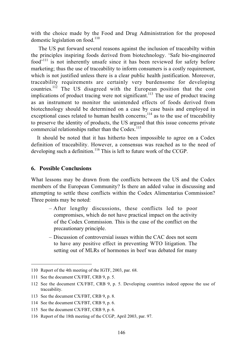with the choice made by the Food and Drug Administration for the proposed domestic legislation on food. $110$ 

The US put forward several reasons against the inclusion of traceabilty within the principles inspiring foods derived from biotechnology. 'Safe bio-engineered food'<sup>111</sup> is not inherently unsafe since it has been reviewed for safety before marketing; thus the use of traceability to inform consumers is a costly requirement, which is not justified unless there is a clear public health justification. Moreover, traceability requirements are certainly very burdensome for developing countries.<sup>112</sup> The US disagreed with the European position that the cost implications of product tracing were not significant.<sup>113</sup> The use of product tracing as an instrument to monitor the unintended effects of foods derived from biotechnology should be determined on a case by case basis and employed in exceptional cases related to human health concerns; $114$  as to the use of traceability to preserve the identity of products, the US argued that this issue concerns private commercial relationships rather than the Codex.<sup>115</sup>

It should be noted that it has hitherto been impossible to agree on a Codex definition of traceability. However, a consensus was reached as to the need of developing such a definition.<sup>116</sup> This is left to future work of the CCGP.

#### **6. Possible Conclusions**

What lessons may be drawn from the conflicts between the US and the Codex members of the European Community? Is there an added value in discussing and attempting to settle these conflicts within the Codex Alimentarius Commission? Three points may be noted:

- After lengthy discussions, these conflicts led to poor compromises, which do not have practical impact on the activity of the Codex Commission. This is the case of the conflict on the precautionary principle.
- Discussion of controversial issues within the CAC does not seem to have any positive effect in preventing WTO litigation. The setting out of MLRs of hormones in beef was debated for many

<sup>110</sup> Report of the 4th meeting of the IGTF, 2003, par. 68.

<sup>111</sup> See the document CX/FBT, CRB 9, p. 5.

<sup>112</sup> See the document CX/FBT, CRB 9, p. 5. Developing countries indeed oppose the use of traceability.

<sup>113</sup> See the document CX/FBT, CRB 9, p. 8.

<sup>114</sup> See the document CX/FBT, CRB 9, p. 6.

<sup>115</sup> See the document CX/FBT, CRB 9, p. 6.

<sup>116</sup> Report of the 18th meeting of the CCGP, April 2003, par. 97.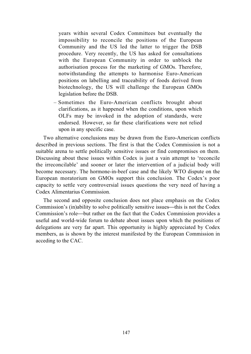years within several Codex Committees but eventually the impossibility to reconcile the positions of the European Community and the US led the latter to trigger the DSB procedure. Very recently, the US has asked for consultations with the European Community in order to unblock the authorisation process for the marketing of GMOs. Therefore, notwithstanding the attempts to harmonise Euro-American positions on labelling and traceability of foods derived from biotechnology, the US will challenge the European GMOs legislation before the DSB.

– Sometimes the Euro-American conflicts brought about clarifications, as it happened when the conditions, upon which OLFs may be invoked in the adoption of standards, were endorsed. However, so far these clarifications were not relied upon in any specific case.

Two alternative conclusions may be drawn from the Euro-American conflicts described in previous sections. The first is that the Codex Commission is not a suitable arena to settle politically sensitive issues or find compromises on them. Discussing about these issues within Codex is just a vain attempt to 'reconcile the irreconcilable' and sooner or later the intervention of a judicial body will become necessary. The hormone-in-beef case and the likely WTO dispute on the European moratorium on GMOs support this conclusion. The Codex's poor capacity to settle very controversial issues questions the very need of having a Codex Alimentarius Commission.

The second and opposite conclusion does not place emphasis on the Codex Commission's (in)ability to solve politically sensitive issues—this is not the Codex Commission's role—but rather on the fact that the Codex Commission provides a useful and world-wide forum to debate about issues upon which the positions of delegations are very far apart. This opportunity is highly appreciated by Codex members, as is shown by the interest manifested by the European Commission in acceding to the CAC.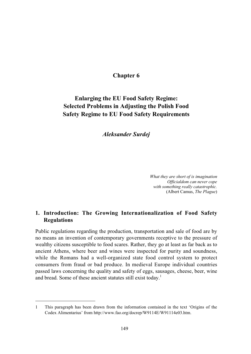# **Chapter 6**

# **Enlarging the EU Food Safety Regime: Selected Problems in Adjusting the Polish Food Safety Regime to EU Food Safety Requirements**

# *Aleksander Surdej*

*What they are short of is imagination Officialdom can never cope with something really catastrophic.* (Albert Camus, *The Plague*)

# **1. Introduction: The Growing Internationalization of Food Safety Regulations**

Public regulations regarding the production, transportation and sale of food are by no means an invention of contemporary governments receptive to the pressure of wealthy citizens susceptible to food scares. Rather, they go at least as far back as to ancient Athens, where beer and wines were inspected for purity and soundness, while the Romans had a well-organized state food control system to protect consumers from fraud or bad produce. In medieval Europe individual countries passed laws concerning the quality and safety of eggs, sausages, cheese, beer, wine and bread. Some of these ancient statutes still exist today.<sup>1</sup>

<sup>1</sup> This paragraph has been drawn from the information contained in the text 'Origins of the Codex Alimentarius' from http://www.fao.org/docrep/W9114E/W91114e03.htm.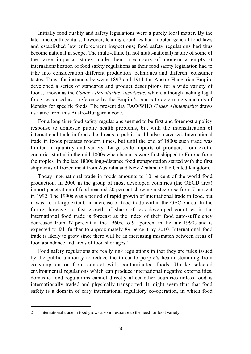Initially food quality and safety legislations were a purely local matter. By the late nineteenth century, however, leading countries had adopted general food laws and established law enforcement inspections; food safety regulations had thus become national in scope. The multi-ethnic (if not multi-national) nature of some of the large imperial states made them precursors of modern attempts at internationalization of food safety regulations as their food safety legislation had to take into consideration different production techniques and different consumer tastes. Thus, for instance, between 1897 and 1911 the Austro-Hungarian Empire developed a series of standards and product descriptions for a wide variety of foods, known as the *Codex Alimentarius Austriacus*, which, although lacking legal force, was used as a reference by the Empire's courts to determine standards of identity for specific foods. The present day FAO/WHO *Codex Alimentarius* draws its name from this Austro-Hungarian code.

For a long time food safety regulations seemed to be first and foremost a policy response to domestic public health problems, but with the intensification of international trade in foods the threats to public health also increased. International trade in foods predates modern times, but until the end of 1800s such trade was limited in quantity and variety. Large-scale imports of products from exotic countries started in the mid-1800s when bananas were first shipped to Europe from the tropics. In the late 1800s long-distance food transportation started with the first shipments of frozen meat from Australia and New Zealand to the United Kingdom.

Today international trade in foods amounts to 10 percent of the world food production. In 2000 in the group of most developed countries (the OECD area) import penetration of food reached 20 percent showing a steep rise from 7 percent in 1992. The 1990s was a period of rapid growth of international trade in food, but it was, to a large extent, an increase of food trade within the OECD area. In the future, however, a fast growth of share of less developed countries in the international food trade is forecast as the index of their food auto-sufficiency decreased from 97 percent in the 1960s, to 91 percent in the late 1990s and is expected to fall further to approximately 89 percent by 2010. International food trade is likely to grow since there will be an increasing mismatch between areas of food abundance and areas of food shortages.<sup>2</sup>

Food safety regulations are really risk regulations in that they are rules issued by the public authority to reduce the threat to people's health stemming from consumption or from contact with contaminated foods. Unlike selected environmental regulations which can produce international negative externalities, domestic food regulations cannot directly affect other countries unless food is internationally traded and physically transported. It might seem thus that food safety is a domain of easy international regulatory co-operation, in which food

<sup>2</sup> International trade in food grows also in response to the need for food variety.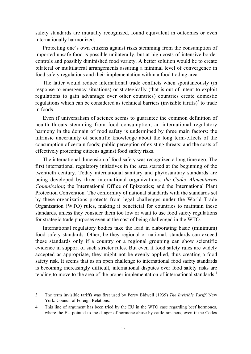safety standards are mutually recognized, found equivalent in outcomes or even internationally harmonized.

Protecting one's own citizens against risks stemming from the consumption of imported unsafe food is possible unilaterally, but at high costs of intensive border controls and possibly diminished food variety. A better solution would be to create bilateral or multilateral arrangements assuring a minimal level of convergence in food safety regulations and their implementation within a food trading area.

The latter would reduce international trade conflicts when spontaneously (in response to emergency situations) or strategically (that is out of intent to exploit regulations to gain advantage over other countries) countries create domestic regulations which can be considered as technical barriers (invisible tariffs) $3$  to trade in foods.

Even if universalism of science seems to guarantee the common definition of health threats stemming from food consumption, an international regulatory harmony in the domain of food safety is undermined by three main factors: the intrinsic uncertainty of scientific knowledge about the long term-effects of the consumption of certain foods; public perception of existing threats; and the costs of effectively protecting citizens against food safety risks.

The international dimension of food safety was recognized a long time ago. The first international regulatory initiatives in the area started at the beginning of the twentieth century. Today international sanitary and phytosanitary standards are being developed by three international organizations: *the Codex Alimentarius Commission*; the International Office of Epizootics; and the International Plant Protection Convention. The conformity of national standards with the standards set by these organizations protects from legal challenges under the World Trade Organization (WTO) rules, making it beneficial for countries to maintain these standards, unless they consider them too low or want to use food safety regulations for strategic trade purposes even at the cost of being challenged in the WTO.

International regulatory bodies take the lead in elaborating basic (minimum) food safety standards. Other, be they regional or national, standards can exceed these standards only if a country or a regional grouping can show scientific evidence in support of such stricter rules. But even if food safety rules are widely accepted as appropriate, they might not be evenly applied, thus creating a food safety risk. It seems that as an open challenge to international food safety standards is becoming increasingly difficult, international disputes over food safety risks are tending to move to the area of the proper implementation of international standards.<sup>4</sup>

<sup>3</sup> The term invisible tariffs was first used by Percy Bidwell (1939) *The Invisible Tariff,* New York: Council of Foreign Relations.

<sup>4</sup> This line of argument has been tried by the EU in the WTO case regarding beef hormones, where the EU pointed to the danger of hormone abuse by cattle ranchers, even if the Codex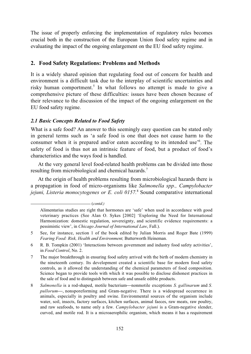The issue of properly enforcing the implementation of regulatory rules becomes crucial both in the construction of the European Union food safety regime and in evaluating the impact of the ongoing enlargement on the EU food safety regime.

### **2. Food Safety Regulations: Problems and Methods**

It is a widely shared opinion that regulating food out of concern for health and environment is a difficult task due to the interplay of scientific uncertainties and risky human comportment.<sup>5</sup> In what follows no attempt is made to give a comprehensive picture of these difficulties: issues have been chosen because of their relevance to the discussion of the impact of the ongoing enlargement on the EU food safety regime.

### *2.1 Basic Concepts Related to Food Safety*

What is a safe food? An answer to this seemingly easy question can be stated only in general terms such as 'a safe food is one that does not cause harm to the consumer when it is prepared and/or eaten according to its intended use'<sup>6</sup> . The safety of food is thus not an intrinsic feature of food, but a product of food's characteristics and the ways food is handled.

At the very general level food-related health problems can be divided into those resulting from microbiological and chemical hazards.<sup>7</sup>

At the origin of health problems resulting from microbiological hazards there is a propagation in food of micro-organisms like *Salmonella spp., Campylobacter jejuni, Listeria monocytogenes or E. coli 0157.*<sup>8</sup> Sound comparative international

(*contd.)*

Alimentarius studies are right that hormones are 'safe' when used in accordance with good veterinary practices (See Alan O. Sykes [2002] 'Exploring the Need for International Harmonization: domestic regulation, sovereignty, and scientific evidence requirements: a pessimistic view', in *Chicago Journal of International Law*, Fall.).

<sup>5</sup> See, for instance, section 1 of the book edited by Julian Morris and Roger Bate (1999) *Fearing Food: Risk, Health and Environment,* Butterworth Heineman.

<sup>6</sup> R. B. Tompkin (2001) 'Interactions between government and industry food safety activities', in *Food Control*, No. 2.

<sup>7</sup> The major breakthrough in ensuring food safety arrived with the birth of modern chemistry in the nineteenth century. Its development created a scientific base for modern food safety controls, as it allowed the understanding of the chemical parameters of food composition. Science began to provide tools with which it was possible to disclose dishonest practices in the sale of food and to distinguish between safe and unsafe edible products.

<sup>8</sup> *Salmonella* is a rod-shaped, motile bacterium—nonmotile exceptions *S. gallinarum* and *S. pullorum*, nonsporeforming and Gram-negative. There is a widespread occurrence in animals, especially in poultry and swine. Environmental sources of the organism include water, soil, insects, factory surfaces, kitchen surfaces, animal faeces, raw meats, raw poultry, and raw seafoods, to name only a few. *Campylobacter jejuni* is a Gram-negative slender, curved, and motile rod. It is a microaerophilic organism, which means it has a requirement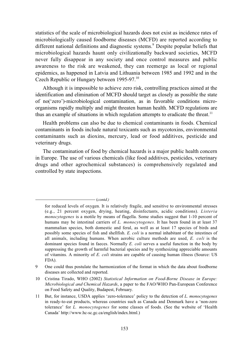statistics of the scale of microbiological hazards does not exist as incidence rates of microbiologically caused foodborne diseases (MCFD) are reported according to different national definitions and diagnostic systems.<sup>9</sup> Despite popular beliefs that microbiological hazards haunt only civilizationally backward societies, MCFD never fully disappear in any society and once control measures and public awareness to the risk are weakened, they can reemerge as local or regional epidemics, as happened in Latvia and Lithuania between 1985 and 1992 and in the Czech Republic or Hungary between 1995-97.<sup>10</sup>

Although it is impossible to achieve zero risk, controlling practices aimed at the identification and elimination of MCFD should target as closely as possible the state of no('zero')-microbiological contamination, as in favorable conditions microorganisms rapidly multiply and might threaten human health. MCFD regulations are thus an example of situations in which regulation attempts to eradicate the threat.<sup>11</sup>

Health problems can also be due to chemical contaminants in foods. Chemical contaminants in foods include natural toxicants such as mycotoxins, environmental contaminants such as dioxins, mercury, lead or food additives, pesticide and veterinary drugs.

The contamination of food by chemical hazards is a major public health concern in Europe. The use of various chemicals (like food additives, pesticides, veterinary drugs and other agrochemical substances) is comprehensively regulated and controlled by state inspections.

(*contd.)*

for reduced levels of oxygen. It is relatively fragile, and sensitive to environmental stresses (e.g., 21 percent oxygen, drying, heating, disinfectants, acidic conditions). *Listeria monocytogenes* is a motile by means of flagella. Some studies suggest that 1-10 percent of humans may be intestinal carriers of *L. monocytogenes*. It has been found in at least 37 mammalian species, both domestic and feral, as well as at least 17 species of birds and possibly some species of fish and shellfish. *E. coli* is a normal inhabitant of the intestines of all animals, including humans. When aerobic culture methods are used, *E. coli* is the dominant species found in faeces. Normally *E. coli* serves a useful function in the body by suppressing the growth of harmful bacterial species and by synthesizing appreciable amounts of vitamins. A minority of *E. coli* strains are capable of causing human illness (Source: US FDA).

<sup>9</sup> One could thus postulate the harmonization of the format in which the data about foodborne diseases are collected and reported.

<sup>10</sup> Cristina Tirado, WHO (2002) *Statistical Information on Food-Borne Disease in Europe: Microbiological and Chemical Hazards*, a paper to the FAO/WHO Pan-European Conference on Food Safety and Quality, Budapest, February.

<sup>11</sup> But, for instance, USDA applies 'zero-tolerance' policy to the detection of *L. monocytogenes* in ready-to-eat products, whereas countries such as Canada and Denmark have a 'non-zero tolerance' for *L. monocytogenes* for some classes of foods. (See the website of 'Health Canada' http://www.hc-sc.gc.ca/english/index.html.)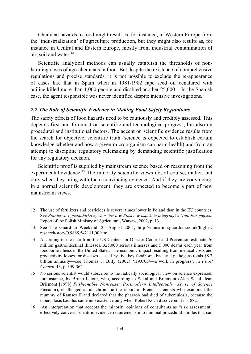Chemical hazards to food might result as, for instance, in Western Europe from the 'industrialization' of agriculture production, but they might also results as, for instance in Central and Eastern Europe, mostly from industrial contamination of air, soil and water.<sup>12</sup>

Scientific analytical methods can usually establish the thresholds of nonharming doses of agrochemicals in food. But despite the existence of comprehensive regulations and precise standards, it is not possible to exclude the re-appearance of cases like that in Spain when in 1981-1982 rape seed oil denatured with aniline killed more than 1,000 people and disabled another  $25,000$ .<sup>13</sup> In the Spanish case, the agent responsible was never identified despite intensive investigations.<sup>14</sup>

#### *2.2 The Role of Scientific Evidence in Making Food Safety Regulations*

The safety effects of food hazards need to be cautiously and credibly assessed. This depends first and foremost on scientific and technological progress, but also on procedural and institutional factors. The accent on scientific evidence results from the search for objective, scientific truth (science is expected to establish certain knowledge whether and how a given microorganism can harm health) and from an attempt to discipline regulatory rulemaking by demanding scientific justification for any regulatory decision.

Scientific proof is supplied by mainstream science based on reasoning from the experimental evidence.<sup>15</sup> The minority scientific views do, of course, matter, but only when they bring with them convincing evidence. And if they are convincing, in a normal scientific development, they are expected to become a part of new mainstream views.<sup>16</sup>

<sup>12</sup> The use of fertilizers and pesticides is several times lower in Poland than in the EU countries. See *Rolnictwo i gospodarka zywnosciowa w Polsce w aspekcie integracji z Unia Europejska,* Report of the Polish Ministry of Agriculture, Warsaw, 2002, p. 13.

<sup>13</sup> See The Guardian Weekend, 25 August 2001, http://education.guardian.co.uk/higher/ research/story/0,9865,542111,00.html.

<sup>14</sup> According to the data from the US Centers for Disease Control and Prevention estimate 76 million gastrointestinal illnesses, 325,000 serious illnesses and 5,000 deaths each year from foodborne illness in the United States. The economic impact resulting from medical costs and productivity losses for diseases caused by five key foodborne bacterial pathogens totals \$8.3 billion annually—see Thomas J. Billy (2002) 'HACCP—a work in progress', in *Food Control*, 13, p. 359-362.

<sup>15</sup> No serious scientist would subscribe to the radically sociological view on science expressed, for instance, by Bruno Latour, who, according to Sokal and Bricmont (Alan Sokal, Jean Bricmont [1998] *Fashionable Nonsense: Postmodern Intellectuals' Abuse of Science* Piccador), challenged as anachronistic the report of French scientists who examined the mummy of Ramses II and declared that the pharaoh had died of tuberculosis, because the tuberculosis bacillus came into existence only when Robert Koch discovered it in 1882.

<sup>16</sup> 'An interpretation that accepts the minority opinions of consultants as "risk assessment" effectively converts scientific evidence requirements into minimal procedural hurdles that can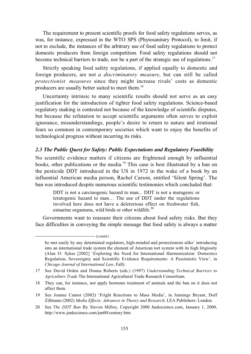The requirement to present scientific proofs for food safety regulations serves, as was, for instance, expressed in the WTO SPS (Phytosanitary Protocol), to limit, if not to exclude, the instances of the arbitrary use of food safety regulations to protect domestic producers from foreign competition. Food safety regulations should not become technical barriers to trade, nor be a part of the strategic use of regulations.<sup>17</sup>

Strictly speaking food safety regulations, if applied equally to domestic and foreign producers, are not *a discriminatory measure*, but can still be called *protectionist measures* since they might increase rivals' costs as domestic producers are usually better suited to meet them.<sup>18</sup>

Uncertainty intrinsic to many scientific results should not serve as an easy justification for the introduction of tighter food safety regulations. Science-based regulatory making is contested not because of the knowledge of scientific disputes, but because the refutation to accept scientific arguments often serves to exploit ignorance, misunderstandings, people's desire to return to nature and irrational fears so common in contemporary societies which want to enjoy the benefits of technological progress without incurring its risks.

#### *2.3 The Public Quest for Safety: Public Expectations and Regulatory Feasibility*

No scientific evidence matters if citizens are frightened enough by influential books, other publications or the media.<sup>19</sup> This case is best illustrated by a ban on the pesticide DDT introduced in the US in 1972 in the wake of a book by an influential American media person, Rachel Carson, entitled 'Silent Spring'. The ban was introduced despite numerous scientific testimonies which concluded that:

DDT is not a carcinogenic hazard to man... DDT is not a mutagenic or teratogenic hazard to man… The use of DDT under the regulations involved here does not have a deleterious effect on freshwater fish, estuarine organisms, wild birds or other wildlife. $20$ 

Governments want to reassure their citizens about food safety risks. But they face difficulties in conveying the simple message that food safety is always a matter

(*contd.)*

be met easily by any determined regulators, high-minded and protectionists alike' introducing into an international trade system the element of American tort system with its high litigiosity (Alan O. Sykes [2002] 'Exploring the Need for International Harmonization: Domestics Regulation, Sovereignty and Scientific Evidence Requirements: A Pessimistic View', in *Chicago Journal of International Law*, Fall).

<sup>17</sup> See David Orden and Donna Roberts (eds.) (1997) *Understanding Technical Barriers to Agriculture Trade* The International Agricultural Trade Research Consortium.

<sup>18</sup> They can, for instance, not apply hormone treatment of animals and the ban on it does not affect them.

<sup>19</sup> See Joanne Cantor (2002) 'Fright Reactions to Mass Media', in Jennings Bryant, Dolf Zillmann (2002) *Media Effects: Advances in Theory and Research,* LEA Publishers: London.

<sup>20</sup> See *The DDT Ban* By Steven Milloy, Copyright 2000 Junkscience.com, January 1, 2000, http://www.junkscience.com/jan00/century.htm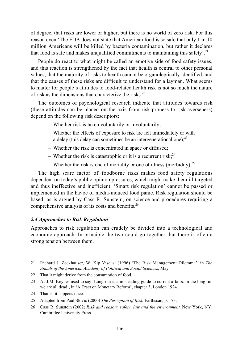of degree, that risks are lower or higher, but there is no world of zero risk. For this reason even 'The FDA does not state that American food is so safe that only 1 in 10 million Americans will be killed by bacteria contamination, but rather it declares that food is safe and makes unqualified commitments to maintaining this safety'.<sup>21</sup>

People do react to what might be called an emotive side of food safety issues, and this reaction is strengthened by the fact that health is central to other personal values, that the majority of risks to health cannot be organoleptically identified, and that the causes of these risks are difficult to understand for a layman. What seems to matter for people's attitudes to food-related health risk is not so much the nature of risk as the dimensions that characterize the risks.<sup>22</sup>

The outcomes of psychological research indicate that attitudes towards risk (these attitudes can be placed on the axis from risk-proness to risk-averseness) depend on the following risk descriptors:

- Whether risk is taken voluntarily or involuntarily;
- Whether the effects of exposure to risk are felt immediately or with a delay (this delay can sometimes be an intergenerational one);  $23$
- Whether the risk is concentrated in space or diffused;
- Whether the risk is catastrophic or it is a recurrent risk;  $24$
- Whether the risk is one of mortality or one of illness (morbidity).<sup>25</sup>

The high scare factor of foodborne risks makes food safety regulations dependent on today's public opinion pressures, which might make them ill-targeted and thus ineffective and inefficient. 'Smart risk regulation' cannot be passed or implemented in the havoc of media-induced food panic. Risk regulation should be based, as is argued by Cass R. Sunstein, on science and procedures requiring a comprehensive analysis of its costs and benefits.<sup>26</sup>

### *2.4 Approaches to Risk Regulation*

Approaches to risk regulation can crudely be divided into a technological and economic approach. In principle the two could go together, but there is often a strong tension between them.

<sup>21</sup> Richard J. Zeckhauser, W. Kip Viscusi (1996) 'The Risk Management Dilemma', in *The Annals of the American Academy of Political and Social Sciences*, May.

<sup>22</sup> That it might derive from the consumption of food.

<sup>23</sup> As J.M. Keynes used to say 'Long run is a misleading guide to current affairs. In the long run we are all dead', in 'A Tract on Monetary Reform', chapter 3, London 1924.

<sup>24</sup> That is, it happens once.

<sup>25</sup> Adapted from Paul Slovic (2000) *The Perception of Risk,* Earthscan, p. 173.

<sup>26</sup> Cass R. Sunstein (2002) *Risk and reason: safety, law and the environment,* New York, NY: Cambridge University Press.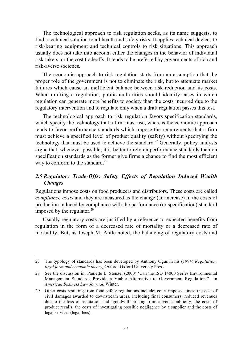The technological approach to risk regulation seeks, as its name suggests, to find a technical solution to all health and safety risks. It applies technical devices to risk-bearing equipment and technical controls to risk situations. This approach usually does not take into account either the changes in the behavior of individual risk-takers, or the cost tradeoffs. It tends to be preferred by governments of rich and risk-averse societies.

The economic approach to risk regulation starts from an assumption that the proper role of the government is not to eliminate the risk, but to attenuate market failures which cause an inefficient balance between risk reduction and its costs. When drafting a regulation, public authorities should identify cases in which regulation can generate more benefits to society than the costs incurred due to the regulatory intervention and to regulate only when a draft regulation passes this test.

The technological approach to risk regulation favors specification standards, which specify the technology that a firm must use, whereas the economic approach tends to favor performance standards which impose the requirements that a firm must achieve a specified level of product quality (safety) without specifying the technology that must be used to achieve the standard.<sup>27</sup> Generally, policy analysts argue that, whenever possible, it is better to rely on performance standards than on specification standards as the former give firms a chance to find the most efficient way to conform to the standard.<sup>28</sup>

# *2.5 Regulatory Trade-Offs: Safety Effects of Regulation Induced Wealth Changes*

Regulations impose costs on food producers and distributors. These costs are called *compliance costs* and they are measured as the change (an increase) in the costs of production induced by compliance with the performance (or specification) standard imposed by the regulator. $^{29}$ 

Usually regulatory costs are justified by a reference to expected benefits from regulation in the form of a decreased rate of mortality or a decreased rate of morbidity. But, as Joseph M. Antle noted, the balancing of regulatory costs and

<sup>27</sup> The typology of standards has been developed by Anthony Ogus in his (1994) *Regulation: legal form and economic theory,* Oxford: Oxford University Press.

<sup>28</sup> See the discussion in: Paulette L. Stenzel (2000) 'Can the ISO 14000 Series Environmental Management Standards Provide a Viable Alternative to Government Regulation?', in *American Business Law Journal*, Winter.

<sup>29</sup> Other costs resulting from food safety regulations include: court imposed fines; the cost of civil damages awarded to downstream users, including final consumers; reduced revenues due to the loss of reputation and 'goodwill' arising from adverse publicity; the costs of product recalls; the costs of investigating possible negligence by a supplier and the costs of legal services (legal fees).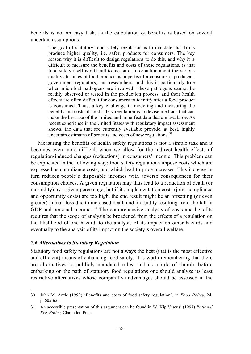benefits is not an easy task, as the calculation of benefits is based on several uncertain assumptions:

The goal of statutory food safety regulation is to mandate that firms produce higher quality, i.e. safer, products for consumers. The key reason why it is difficult to design regulations to do this, and why it is difficult to measure the benefits and costs of these regulations, is that food safety itself is difficult to measure. Information about the various quality attributes of food products is imperfect for consumers, producers, government regulators, and researchers, and this is particularly true when microbial pathogens are involved. These pathogens cannot be readily observed or tested in the production process, and their health effects are often difficult for consumers to identify after a food product is consumed. Thus, a key challenge in modeling and measuring the benefits and costs of food safety regulation is to devise methods that can make the best use of the limited and imperfect data that are available. As recent experience in the United States with regulatory impact assessment shows, the data that are currently available provide, at best, highly uncertain estimates of benefits and costs of new regulations. $30$ 

Measuring the benefits of health safety regulations is not a simple task and it becomes even more difficult when we allow for the indirect health effects of regulation-induced changes (reductions) in consumers' income. This problem can be explicated in the following way: food safety regulations impose costs which are expressed as compliance costs, and which lead to price increases. This increase in turn reduces people's disposable incomes with adverse consequences for their consumption choices. A given regulation may thus lead to a reduction of death (or morbidity) by a given percentage, but if its implementation costs (joint compliance and opportunity costs) are too high, the end result might be an offsetting (or even greater) human loss due to increased death and morbidity resulting from the fall in GDP and personal incomes.<sup>31</sup> The comprehensive analysis of costs and benefits requires that the scope of analysis be broadened from the effects of a regulation on the likelihood of one hazard, to the analysis of its impact on other hazards and eventually to the analysis of its impact on the society's overall welfare.

#### *2.6 Alternatives to Statutory Regulation*

 $\overline{a}$ 

Statutory food safety regulations are not always the best (that is the most effective and efficient) means of enhancing food safety. It is worth remembering that there are alternatives to publicly mandated rules, and as a rule of thumb, before embarking on the path of statutory food regulations one should analyze its least restrictive alternatives whose comparative advantages should be assessed in the

<sup>30</sup> John M. Antle (1999) 'Benefits and costs of food safety regulation', in *Food Policy*, 24, p. 605-623.

<sup>31</sup> An accessible presentation of this argument can be found in W. Kip Viscusi (1998) *Rational Risk Policy,* Clarendon Press.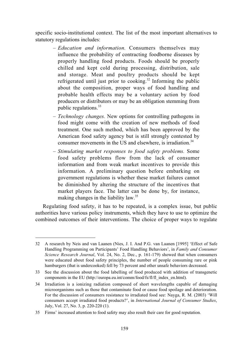specific socio-institutional context. The list of the most important alternatives to statutory regulations includes:

- *– Education and information.* Consumers themselves may influence the probability of contracting foodborne diseases by properly handling food products. Foods should be properly chilled and kept cold during processing, distribution, sale and storage. Meat and poultry products should be kept refrigerated until just prior to cooking.<sup>32</sup> Informing the public about the composition, proper ways of food handling and probable health effects may be a voluntary action by food producers or distributors or may be an obligation stemming from public regulations.<sup>33</sup>
- *– Technology changes.* New options for controlling pathogens in food might come with the creation of new methods of food treatment. One such method, which has been approved by the American food safety agency but is still strongly contested by consumer movements in the US and elsewhere, is irradiation.<sup>34</sup>
- *– Stimulating market responses to food safety problems.* Some food safety problems flow from the lack of consumer information and from weak market incentives to provide this information. A preliminary question before embarking on government regulations is whether these market failures cannot be diminished by altering the structure of the incentives that market players face. The latter can be done by, for instance, making changes in the liability law.<sup>35</sup>

Regulating food safety, it has to be repeated, is a complex issue, but public authorities have various policy instruments, which they have to use to optimize the combined outcomes of their interventions. The choice of proper ways to regulate

<sup>32</sup> A research by Neis and van Laanen (Nies, J. I. And P.G. van Laanen [1995] 'Effect of Safe Handling Programming on Participants' Food Handling Behaviors', in *Family and Consumer Science Research Journal*, Vol. 24, No. 2, Dec., p. 161-179) showed that when consumers were educated about food safety principles, the number of people consuming rare or pink hamburgers (that is undercooked) fell by 73 percent and other unsafe behaviors decreased.

<sup>33</sup> See the discussion about the food labelling of food produced with addition of transgenetic components in the EU (http://europa.eu.int/comm/food/fs/fl/fl\_index\_en.html).

<sup>34</sup> Irradiation is a ionizing radiation composed of short wavelengths capable of damaging microorganisms such as those that contaminate food or cause food spoilage and deterioration. For the discussion of consumers resistance to irradiated food see: Nayga, R. M. (2003) 'Will consumers accept irradiated food products?', in *International Journal of Consumer Studies*, July, Vol. 27, No. 3, p. 220-220 (1).

<sup>35</sup> Firms' increased attention to food safety may also result their care for good reputation.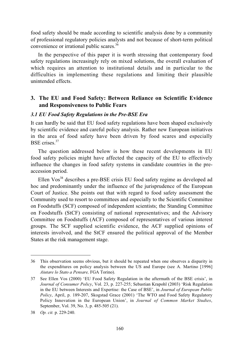food safety should be made according to scientific analysis done by a community of professional regulatory policies analysts and not because of short-term political convenience or irrational public scares.<sup>36</sup>

In the perspective of this paper it is worth stressing that contemporary food safety regulations increasingly rely on mixed solutions, the overall evaluation of which requires an attention to institutional details and in particular to the difficulties in implementing these regulations and limiting their plausible unintended effects.

### **3. The EU and Food Safety: Between Reliance on Scientific Evidence and Responsiveness to Public Fears**

#### *3.1 EU Food Safety Regulations in the Pre-BSE Era*

It can hardly be said that EU food safety regulations have been shaped exclusively by scientific evidence and careful policy analysis. Rather new European initiatives in the area of food safety have been driven by food scares and especially BSE crises<sup>37</sup>

The question addressed below is how these recent developments in EU food safety policies might have affected the capacity of the EU to effectively influence the changes in food safety systems in candidate countries in the preaccession period.

Ellen Vos<sup>38</sup> describes a pre-BSE crisis EU food safety regime as developed ad hoc and predominantly under the influence of the jurisprudence of the European Court of Justice. She points out that with regard to food safety assessment the Community used to resort to committees and especially to the Scientific Committee on Foodstuffs (SCF) composed of independent scientists; the Standing Committee on Foodstuffs (StCF) consisting of national representatives; and the Advisory Committee on Foodstuffs (ACF) composed of representatives of various interest groups. The SCF supplied scientific evidence, the ACF supplied opinions of interests involved, and the StCF ensured the political approval of the Member States at the risk management stage.

<sup>36</sup> This observation seems obvious, but it should be repeated when one observes a disparity in the expenditures on policy analysis between the US and Europe (see A. Martino [1996] *Aiutare lo Stato a Pensare,* FGA Torino).

<sup>37</sup> See Ellen Vos (2000) 'EU Food Safety Regulation in the aftermath of the BSE crisis', in *Journal of Consumer Policy*, Vol. 23, p. 227-255; Sebastian Krapohl (2003) 'Risk Regulation in the EU between Interests and Expertise: the Case of BSE', in *Journal of European Public Policy*, April, p. 189-207, Skogstad Grace (2001) 'The WTO and Food Safety Regulatory Policy Innovation in the European Union', in *Journal of Common Market Studies*, September, Vol. 39, No. 3, p. 485-505 (21).

<sup>38</sup> *Op. cit.* p. 229-240.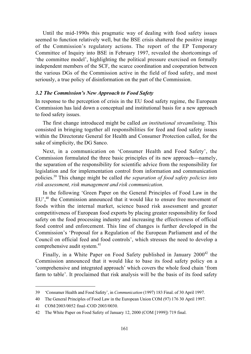Until the mid-1990s this pragmatic way of dealing with food safety issues seemed to function relatively well, but the BSE crisis shattered the positive image of the Commission's regulatory actions. The report of the EP Temporary Committee of Inquiry into BSE in February 1997, revealed the shortcomings of 'the committee model', highlighting the political pressure exercised on formally independent members of the SCF, the scarce coordination and cooperation between the various DGs of the Commission active in the field of food safety, and most seriously, a true policy of disinformation on the part of the Commission.

#### *3.2 The Commission's New Approach to Food Safety*

In response to the perception of crisis in the EU food safety regime, the European Commission has laid down a conceptual and institutional basis for a new approach to food safety issues.

The first change introduced might be called *an institutional streamlining*. This consisted in bringing together all responsibilities for feed and food safety issues within the Directorate General for Health and Consumer Protection called, for the sake of simplicity, the DG Sanco.

Next, in a communication on 'Consumer Health and Food Safety', the Commission formulated the three basic principles of its new approach—namely, the separation of the responsibility for scientific advice from the responsibility for legislation and for implementation control from information and communication policies.<sup>39</sup> This change might be called *the separation of food safety policies into risk assessment, risk management and risk communication*.

In the following 'Green Paper on the General Principles of Food Law in the EU',<sup>40</sup> the Commission announced that it would like to ensure free movement of foods within the internal market, science based risk assessment and greater competitiveness of European food exports by placing greater responsibility for food safety on the food processing industry and increasing the effectiveness of official food control and enforcement. This line of changes is further developed in the Commission's 'Proposal for a Regulation of the European Parliament and of the Council on official feed and food controls', which stresses the need to develop a comprehensive audit system.<sup>41</sup>

Finally, in a White Paper on Food Safety published in January  $2000^{42}$  the Commission announced that it would like to base its food safety policy on a 'comprehensive and integrated approach' which covers the whole food chain 'from farm to table'. It proclaimed that risk analysis will be the basis of its food safety

<sup>39 &#</sup>x27;Consumer Health and Food Safety', in *Communication* (1997) 183 Final. of 30 April 1997.

<sup>40</sup> The General Principles of Food Law in the European Union COM (97) 176 30 April 1997.

<sup>41</sup> COM/2003/0052 final*–*COD 2003/0030.

<sup>42</sup> The White Paper on Food Safety of January 12, 2000 (COM [1999]) 719 final.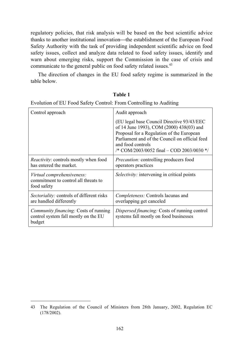regulatory policies, that risk analysis will be based on the best scientific advice thanks to another institutional innovation—the establishment of the European Food Safety Authority with the task of providing independent scientific advice on food safety issues, collect and analyze data related to food safety issues, identify and warn about emerging risks, support the Commission in the case of crisis and communicate to the general public on food safety related issues.<sup>43</sup>

The direction of changes in the EU food safety regime is summarized in the table below.

| Control approach                                                                               | Audit approach                                                                                                                                                                                                                                          |
|------------------------------------------------------------------------------------------------|---------------------------------------------------------------------------------------------------------------------------------------------------------------------------------------------------------------------------------------------------------|
|                                                                                                | (EU legal base Council Directive 93/43/EEC<br>of 14 June 1993), COM (2000) 438(03) and<br>Proposal for a Regulation of the European<br>Parliament and of the Council on official feed<br>and food controls<br>/* COM/2003/0052 final – COD 2003/0030 */ |
| Reactivity: controls mostly when food<br>has entered the market.                               | <i>Precaution:</i> controlling producers food<br>operators practices                                                                                                                                                                                    |
| Virtual comprehensiveness:<br>commitment to control all threats to<br>food safety              | <i>Selectivity:</i> intervening in critical points                                                                                                                                                                                                      |
| <i>Sectoriality:</i> controls of different risks<br>are handled differently                    | <i>Completeness:</i> Controls lacunas and<br>overlapping get canceled                                                                                                                                                                                   |
| <i>Community financing: Costs of running</i><br>control system fall mostly on the EU<br>budget | Dispersed financing: Costs of running control<br>systems fall mostly on food businesses                                                                                                                                                                 |

**Table 1**

Evolution of EU Food Safety Control: From Controlling to Auditing

<sup>43</sup> The Regulation of the Council of Ministers from 28th January, 2002, Regulation EC (178/2002).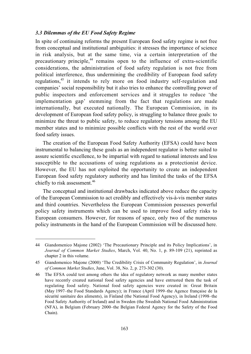#### *3.3 Dilemmas of the EU Food Safety Regime*

 $\overline{a}$ 

In spite of continuing reforms the present European food safety regime is not free from conceptual and institutional ambiguities: it stresses the importance of science in risk analysis, but at the same time, via a certain interpretation of the precautionary principle,<sup>44</sup> remains open to the influence of extra-scientific considerations, the administration of food safety regulation is not free from political interference, thus undermining the credibility of European food safety regulations,<sup>45</sup> it intends to rely more on food industry self-regulation and companies' social responsibility but it also tries to enhance the controlling power of public inspectors and enforcement services and it struggles to reduce 'the implementation gap' stemming from the fact that regulations are made internationally, but executed nationally. The European Commission, in its development of European food safety policy, is struggling to balance three goals: to minimize the threat to public safety, to reduce regulatory tensions among the EU member states and to minimize possible conflicts with the rest of the world over food safety issues.

The creation of the European Food Safety Authority (EFSA) could have been instrumental to balancing these goals as an independent regulator is better suited to assure scientific excellence, to be impartial with regard to national interests and less susceptible to the accusations of using regulations as a protectionist device. However, the EU has not exploited the opportunity to create an independent European food safety regulatory authority and has limited the tasks of the EFSA chiefly to risk assessment.<sup>46</sup>

The conceptual and institutional drawbacks indicated above reduce the capacity of the European Commission to act credibly and effectively vis-à-vis member states and third countries. Nevertheless the European Commission possesses powerful policy safety instruments which can be used to improve food safety risks to European consumers. However, for reasons of space, only two of the numerous policy instruments in the hand of the European Commission will be discussed here.

<sup>44</sup> Giandomenico Majone (2002) 'The Precautionary Principle and its Policy Implications', in *Journal of Common Market Studies*, March, Vol. 40, No. 1, p. 89-109 (21), reprinted as chapter 2 in this volume.

<sup>45</sup> Giandomenico Majone (2000) 'The Credibility Crisis of Community Regulation', in *Journal of Common Market Studies*, June, Vol. 38, No. 2, p. 273-302 (30).

<sup>46</sup> The EFSA could test among others the idea of regulatory network as many member states have recently created national food safety agencies and have entrusted them the task of regulating food safety. National food safety agencies were created in: Great Britain (May 1997*–*the Food Standards Agency); in France (April 1999*–*the Agence française de la sécurité sanitaire des aliments), in Finland (the National Food Agency), in Ireland (1998*–*the Food Safety Authority of Ireland) and in Sweden (the Swedish National Food Administration (NFA), in Belgium (February 2000*–*the Belgian Federal Agency for the Safety of the Food Chain).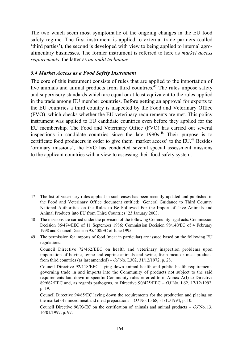The two which seem most symptomatic of the ongoing changes in the EU food safety regime. The first instrument is applied to external trade partners (called 'third parties'), the second is developed with view to being applied to internal agroalimentary businesses. The former instrument is referred to here as *market access requirements*, the latter as *an audit technique*.

#### *3.4 Market Access as a Food Safety Instrument*

 $\overline{a}$ 

The core of this instrument consists of rules that are applied to the importation of live animals and animal products from third countries.<sup>47</sup> The rules impose safety and supervisory standards which are equal or at least equivalent to the rules applied in the trade among EU member countries. Before getting an approval for exports to the EU countries a third country is inspected by the Food and Veterinary Office (FVO), which checks whether the EU veterinary requirements are met. This policy instrument was applied to EU candidate countries even before they applied for the EU membership. The Food and Veterinary Office (FVO) has carried out several inspections in candidate countries since the late  $1990s$ .<sup>48</sup> Their purpose is to certificate food producers in order to give them 'market access' to the EU.<sup>49</sup> Besides 'ordinary missions', the FVO has conducted several special assessment missions to the applicant countries with a view to assessing their food safety system.

<sup>47</sup> The list of veterinary rules applied in such cases has been recently updated and published in the Food and Veterinary Office document entitled: 'General Guidance to Third Country National Authorities on the Rules to Be Followed For the Import of Live Animals and Animal Products into EU from Third Countries' 23 January 2003.

<sup>48</sup> The missions are carried under the provision of the following Community legal acts: Commission Decision 86/474/EEC of 11 September 1986; Commission Decision 98/140/EC of 4 February 1998 and Council Decision 95/408/EC of June 1995.

<sup>49</sup> The permission for imports of food (meat in particular) are issued based on the following EU regulations:

Council Directive 72/462/EEC on health and veterinary inspection problems upon importation of bovine, ovine and caprine animals and swine, fresh meat or meat products from third countries (as last amended) – *OJ* No. L302, 31/12/1972, p. 28.

Council Directive 92/118/EEC laying down animal health and public health requirements governing trade in and imports into the Community of products not subject to the said requirements laid down in specific Community rules referred to in Annex A(I) to Directive 89/662/EEC and, as regards pathogens, to Directive 90/425/EEC – *OJ* No. L62, 17/12/1992, p. 19.

Council Directive 94/65/EC laying down the requirements for the production and placing on the market of minced meat and meat preparations – *OJ* No. L368, 31/12/1994, p. 10.

Council Directive  $96/93/EC$  on the certification of animals and animal products –  $O/N_0$ . 13, 16/01/1997, p. 97.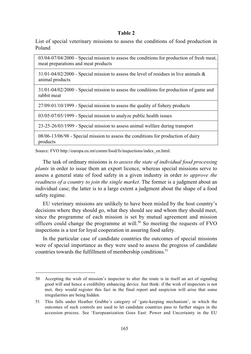#### **Table 2**

List of special veterinary missions to assess the conditions of food production in Poland

| 03/04-07/04/2000 - Special mission to assess the conditions for production of fresh meat,<br>meat preparations and meat products |
|----------------------------------------------------------------------------------------------------------------------------------|
| $31/01 - 04/02/2000$ - Special mission to assess the level of residues in live animals &<br>animal products                      |
| $31/01 - 04/02/2000$ - Special mission to assess the conditions for production of game and<br>rabbit meat                        |
| $27/09 - 01/10/1999$ - Special mission to assess the quality of fishery products                                                 |
| 03/05-07/05/1999 - Special mission to analyze public health issues                                                               |
| 23-25-26/03/1999 - Special mission to assess animal welfare during transport                                                     |

08/06-13/06/98 - Special mission to assess the conditions for production of dairy products

Source: FVO http://europa.eu.int/comm/food/fs/inspections/index\_en.html.

 $\overline{a}$ 

The task of ordinary missions is *to assess the state of individual food processing plants* in order to issue them an export licence, whereas special missions serve to assess a general state of food safety in a given industry in order *to approve the readiness of a country to join the single market*. The former is a judgment about an individual case; the latter is to a large extent a judgment about the shape of a food safety regime.

EU veterinary missions are unlikely to have been misled by the host country's decisions where they should go, what they should see and whom they should meet, since the programme of each mission is set by mutual agreement and mission officers could change the programme at will.<sup>50</sup> So meeting the requests of FVO inspections is a test for loyal cooperation in assuring food safety.

In the particular case of candidate countries the outcomes of special missions were of special importance as they were used to assess the progress of candidate countries towards the fulfillment of membership conditions.<sup>51</sup>

<sup>50</sup> Accepting the wish of mission's inspector to alter the route is in itself an act of signaling good will and hence a credibility enhancing device. Just think: if the wish of inspectors is not met, they would register this fact in the final report and suspicion will arise that some irregularities are being hidden.

<sup>51</sup> This falls under Heather Grabbe's category of 'gate-keeping mechanism', in which the outcomes of such controls are used to let candidate countries pass to further stages in the accession process. See 'Europeanization Goes East: Power and Uncertainty in the EU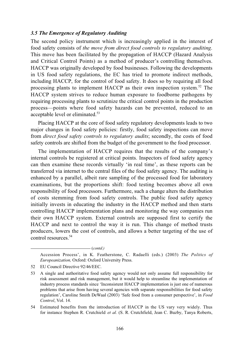#### *3.5 The Emergence of Regulatory Auditing*

The second policy instrument which is increasingly applied in the interest of food safety consists of *the move from direct food controls to regulatory auditing*. This move has been facilitated by the propagation of HACCP (Hazard Analysis and Critical Control Points) as a method of producer's controlling themselves. HACCP was originally developed by food businesses. Following the developments in US food safety regulations, the EC has tried to promote indirect methods, including HACCP, for the control of food safety. It does so by requiring all food processing plants to implement HACCP as their own inspection system.<sup>52</sup> The HACCP system strives to reduce human exposure to foodborne pathogens by requiring processing plants to scrutinize the critical control points in the production process—points where food safety hazards can be prevented, reduced to an acceptable level or eliminated.<sup>53</sup>

Placing HACCP at the core of food safety regulatory developments leads to two major changes in food safety policies: firstly, food safety inspections can move from *direct food safety controls to regulatory audits*; secondly, the costs of food safety controls are shifted from the budget of the government to the food processor.

The implementation of HACCP requires that the results of the company's internal controls be registered at critical points. Inspectors of food safety agency can then examine these records virtually 'in real time', as these reports can be transferred via internet to the central files of the food safety agency. The auditing is enhanced by a parallel, albeit rare sampling of the processed food for laboratory examinations, but the proportions shift: food testing becomes above all own responsibility of food processors. Furthermore, such a change alters the distribution of costs stemming from food safety controls. The public food safety agency initially invests in educating the industry in the HACCP method and then starts controlling HACCP implementation plans and monitoring the way companies run their own HACCP system. External controls are supposed first to certify the HACCP and next to control the way it is run. This change of method trusts producers, lowers the cost of controls, and allows a better targeting of the use of control resources.<sup>54</sup>

(*contd.)*

Accession Process', in K. Featherstone, C. Radaelli (eds.) (2003) *The Politics of Europeanization,* Oxford: Oxford University Press.

<sup>52</sup> EU Council Directive 92/46/EEC.

<sup>53</sup> A single and authoritative food safety agency would not only assume full responsibility for risk assessment and risk management, but it would help to streamline the implementation of industry process standards since 'Inconsistent HACCP implementation is just one of numerous problems that arise from having several agencies with separate responsibilities for food safety regulation', Caroline Smith DeWaal (2003) 'Safe food from a consumer perspective', in *Food Control*, Vol. 14.

<sup>54</sup> Estimated benefits from the introduction of HACCP in the US vary very widely. Thus for instance Stephen R. Crutchield *et al.* (S. R. Crutchfield, Jean C. Buzby, Tanya Roberts,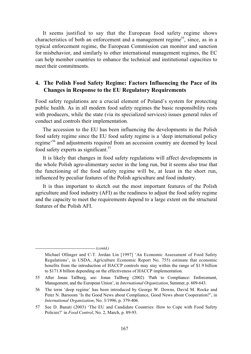It seems justified to say that the European food safety regime shows characteristics of both an enforcement and a management regime<sup>55</sup>, since, as in a typical enforcement regime, the European Commission can monitor and sanction for misbehavior, and similarly to other international management regimes, the EC can help member countries to enhance the technical and institutional capacities to meet their commitments.

# **4. The Polish Food Safety Regime: Factors Influencing the Pace of its Changes in Response to the EU Regulatory Requirements**

Food safety regulations are a crucial element of Poland's system for protecting public health. As in all modern food safety regimes the basic responsibility rests with producers, while the state (via its specialized services) issues general rules of conduct and controls their implementation.

The accession to the EU has been influencing the developments in the Polish food safety regime since the EU food safety regime is a 'deep international policy regime<sup>56</sup> and adjustments required from an accession country are deemed by local food safety experts as significant.<sup>57</sup>

It is likely that changes in food safety regulations will affect developments in the whole Polish agro-alimentary sector in the long run, but it seems also true that the functioning of the food safety regime will be, at least in the short run, influenced by peculiar features of the Polish agriculture and food industry.

It is thus important to sketch out the most important features of the Polish agriculture and food industry (AFI) as the readiness to adjust the food safety regime and the capacity to meet the requirements depend to a large extent on the structural features of the Polish AFI.

Michael Ollinger and C-T. Jordan Lin [1997] 'An Economic Assessment of Food Safety Regulations', in USDA, Agriculture Economic Report No. 755) estimate that economic benefits from the introduction of HACCP controls may stay within the range of \$1.9 billion to \$171.8 billion depending on the effectiveness of HACCP implementation.

(*contd.)*

<sup>55</sup> After Jonas Tallberg, see: Jonas Tallberg (2002) 'Path to Compliance: Enforcement, Management, and the European Union', in *International Organization*, Summer, p. 609-643.

<sup>56</sup> The term 'deep regime' has been introduced by George W. Downs, David M. Rocke and Peter N. Barsoom 'Is the Good News about Compliance, Good News about Cooperation?', in *International Organization*, No. 3/1996, p. 379-406.

<sup>57</sup> See D. Banati (2003) 'The EU and Candidate Countries: How to Cope with Food Safety Policies?' in *Food Control*, No. 2, March, p. 89-93.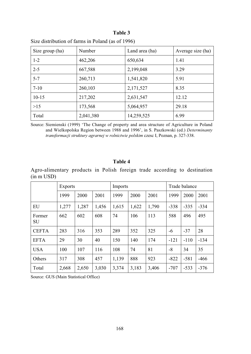| Size group (ha) | Number    | Land area (ha) | Average size (ha) |
|-----------------|-----------|----------------|-------------------|
| $1 - 2$         | 462,206   | 650,634        | 1.41              |
| $2 - 5$         | 667,588   | 2,199,048      | 3.29              |
| $5 - 7$         | 260,713   | 1,541,820      | 5.91              |
| $7 - 10$        | 260,103   | 2,171,527      | 8.35              |
| $10 - 15$       | 217,202   | 2,631,547      | 12.12             |
| $>15$           | 173,568   | 5,064,957      | 29.18             |
| Total           | 2,041,380 | 14,259,525     | 6.99              |

**Table 3**

Source: Siemienski (1999) 'The Change of property and area structure of Agriculture in Poland and Wielkopolska Region between 1988 and 1996', in S. Paszkowski (ed.) *Determinanty transformacji struktury agrarnej w rolnictwie polskim* czesc I, Poznan, p. 327-338.

#### **Table 4**

Agro-alimentary products in Polish foreign trade according to destination (in m USD)

|               | Exports |       | Imports |       |       | Trade balance |        |        |        |
|---------------|---------|-------|---------|-------|-------|---------------|--------|--------|--------|
|               | 1999    | 2000  | 2001    | 1999  | 2000  | 2001          | 1999   | 2000   | 2001   |
| EU            | 1,277   | 1,287 | 1,456   | 1.615 | 1.622 | 1,790         | $-338$ | $-335$ | $-334$ |
| Former<br>SU  | 662     | 602   | 608     | 74    | 106   | 113           | 588    | 496    | 495    |
| <b>CEFTA</b>  | 283     | 316   | 353     | 289   | 352   | 325           | -6     | $-37$  | 28     |
| <b>EFTA</b>   | 29      | 30    | 40      | 150   | 140   | 174           | $-121$ | $-110$ | $-134$ |
| <b>USA</b>    | 100     | 107   | 116     | 108   | 74    | 81            | $-8$   | 34     | 35     |
| <b>Others</b> | 317     | 308   | 457     | 1.139 | 888   | 923           | $-822$ | $-581$ | $-466$ |
| Total         | 2,668   | 2,650 | 3,030   | 3,374 | 3,183 | 3,406         | $-707$ | $-533$ | $-376$ |

Source: GUS (Main Statistical Office)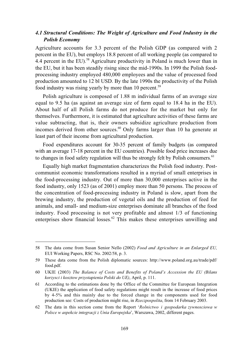### *4.1 Structural Conditions: The Weight of Agriculture and Food Industry in the Polish Economy*

Agriculture accounts for 3.3 percent of the Polish GDP (as compared with 2 percent in the EU), but employs 18.8 percent of all working people (as compared to 4.4 percent in the EU).<sup>58</sup> Agriculture productivity in Poland is much lower than in the EU, but it has been steadily rising since the mid-1990s. In 1999 the Polish foodprocessing industry employed 480,000 employees and the value of processed food production amounted to 12 bl USD. By the late 1990s the productivity of the Polish food industry was rising yearly by more than 10 percent.<sup>59</sup>

Polish agriculture is composed of 1.88 m individual farms of an average size equal to 9.5 ha (as against an average size of farm equal to 18.4 ha in the EU). About half of all Polish farms do not produce for the market but only for themselves. Furthermore, it is estimated that agriculture activities of these farms are value subtracting, that is, their owners subsidize agriculture production from incomes derived from other sources.<sup>60</sup> Only farms larger than 10 ha generate at least part of their income from agricultural production.

Food expenditures account for 30-35 percent of family budgets (as compared with an average 17-18 percent in the EU countries). Possible food price increases due to changes in food safety regulation will thus be strongly felt by Polish consumers.<sup>61</sup>

Equally high market fragmentation characterizes the Polish food industry. Postcommunist economic transformations resulted in a myriad of small enterprises in the food-processing industry. Out of more than 30,000 enterprises active in the food industry, only 1523 (as of 2001) employ more than 50 persons. The process of the concentration of food-processing industry in Poland is slow, apart from the brewing industry, the production of vegetal oils and the production of feed for animals, and small- and medium-size enterprises dominate all branches of the food industry. Food processing is not very profitable and almost 1/3 of functioning enterprises show financial losses.<sup>62</sup> This makes these enterprises unwilling and

<sup>58</sup> The data come from Susan Senior Nello (2002) *Food and Agriculture in an Enlarged EU,* EUI Working Papers, RSC No. 2002/58, p. 3.

<sup>59</sup> These data come from the Polish diplomatic sources: http://www.poland.org.au/trade/pdf/ food.pdf.

<sup>60</sup> UKIE (2003) *The Balance of Costs and Benefits of Poland's Accession the EU (Bilans korzysci i kosztow przystapienia Polski do UE)*, April, p. 111.

<sup>61</sup> According to the estimations done by the Office of the Committee for European Integration (UKIE) the application of food safety regulations might result in the increase of food prices by 4-5% and this mainly due to the forced change in the components used for food production see: Costs of production might rise, in *Rzeczpospolita*, from 14 February 2003.

<sup>62</sup> The data in this section come from the Report '*Rolnictwo i gospodarka zywnosciowa w Polsce w aspekcie integracji z Unia Europejska*', Warszawa, 2002, different pages.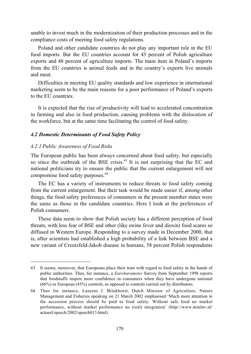unable to invest much in the modernization of their production processes and in the compliance costs of meeting food safety regulations.

Pol and other candidate countries do not play any important role in the EU food imports. But the EU countries account for 43 percent of Polish agriculture exports and 48 percent of agriculture imports. The main item in Poland's imports from the EU countries is animal feeds and in the country's exports live animals and meat.

Difficulties in meeting EU quality standards and low experience in international marketing seem to be the main reasons for a poor performance of Poland's exports to the EU countries.

It is expected that the rise of productivity will lead to accelerated concentration in farming and also in food production, causing problems with the dislocation of the workforce, but at the same time facilitating the control of food safety.

#### *4.2 Domestic Determinants of Food Safety Policy*

#### *4.2.1 Public Awareness of Food Risks*

 $\overline{a}$ 

The European public has been always concerned about food safety, but especially so since the outbreak of the BSE crisis.<sup>63</sup> It is not surprising that the EC and national politicians try to ensure the public that the current enlargement will not compromise food safety purposes.<sup>64</sup>

The EC has a variety of instruments to reduce threats to food safety coming from the current enlargement. But their task would be made easier if, among other things, the food safety preferences of consumers in the present member states were the same as those in the candidate countries. Here I look at the preferences of Polish consumers.

These data seem to show that Polish society has a different perception of food threats, with less fear of BSE and other (like swine fever and dioxin) food scares so diffused in Western Europe. Responding to a survey made in December 2000, that is, after scientists had established a high probability of a link between BSE and a new variant of Creutzfeld-Jakob disease in humans, 58 percent Polish respondents

<sup>63</sup> It seems, moreover, that Europeans place their trust with regard to food safety in the hands of public authorities. Thus, for instance, a *Eurobarometer* Survey from September 1998 reports that foodstuffs inspire more confidence in consumers when they have undergone national (66%) or European (43%) controls, as opposed to controls carried out by distributors.

<sup>64</sup> Thus for instance, Laurens J. Brinkhorst, Dutch Minister of Agriculture, Nature Management and Fisheries speaking on 21 March 2002 emphasised 'Much more attention in the accession process should be paid to food safety. Without safe food no market performance, without market performance no (real) integration' (http://www.minlnv.nl/ actueel/speech/2002/speech015.html).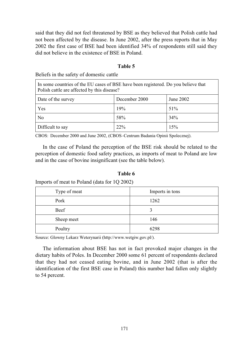said that they did not feel threatened by BSE as they believed that Polish cattle had not been affected by the disease. In June 2002, after the press reports that in May 2002 the first case of BSE had been identified 34% of respondents still said they did not believe in the existence of BSE in Poland.

### **Table 5**

Beliefs in the safety of domestic cattle

| In some countries of the EU cases of BSE have been registered. Do you believe that<br>Polish cattle are affected by this disease? |               |           |  |  |
|-----------------------------------------------------------------------------------------------------------------------------------|---------------|-----------|--|--|
| Date of the survey                                                                                                                | December 2000 | June 2002 |  |  |
| Yes                                                                                                                               | 19%           | 51%       |  |  |
| N <sub>0</sub>                                                                                                                    | 58%           | 34%       |  |  |
| Difficult to say                                                                                                                  | 22%           | 15%       |  |  |

CBOS: December 2000 and June 2002, (CBOS*–*Centrum Badania Opinii Spolecznej).

In the case of Poland the perception of the BSE risk should be related to the perception of domestic food safety practices, as imports of meat to Poland are low and in the case of bovine insignificant (see the table below).

#### **Table 6**

Imports of meat to Poland (data for 1Q 2002)

| Type of meat | Imports in tons |
|--------------|-----------------|
| Pork         | 1262            |
| Beef         |                 |
| Sheep meet   | 146             |
| Poultry      | 6298            |

Source: Glowny Lekarz Weterynarii (http://www.wetgiw.gov.pl/).

The information about BSE has not in fact provoked major changes in the dietary habits of Poles. In December 2000 some 61 percent of respondents declared that they had not ceased eating bovine, and in June 2002 (that is after the identification of the first BSE case in Poland) this number had fallen only slightly to 54 percent.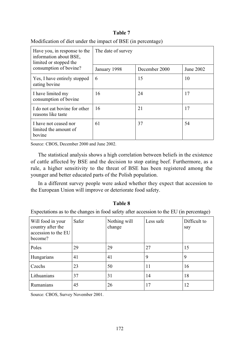| Have you, in response to the<br>information about BSE,<br>limited or stopped the | The date of survey |               |           |  |
|----------------------------------------------------------------------------------|--------------------|---------------|-----------|--|
| consumption of bovine?                                                           | January 1998       | December 2000 | June 2002 |  |
| Yes, I have entirely stopped<br>eating bovine                                    | 6                  | 15            | 10        |  |
| I have limited my<br>consumption of bovine                                       | 16                 | 24            | 17        |  |
| I do not eat bovine for other<br>reasons like taste                              | 16                 | 21            | 17        |  |
| I have not ceased nor<br>limited the amount of<br>bovine                         | 61                 | 37            | 54        |  |

# **Table 7** Modification of diet under the impact of BSE (in percentage)

Source: CBOS, December 2000 and June 2002.

The statistical analysis shows a high correlation between beliefs in the existence of cattle affected by BSE and the decision to stop eating beef. Furthermore, as a rule, a higher sensitivity to the threat of BSE has been registered among the younger and better educated parts of the Polish population.

In a different survey people were asked whether they expect that accession to the European Union will improve or deteriorate food safety.

| Expectations as to the enanges in food safety after accession to the EO (in percentage) |       |                        |           |                     |  |
|-----------------------------------------------------------------------------------------|-------|------------------------|-----------|---------------------|--|
| Will food in your<br>country after the<br>accession to the EU<br>become?                | Safer | Nothing will<br>change | Less safe | Difficult to<br>say |  |
| Poles                                                                                   | 29    | 29                     | 27        | 15                  |  |
| Hungarians                                                                              | 41    | 41                     | 9         | 9                   |  |
| Czechs                                                                                  | 23    | 50                     | 11        | 16                  |  |
| Lithuanians                                                                             | 37    | 31                     | 14        | 18                  |  |
| Rumanians                                                                               | 45    | 26                     | 17        | 12                  |  |

#### **Table 8**

Expectations as to the changes in food safety after accession to the EU (in percentage)

Source: CBOS, Survey November 2001.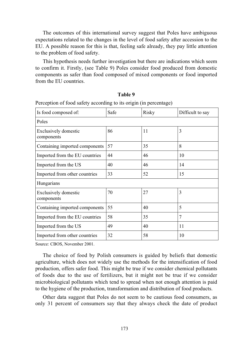The outcomes of this international survey suggest that Poles have ambiguous expectations related to the changes in the level of food safety after accession to the EU. A possible reason for this is that, feeling safe already, they pay little attention to the problem of food safety.

This hypothesis needs further investigation but there are indications which seem to confirm it. Firstly, (see Table 9) Poles consider food produced from domestic components as safer than food composed of mixed components or food imported from the EU countries.

**Table 9**

| Is food composed of:                      | Safe | Risky | Difficult to say |  |  |  |
|-------------------------------------------|------|-------|------------------|--|--|--|
| Poles                                     |      |       |                  |  |  |  |
| <b>Exclusively domestic</b><br>components | 86   | 11    | 3                |  |  |  |
| Containing imported components            | 57   | 35    | 8                |  |  |  |
| Imported from the EU countries            | 44   | 46    | 10               |  |  |  |
| Imported from the US                      | 40   | 46    | 14               |  |  |  |
| Imported from other countries             | 33   | 52    | 15               |  |  |  |
| Hungarians                                |      |       |                  |  |  |  |
| <b>Exclusively domestic</b><br>components | 70   | 27    | 3                |  |  |  |
| Containing imported components            | 55   | 40    | 5                |  |  |  |
| Imported from the EU countries            | 58   | 35    | 7                |  |  |  |
| Imported from the US                      | 49   | 40    | 11               |  |  |  |
| Imported from other countries             | 32   | 58    | 10               |  |  |  |

Perception of food safety according to its origin (in percentage)

Source: CBOS, November 2001.

The choice of food by Polish consumers is guided by beliefs that domestic agriculture, which does not widely use the methods for the intensification of food production, offers safer food. This might be true if we consider chemical pollutants of foods due to the use of fertilizers, but it might not be true if we consider microbiological pollutants which tend to spread when not enough attention is paid to the hygiene of the production, transformation and distribution of food products.

Other data suggest that Poles do not seem to be cautious food consumers, as only 31 percent of consumers say that they always check the date of product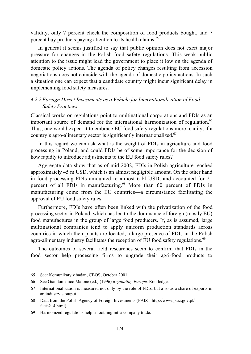validity, only 7 percent check the composition of food products bought, and 7 percent buy products paying attention to its health claims.<sup>65</sup>

In general it seems justified to say that public opinion does not exert major pressure for changes in the Polish food safety regulations. This weak public attention to the issue might lead the government to place it low on the agenda of domestic policy actions. The agenda of policy changes resulting from accession negotiations does not coincide with the agenda of domestic policy actions. In such a situation one can expect that a candidate country might incur significant delay in implementing food safety measures.

## *4.2.2 Foreign Direct Investments as a Vehicle for Internationalization of Food Safety Practices*

Classical works on regulations point to multinational corporations and FDIs as an important source of demand for the international harmonization of regulation.<sup>66</sup> Thus, one would expect it to embrace EU food safety regulations more readily, if a country's agro-alimentary sector is significantly internationalized.<sup>67</sup>

In this regard we can ask what is the weight of FDIs in agriculture and food processing in Poland, and could FDIs be of some importance for the decision of how rapidly to introduce adjustments to the EU food safety rules?

Aggregate data show that as of mid-2002, FDIs in Polish agriculture reached approximately 45 m USD, which is an almost negligible amount. On the other hand in food processing FDIs amounted to almost 6 bl USD, and accounted for 21 percent of all FDIs in manufacturing.<sup>68</sup> More than 60 percent of FDIs in manufacturing come from the EU countries—a circumstance facilitating the approval of EU food safety rules.

Furthermore, FDIs have often been linked with the privatization of the food processing sector in Poland, which has led to the dominance of foreign (mostly EU) food manufactures in the group of large food producers. If, as is assumed, large multinational companies tend to apply uniform production standards across countries in which their plants are located, a large presence of FDIs in the Polish agro-alimentary industry facilitates the reception of EU food safety regulations. $69$ 

The outcomes of several field researches seem to confirm that FDIs in the food sector help processing firms to upgrade their agri-food products to

<sup>65</sup> See: Komunikaty z badan, CBOS, October 2001.

<sup>66</sup> See Giandomenico Majone (ed.) (1996) *Regulating Europe,* Routledge.

<sup>67</sup> Internationalization is measured not only by the role of FDIs, but also as a share of exports in an industry's output.

<sup>68</sup> Data from the Polish Agency of Foreign Investments (PAIZ - http://www.paiz.gov.pl/ facts2 4.html).

<sup>69</sup> Harmonized regulations help smoothing intra-company trade.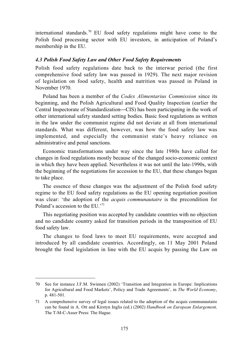international standards.<sup>70</sup> EU food safety regulations might have come to the Polish food processing sector with EU investors, in anticipation of Poland's membership in the EU.

## *4.3 Polish Food Safety Law and Other Food Safety Requirements*

Polish food safety regulations date back to the interwar period (the first comprehensive food safety law was passed in 1929). The next major revision of legislation on food safety, health and nutrition was passed in Poland in November 1970.

Poland has been a member of the *Codex Alimentarius Commission* since its beginning, and the Polish Agricultural and Food Quality Inspection (earlier the Central Inspectorate of Standardization—CIS) has been participating in the work of other international safety standard setting bodies. Basic food regulations as written in the law under the communist regime did not deviate at all from international standards. What was different, however, was how the food safety law was implemented, and especially the communist state's heavy reliance on administrative and penal sanctions.

Economic transformations under way since the late 1980s have called for changes in food regulations mostly because of the changed socio-economic context in which they have been applied. Nevertheless it was not until the late-1990s, with the beginning of the negotiations for accession to the EU, that these changes began to take place.

The essence of these changes was the adjustment of the Polish food safety regime to the EU food safety regulations as the EU opening negotiation position was clear: 'the adoption of the *acquis communautaire* is the precondition for Poland's accession to the EU.<sup>'71</sup>

This negotiating position was accepted by candidate countries with no objection and no candidate country asked for transition periods in the transposition of EU food safety law.

The changes to food laws to meet EU requirements, were accepted and introduced by all candidate countries. Accordingly, on 11 May 2001 Poland brought the food legislation in line with the EU acquis by passing the Law on

<sup>70</sup> See for instance J.F.M. Swinnen (2002) 'Transition and Integration in Europe: Implications for Agricultural and Food Markets', Policy and Trade Agreements', in *The World Economy*, p. 481-501.

<sup>71</sup> A comprehensive survey of legal issues related to the adoption of the acquis communautaire can be found in A. Ott and Kirstyn Inglis (ed.) (2002) *Handbook on European Enlargement,* The T-M-C-Asser Press: The Hague.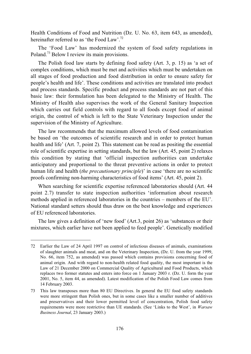Health Conditions of Food and Nutrition (Dz. U. No. 63, item 643, as amended), hereinafter referred to as 'the Food Law'.<sup>72</sup>

The 'Food Law' has modernized the system of food safety regulations in Poland.<sup>73</sup> Below I review its main provisions.

The Polish food law starts by defining food safety (Art. 3, p. 15) as 'a set of complex conditions, which must be met and activities which must be undertaken on all stages of food production and food distribution in order to ensure safety for people's health and life'. These conditions and activities are translated into product and process standards. Specific product and process standards are not part of this basic law: their formulation has been delegated to the Ministry of Health. The Ministry of Health also supervises the work of the General Sanitary Inspection which carries out field controls with regard to all foods except food of animal origin, the control of which is left to the State Veterinary Inspection under the supervision of the Ministry of Agriculture.

The law recommends that the maximum allowed levels of food contamination be based on 'the outcomes of scientific research and in order to protect human health and life' (Art. 7, point 2). This statement can be read as positing the essential role of scientific expertise in setting standards, but the law (Art. 45, point 2) relaxes this condition by stating that 'official inspection authorities can undertake anticipatory and proportional to the threat preventive actions in order to protect human life and health (*the precautionary principle*)' in case 'there are no scientific proofs confirming non-harming characteristics of food items' (Art. 45, point 2).

When searching for scientific expertise referenced laboratories should (Art. 44 point 2.7) transfer to state inspection authorities 'information about research methods applied in referenced laboratories in the countries – members of the EU'. National standard setters should thus draw on the best knowledge and experiences of EU referenced laboratories.

The law gives a definition of 'new food' (Art.3, point 26) as 'substances or their mixtures, which earlier have not been applied to feed people'. Genetically modified

<sup>72</sup> Earlier the Law of 24 April 1997 on control of infectious diseases of animals, examinations of slaughter animals and meat, and on the Veterinary Inspection, (Dz. U. from the year 1999, No. 66, item 752, as amended) was passed which contains provisions concerning food of animal origin. And with regard to non-health related food quality, the most important is the Law of 21 December 2000 on Commercial Quality of Agricultural and Food Products, which replaces two former statutes and enters into force on 1 January 2003 r. (Dz. U. form the year 2001, No. 5, item 44, as amended). Latest modification of the Polish Food Law comes from 14 February 2003.

<sup>73</sup> This law transposes more than 80 EU Directives. In general the EU food safety standards were more stringent than Polish ones, but in some cases like a smaller number of additives and preservatives and their lower permitted level of concentration, Polish food safety requirements were more restrictive than UE standards. (See 'Links to the West', in *Warsaw Business Journal*, 23 January 2003.)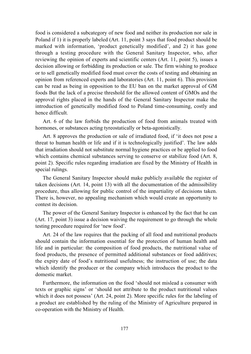food is considered a subcategory of new food and neither its production nor sale in Poland if 1) it is properly labeled (Art. 11, point 3 says that food product should be marked with information, 'product genetically modified', and 2) it has gone through a testing procedure with the General Sanitary Inspector, who, after reviewing the opinion of experts and scientific centers (Art. 11, point 5), issues a decision allowing or forbidding its production or sale. The firm wishing to produce or to sell genetically modified food must cover the costs of testing and obtaining an opinion from referenced experts and laboratories (Art. 11, point 6). This provision can be read as being in opposition to the EU ban on the market approval of GM foods But the lack of a precise threshold for the allowed content of GMOs and the approval rights placed in the hands of the General Sanitary Inspector make the introduction of genetically modified food to Poland time-consuming, costly and hence difficult.

Art. 6 of the law forbids the production of food from animals treated with hormones, or substances acting tyreostatically or beta-agonistically.

Art. 8 approves the production or sale of irradiated food, if 'it does not pose a threat to human health or life and if it is technologically justified'. The law adds that irradiation should not substitute normal hygiene practices or be applied to food which contains chemical substances serving to conserve or stabilize food (Art. 8, point 2). Specific rules regarding irradiation are fixed by the Ministry of Health in special rulings.

The General Sanitary Inspector should make publicly available the register of taken decisions (Art. 14, point 13) with all the documentation of the admissibility procedure, thus allowing for public control of the impartiality of decisions taken. There is, however, no appealing mechanism which would create an opportunity to contest its decision.

The power of the General Sanitary Inspector is enhanced by the fact that he can (Art. 17, point 3) issue a decision waiving the requirement to go through the whole testing procedure required for 'new food'.

Art. 24 of the law requires that the packing of all food and nutritional products should contain the information essential for the protection of human health and life and in particular: the composition of food products, the nutritional value of food products, the presence of permitted additional substances or food additives; the expiry date of food's nutritional usefulness; the instruction of use; the data which identify the producer or the company which introduces the product to the domestic market.

Furthermore, the information on the food 'should not mislead a consumer with texts or graphic signs' or 'should not attribute to the product nutritional values which it does not possess' (Art. 24, point 2). More specific rules for the labeling of a product are established by the ruling of the Ministry of Agriculture prepared in co-operation with the Ministry of Health.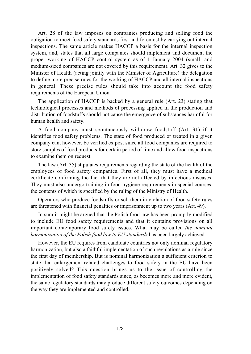Art. 28 of the law imposes on companies producing and selling food the obligation to meet food safety standards first and foremost by carrying out internal inspections. The same article makes HACCP a basis for the internal inspection system, and, states that all large companies should implement and document the proper working of HACCP control system as of 1 January 2004 (small- and medium-sized companies are not covered by this requirement). Art. 32 gives to the Minister of Health (acting jointly with the Minister of Agriculture) the delegation to define more precise rules for the working of HACCP and all internal inspections in general. These precise rules should take into account the food safety requirements of the European Union.

The application of HACCP is backed by a general rule (Art. 23) stating that technological processes and methods of processing applied in the production and distribution of foodstuffs should not cause the emergence of substances harmful for human health and safety.

A food company must spontaneously withdraw foodstuff (Art. 31) if it identifies food safety problems. The state of food produced or treated in a given company can, however, be verified ex post since all food companies are required to store samples of food products for certain period of time and allow food inspections to examine them on request.

The law (Art. 35) stipulates requirements regarding the state of the health of the employees of food safety companies. First of all, they must have a medical certificate confirming the fact that they are not affected by infectious diseases. They must also undergo training in food hygiene requirements in special courses, the contents of which is specified by the ruling of the Ministry of Health.

Operators who produce foodstuffs or sell them in violation of food safety rules are threatened with financial penalties or imprisonment up to two years (Art. 49).

In sum it might be argued that the Polish food law has been promptly modified to include EU food safety requirements and that it contains provisions on all important contemporary food safety issues. What may be called *the nominal harmonization of the Polish food law to EU standards* has been largely achieved.

However, the EU requires from candidate countries not only nominal regulatory harmonization, but also a faithful implementation of such regulations as a rule since the first day of membership. But is nominal harmonization a sufficient criterion to state that enlargement-related challenges to food safety in the EU have been positively solved? This question brings us to the issue of controlling the implementation of food safety standards since, as becomes more and more evident, the same regulatory standards may produce different safety outcomes depending on the way they are implemented and controlled.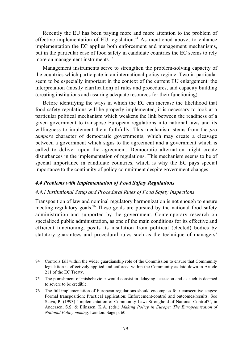Recently the EU has been paying more and more attention to the problem of effective implementation of EU legislation.<sup>74</sup> As mentioned above, to enhance implementation the EC applies both enforcement and management mechanisms, but in the particular case of food safety in candidate countries the EC seems to rely more on management instruments.<sup>75</sup>

Management instruments serve to strengthen the problem-solving capacity of the countries which participate in an international policy regime. Two in particular seem to be especially important in the context of the current EU enlargement: the interpretation (mostly clarification) of rules and procedures, and capacity building (creating institutions and assuring adequate resources for their functioning).

Before identifying the ways in which the EC can increase the likelihood that food safety regulations will be properly implemented, it is necessary to look at a particular political mechanism which weakens the link between the readiness of a given government to transpose European regulations into national laws and its willingness to implement them faithfully. This mechanism stems from the *pro tempore* character of democratic governments, which may create a cleavage between a government which signs to the agreement and a government which is called to deliver upon the agreement. Democratic alternation might create disturbances in the implementation of regulations. This mechanism seems to be of special importance in candidate countries, which is why the EC pays special importance to the continuity of policy commitment despite government changes.

#### *4.4 Problems with Implementation of Food Safety Regulations*

 $\overline{a}$ 

### *4.4.1 Institutional Setup and Procedural Rules of Food Safety Inspections*

Transposition of law and nominal regulatory harmonization is not enough to ensure meeting regulatory goals.<sup>76</sup> These goals are pursued by the national food safety administration and supported by the government. Contemporary research on specialized public administration, as one of the main conditions for its effective and efficient functioning, posits its insulation from political (elected) bodies by statutory guarantees and procedural rules such as the technique of managers'

<sup>74</sup> Controls fall within the wider guardianship role of the Commission to ensure that Community legislation is effectively applied and enforced within the Community as laid down in Article 211 of the EC Treaty.

<sup>75</sup> The punishment of misbehaviour would consist in delaying accession and as such is deemed to severe to be credible.

<sup>76</sup> The full implementation of European regulations should encompass four consecutive stages: Formal transposition; Practical application; Enforcement/control and outcomes/results. See Stava, P. (1993) 'Implementation of Community Law: Stronghold of National Control?', in Andersen, S.S. & Elinssen, K.A. (eds.) *Making Policy in Europe: The Europeanization of National Policy-making,* London: Sage p. 60.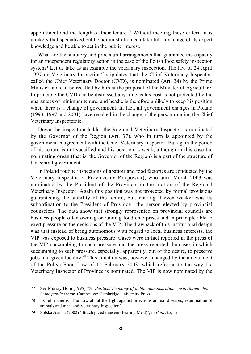appointment and the length of their tenure.<sup>77</sup> Without meeting these criteria it is unlikely that specialized public administration can take full advantage of its expert knowledge and be able to act in the public interest.

What are the statutory and procedural arrangements that guarantee the capacity for an independent regulatory action in the case of the Polish food safety inspection system? Let us take as an example the veterinary inspection. The law of 24 April 1997 on Veterinary Inspection<sup>78</sup> stipulates that the Chief Veterinary Inspector, called the Chief Veterinary Doctor (CVD), is nominated (Art. 34) by the Prime Minister and can be recalled by him at the proposal of the Minister of Agriculture. In principle the CVD can be dismissed any time as his post is not protected by the guarantees of minimum tenure, and he/she is therefore unlikely to keep his position when there is a change of government. In fact, all government changes in Poland (1993, 1997 and 2001) have resulted in the change of the person running the Chief Veterinary Inspectorate.

Down the inspection ladder the Regional Veterinary Inspector is nominated by the Governor of the Region (Art. 37), who in turn is appointed by the government in agreement with the Chief Veterinary Inspector. But again the period of his tenure is not specified and his position is weak, although in this case the nominating organ (that is, the Governor of the Region) is a part of the structure of the central government.

In Poland routine inspections of abattoir and food factories are conducted by the Veterinary Inspector of Province (VIP) (powiat), who until March 2003 was nominated by the President of the Province on the motion of the Regional Veterinary Inspector. Again this position was not protected by formal provisions guaranteeing the stability of the tenure, but, making it even weaker was its subordination to the President of Province—the person elected by provincial counselors. The data show that strongly represented on provincial councils are business people often owning or running food enterprises and in principle able to exert pressure on the decisions of the VIP. The drawback of this institutional design was that instead of being autonomous with regard to local business interests, the VIP was exposed to business pressure. Cases were in fact reported in the press of the VIP succumbing to such pressure and the press reported the cases in which succumbing to such pressure, especially, apparently, out of the desire, to preserve jobs in a given locality.<sup>79</sup> This situation was, however, changed by the amendment of the Polish Food Law of 14 February 2003, which referred to the way the Veterinary Inspector of Province is nominated. The VIP is now nominated by the

<sup>77</sup> See Murray Horn (1995) *The Political Economy of public administration: institutional choice in the public sector,* Cambridge: Cambridge University Press.

<sup>78</sup> Its full name is 'The Law about the fight against infectious animal diseases, examination of animals and meat and Veterinary Inspection'.

<sup>79</sup> Solska Joanna (2002) 'Strach przed miesem (Fearing Meat)', in *Polityka*, 19.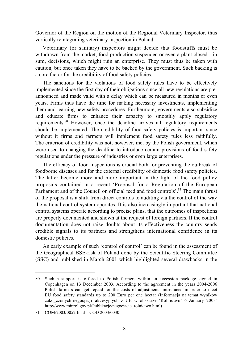Governor of the Region on the motion of the Regional Veterinary Inspector, thus vertically reintegrating veterinary inspection in Poland.

Veterinary (or sanitary) inspectors might decide that foodstuffs must be withdrawn from the market, food production suspended or even a plant closed—in sum, decisions, which might ruin an enterprise. They must thus be taken with caution, but once taken they have to be backed by the government. Such backing is a core factor for the credibility of food safety policies.

The sanctions for the violations of food safety rules have to be effectively implemented since the first day of their obligations since all new regulations are preannounced and made valid with a delay which can be measured in months or even years. Firms thus have the time for making necessary investments, implementing them and learning new safety procedures. Furthermore, governments also subsidize and educate firms to enhance their capacity to smoothly apply regulatory requirements.<sup>80</sup> However, once the deadline arrives all regulatory requirements should be implemented. The credibility of food safety policies is important since without it firms and farmers will implement food safety rules less faithfully. The criterion of credibility was not, however, met by the Polish government, which were used to changing the deadline to introduce certain provisions of food safety regulations under the pressure of industries or even large enterprises.

The efficacy of food inspections is crucial both for preventing the outbreak of foodborne diseases and for the external credibility of domestic food safety policies. The latter become more and more important in the light of the food policy proposals contained in a recent 'Proposal for a Regulation of the European Parliament and of the Council on official feed and food controls'.<sup>81</sup> The main thrust of the proposal is a shift from direct controls to auditing via the control of the way the national control system operates. It is also increasingly important that national control systems operate according to precise plans, that the outcomes of inspections are properly documented and shown at the request of foreign partners. If the control documentation does not raise doubts about its effectiveness the country sends credible signals to its partners and strengthens international confidence in its domestic policies.

An early example of such 'control of control' can be found in the assessment of the Geographical BSE-risk of Poland done by the Scientific Steering Committee (SSC) and published in March 2001 which highlighted several drawbacks in the

<sup>80</sup> Such a support is offered to Polish farmers within an accession package signed in Copenhagen on 13 December 2003. According to the agreement in the years 2004-2006 Polish farmers can get repaid for the costs of adjustments introduced in order to meet EU food safety standards up to 200 Euro per one hectar (Informacja na temat wyników zako\_czonych negocjacji akcesyjnych z UE w obszarze 'Rolnictwo' 6 January 2003' http://www.minrol.gov.pl/Publikacje/negocjacje\_rolnictwo.html).

<sup>81</sup> COM/2003/0052 final – COD 2003/0030.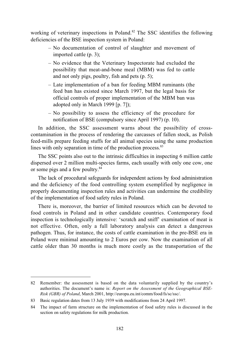working of veterinary inspections in Poland.<sup>82</sup> The SSC identifies the following deficiencies of the BSE inspection system in Poland:

- *–* No documentation of control of slaughter and movement of imported cattle (p. 3);
- *–* No evidence that the Veterinary Inspectorate had excluded the possibility that meat-and-bone meal (MBM) was fed to cattle and not only pigs, poultry, fish and pets (p. 5);
- *–* Late implementation of a ban for feeding MBM ruminants (the feed ban has existed since March 1997, but the legal basis for official controls of proper implementation of the MBM ban was adopted only in March 1999 [p. 7]);
- *–* No possibility to assess the efficiency of the procedure for notification of BSE (compulsory since April 1997) (p. 10).

In addition, the SSC assessment warns about the possibility of crosscontamination in the process of rendering the carcasses of fallen stock, as Polish feed-mills prepare feeding stuffs for all animal species using the same production lines with only separation in time of the production process. $83$ 

The SSC points also out to the intrinsic difficulties in inspecting 6 million cattle dispersed over 2 million multi-species farms, each usually with only one cow, one or some pigs and a few poultry.<sup>84</sup>

The lack of procedural safeguards for independent actions by food administration and the deficiency of the food controlling system exemplified by negligence in properly documenting inspection rules and activities can undermine the credibility of the implementation of food safety rules in Poland.

There is, moreover, the barrier of limited resources which can be devoted to food controls in Poland and in other candidate countries. Contemporary food inspection is technologically intensive: 'scratch and sniff' examination of meat is not effective. Often, only a full laboratory analysis can detect a dangerous pathogen. Thus, for instance, the costs of cattle examination in the pre-BSE era in Poland were minimal amounting to 2 Euros per cow. Now the examination of all cattle older than 30 months is much more costly as the transportation of the

<sup>82</sup> Remember: the assessment is based on the data voluntarily supplied by the country's authorities. The document's name is: *Report on the Assessment of the Geographical BSE-Risk (GBR) of Poland*, March 2001, http://europa.eu.int/comm/food/fs/sc/ssc/.

<sup>83</sup> Basic regulation dates from 13 July 1939 with modifications from 24 April 1997.

<sup>84</sup> The impact of farm structure on the implementation of food safety rules is discussed in the section on safety regulations for milk production.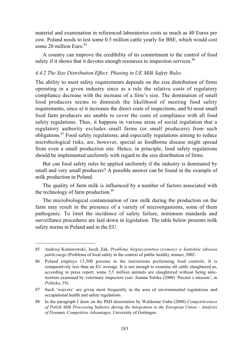material and examination in referenced laboratories costs as much as 40 Euros per cow. Poland needs to test some 0.5 million cattle yearly for BSE, which would cost some  $20$  million Euro.<sup>85</sup>

A country can improve the credibility of its commitment to the control of food safety if it shows that it devotes enough resources to inspection services.<sup>86</sup>

### *4.4.2 The Size Distribution Effect: Phasing in UE Milk Safety Rules*

The ability to meet safety requirements depends on the size distribution of firms operating in a given industry since as a rule the relative costs of regulatory compliance decrease with the increase of a firm's size. The domination of small food producers seems to diminish the likelihood of meeting food safety requirements, since a) it increases the direct costs of inspections, and b) most small food farm producers are unable to cover the costs of compliance with all food safety regulations. Thus, it happens in various areas of social regulation that a regulatory authority excludes small farms (or small producers) from such obligations.<sup>87</sup> Food safety regulations, and especially regulations aiming to reduce microbiological risks, are, however, special as foodborne disease might spread from even a small production site. Hence, in principle, food safety regulations should be implemented uniformly with regard to the size distribution of firms.

But can food safety rules be applied uniformly if the industry is dominated by small and very small producers? A possible answer can be found in the example of milk production in Poland.

The quality of farm milk is influenced by a number of factors associated with the technology of farm production.<sup>88</sup>

The microbiological contamination of raw milk during the production on the farm may result in the presence of a variety of microorganisms, some of them pathogenic. To limit the incidence of safety failure, minimum standards and surveillance procedures are laid down in legislation. The table below presents milk safety norms in Poland and in the EU.

<sup>85</sup> Andrzej Komorowski, Jacek Zak, *Problemy bezpieczenstwa zywnosci w konteksie zdrowia publicznego* (Problems of food safety in the context of public health), mimeo, 2002.

<sup>86</sup> Poland employs 13,500 persons in the institutions performing food controls. It is comparatively less than an EU average. It is not enough to examine all cattle slaughtered as, according to press report, some 5,5 million animals are slaughtered without being antemortem examined by veterinary inspectors (see: Joanna Solska (2000) 'Pasztet z miesem', in *Polityka*, 19).

<sup>87</sup> Such 'waivers' are given most frequently in the area of environmental regulations and occupational health and safety regulations.

<sup>88</sup> In the paragraph I draw on the PhD dissertation by Waldemar Guba (2000) *Competitiveness of Polish Milk Processing Industry during the Integration to the European Union – Analysis of Dynamic Competitive Advantages,* University of Gottingen.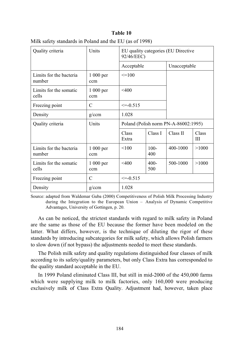#### **Table 10**

| Quality criteria                  | Units             | EU quality categories (EU Directive<br>92/46/EEC) |                |              |            |
|-----------------------------------|-------------------|---------------------------------------------------|----------------|--------------|------------|
|                                   |                   | Acceptable                                        |                | Unacceptable |            |
| Limits for the bacteria<br>number | 1 000 per<br>ccm  | $\leq$ =100                                       |                |              |            |
| Limits for the somatic<br>cells   | $1000$ per<br>ccm | $<$ 400                                           |                |              |            |
| Freezing point                    | C                 | $\leq 0.515$                                      |                |              |            |
| Density                           | g/ccm             | 1.028                                             |                |              |            |
| Quality criteria                  | Units             | Poland (Polish norm PN-A-86002:1995)              |                |              |            |
|                                   |                   | Class<br>Extra                                    | Class I        | Class II     | Class<br>Ш |
| Limits for the bacteria<br>number | $1000$ per<br>ccm | < 100                                             | $100 -$<br>400 | $400 - 1000$ | >1000      |
| Limits for the somatic<br>cells   | $1000$ per<br>ccm | $<$ 400                                           | $400 -$<br>500 | 500-1000     | >1000      |
| Freezing point                    | C                 | $\leq 0.515$                                      |                |              |            |
| Density                           | g/ccm             | 1.028                                             |                |              |            |

Milk safety standards in Poland and the EU (as of 1998)

Source: adapted from Waldemar Guba (2000) Competitiveness of Polish Milk Processing Industry during the Integration to the European Union – Analysis of Dynamic Competitive Advantages, University of Gottingen, p. 20.

As can be noticed, the strictest standards with regard to milk safety in Poland are the same as those of the EU because the former have been modeled on the latter. What differs, however, is the technique of diluting the rigor of these standards by introducing subcategories for milk safety, which allows Polish farmers to slow down (if not bypass) the adjustments needed to meet these standards.

The Polish milk safety and quality regulations distinguished four classes of milk according to its safety/quality parameters, but only Class Extra has corresponded to the quality standard acceptable in the EU.

In 1999 Poland eliminated Class III, but still in mid-2000 of the 450,000 farms which were supplying milk to milk factories, only 160,000 were producing exclusively milk of Class Extra Quality. Adjustment had, however, taken place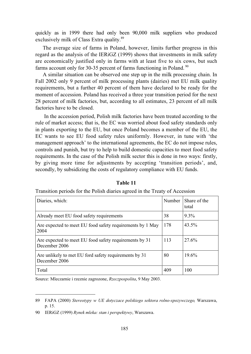quickly as in 1999 there had only been 90,000 milk suppliers who produced exclusively milk of Class Extra quality.<sup>89</sup>

The average size of farms in Poland, however, limits further progress in this regard as the analysis of the IERiGZ (1999) shows that investments in milk safety are economically justified only in farms with at least five to six cows, but such farms account only for 30-35 percent of farms functioning in Poland.<sup>90</sup>

A similar situation can be observed one step up in the milk processing chain. In Fall 2002 only 9 percent of milk processing plants (dairies) met EU milk quality requirements, but a further 40 percent of them have declared to be ready for the moment of accession. Poland has received a three year transition period for the next 28 percent of milk factories, but, according to all estimates, 23 percent of all milk factories have to be closed.

In the accession period, Polish milk factories have been treated according to the rule of market access; that is, the EC was worried about food safety standards only in plants exporting to the EU, but once Poland becomes a member of the EU, the EC wants to see EU food safety rules uniformly. However, in tune with 'the management approach' to the international agreements, the EC do not impose rules, controls and punish, but try to help to build domestic capacities to meet food safety requirements. In the case of the Polish milk sector this is done in two ways: firstly, by giving more time for adjustments by accepting 'transition periods', and, secondly, by subsidizing the costs of regulatory compliance with EU funds.

| Diaries, which:                                                         | Number | Share of the<br>total |
|-------------------------------------------------------------------------|--------|-----------------------|
| Already meet EU food safety requirements                                | 38     | 9.3%                  |
| Are expected to meet EU food safety requirements by 1 May<br>2004       | 178    | 43.5%                 |
| Are expected to meet EU food safety requirements by 31<br>December 2006 | 113    | 27.6%                 |
| Are unlikely to met EU ford safety requirements by 31<br>December 2006  | 80     | 19.6%                 |
| Total                                                                   | 409    | 100                   |

**Table 11**

Transition periods for the Polish diaries agreed in the Treaty of Accession

Source: Mleczarnie i rzeznie zagrozone, *Rzeczpospolita*, 9 May 2003.

<sup>89</sup> FAPA (2000) *Stereotypy w UE dotyczace polskiego sektora rolno-spozywczego,* Warszawa, p. 15.

<sup>90</sup> IERiGZ (1999) *Rynek mleka: stan i perspektywy*, Warszawa.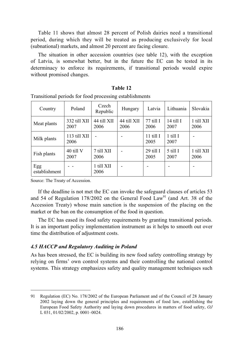Table 11 shows that almost 28 percent of Polish dairies need a transitional period, during which they will be treated as producing exclusively for local (subnational) markets, and almost 20 percent are facing closure.

The situation in other accession countries (see table 12), with the exception of Latvia, is somewhat better, but in the future the EC can be tested in its determinacy to enforce its requirements, if transitional periods would expire without promised changes.

| Country              | Poland               | Czech<br>Republic   | Hungary             | Latvia              | Lithuania         | Slovakia           |
|----------------------|----------------------|---------------------|---------------------|---------------------|-------------------|--------------------|
| Meat plants          | 332 till XII<br>2007 | 44 till XII<br>2006 | 44 till XII<br>2006 | 77 till I<br>2006   | 14 till I<br>2007 | 1 till XII<br>2006 |
| Milk plants          | 113 till XII<br>2006 |                     |                     | $11$ till I<br>2005 | 1 till I<br>2007  |                    |
| Fish plants          | 40 till V<br>2007    | 7 till XII<br>2006  |                     | $29$ till I<br>2005 | 5 till I<br>2007  | 1 till XII<br>2006 |
| Egg<br>establishment |                      | 1 till XII<br>2006  |                     |                     |                   |                    |

**Table 12**

Transitional periods for food processing establishments

Source: The Treaty of Accession.

 $\overline{a}$ 

If the deadline is not met the EC can invoke the safeguard clauses of articles 53 and 54 of Regulation  $178/2002$  on the General Food Law<sup>91</sup> (and Art. 38 of the Accession Treaty) whose main sanction is the suspension of the placing on the market or the ban on the consumption of the food in question.

The EC has eased its food safety requirements by granting transitional periods. It is an important policy implementation instrument as it helps to smooth out over time the distribution of adjustment costs.

# *4.5 HACCP and Regulatory Auditing in Poland*

As has been stressed, the EC is building its new food safety controlling strategy by relying on firms' own control systems and their controlling the national control systems. This strategy emphasizes safety and quality management techniques such

<sup>91</sup> Regulation (EC) No. 178/2002 of the European Parliament and of the Council of 28 January 2002 laying down the general principles and requirements of food law, establishing the European Food Safety Authority and laying down procedures in matters of food safety, *OJ* L 031, 01/02/2002, p. 0001–0024.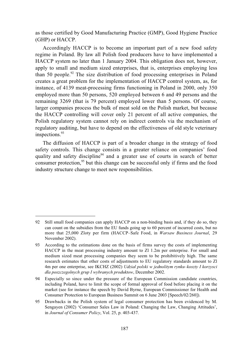as those certified by Good Manufacturing Practice (GMP), Good Hygiene Practice (GHP) or HACCP.

Accordingly HACCP is to become an important part of a new food safety regime in Poland. By law all Polish food producers have to have implemented a HACCP system no later than 1 January 2004. This obligation does not, however, apply to small and medium sized enterprises, that is, enterprises employing less than 50 people.<sup>92</sup> The size distribution of food processing enterprises in Poland creates a great problem for the implementation of HACCP control system, as, for instance, of 4139 meat-processing firms functioning in Poland in 2000, only 350 employed more than 50 persons, 520 employed between 6 and 49 persons and the remaining 3269 (that is 79 percent) employed lower than 5 persons. Of course, larger companies process the bulk of meat sold on the Polish market, but because the HACCP controlling will cover only 21 percent of all active companies, the Polish regulatory system cannot rely on indirect controls via the mechanism of regulatory auditing, but have to depend on the effectiveness of old style veterinary inspections.<sup>93</sup>

The diffusion of HACCP is part of a broader change in the strategy of food safety controls. This change consists in a greater reliance on companies' food quality and safety discipline<sup>94</sup> and a greater use of courts in search of better consumer protection,<sup>95</sup> but this change can be successful only if firms and the food industry structure change to meet new responsibilities.

<sup>92</sup> Still small food companies can apply HACCP on a non-binding basis and, if they do so, they can count on the subsidies from the EU funds going up to 60 percent of incurred costs, but no more that 25,000 Zloty per firm (HACCP–Safe Food, in *Warsaw Business Journal*, 29 November 2002).

<sup>93</sup> According to the estimations done on the basis of firms survey the costs of implementing HACCP in the meat processing industry amount to Zl 1.2m per enterprise. For small and medium sized meat processing companies they seem to be prohibitively high. The same research estimates that other costs of adjustments to EU regulatory standards amount to Zl 4m per one enterprise, see IKCHZ (2002) *Udzial polski w jednolitym rynku*–*koszty I korzysci dla poszczegolnych grup I wybranych produktow*, December 2002.

<sup>94</sup> Especially so since under the pressure of the European Commission candidate countries, including Poland, have to limit the scope of formal approval of food before placing it on the market (see for instance the speech by David Byrne, European Commissioner for Health and Consumer Protection to European Business Summit on 6 June 2003 [Speech/02/260]).

<sup>95</sup> Drawbacks in the Polish system of legal consumer protection has been evidenced by M. Sengayen (2002) 'Consumer Sales Law in Poland: Changing the Law, Changing Attitudes', in *Journal of Consumer Policy*, Vol. 25, p. 403-437.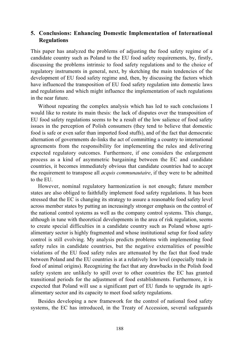# **5. Conclusions: Enhancing Domestic Implementation of International Regulations**

This paper has analyzed the problems of adjusting the food safety regime of a candidate country such as Poland to the EU food safety requirements, by, firstly, discussing the problems intrinsic to food safety regulations and to the choice of regulatory instruments in general, next, by sketching the main tendencies of the development of EU food safety regime and, then, by discussing the factors which have influenced the transposition of EU food safety regulation into domestic laws and regulations and which might influence the implementation of such regulations in the near future.

Without repeating the complex analysis which has led to such conclusions I would like to restate its main thesis: the lack of disputes over the transposition of EU food safety regulations seems to be a result of the low salience of food safety issues in the perception of Polish consumers (they tend to believe that domestic food is safe or even safer than imported food stuffs), and of the fact that democratic alternation of governments de-links the act of committing a country to international agreements from the responsibility for implementing the rules and delivering expected regulatory outcomes. Furthermore, if one considers the enlargement process as a kind of asymmetric bargaining between the EC and candidate countries, it becomes immediately obvious that candidate countries had to accept the requirement to transpose all *acquis communautaire*, if they were to be admitted to the EU.

However, nominal regulatory harmonization is not enough; future member states are also obliged to faithfully implement food safety regulations. It has been stressed that the EC is changing its strategy to assure a reasonable food safety level across member states by putting an increasingly stronger emphasis on the control of the national control systems as well as the company control systems. This change, although in tune with theoretical developments in the area of risk regulation, seems to create special difficulties in a candidate country such as Poland whose agrialimentary sector is highly fragmented and whose institutional setup for food safety control is still evolving. My analysis predicts problems with implementing food safety rules in candidate countries, but the negative externalities of possible violations of the EU food safety rules are attenuated by the fact that food trade between Poland and the EU countries is at a relatively low level (especially trade in food of animal origins). Recognizing the fact that any drawbacks in the Polish food safety system are unlikely to spill over to other countries the EC has granted transitional periods for the adjustment of food establishments. Furthermore, it is expected that Poland will use a significant part of EU funds to upgrade its agrialimentary sector and its capacity to meet food safety regulations.

Besides developing a new framework for the control of national food safety systems, the EC has introduced, in the Treaty of Accession, several safeguards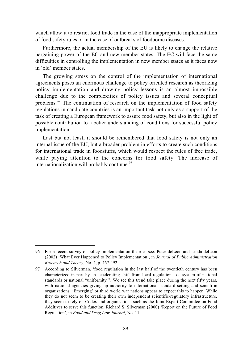which allow it to restrict food trade in the case of the inappropriate implementation of food safety rules or in the case of outbreaks of foodborne diseases.

Furthermore, the actual membership of the EU is likely to change the relative bargaining power of the EC and new member states. The EC will face the same difficulties in controlling the implementation in new member states as it faces now in 'old' member states.

The growing stress on the control of the implementation of international agreements poses an enormous challenge to policy oriented research as theorizing policy implementation and drawing policy lessons is an almost impossible challenge due to the complexities of policy issues and several conceptual problems.<sup>96</sup> The continuation of research on the implementation of food safety regulations in candidate countries is an important task not only as a support of the task of creating a European framework to assure food safety, but also in the light of possible contribution to a better understanding of conditions for successful policy implementation.

Last but not least, it should be remembered that food safety is not only an internal issue of the EU, but a broader problem in efforts to create such conditions for international trade in foodstuffs, which would respect the rules of free trade, while paying attention to the concerns for food safety. The increase of internationalization will probably continue.<sup>97</sup>

<sup>96</sup> For a recent survey of policy implementation theories see: Peter deLeon and Linda deLeon (2002) 'What Ever Happened to Policy Implementation', in *Journal of Public Administration Research and Theory*, No. 4, p. 467-492.

<sup>97</sup> According to Silverman, 'food regulation in the last half of the twentieth century has been characterized in part by an accelerating shift from local regulation to a system of national standards or national "uniformity"'. We see this trend take place during the next fifty years, with national agencies giving up authority to international standard setting and scientific organizations. 'Emerging' or third world war nations appear to expect this to happen. While they do not seem to be creating their own independent scientific/regulatory infrastructure, they seem to rely on Codex and organizations such as the Joint Expert Committee on Food Additives to serve this function, Richard S. Silverman (2000) 'Report on the Future of Food Regulation', in *Food and Drug Law Journal*, No. 11.